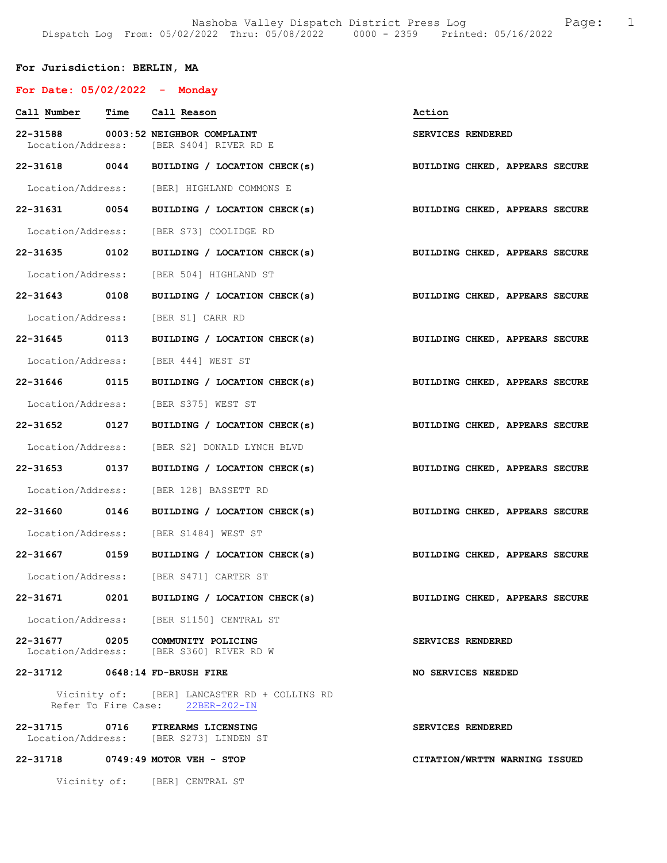# For Jurisdiction: BERLIN, MA

| For Date: $05/02/2022 -$ Monday |                                                                                  |                                |
|---------------------------------|----------------------------------------------------------------------------------|--------------------------------|
| Call Number Time Call Reason    |                                                                                  | Action                         |
|                                 | 22-31588 0003:52 NEIGHBOR COMPLAINT<br>Location/Address: [BER S404] RIVER RD E   | SERVICES RENDERED              |
|                                 | 22-31618 0044 BUILDING / LOCATION CHECK(s)                                       | BUILDING CHKED, APPEARS SECURE |
|                                 | Location/Address: [BER] HIGHLAND COMMONS E                                       |                                |
|                                 | 22-31631 0054 BUILDING / LOCATION CHECK(s)                                       | BUILDING CHKED, APPEARS SECURE |
|                                 | Location/Address: [BER S73] COOLIDGE RD                                          |                                |
| 22-31635 0102                   | BUILDING / LOCATION CHECK(s) BUILDING CHKED, APPEARS SECURE                      |                                |
|                                 | Location/Address: [BER 504] HIGHLAND ST                                          |                                |
|                                 | 22-31643 0108 BUILDING / LOCATION CHECK(s)                                       | BUILDING CHKED, APPEARS SECURE |
|                                 | Location/Address: [BER S1] CARR RD                                               |                                |
|                                 | 22-31645 0113 BUILDING / LOCATION CHECK(s)                                       | BUILDING CHKED, APPEARS SECURE |
|                                 | Location/Address: [BER 444] WEST ST                                              |                                |
| 22-31646 0115                   | BUILDING / LOCATION CHECK(s) BUILDING CHKED, APPEARS SECURE                      |                                |
|                                 | Location/Address: [BER S375] WEST ST                                             |                                |
|                                 | 22-31652 0127 BUILDING / LOCATION CHECK(s) BUILDING CHKED, APPEARS SECURE        |                                |
|                                 | Location/Address: [BER S2] DONALD LYNCH BLVD                                     |                                |
| 22-31653 0137                   | BUILDING / LOCATION CHECK(s)                                                     | BUILDING CHKED, APPEARS SECURE |
|                                 | Location/Address: [BER 128] BASSETT RD                                           |                                |
|                                 | 22-31660 0146 BUILDING / LOCATION CHECK(s) BUILDING CHKED, APPEARS SECURE        |                                |
|                                 | Location/Address: [BER S1484] WEST ST                                            |                                |
|                                 | 22-31667 0159 BUILDING / LOCATION CHECK(s)                                       | BUILDING CHKED, APPEARS SECURE |
|                                 | Location/Address: [BER S471] CARTER ST                                           |                                |
| 22-31671                        | 0201 BUILDING / LOCATION CHECK(s)                                                | BUILDING CHKED, APPEARS SECURE |
|                                 | Location/Address: [BER S1150] CENTRAL ST                                         |                                |
|                                 | 22-31677 0205 COMMUNITY POLICING<br>Location/Address: [BER S360] RIVER RD W      | SERVICES RENDERED              |
| 22-31712 0648:14 FD-BRUSH FIRE  |                                                                                  | NO SERVICES NEEDED             |
|                                 | Vicinity of: [BER] LANCASTER RD + COLLINS RD<br>Refer To Fire Case: 22BER-202-IN |                                |
| 22-31715                        | 0716 FIREARMS LICENSING<br>Location/Address: [BER S273] LINDEN ST                | SERVICES RENDERED              |
|                                 | 22-31718 0749:49 MOTOR VEH - STOP                                                | CITATION/WRTTN WARNING ISSUED  |
|                                 | Vicinity of: [BER] CENTRAL ST                                                    |                                |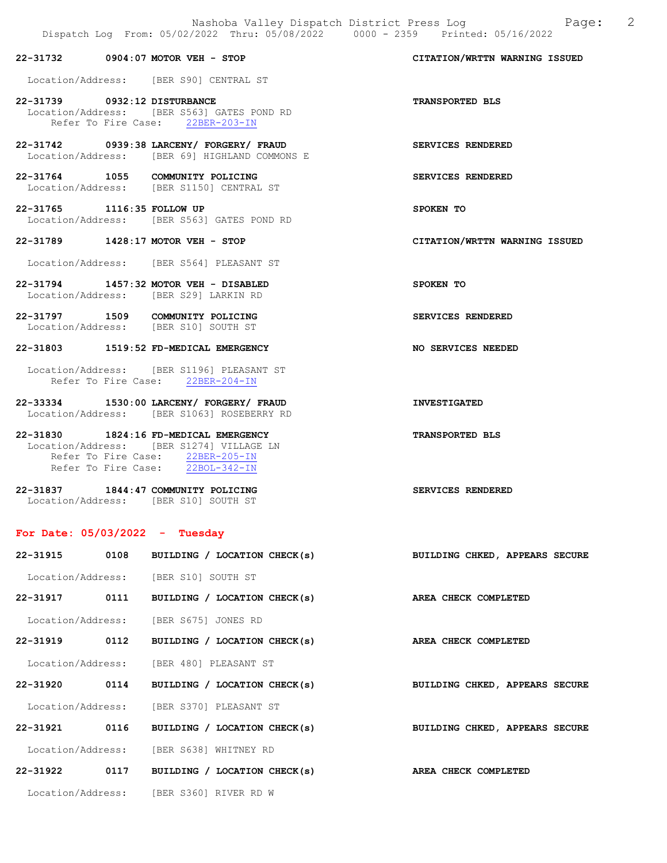|                              | 22-31732 0904:07 MOTOR VEH - STOP                                                         | CITATION/WRTTN WARNING ISSUED |
|------------------------------|-------------------------------------------------------------------------------------------|-------------------------------|
|                              | Location/Address: [BER S90] CENTRAL ST                                                    |                               |
| 22-31739 0932:12 DISTURBANCE | Location/Address: [BER S563] GATES POND RD<br>Refer To Fire Case: 22BER-203-IN            | <b>TRANSPORTED BLS</b>        |
|                              | 22-31742 0939:38 LARCENY/ FORGERY/ FRAUD<br>Location/Address: [BER 69] HIGHLAND COMMONS E | SERVICES RENDERED             |
|                              | 22-31764 1055 COMMUNITY POLICING<br>Location/Address: [BER S1150] CENTRAL ST              | <b>SERVICES RENDERED</b>      |
| 22-31765 1116:35 FOLLOW UP   | Location/Address: [BER S563] GATES POND RD                                                | SPOKEN TO                     |
|                              | 22-31789 1428:17 MOTOR VEH - STOP                                                         | CITATION/WRTTN WARNING ISSUED |
|                              | Location/Address: [BER S564] PLEASANT ST                                                  |                               |
|                              | 22-31794 1457:32 MOTOR VEH - DISABLED<br>Location/Address: [BER S29] LARKIN RD            | SPOKEN TO                     |
|                              | 22-31797 1509 COMMUNITY POLICING<br>Location/Address: [BER S10] SOUTH ST                  | SERVICES RENDERED             |
|                              | 22-31803 1519:52 FD-MEDICAL EMERGENCY                                                     | NO SERVICES NEEDED            |
|                              | Location/Address: [BER S1196] PLEASANT ST<br>Refer To Fire Case: 22BER-204-IN             |                               |
|                              | 22-33334 1530:00 LARCENY/ FORGERY/ FRAUD<br>Location/Address: [BER S1063] ROSEBERRY RD    | <b>INVESTIGATED</b>           |
|                              | 22-31830 1824:16 FD-MEDICAL EMERGENCY                                                     | <b>TRANSPORTED BLS</b>        |

| Location/Address:   | [BER S1274] VILLAGE LN |  |
|---------------------|------------------------|--|
| Refer To Fire Case: | $22$ BER-205-IN        |  |
| Refer To Fire Case: | 22BOL-342-IN           |  |
|                     |                        |  |

| 22-31837          | 1844:47 COMMUNITY POLICING | SERVICES RENDERED |  |
|-------------------|----------------------------|-------------------|--|
| Location/Address: | IBER S101 SOUTH ST         |                   |  |

# For Date: 05/03/2022 - Tuesday

|  | 22-31915 0108 BUILDING / LOCATION CHECK(s) BUILDING CHKED, APPEARS SECURE |                                |
|--|---------------------------------------------------------------------------|--------------------------------|
|  | Location/Address: [BER S10] SOUTH ST                                      |                                |
|  | 22-31917 0111 BUILDING / LOCATION CHECK(s)                                | <b>AREA CHECK COMPLETED</b>    |
|  | Location/Address: [BER S675] JONES RD                                     |                                |
|  | 22-31919 0112 BUILDING / LOCATION CHECK(s)                                | AREA CHECK COMPLETED           |
|  | Location/Address: [BER 480] PLEASANT ST                                   |                                |
|  | 22-31920 0114 BUILDING / LOCATION CHECK(s)                                | BUILDING CHKED, APPEARS SECURE |
|  | Location/Address: [BER S370] PLEASANT ST                                  |                                |
|  | 22-31921 0116 BUILDING / LOCATION CHECK(s)                                | BUILDING CHKED, APPEARS SECURE |
|  | Location/Address: [BER S638] WHITNEY RD                                   |                                |
|  | 22-31922 0117 BUILDING / LOCATION CHECK(s)                                | AREA CHECK COMPLETED           |
|  | Location/Address: [BER S360] RIVER RD W                                   |                                |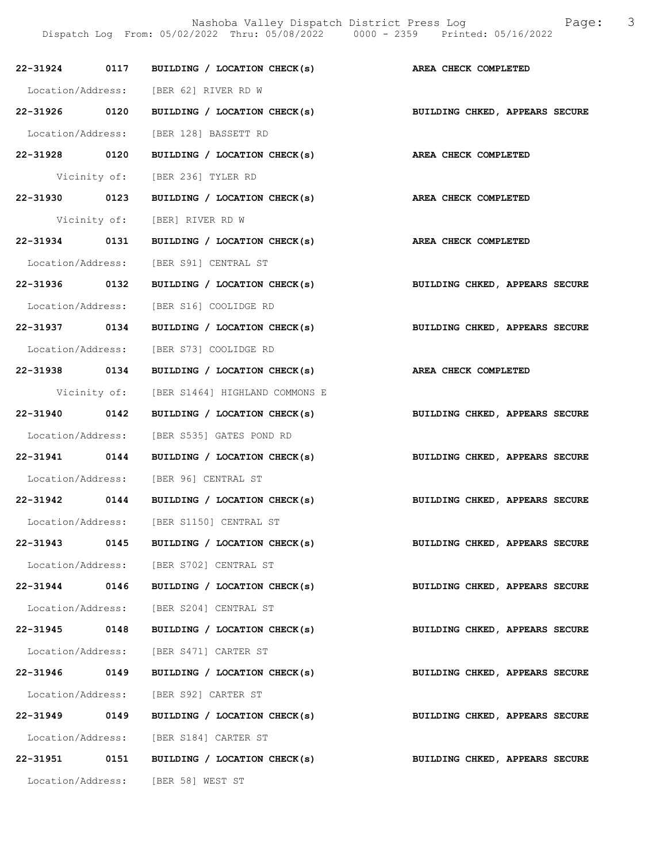|               |      | 22-31924 0117 BUILDING / LOCATION CHECK(s) AREA CHECK COMPLETED           |                                |
|---------------|------|---------------------------------------------------------------------------|--------------------------------|
|               |      | Location/Address: [BER 62] RIVER RD W                                     |                                |
|               |      | 22-31926 0120 BUILDING / LOCATION CHECK(s)                                | BUILDING CHKED, APPEARS SECURE |
|               |      | Location/Address: [BER 128] BASSETT RD                                    |                                |
|               |      | 22-31928 0120 BUILDING / LOCATION CHECK(s) AREA CHECK COMPLETED           |                                |
|               |      | Vicinity of: [BER 236] TYLER RD                                           |                                |
|               |      | 22-31930 0123 BUILDING / LOCATION CHECK(s) AREA CHECK COMPLETED           |                                |
|               |      | Vicinity of: [BER] RIVER RD W                                             |                                |
|               |      | 22-31934 0131 BUILDING / LOCATION CHECK(s) AREA CHECK COMPLETED           |                                |
|               |      | Location/Address: [BER S91] CENTRAL ST                                    |                                |
|               |      | 22-31936 0132 BUILDING / LOCATION CHECK(s) BUILDING CHKED, APPEARS SECURE |                                |
|               |      | Location/Address: [BER S16] COOLIDGE RD                                   |                                |
|               |      | 22-31937 0134 BUILDING / LOCATION CHECK(s) BUILDING CHKED, APPEARS SECURE |                                |
|               |      | Location/Address: [BER S73] COOLIDGE RD                                   |                                |
|               |      | 22-31938 0134 BUILDING / LOCATION CHECK(s) AREA CHECK COMPLETED           |                                |
|               |      | Vicinity of: [BER S1464] HIGHLAND COMMONS E                               |                                |
|               |      | 22-31940 0142 BUILDING / LOCATION CHECK(s)                                | BUILDING CHKED, APPEARS SECURE |
|               |      | Location/Address: [BER S535] GATES POND RD                                |                                |
|               |      | 22-31941 0144 BUILDING / LOCATION CHECK(s) BUILDING CHKED, APPEARS SECURE |                                |
|               |      | Location/Address: [BER 96] CENTRAL ST                                     |                                |
|               |      | 22-31942 0144 BUILDING / LOCATION CHECK(s) BUILDING CHKED, APPEARS SECURE |                                |
|               |      | Location/Address: [BER S1150] CENTRAL ST                                  |                                |
| 22-31943      | 0145 | BUILDING / LOCATION CHECK(s)                                              | BUILDING CHKED, APPEARS SECURE |
|               |      | Location/Address: [BER S702] CENTRAL ST                                   |                                |
|               |      | 22-31944 0146 BUILDING / LOCATION CHECK(s)                                | BUILDING CHKED, APPEARS SECURE |
|               |      | Location/Address: [BER S204] CENTRAL ST                                   |                                |
| 22-31945 0148 |      | BUILDING / LOCATION CHECK(s)                                              | BUILDING CHKED, APPEARS SECURE |
|               |      | Location/Address: [BER S471] CARTER ST                                    |                                |
| 22-31946 0149 |      | BUILDING / LOCATION CHECK(s)                                              | BUILDING CHKED, APPEARS SECURE |
|               |      | Location/Address: [BER S92] CARTER ST                                     |                                |
| 22-31949 0149 |      | BUILDING / LOCATION CHECK(s)                                              | BUILDING CHKED, APPEARS SECURE |
|               |      | Location/Address: [BER S184] CARTER ST                                    |                                |
| 22-31951      |      | 0151 BUILDING / LOCATION CHECK(s)                                         | BUILDING CHKED, APPEARS SECURE |
|               |      | Location/Address: [BER 58] WEST ST                                        |                                |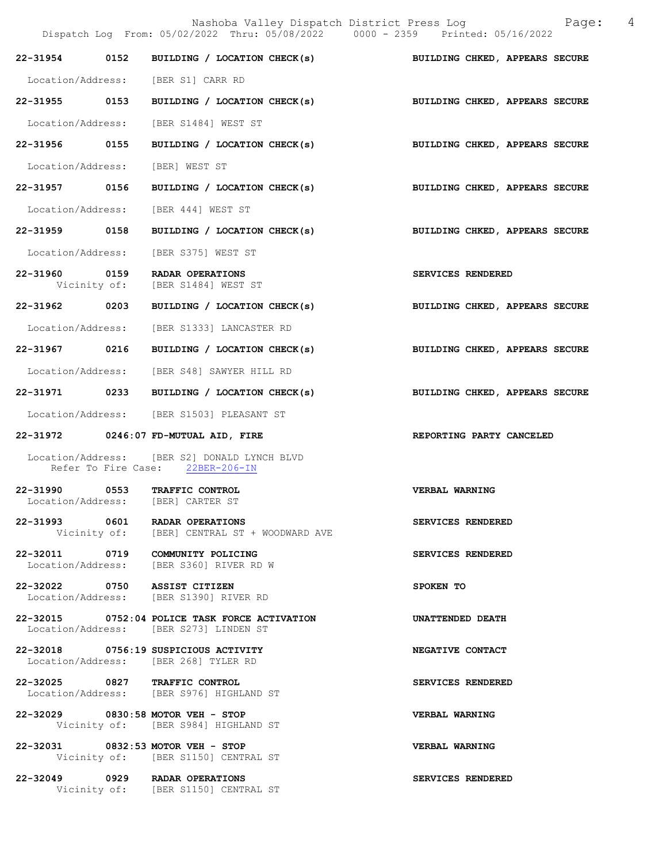|                                 | Nashoba Valley Dispatch District Press Log<br>Dispatch Log From: 05/02/2022 Thru: 05/08/2022 0000 - 2359 Printed: 05/16/2022 | Page: 4                        |
|---------------------------------|------------------------------------------------------------------------------------------------------------------------------|--------------------------------|
|                                 | 22-31954 0152 BUILDING / LOCATION CHECK(s) BUILDING CHKED, APPEARS SECURE                                                    |                                |
|                                 | Location/Address: [BER S1] CARR RD                                                                                           |                                |
|                                 | 22-31955 0153 BUILDING / LOCATION CHECK(s) BUILDING CHKED, APPEARS SECURE                                                    |                                |
|                                 | Location/Address: [BER S1484] WEST ST                                                                                        |                                |
| 22-31956 0155                   | BUILDING / LOCATION CHECK(s)                                                                                                 | BUILDING CHKED, APPEARS SECURE |
| Location/Address: [BER] WEST ST |                                                                                                                              |                                |
| 22-31957 0156                   | BUILDING / LOCATION CHECK(s)                                                                                                 | BUILDING CHKED, APPEARS SECURE |
|                                 | Location/Address: [BER 444] WEST ST                                                                                          |                                |
|                                 | 22-31959 0158 BUILDING / LOCATION CHECK(s) BUILDING CHKED, APPEARS SECURE                                                    |                                |
| Location/Address:               | [BER S375] WEST ST                                                                                                           |                                |
|                                 | 22-31960 0159 RADAR OPERATIONS<br>Vicinity of: [BER S1484] WEST ST                                                           | SERVICES RENDERED              |
| 22-31962 0203                   | BUILDING / LOCATION CHECK(s)                                                                                                 | BUILDING CHKED, APPEARS SECURE |
|                                 | Location/Address: [BER S1333] LANCASTER RD                                                                                   |                                |
| 22-31967 0216                   | BUILDING / LOCATION CHECK(s)                                                                                                 | BUILDING CHKED, APPEARS SECURE |
|                                 | Location/Address: [BER S48] SAWYER HILL RD                                                                                   |                                |
|                                 | 22-31971 0233 BUILDING / LOCATION CHECK(s)                                                                                   | BUILDING CHKED, APPEARS SECURE |
|                                 | Location/Address: [BER S1503] PLEASANT ST                                                                                    |                                |
|                                 | 22-31972 0246:07 FD-MUTUAL AID, FIRE                                                                                         | REPORTING PARTY CANCELED       |
|                                 | Location/Address: [BER S2] DONALD LYNCH BLVD<br>Refer To Fire Case: 22BER-206-IN                                             |                                |
|                                 | 22-31990 0553 TRAFFIC CONTROL<br>Location/Address: [BER] CARTER ST                                                           | VERBAL WARNING                 |
|                                 | 22-31993 0601 RADAR OPERATIONS<br>Vicinity of: [BER] CENTRAL ST + WOODWARD AVE                                               | SERVICES RENDERED              |
|                                 | 22-32011 0719 COMMUNITY POLICING<br>Location/Address: [BER S360] RIVER RD W                                                  | SERVICES RENDERED              |
| 22-32022 0750 ASSIST CITIZEN    | Location/Address: [BER S1390] RIVER RD                                                                                       | SPOKEN TO                      |
|                                 | 22-32015 0752:04 POLICE TASK FORCE ACTIVATION<br>Location/Address: [BER S273] LINDEN ST                                      | UNATTENDED DEATH               |
|                                 | 22-32018 0756:19 SUSPICIOUS ACTIVITY<br>Location/Address: [BER 268] TYLER RD                                                 | NEGATIVE CONTACT               |
|                                 | 22-32025 0827 TRAFFIC CONTROL<br>Location/Address: [BER S976] HIGHLAND ST                                                    | SERVICES RENDERED              |
|                                 | 22-32029 0830:58 MOTOR VEH - STOP<br>Vicinity of: [BER S984] HIGHLAND ST                                                     | VERBAL WARNING                 |
|                                 | 22-32031 0832:53 MOTOR VEH - STOP<br>Vicinity of: [BER S1150] CENTRAL ST                                                     | VERBAL WARNING                 |
|                                 | 22-32049 0929 RADAR OPERATIONS<br>Vicinity of: [BER S1150] CENTRAL ST                                                        | SERVICES RENDERED              |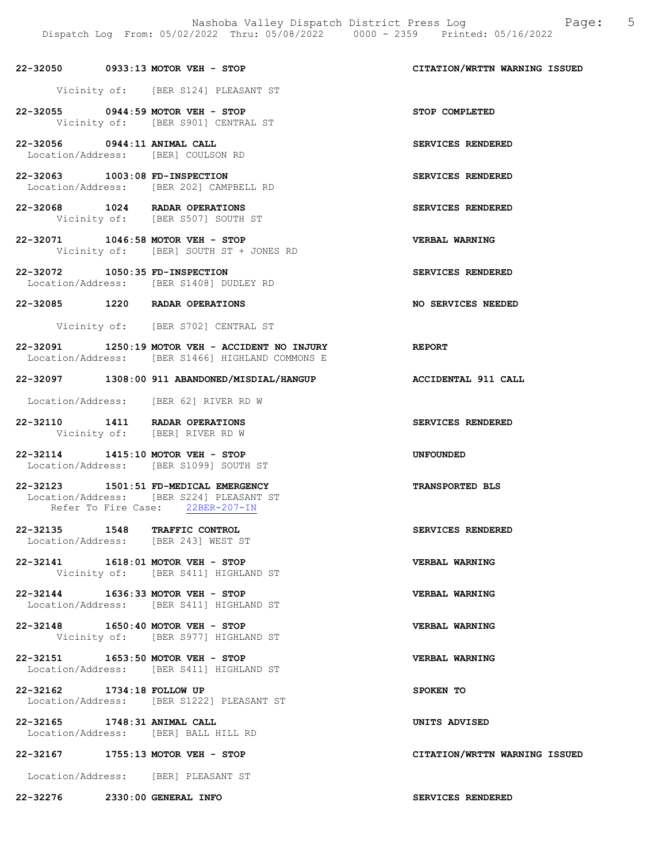#### 22-32050 0933:13 MOTOR VEH - STOP CITATION/WRTTN WARNING ISSUED

Vicinity of: [BER S124] PLEASANT ST

- 22-32055 0944:59 MOTOR VEH STOP STOP COMPLETED Vicinity of: [BER S901] CENTRAL ST
- 22-32056 0944:11 ANIMAL CALL SERVICES RENDERED Location/Address: [BER] COULSON RD
- 22-32063 1003:08 FD-INSPECTION SERVICES RENDERED Location/Address: [BER 202] CAMPBELL RD
- 22-32068 1024 RADAR OPERATIONS SERVICES RENDERED Vicinity of: [BER S507] SOUTH ST
- 22-32071 1046:58 MOTOR VEH STOP VERBAL WARNING Vicinity of: [BER] SOUTH ST + JONES RD
- 22-32072 1050:35 FD-INSPECTION SERVICES RENDERED Location/Address: [BER S1408] DUDLEY RD
- 22-32085 1220 RADAR OPERATIONS NO SERVICES NEEDED
	- Vicinity of: [BER S702] CENTRAL ST
- 22-32091 1250:19 MOTOR VEH ACCIDENT NO INJURY REPORT Location/Address: [BER S1466] HIGHLAND COMMONS E

#### 22-32097 1308:00 911 ABANDONED/MISDIAL/HANGUP ACCIDENTAL 911 CALL

Location/Address: [BER 62] RIVER RD W

- 22-32110 1411 RADAR OPERATIONS SERVICES RENDERED Vicinity of: [BER] RIVER RD W
- 22-32114 1415:10 MOTOR VEH STOP UNFOUNDED Location/Address: [BER S1099] SOUTH ST
- 22-32123 1501:51 FD-MEDICAL EMERGENCY TRANSPORTED BLS Location/Address: [BER S224] PLEASANT ST Refer To Fire Case: 22BER-207-IN
- 22-32135 1548 TRAFFIC CONTROL SERVICES RENDERED Location/Address: [BER 243] WEST ST
- 22-32141 1618:01 MOTOR VEH STOP VERBAL WARNING Vicinity of: [BER S411] HIGHLAND ST
- 22-32144 1636:33 MOTOR VEH STOP VERBAL WARNING Location/Address: [BER S411] HIGHLAND ST
- 22-32148 1650:40 MOTOR VEH STOP VERBAL WARNING Vicinity of: [BER S977] HIGHLAND ST
- 22-32151 1653:50 MOTOR VEH STOP VERBAL WARNING Location/Address: [BER S411] HIGHLAND ST
- 22-32162 1734:18 FOLLOW UP SPOKEN TO Location/Address: [BER S1222] PLEASANT ST
- 22-32165 1748:31 ANIMAL CALL UNITS ADVISED Location/Address: [BER] BALL HILL RD
- 22-32167 1755:13 MOTOR VEH STOP CITATION/WRTTN WARNING ISSUED

## Location/Address: [BER] PLEASANT ST

22-32276 2330:00 GENERAL INFO SERVICES RENDERED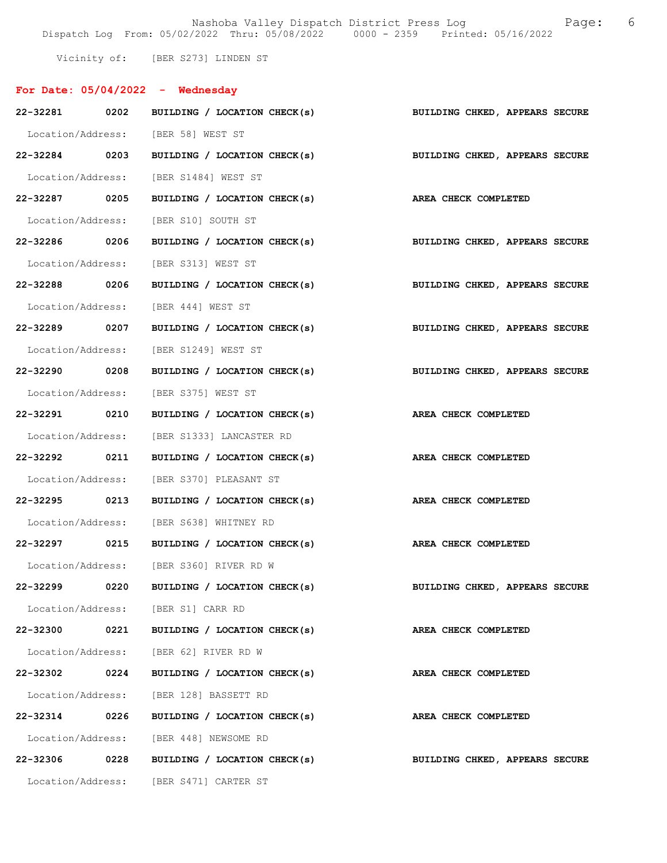Nashoba Valley Dispatch District Press Log Tage: 6 Dispatch Log From: 05/02/2022 Thru: 05/08/2022 0000 - 2359 Printed: 05/16/2022

Vicinity of: [BER S273] LINDEN ST

| For Date: $05/04/2022 -$ Wednesday |                                                                 |                                                                           |
|------------------------------------|-----------------------------------------------------------------|---------------------------------------------------------------------------|
|                                    |                                                                 | 22-32281 0202 BUILDING / LOCATION CHECK(s) BUILDING CHKED, APPEARS SECURE |
|                                    | Location/Address: [BER 58] WEST ST                              |                                                                           |
|                                    |                                                                 | 22-32284 0203 BUILDING / LOCATION CHECK(s) BUILDING CHKED, APPEARS SECURE |
|                                    | Location/Address: [BER S1484] WEST ST                           |                                                                           |
| 22-32287 0205                      | BUILDING / LOCATION CHECK(s) AREA CHECK COMPLETED               |                                                                           |
|                                    | Location/Address: [BER S10] SOUTH ST                            |                                                                           |
|                                    |                                                                 | 22-32286 0206 BUILDING / LOCATION CHECK(s) BUILDING CHKED, APPEARS SECURE |
|                                    | Location/Address: [BER S313] WEST ST                            |                                                                           |
|                                    |                                                                 | 22-32288 0206 BUILDING / LOCATION CHECK(s) BUILDING CHKED, APPEARS SECURE |
|                                    | Location/Address: [BER 444] WEST ST                             |                                                                           |
| 22-32289 0207                      | BUILDING / LOCATION CHECK(s)                                    | BUILDING CHKED, APPEARS SECURE                                            |
|                                    | Location/Address: [BER S1249] WEST ST                           |                                                                           |
| 22-32290 0208                      | BUILDING / LOCATION CHECK(s)                                    | BUILDING CHKED, APPEARS SECURE                                            |
|                                    | Location/Address: [BER S375] WEST ST                            |                                                                           |
|                                    | 22-32291 0210 BUILDING / LOCATION CHECK(s) AREA CHECK COMPLETED |                                                                           |
|                                    | Location/Address: [BER S1333] LANCASTER RD                      |                                                                           |
| 22-32292 0211                      | BUILDING / LOCATION CHECK(s)                                    | AREA CHECK COMPLETED                                                      |
|                                    | Location/Address: [BER S370] PLEASANT ST                        |                                                                           |
| 22-32295 0213                      | BUILDING / LOCATION CHECK(s)                                    | AREA CHECK COMPLETED                                                      |
|                                    | Location/Address: [BER S638] WHITNEY RD                         |                                                                           |
|                                    | 22-32297 0215 BUILDING / LOCATION CHECK(s)                      | AREA CHECK COMPLETED                                                      |
|                                    | Location/Address: [BER S360] RIVER RD W                         |                                                                           |
| 22-32299<br>0220                   | BUILDING / LOCATION CHECK(s)                                    | BUILDING CHKED, APPEARS SECURE                                            |
|                                    | Location/Address: [BER S1] CARR RD                              |                                                                           |
| 22-32300 0221                      | BUILDING / LOCATION CHECK(s)                                    | AREA CHECK COMPLETED                                                      |
|                                    | Location/Address: [BER 62] RIVER RD W                           |                                                                           |
| 22-32302 0224                      | BUILDING / LOCATION CHECK(s)                                    | AREA CHECK COMPLETED                                                      |
|                                    | Location/Address: [BER 128] BASSETT RD                          |                                                                           |
| 22-32314<br>0226                   | BUILDING / LOCATION CHECK(s)                                    | AREA CHECK COMPLETED                                                      |
|                                    | Location/Address: [BER 448] NEWSOME RD                          |                                                                           |
| 22-32306<br>0228                   | BUILDING / LOCATION CHECK(s)                                    | BUILDING CHKED, APPEARS SECURE                                            |
|                                    | Location/Address: [BER S471] CARTER ST                          |                                                                           |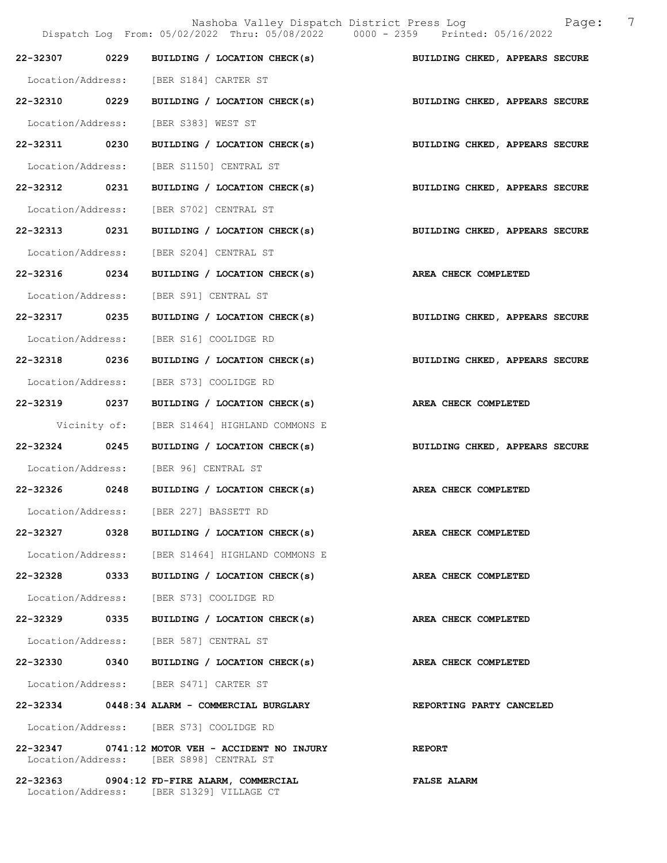|                   |              | Dispatch Log From: 05/02/2022 Thru: 05/08/2022 0000 - 2359 Printed: 05/16/2022                    | 7<br>Nashoba Valley Dispatch District Press Log Mashoba Valley Dispatch District Press Log |
|-------------------|--------------|---------------------------------------------------------------------------------------------------|--------------------------------------------------------------------------------------------|
| 22-32307 0229     |              |                                                                                                   | BUILDING / LOCATION CHECK(s) BUILDING CHKED, APPEARS SECURE                                |
|                   |              | Location/Address: [BER S184] CARTER ST                                                            |                                                                                            |
| 22-32310 0229     |              | BUILDING / LOCATION CHECK(s)                                                                      | BUILDING CHKED, APPEARS SECURE                                                             |
| Location/Address: |              | [BER S383] WEST ST                                                                                |                                                                                            |
| 22-32311 0230     |              | BUILDING / LOCATION CHECK(s)                                                                      | BUILDING CHKED, APPEARS SECURE                                                             |
| Location/Address: |              | [BER S1150] CENTRAL ST                                                                            |                                                                                            |
| 22-32312 0231     |              |                                                                                                   | BUILDING / LOCATION CHECK(s) BUILDING CHKED, APPEARS SECURE                                |
| Location/Address: |              | [BER S702] CENTRAL ST                                                                             |                                                                                            |
| 22-32313 0231     |              | BUILDING / LOCATION CHECK(s)                                                                      | BUILDING CHKED, APPEARS SECURE                                                             |
| Location/Address: |              | [BER S204] CENTRAL ST                                                                             |                                                                                            |
| 22-32316 0234     |              | BUILDING / LOCATION CHECK(s) AREA CHECK COMPLETED                                                 |                                                                                            |
| Location/Address: |              | [BER S91] CENTRAL ST                                                                              |                                                                                            |
| 22-32317 0235     |              |                                                                                                   | BUILDING / LOCATION CHECK(s) BUILDING CHKED, APPEARS SECURE                                |
| Location/Address: |              | [BER S16] COOLIDGE RD                                                                             |                                                                                            |
| 22-32318 0236     |              | BUILDING / LOCATION CHECK(s)                                                                      | BUILDING CHKED, APPEARS SECURE                                                             |
| Location/Address: |              | [BER S73] COOLIDGE RD                                                                             |                                                                                            |
| 22-32319 0237     |              | BUILDING / LOCATION CHECK(s)                                                                      | AREA CHECK COMPLETED                                                                       |
|                   | Vicinity of: | [BER S1464] HIGHLAND COMMONS E                                                                    |                                                                                            |
| $22 - 32324$      | 0245         | BUILDING / LOCATION CHECK(s)                                                                      | BUILDING CHKED, APPEARS SECURE                                                             |
|                   |              | Location/Address: [BER 96] CENTRAL ST                                                             |                                                                                            |
|                   |              | 22-32326 0248 BUILDING / LOCATION CHECK(s) AREA CHECK COMPLETED                                   |                                                                                            |
|                   |              | Location/Address: [BER 227] BASSETT RD                                                            |                                                                                            |
|                   |              | 22-32327 0328 BUILDING / LOCATION CHECK(s)                                                        | AREA CHECK COMPLETED                                                                       |
|                   |              | Location/Address: [BER S1464] HIGHLAND COMMONS E                                                  |                                                                                            |
|                   |              | 22-32328 0333 BUILDING / LOCATION CHECK(s)                                                        | AREA CHECK COMPLETED                                                                       |
|                   |              | Location/Address: [BER S73] COOLIDGE RD                                                           |                                                                                            |
|                   |              | 22-32329 0335 BUILDING / LOCATION CHECK(s)                                                        | AREA CHECK COMPLETED                                                                       |
|                   |              | Location/Address: [BER 587] CENTRAL ST                                                            |                                                                                            |
|                   |              | 22-32330 0340 BUILDING / LOCATION CHECK(s)                                                        | AREA CHECK COMPLETED                                                                       |
|                   |              | Location/Address: [BER S471] CARTER ST                                                            |                                                                                            |
|                   |              | 22-32334 0448:34 ALARM - COMMERCIAL BURGLARY                                                      | REPORTING PARTY CANCELED                                                                   |
|                   |              | Location/Address: [BER S73] COOLIDGE RD                                                           |                                                                                            |
|                   |              | 22-32347 0741:12 MOTOR VEH - ACCIDENT NO INJURY REPORT<br>Location/Address: [BER S898] CENTRAL ST |                                                                                            |
|                   |              | 22-32363 0904:12 FD-FIRE ALARM, COMMERCIAL                                                        | <b>FALSE ALARM</b>                                                                         |

Location/Address: [BER S1329] VILLAGE CT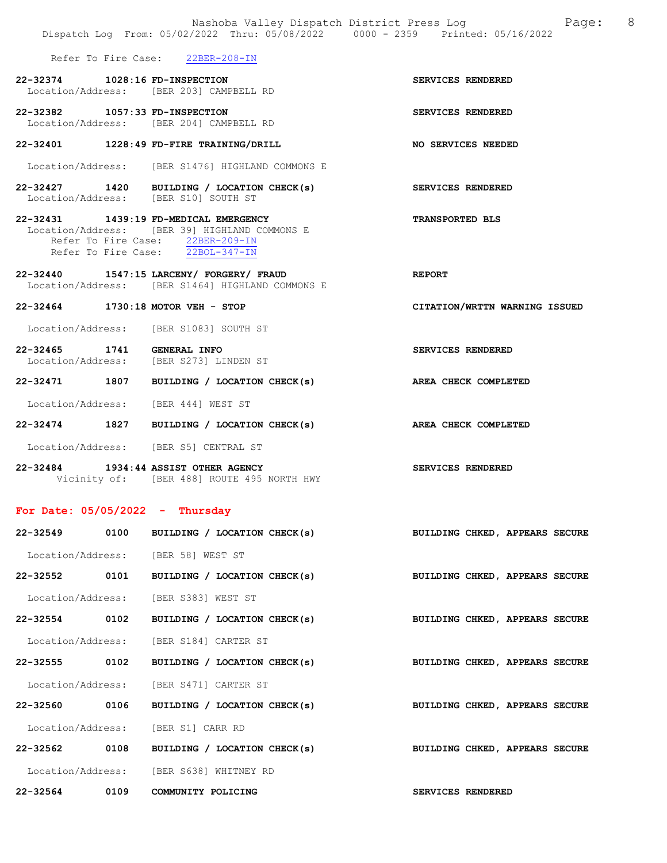|                                   |      | Dispatch Log From: 05/02/2022 Thru: 05/08/2022 0000 - 2359 Printed: 05/16/2022                                                                                 | Nashoba Valley Dispatch District Press Log and Page: | - 8 |
|-----------------------------------|------|----------------------------------------------------------------------------------------------------------------------------------------------------------------|------------------------------------------------------|-----|
|                                   |      | Refer To Fire Case: 22BER-208-IN                                                                                                                               |                                                      |     |
| 22-32374 1028:16 FD-INSPECTION    |      | Location/Address: [BER 203] CAMPBELL RD                                                                                                                        | SERVICES RENDERED                                    |     |
| 22-32382 1057:33 FD-INSPECTION    |      | Location/Address: [BER 204] CAMPBELL RD                                                                                                                        | SERVICES RENDERED                                    |     |
|                                   |      | 22-32401 1228:49 FD-FIRE TRAINING/DRILL                                                                                                                        | NO SERVICES NEEDED                                   |     |
|                                   |      | Location/Address: [BER S1476] HIGHLAND COMMONS E                                                                                                               |                                                      |     |
|                                   |      | 22-32427 1420 BUILDING / LOCATION CHECK(s)<br>Location/Address: [BER S10] SOUTH ST                                                                             | SERVICES RENDERED                                    |     |
|                                   |      | 22-32431 1439:19 FD-MEDICAL EMERGENCY<br>Location/Address: [BER 39] HIGHLAND COMMONS E<br>Refer To Fire Case: 22BER-209-IN<br>Refer To Fire Case: 22BOL-347-IN | <b>TRANSPORTED BLS</b>                               |     |
|                                   |      | 22-32440 1547:15 LARCENY/ FORGERY/ FRAUD<br>Location/Address: [BER S1464] HIGHLAND COMMONS E                                                                   | <b>REPORT</b>                                        |     |
| 22-32464 1730:18 MOTOR VEH - STOP |      |                                                                                                                                                                | CITATION/WRTTN WARNING ISSUED                        |     |
|                                   |      | Location/Address: [BER S1083] SOUTH ST                                                                                                                         |                                                      |     |
|                                   |      | 22-32465 1741 GENERAL INFO<br>Location/Address: [BER S273] LINDEN ST                                                                                           | SERVICES RENDERED                                    |     |
|                                   |      | 22-32471 1807 BUILDING / LOCATION CHECK(s) AREA CHECK COMPLETED                                                                                                |                                                      |     |
|                                   |      | Location/Address: [BER 444] WEST ST                                                                                                                            |                                                      |     |
|                                   |      | 22-32474 1827 BUILDING / LOCATION CHECK(s) AREA CHECK COMPLETED                                                                                                |                                                      |     |
|                                   |      | Location/Address: [BER S5] CENTRAL ST                                                                                                                          |                                                      |     |
|                                   |      | 22-32484 1934:44 ASSIST OTHER AGENCY<br>Vicinity of: [BER 488] ROUTE 495 NORTH HWY                                                                             | SERVICES RENDERED                                    |     |
| For Date: $05/05/2022 - Thursday$ |      |                                                                                                                                                                |                                                      |     |
| 22-32549                          | 0100 | BUILDING / LOCATION CHECK(s)                                                                                                                                   | BUILDING CHKED, APPEARS SECURE                       |     |
|                                   |      | Location/Address: [BER 58] WEST ST                                                                                                                             |                                                      |     |
| 22-32552                          | 0101 | BUILDING / LOCATION CHECK(s)                                                                                                                                   | BUILDING CHKED, APPEARS SECURE                       |     |
| Location/Address:                 |      | [BER S383] WEST ST                                                                                                                                             |                                                      |     |
| 22-32554                          | 0102 | BUILDING / LOCATION CHECK(s)                                                                                                                                   | BUILDING CHKED, APPEARS SECURE                       |     |
| Location/Address:                 |      | [BER S184] CARTER ST                                                                                                                                           |                                                      |     |
| 22-32555                          | 0102 | BUILDING / LOCATION CHECK(s)                                                                                                                                   | BUILDING CHKED, APPEARS SECURE                       |     |
|                                   |      | Location/Address: [BER S471] CARTER ST                                                                                                                         |                                                      |     |

22-32560 0106 BUILDING / LOCATION CHECK(s) BUILDING CHKED, APPEARS SECURE

22-32562 0108 BUILDING / LOCATION CHECK(s) BUILDING CHKED, APPEARS SECURE

Location/Address: [BER S638] WHITNEY RD

Location/Address: [BER S1] CARR RD

22-32564 0109 COMMUNITY POLICING SERVICES RENDERED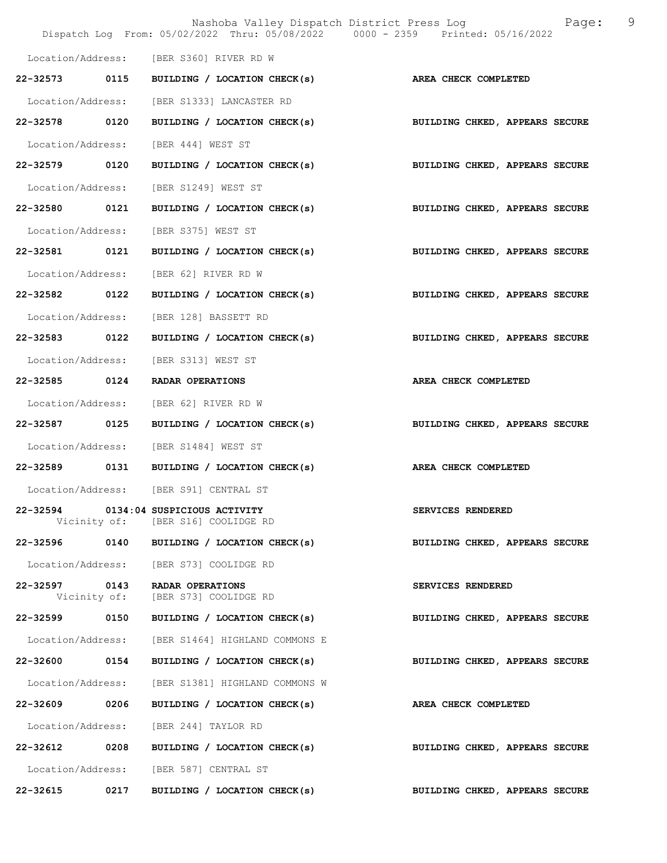|                          |      | Nashoba Valley Dispatch District Press Log X 2009:<br>Dispatch Log From: 05/02/2022 Thru: 05/08/2022 0000 - 2359 Printed: 05/16/2022 | 9                              |
|--------------------------|------|--------------------------------------------------------------------------------------------------------------------------------------|--------------------------------|
|                          |      | Location/Address: [BER S360] RIVER RD W                                                                                              |                                |
| 22-32573 0115            |      | BUILDING / LOCATION CHECK(s)                                                                                                         | AREA CHECK COMPLETED           |
| Location/Address:        |      | [BER S1333] LANCASTER RD                                                                                                             |                                |
| 22-32578 0120            |      | BUILDING / LOCATION CHECK(s) BUILDING CHKED, APPEARS SECURE                                                                          |                                |
| Location/Address:        |      | [BER 444] WEST ST                                                                                                                    |                                |
| 22-32579 0120            |      | BUILDING / LOCATION CHECK(s)                                                                                                         | BUILDING CHKED, APPEARS SECURE |
| Location/Address:        |      | [BER S1249] WEST ST                                                                                                                  |                                |
| 22-32580                 | 0121 | BUILDING / LOCATION CHECK(s)                                                                                                         | BUILDING CHKED, APPEARS SECURE |
| Location/Address:        |      | [BER S375] WEST ST                                                                                                                   |                                |
| 22-32581 0121            |      | BUILDING / LOCATION CHECK(s) BUILDING CHKED, APPEARS SECURE                                                                          |                                |
| Location/Address:        |      | [BER 62] RIVER RD W                                                                                                                  |                                |
| 22-32582 0122            |      | BUILDING / LOCATION CHECK(s)                                                                                                         | BUILDING CHKED, APPEARS SECURE |
| Location/Address:        |      | [BER 128] BASSETT RD                                                                                                                 |                                |
| 22-32583                 | 0122 | BUILDING / LOCATION CHECK(s)                                                                                                         | BUILDING CHKED, APPEARS SECURE |
| Location/Address:        |      | [BER S313] WEST ST                                                                                                                   |                                |
| 22-32585 0124            |      | RADAR OPERATIONS                                                                                                                     | AREA CHECK COMPLETED           |
| Location/Address:        |      | [BER 62] RIVER RD W                                                                                                                  |                                |
| 22-32587 0125            |      | BUILDING / LOCATION CHECK(s)                                                                                                         | BUILDING CHKED, APPEARS SECURE |
| Location/Address:        |      | [BER S1484] WEST ST                                                                                                                  |                                |
|                          |      | 22-32589 0131 BUILDING / LOCATION CHECK(s)                                                                                           | AREA CHECK COMPLETED           |
|                          |      | Location/Address: [BER S91] CENTRAL ST                                                                                               |                                |
|                          |      | 22-32594 0134:04 SUSPICIOUS ACTIVITY<br>Vicinity of: [BER S16] COOLIDGE RD                                                           | SERVICES RENDERED              |
| 22-32596                 | 0140 | BUILDING / LOCATION CHECK(s)                                                                                                         | BUILDING CHKED, APPEARS SECURE |
| Location/Address:        |      | [BER S73] COOLIDGE RD                                                                                                                |                                |
| 22-32597<br>Vicinity of: | 0143 | RADAR OPERATIONS<br>[BER S73] COOLIDGE RD                                                                                            | SERVICES RENDERED              |
| 22-32599                 | 0150 | BUILDING / LOCATION CHECK(s)                                                                                                         | BUILDING CHKED, APPEARS SECURE |
| Location/Address:        |      | [BER S1464] HIGHLAND COMMONS E                                                                                                       |                                |
| 22-32600                 | 0154 | BUILDING / LOCATION CHECK(s)                                                                                                         | BUILDING CHKED, APPEARS SECURE |
| Location/Address:        |      | [BER S1381] HIGHLAND COMMONS W                                                                                                       |                                |
| 22-32609 0206            |      | BUILDING / LOCATION CHECK(s)                                                                                                         | AREA CHECK COMPLETED           |
| Location/Address:        |      | [BER 244] TAYLOR RD                                                                                                                  |                                |
| 22-32612                 | 0208 | BUILDING / LOCATION CHECK(s)                                                                                                         | BUILDING CHKED, APPEARS SECURE |
|                          |      | Location/Address: [BER 587] CENTRAL ST                                                                                               |                                |
| 22-32615                 | 0217 | BUILDING / LOCATION CHECK(s)                                                                                                         | BUILDING CHKED, APPEARS SECURE |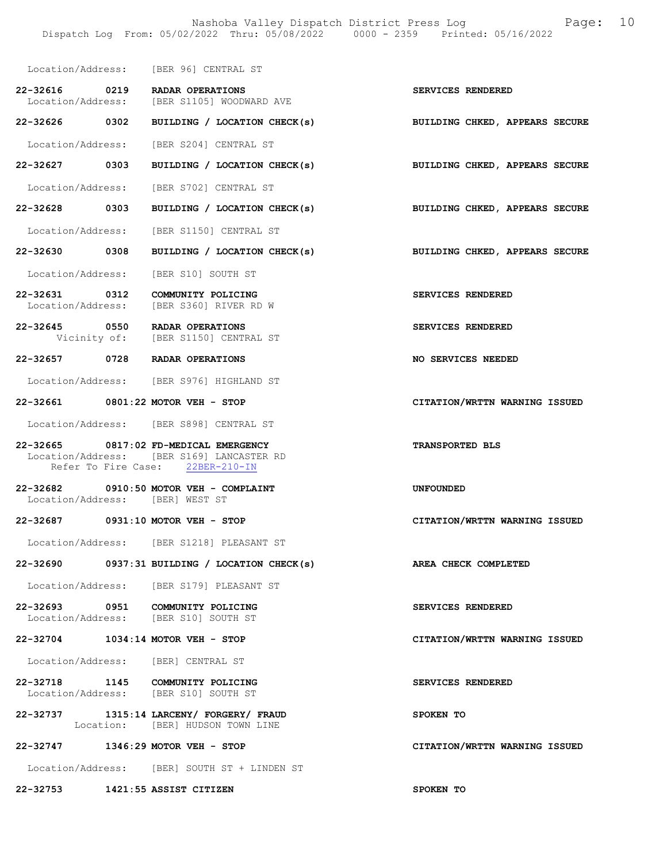|                                 | Location/Address: [BER 96] CENTRAL ST                                                                                  |                                |
|---------------------------------|------------------------------------------------------------------------------------------------------------------------|--------------------------------|
| 22-32616 0219                   | RADAR OPERATIONS<br>Location/Address: [BER S1105] WOODWARD AVE                                                         | SERVICES RENDERED              |
| 22-32626 0302                   | BUILDING / LOCATION CHECK(s)                                                                                           | BUILDING CHKED, APPEARS SECURE |
|                                 | Location/Address: [BER S204] CENTRAL ST                                                                                |                                |
| 22-32627 0303                   | BUILDING / LOCATION CHECK(s) BUILDING CHKED, APPEARS SECURE                                                            |                                |
|                                 | Location/Address: [BER S702] CENTRAL ST                                                                                |                                |
| 22-32628 0303                   | BUILDING / LOCATION CHECK(s)                                                                                           | BUILDING CHKED, APPEARS SECURE |
|                                 | Location/Address: [BER S1150] CENTRAL ST                                                                               |                                |
| 22-32630 0308                   | BUILDING / LOCATION CHECK(s)                                                                                           | BUILDING CHKED, APPEARS SECURE |
|                                 | Location/Address: [BER S10] SOUTH ST                                                                                   |                                |
| 22-32631 0312                   | COMMUNITY POLICING<br>Location/Address: [BER S360] RIVER RD W                                                          | SERVICES RENDERED              |
|                                 | 22-32645 0550 RADAR OPERATIONS<br>Vicinity of: [BER S1150] CENTRAL ST                                                  | SERVICES RENDERED              |
|                                 | 22-32657 0728 RADAR OPERATIONS                                                                                         | NO SERVICES NEEDED             |
|                                 | Location/Address: [BER S976] HIGHLAND ST                                                                               |                                |
|                                 | 22-32661 0801:22 MOTOR VEH - STOP                                                                                      | CITATION/WRTTN WARNING ISSUED  |
|                                 | Location/Address: [BER S898] CENTRAL ST                                                                                |                                |
|                                 | 22-32665 0817:02 FD-MEDICAL EMERGENCY<br>Location/Address: [BER S169] LANCASTER RD<br>Refer To Fire Case: 22BER-210-IN | TRANSPORTED BLS                |
| Location/Address: [BER] WEST ST | 22-32682 0910:50 MOTOR VEH - COMPLAINT                                                                                 | <b>UNFOUNDED</b>               |
|                                 | 22-32687 0931:10 MOTOR VEH - STOP                                                                                      | CITATION/WRTTN WARNING ISSUED  |
|                                 | Location/Address: [BER S1218] PLEASANT ST                                                                              |                                |
|                                 | $22-32690$ 0937:31 BUILDING / LOCATION CHECK(s)                                                                        | AREA CHECK COMPLETED           |
|                                 | Location/Address: [BER S179] PLEASANT ST                                                                               |                                |
|                                 | 22-32693 0951 COMMUNITY POLICING<br>Location/Address: [BER S10] SOUTH ST                                               | SERVICES RENDERED              |
|                                 | 22-32704 1034:14 MOTOR VEH - STOP                                                                                      | CITATION/WRTTN WARNING ISSUED  |
|                                 | Location/Address: [BER] CENTRAL ST                                                                                     |                                |
|                                 | 22-32718 1145 COMMUNITY POLICING<br>Location/Address: [BER S10] SOUTH ST                                               | SERVICES RENDERED              |
| 22-32737                        | 1315:14 LARCENY/ FORGERY/ FRAUD<br>Location: [BER] HUDSON TOWN LINE                                                    | SPOKEN TO                      |
|                                 | 22-32747 1346:29 MOTOR VEH - STOP                                                                                      | CITATION/WRTTN WARNING ISSUED  |
|                                 | Location/Address: [BER] SOUTH ST + LINDEN ST                                                                           |                                |

22-32753 1421:55 ASSIST CITIZEN SPOKEN TO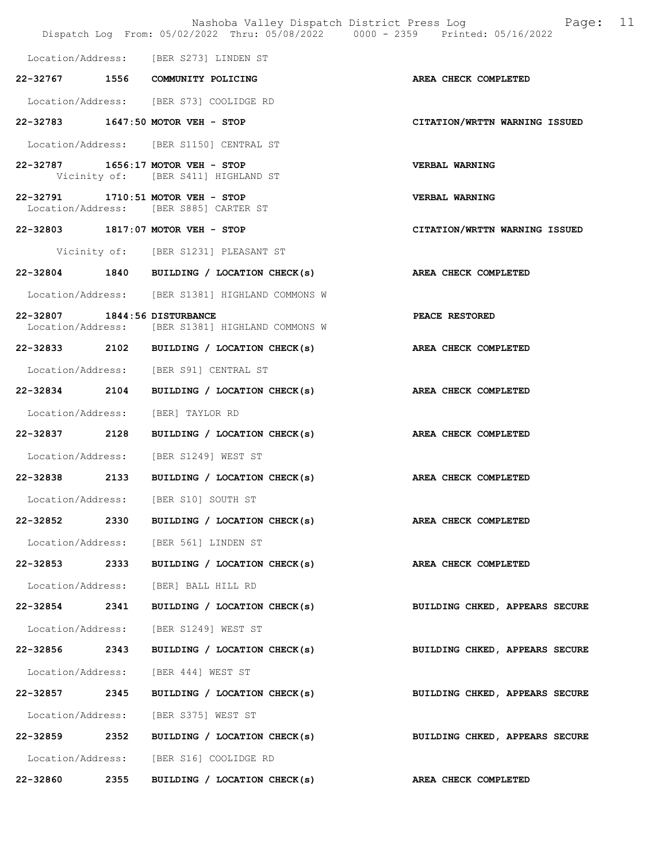|                              |      | Nashoba Valley Dispatch District Press Log<br>Dispatch Log From: 05/02/2022 Thru: 05/08/2022 0000 - 2359 Printed: 05/16/2022 | - 11<br>Paqe:                  |
|------------------------------|------|------------------------------------------------------------------------------------------------------------------------------|--------------------------------|
|                              |      | Location/Address: [BER S273] LINDEN ST                                                                                       |                                |
|                              |      | 22-32767 1556 COMMUNITY POLICING                                                                                             | AREA CHECK COMPLETED           |
|                              |      | Location/Address: [BER S73] COOLIDGE RD                                                                                      |                                |
|                              |      | 22-32783 1647:50 MOTOR VEH - STOP                                                                                            | CITATION/WRTTN WARNING ISSUED  |
|                              |      | Location/Address: [BER S1150] CENTRAL ST                                                                                     |                                |
|                              |      | 22-32787 1656:17 MOTOR VEH - STOP<br>Vicinity of: [BER S411] HIGHLAND ST                                                     | <b>VERBAL WARNING</b>          |
| 22-32791                     |      | $1710:51$ MOTOR VEH - STOP<br>Location/Address: [BER S885] CARTER ST                                                         | VERBAL WARNING                 |
|                              |      | 22-32803 1817:07 MOTOR VEH - STOP                                                                                            | CITATION/WRTTN WARNING ISSUED  |
|                              |      | Vicinity of: [BER S1231] PLEASANT ST                                                                                         |                                |
|                              |      | 22-32804 1840 BUILDING / LOCATION CHECK(s)                                                                                   | AREA CHECK COMPLETED           |
|                              |      | Location/Address: [BER S1381] HIGHLAND COMMONS W                                                                             |                                |
| 22-32807 1844:56 DISTURBANCE |      | Location/Address: [BER S1381] HIGHLAND COMMONS W                                                                             | PEACE RESTORED                 |
|                              |      | 22-32833 2102 BUILDING / LOCATION CHECK(s)                                                                                   | AREA CHECK COMPLETED           |
|                              |      | Location/Address: [BER S91] CENTRAL ST                                                                                       |                                |
| 22-32834 2104                |      | BUILDING / LOCATION CHECK(s)                                                                                                 | AREA CHECK COMPLETED           |
| Location/Address:            |      | [BER] TAYLOR RD                                                                                                              |                                |
| 22-32837 2128                |      | BUILDING / LOCATION CHECK(s)                                                                                                 | AREA CHECK COMPLETED           |
|                              |      | Location/Address: [BER S1249] WEST ST                                                                                        |                                |
| 22-32838 2133                |      | BUILDING / LOCATION CHECK(s)                                                                                                 | AREA CHECK COMPLETED           |
|                              |      | Location/Address: [BER S10] SOUTH ST                                                                                         |                                |
| 22-32852                     |      | 2330 BUILDING / LOCATION CHECK(s)                                                                                            | AREA CHECK COMPLETED           |
|                              |      | Location/Address: [BER 561] LINDEN ST                                                                                        |                                |
| 22-32853 2333                |      | BUILDING / LOCATION CHECK(s)                                                                                                 | AREA CHECK COMPLETED           |
| Location/Address:            |      | [BER] BALL HILL RD                                                                                                           |                                |
| 22-32854 2341                |      | BUILDING / LOCATION CHECK(s)                                                                                                 | BUILDING CHKED, APPEARS SECURE |
|                              |      | Location/Address: [BER S1249] WEST ST                                                                                        |                                |
| 22-32856 2343                |      | BUILDING / LOCATION CHECK(s)                                                                                                 | BUILDING CHKED, APPEARS SECURE |
|                              |      | Location/Address: [BER 444] WEST ST                                                                                          |                                |
| 22-32857                     | 2345 | BUILDING / LOCATION CHECK(s)                                                                                                 | BUILDING CHKED, APPEARS SECURE |
|                              |      | Location/Address: [BER S375] WEST ST                                                                                         |                                |
|                              |      | 22-32859 2352 BUILDING / LOCATION CHECK(s)                                                                                   | BUILDING CHKED, APPEARS SECURE |
|                              |      | Location/Address: [BER S16] COOLIDGE RD                                                                                      |                                |
| 22-32860                     | 2355 | BUILDING / LOCATION CHECK(s)                                                                                                 | AREA CHECK COMPLETED           |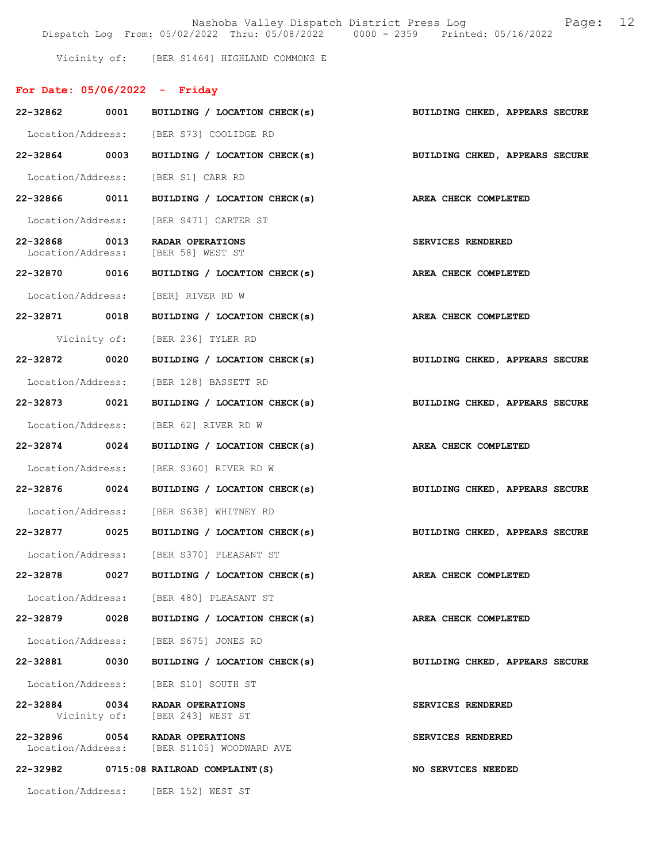Nashoba Valley Dispatch District Press Log Fage: 12

Dispatch Log From: 05/02/2022 Thru: 05/08/2022 0000 - 2359 Printed: 05/16/2022

Vicinity of: [BER S1464] HIGHLAND COMMONS E

# For Date: 05/06/2022 - Friday

| 22-32862 0001                      |      | BUILDING / LOCATION CHECK(s)                                        | BUILDING CHKED, APPEARS SECURE |
|------------------------------------|------|---------------------------------------------------------------------|--------------------------------|
|                                    |      | Location/Address: [BER S73] COOLIDGE RD                             |                                |
| 22-32864 0003                      |      | BUILDING / LOCATION CHECK(s) BUILDING CHKED, APPEARS SECURE         |                                |
|                                    |      | Location/Address: [BER S1] CARR RD                                  |                                |
| 22-32866 0011                      |      | BUILDING / LOCATION CHECK(s) AREA CHECK COMPLETED                   |                                |
|                                    |      | Location/Address: [BER S471] CARTER ST                              |                                |
| 22-32868 0013<br>Location/Address: |      | RADAR OPERATIONS<br>[BER 58] WEST ST                                | SERVICES RENDERED              |
| 22-32870 0016                      |      | BUILDING / LOCATION CHECK(s)                                        | <b>AREA CHECK COMPLETED</b>    |
|                                    |      | Location/Address: [BER] RIVER RD W                                  |                                |
| 22-32871 0018                      |      | BUILDING / LOCATION CHECK(s) AREA CHECK COMPLETED                   |                                |
|                                    |      | Vicinity of: [BER 236] TYLER RD                                     |                                |
| 22-32872 0020                      |      | BUILDING / LOCATION CHECK(s)                                        | BUILDING CHKED, APPEARS SECURE |
|                                    |      | Location/Address: [BER 128] BASSETT RD                              |                                |
| 22-32873 0021                      |      | BUILDING / LOCATION CHECK(s)                                        | BUILDING CHKED, APPEARS SECURE |
|                                    |      | Location/Address: [BER 62] RIVER RD W                               |                                |
| 22-32874 0024                      |      | BUILDING / LOCATION CHECK(s) AREA CHECK COMPLETED                   |                                |
|                                    |      | Location/Address: [BER S360] RIVER RD W                             |                                |
| 22-32876 0024                      |      | BUILDING / LOCATION CHECK(s)                                        | BUILDING CHKED, APPEARS SECURE |
|                                    |      | Location/Address: [BER S638] WHITNEY RD                             |                                |
| 22-32877 0025                      |      | BUILDING / LOCATION CHECK(s) BUILDING CHKED, APPEARS SECURE         |                                |
|                                    |      | Location/Address: [BER S370] PLEASANT ST                            |                                |
| 22-32878 0027                      |      | BUILDING / LOCATION CHECK(s) AREA CHECK COMPLETED                   |                                |
|                                    |      | Location/Address: [BER 480] PLEASANT ST                             |                                |
| 22-32879                           | 0028 | BUILDING / LOCATION CHECK(s)                                        | AREA CHECK COMPLETED           |
|                                    |      | Location/Address: [BER S675] JONES RD                               |                                |
| 22-32881 0030                      |      | BUILDING / LOCATION CHECK(s)                                        | BUILDING CHKED, APPEARS SECURE |
|                                    |      | Location/Address: [BER S10] SOUTH ST                                |                                |
|                                    |      | 22-32884 0034 RADAR OPERATIONS<br>Vicinity of: [BER 243] WEST ST    | SERVICES RENDERED              |
| 22-32896                           |      | 0054 RADAR OPERATIONS<br>Location/Address: [BER S1105] WOODWARD AVE | SERVICES RENDERED              |
|                                    |      | 22-32982 0715:08 RAILROAD COMPLAINT (S)                             | <b>NO SERVICES NEEDED</b>      |
|                                    |      | Location/Address: [BER 152] WEST ST                                 |                                |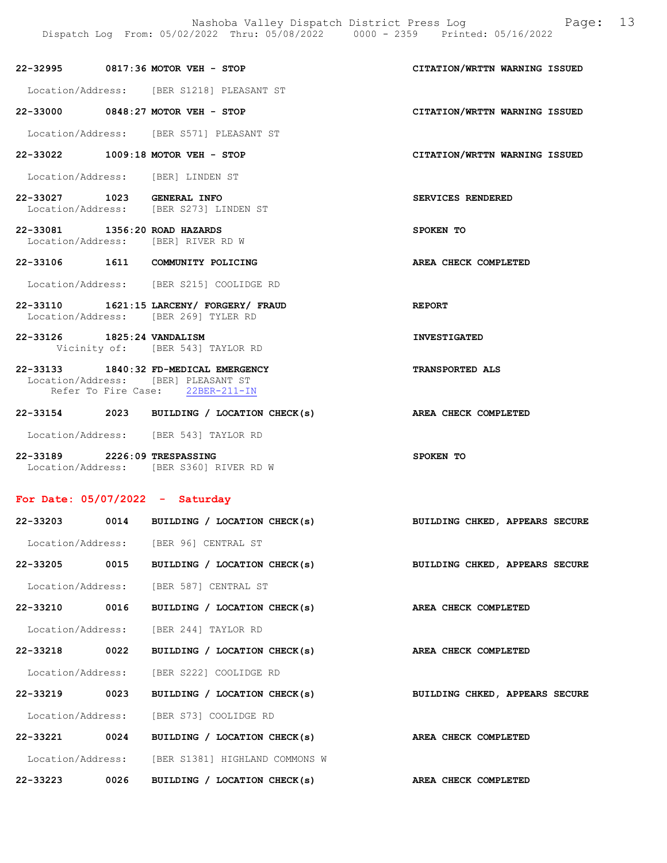# 22-32995 0817:36 MOTOR VEH - STOP CITATION/WRTTN WARNING ISSUED

Location/Address: [BER S1218] PLEASANT ST

22-33000 0848:27 MOTOR VEH - STOP CITATION/WRTTN WARNING ISSUED

Location/Address: [BER S571] PLEASANT ST

- 22-33022 1009:18 MOTOR VEH STOP CITATION/WRTTN WARNING ISSUED
- Location/Address: [BER] LINDEN ST
- 22-33027 1023 GENERAL INFO SERVICES RENDERED Location/Address: [BER S273] LINDEN ST
- 22-33081 1356:20 ROAD HAZARDS SPOKEN TO Location/Address: [BER] RIVER RD W
- 22-33106 1611 COMMUNITY POLICING AREA CHECK COMPLETED
- Location/Address: [BER S215] COOLIDGE RD
- 22-33110 1621:15 LARCENY/ FORGERY/ FRAUD REPORT Location/Address: [BER 269] TYLER RD
- 22-33126 1825:24 VANDALISM INVESTIGATED Vicinity of: [BER 543] TAYLOR RD

# 22-33133 1840:32 FD-MEDICAL EMERGENCY TRANSPORTED ALS Location/Address: [BER] PLEASANT ST Refer To Fire Case: 22BER-211-IN

- 22-33154 2023 BUILDING / LOCATION CHECK(s) AREA CHECK COMPLETED Location/Address: [BER 543] TAYLOR RD
- 22-33189 2226:09 TRESPASSING SPOKEN TO Location/Address: [BER S360] RIVER RD W

## For Date: 05/07/2022 - Saturday

|              |      | 22-33203 0014 BUILDING / LOCATION CHECK(s)                                | BUILDING CHKED, APPEARS SECURE |
|--------------|------|---------------------------------------------------------------------------|--------------------------------|
|              |      | Location/Address: [BER 96] CENTRAL ST                                     |                                |
|              |      | 22-33205 0015 BUILDING / LOCATION CHECK(s)                                | BUILDING CHKED, APPEARS SECURE |
|              |      | Location/Address: [BER 587] CENTRAL ST                                    |                                |
|              |      | 22-33210 0016 BUILDING / LOCATION CHECK(s)                                | AREA CHECK COMPLETED           |
|              |      | Location/Address: [BER 244] TAYLOR RD                                     |                                |
|              |      | 22-33218 0022 BUILDING / LOCATION CHECK(s)                                | AREA CHECK COMPLETED           |
|              |      | Location/Address: [BER S222] COOLIDGE RD                                  |                                |
|              |      | 22-33219 0023 BUILDING / LOCATION CHECK(s) BUILDING CHKED, APPEARS SECURE |                                |
|              |      | Location/Address: [BER S73] COOLIDGE RD                                   |                                |
|              |      | 22-33221 0024 BUILDING / LOCATION CHECK(s)                                | AREA CHECK COMPLETED           |
|              |      | Location/Address: [BER S1381] HIGHLAND COMMONS W                          |                                |
| $22 - 33223$ | 0026 | BUILDING / LOCATION CHECK(s) AREA CHECK COMPLETED                         |                                |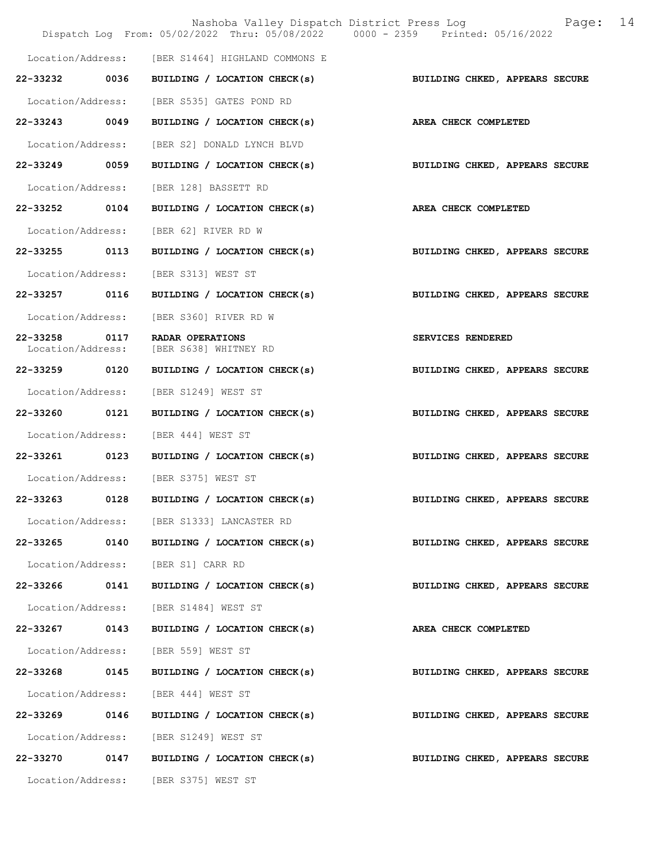|                                    |      | Nashoba Valley Dispatch District Press Log<br>Dispatch Log From: 05/02/2022 Thru: 05/08/2022 0000 - 2359 Printed: 05/16/2022 | Page:                          | 14 |
|------------------------------------|------|------------------------------------------------------------------------------------------------------------------------------|--------------------------------|----|
|                                    |      | Location/Address: [BER S1464] HIGHLAND COMMONS E                                                                             |                                |    |
| 22-33232 0036                      |      | BUILDING / LOCATION CHECK(s)                                                                                                 | BUILDING CHKED, APPEARS SECURE |    |
| Location/Address:                  |      | [BER S535] GATES POND RD                                                                                                     |                                |    |
| 22-33243 0049                      |      | BUILDING / LOCATION CHECK(s)                                                                                                 | AREA CHECK COMPLETED           |    |
| Location/Address:                  |      | [BER S2] DONALD LYNCH BLVD                                                                                                   |                                |    |
| 22-33249 0059                      |      | BUILDING / LOCATION CHECK(s)                                                                                                 | BUILDING CHKED, APPEARS SECURE |    |
| Location/Address:                  |      | [BER 128] BASSETT RD                                                                                                         |                                |    |
| 22-33252 0104                      |      | BUILDING / LOCATION CHECK(s)                                                                                                 | AREA CHECK COMPLETED           |    |
| Location/Address:                  |      | [BER 62] RIVER RD W                                                                                                          |                                |    |
| 22-33255                           | 0113 | BUILDING / LOCATION CHECK(s)                                                                                                 | BUILDING CHKED, APPEARS SECURE |    |
| Location/Address:                  |      | [BER S313] WEST ST                                                                                                           |                                |    |
| 22-33257 0116                      |      | BUILDING / LOCATION CHECK(s)                                                                                                 | BUILDING CHKED, APPEARS SECURE |    |
| Location/Address:                  |      | [BER S360] RIVER RD W                                                                                                        |                                |    |
| 22-33258 0117<br>Location/Address: |      | RADAR OPERATIONS<br>[BER S638] WHITNEY RD                                                                                    | SERVICES RENDERED              |    |
| 22-33259 0120                      |      | BUILDING / LOCATION CHECK(s)                                                                                                 | BUILDING CHKED, APPEARS SECURE |    |
| Location/Address:                  |      | [BER S1249] WEST ST                                                                                                          |                                |    |
| 22-33260 0121                      |      | BUILDING / LOCATION CHECK(s)                                                                                                 | BUILDING CHKED, APPEARS SECURE |    |
| Location/Address:                  |      | [BER 444] WEST ST                                                                                                            |                                |    |
| 22-33261 0123                      |      | BUILDING / LOCATION CHECK(s)                                                                                                 | BUILDING CHKED, APPEARS SECURE |    |
|                                    |      | Location/Address: [BER S375] WEST ST                                                                                         |                                |    |
| 22-33263                           | 0128 | BUILDING / LOCATION CHECK(s)                                                                                                 | BUILDING CHKED, APPEARS SECURE |    |
|                                    |      | Location/Address: [BER S1333] LANCASTER RD                                                                                   |                                |    |
|                                    |      | 22-33265 0140 BUILDING / LOCATION CHECK(s)                                                                                   | BUILDING CHKED, APPEARS SECURE |    |
|                                    |      | Location/Address: [BER S1] CARR RD                                                                                           |                                |    |
| 22-33266                           | 0141 | BUILDING / LOCATION CHECK(s)                                                                                                 | BUILDING CHKED, APPEARS SECURE |    |
|                                    |      | Location/Address: [BER S1484] WEST ST                                                                                        |                                |    |
| 22-33267 0143                      |      | BUILDING / LOCATION CHECK(s)                                                                                                 | <b>AREA CHECK COMPLETED</b>    |    |
| Location/Address:                  |      | [BER 559] WEST ST                                                                                                            |                                |    |
| 22-33268 0145                      |      | BUILDING / LOCATION CHECK(s)                                                                                                 | BUILDING CHKED, APPEARS SECURE |    |
| Location/Address:                  |      | [BER 444] WEST ST                                                                                                            |                                |    |
| 22-33269                           | 0146 | BUILDING / LOCATION CHECK(s)                                                                                                 | BUILDING CHKED, APPEARS SECURE |    |
|                                    |      | Location/Address: [BER S1249] WEST ST                                                                                        |                                |    |
|                                    |      | 22-33270 0147 BUILDING / LOCATION CHECK(s)                                                                                   | BUILDING CHKED, APPEARS SECURE |    |
|                                    |      | Location/Address: [BER S375] WEST ST                                                                                         |                                |    |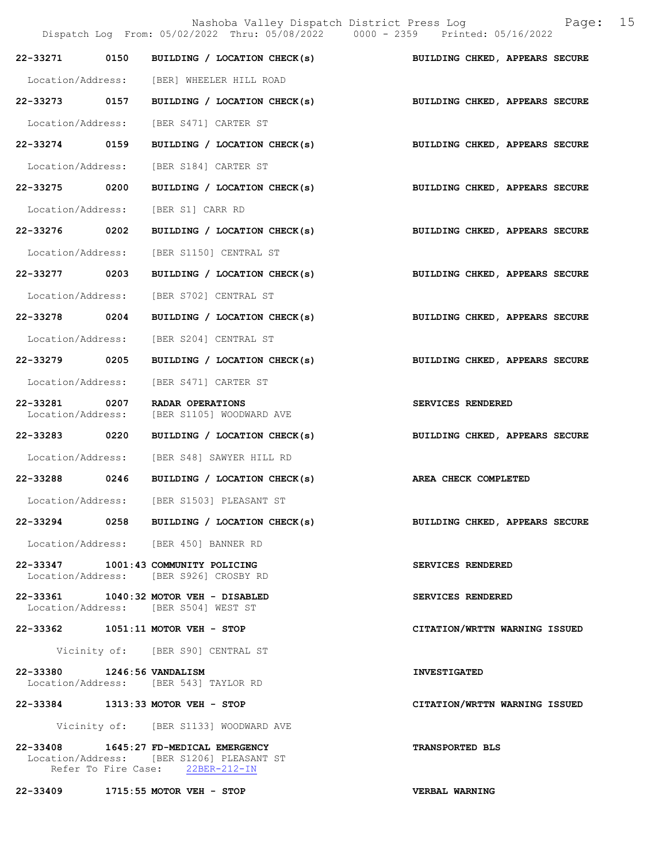|                            | Dispatch Log From: 05/02/2022 Thru: 05/08/2022 0000 - 2359 Printed: 05/16/2022                                         | Nashoba Valley Dispatch District Press Log<br>Page: 15                    |
|----------------------------|------------------------------------------------------------------------------------------------------------------------|---------------------------------------------------------------------------|
|                            |                                                                                                                        | 22-33271 0150 BUILDING / LOCATION CHECK(s) BUILDING CHKED, APPEARS SECURE |
|                            | Location/Address: [BER] WHEELER HILL ROAD                                                                              |                                                                           |
|                            |                                                                                                                        | 22-33273 0157 BUILDING / LOCATION CHECK(s) BUILDING CHKED, APPEARS SECURE |
|                            | Location/Address: [BER S471] CARTER ST                                                                                 |                                                                           |
|                            | 22-33274 0159 BUILDING / LOCATION CHECK(s)                                                                             | BUILDING CHKED, APPEARS SECURE                                            |
|                            | Location/Address: [BER S184] CARTER ST                                                                                 |                                                                           |
| 22-33275 0200              | BUILDING / LOCATION CHECK(s)                                                                                           | BUILDING CHKED, APPEARS SECURE                                            |
|                            | Location/Address: [BER S1] CARR RD                                                                                     |                                                                           |
|                            |                                                                                                                        | 22-33276 0202 BUILDING / LOCATION CHECK(s) BUILDING CHKED, APPEARS SECURE |
|                            | Location/Address: [BER S1150] CENTRAL ST                                                                               |                                                                           |
|                            |                                                                                                                        | 22-33277 0203 BUILDING / LOCATION CHECK(s) BUILDING CHKED, APPEARS SECURE |
|                            | Location/Address: [BER S702] CENTRAL ST                                                                                |                                                                           |
|                            | 22-33278 0204 BUILDING / LOCATION CHECK(s)                                                                             | BUILDING CHKED, APPEARS SECURE                                            |
|                            | Location/Address: [BER S204] CENTRAL ST                                                                                |                                                                           |
| 22-33279 0205              |                                                                                                                        | BUILDING / LOCATION CHECK(s) BUILDING CHKED, APPEARS SECURE               |
|                            | Location/Address: [BER S471] CARTER ST                                                                                 |                                                                           |
| Location/Address:          | 22-33281 0207 RADAR OPERATIONS<br>[BER S1105] WOODWARD AVE                                                             | SERVICES RENDERED                                                         |
| 22-33283 0220              | BUILDING / LOCATION CHECK(s)                                                                                           | BUILDING CHKED, APPEARS SECURE                                            |
|                            | Location/Address: [BER S48] SAWYER HILL RD                                                                             |                                                                           |
|                            | 22-33288 0246 BUILDING / LOCATION CHECK(s)                                                                             | AREA CHECK COMPLETED                                                      |
| Location/Address:          | [BER S1503] PLEASANT ST                                                                                                |                                                                           |
|                            | 22-33294 0258 BUILDING / LOCATION CHECK(s)                                                                             | BUILDING CHKED, APPEARS SECURE                                            |
|                            | Location/Address: [BER 450] BANNER RD                                                                                  |                                                                           |
|                            | 22-33347 1001:43 COMMUNITY POLICING<br>Location/Address: [BER S926] CROSBY RD                                          | SERVICES RENDERED                                                         |
|                            | 22-33361 1040:32 MOTOR VEH - DISABLED<br>Location/Address: [BER S504] WEST ST                                          | SERVICES RENDERED                                                         |
|                            | 22-33362 1051:11 MOTOR VEH - STOP                                                                                      | CITATION/WRTTN WARNING ISSUED                                             |
|                            | Vicinity of: [BER S90] CENTRAL ST                                                                                      |                                                                           |
| 22-33380 1246:56 VANDALISM | Location/Address: [BER 543] TAYLOR RD                                                                                  | <b>INVESTIGATED</b>                                                       |
|                            | 22-33384 1313:33 MOTOR VEH - STOP                                                                                      | CITATION/WRTTN WARNING ISSUED                                             |
|                            | Vicinity of: [BER S1133] WOODWARD AVE                                                                                  |                                                                           |
|                            | 22-33408 1645:27 FD-MEDICAL EMERGENCY<br>Location/Address: [BER S1206] PLEASANT ST<br>Refer To Fire Case: 22BER-212-IN | <b>TRANSPORTED BLS</b>                                                    |

22-33409 1715:55 MOTOR VEH - STOP VERBAL WARNING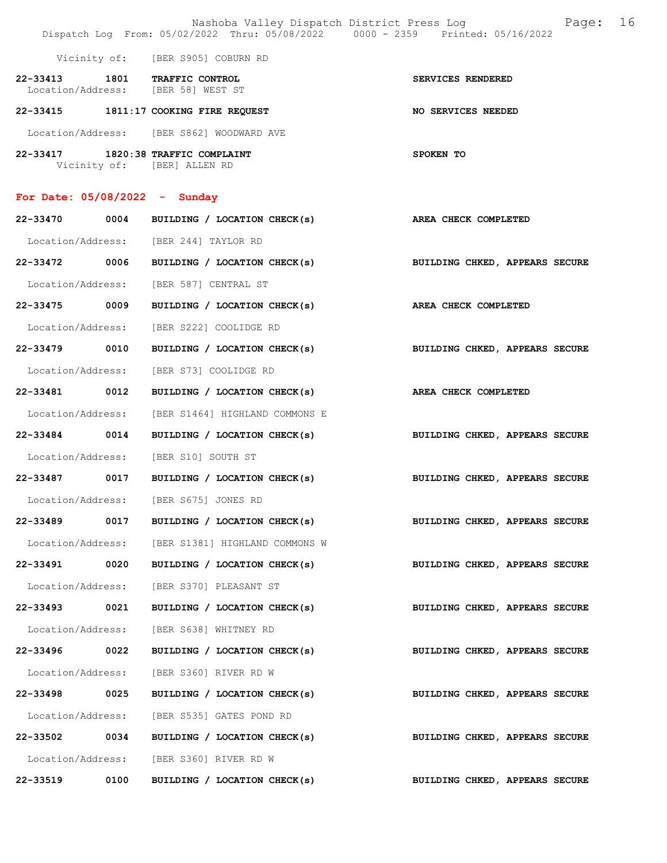|                                 |      | Nashoba Valley Dispatch District Press Log<br>Dispatch Log From: 05/02/2022 Thru: 05/08/2022 0000 - 2359 Printed: 05/16/2022 | 16<br>Page:                    |
|---------------------------------|------|------------------------------------------------------------------------------------------------------------------------------|--------------------------------|
|                                 |      | Vicinity of: [BER S905] COBURN RD                                                                                            |                                |
|                                 |      | 22-33413 1801 TRAFFIC CONTROL<br>Location/Address: [BER 58] WEST ST                                                          | SERVICES RENDERED              |
|                                 |      | 22-33415 1811:17 COOKING FIRE REQUEST                                                                                        | <b>NO SERVICES NEEDED</b>      |
|                                 |      | Location/Address: [BER S862] WOODWARD AVE                                                                                    |                                |
|                                 |      | 22-33417 1820:38 TRAFFIC COMPLAINT<br>Vicinity of: [BER] ALLEN RD                                                            | SPOKEN TO                      |
| For Date: $05/08/2022 -$ Sunday |      |                                                                                                                              |                                |
|                                 |      | 22-33470 0004 BUILDING / LOCATION CHECK(s)                                                                                   | AREA CHECK COMPLETED           |
|                                 |      | Location/Address: [BER 244] TAYLOR RD                                                                                        |                                |
|                                 |      | 22-33472 0006 BUILDING / LOCATION CHECK(s)                                                                                   | BUILDING CHKED, APPEARS SECURE |
|                                 |      | Location/Address: [BER 587] CENTRAL ST                                                                                       |                                |
| 22-33475 0009                   |      | BUILDING / LOCATION CHECK(s)                                                                                                 | AREA CHECK COMPLETED           |
|                                 |      | Location/Address: [BER S222] COOLIDGE RD                                                                                     |                                |
| 22-33479 0010                   |      | BUILDING / LOCATION CHECK(s)                                                                                                 | BUILDING CHKED, APPEARS SECURE |
| Location/Address:               |      | [BER S73] COOLIDGE RD                                                                                                        |                                |
|                                 |      | 22-33481 0012 BUILDING / LOCATION CHECK(s)                                                                                   | AREA CHECK COMPLETED           |
| Location/Address:               |      | [BER S1464] HIGHLAND COMMONS E                                                                                               |                                |
| 22-33484 0014                   |      | BUILDING / LOCATION CHECK(s)                                                                                                 | BUILDING CHKED, APPEARS SECURE |
|                                 |      | Location/Address: [BER S10] SOUTH ST                                                                                         |                                |
|                                 |      | 22-33487 0017 BUILDING / LOCATION CHECK(s)                                                                                   | BUILDING CHKED, APPEARS SECURE |
| Location/Address:               |      | [BER S675] JONES RD                                                                                                          |                                |
| 22-33489                        | 0017 | BUILDING / LOCATION CHECK(s)                                                                                                 | BUILDING CHKED, APPEARS SECURE |
|                                 |      | Location/Address: [BER S1381] HIGHLAND COMMONS W                                                                             |                                |
| 22-33491 0020                   |      | BUILDING / LOCATION CHECK(s)                                                                                                 | BUILDING CHKED, APPEARS SECURE |
| Location/Address:               |      | [BER S370] PLEASANT ST                                                                                                       |                                |
| 22-33493                        | 0021 | BUILDING / LOCATION CHECK(s)                                                                                                 | BUILDING CHKED, APPEARS SECURE |
| Location/Address:               |      | [BER S638] WHITNEY RD                                                                                                        |                                |
| 22-33496                        | 0022 | BUILDING / LOCATION CHECK(s)                                                                                                 | BUILDING CHKED, APPEARS SECURE |
| Location/Address:               |      | [BER S360] RIVER RD W                                                                                                        |                                |
| 22-33498 0025                   |      | BUILDING / LOCATION CHECK(s)                                                                                                 | BUILDING CHKED, APPEARS SECURE |
| Location/Address:               |      | [BER S535] GATES POND RD                                                                                                     |                                |
| 22-33502 0034                   |      | BUILDING / LOCATION CHECK(s)                                                                                                 | BUILDING CHKED, APPEARS SECURE |
|                                 |      | Location/Address: [BER S360] RIVER RD W                                                                                      |                                |
| 22-33519                        | 0100 | BUILDING / LOCATION CHECK(s)                                                                                                 | BUILDING CHKED, APPEARS SECURE |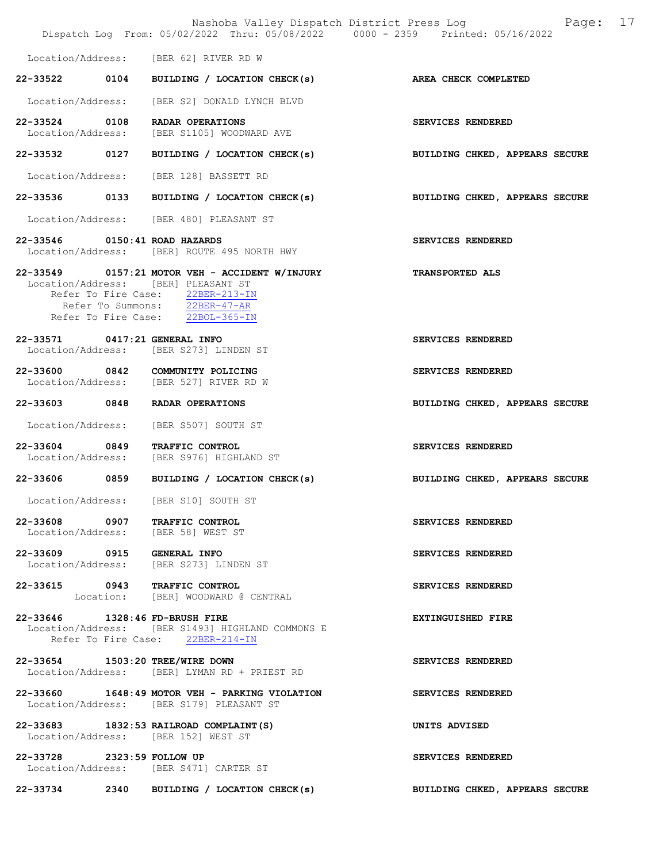|                               |                                                                                                                                                                                                | Nashoba Valley Dispatch District Press Log Fage: 17<br>Dispatch Log From: 05/02/2022 Thru: 05/08/2022 0000 - 2359 Printed: 05/16/2022 |  |
|-------------------------------|------------------------------------------------------------------------------------------------------------------------------------------------------------------------------------------------|---------------------------------------------------------------------------------------------------------------------------------------|--|
|                               | Location/Address: [BER 62] RIVER RD W                                                                                                                                                          |                                                                                                                                       |  |
|                               |                                                                                                                                                                                                | 22-33522 0104 BUILDING / LOCATION CHECK(s) AREA CHECK COMPLETED                                                                       |  |
|                               | Location/Address: [BER S2] DONALD LYNCH BLVD                                                                                                                                                   |                                                                                                                                       |  |
|                               | 22-33524 0108 RADAR OPERATIONS<br>Location/Address: [BER S1105] WOODWARD AVE                                                                                                                   | SERVICES RENDERED                                                                                                                     |  |
|                               | 22-33532 0127 BUILDING / LOCATION CHECK(s)                                                                                                                                                     | BUILDING CHKED, APPEARS SECURE                                                                                                        |  |
|                               | Location/Address: [BER 128] BASSETT RD                                                                                                                                                         |                                                                                                                                       |  |
|                               |                                                                                                                                                                                                | 22-33536 0133 BUILDING / LOCATION CHECK(s) BUILDING CHKED, APPEARS SECURE                                                             |  |
|                               | Location/Address: [BER 480] PLEASANT ST                                                                                                                                                        |                                                                                                                                       |  |
| 22-33546 0150:41 ROAD HAZARDS | Location/Address: [BER] ROUTE 495 NORTH HWY                                                                                                                                                    | SERVICES RENDERED                                                                                                                     |  |
|                               | 22-33549 0157:21 MOTOR VEH - ACCIDENT W/INJURY<br>Location/Address: [BER] PLEASANT ST<br>Refer To Fire Case: 22BER-213-IN<br>Refer To Summons: 22BER-47-AR<br>Refer To Fire Case: 22BOL-365-IN | <b>TRANSPORTED ALS</b>                                                                                                                |  |
| 22-33571 0417:21 GENERAL INFO | Location/Address: [BER S273] LINDEN ST                                                                                                                                                         | SERVICES RENDERED                                                                                                                     |  |
|                               | 22-33600 0842 COMMUNITY POLICING<br>Location/Address: [BER 527] RIVER RD W                                                                                                                     | SERVICES RENDERED                                                                                                                     |  |
|                               | 22-33603 0848 RADAR OPERATIONS                                                                                                                                                                 | BUILDING CHKED, APPEARS SECURE                                                                                                        |  |
|                               | Location/Address: [BER S507] SOUTH ST                                                                                                                                                          |                                                                                                                                       |  |
|                               | 22-33604 0849 TRAFFIC CONTROL<br>Location/Address: [BER S976] HIGHLAND ST                                                                                                                      | SERVICES RENDERED                                                                                                                     |  |
|                               | 22-33606 0859 BUILDING / LOCATION CHECK(s)                                                                                                                                                     | BUILDING CHKED, APPEARS SECURE                                                                                                        |  |
|                               | Location/Address: [BER S10] SOUTH ST                                                                                                                                                           |                                                                                                                                       |  |
|                               | 22-33608 0907 TRAFFIC CONTROL<br>Location/Address: [BER 58] WEST ST                                                                                                                            | <b>SERVICES RENDERED</b>                                                                                                              |  |
| 22-33609 0915 GENERAL INFO    | Location/Address: [BER S273] LINDEN ST                                                                                                                                                         | SERVICES RENDERED                                                                                                                     |  |
|                               | 22-33615 0943 TRAFFIC CONTROL<br>Location: [BER] WOODWARD @ CENTRAL                                                                                                                            | SERVICES RENDERED                                                                                                                     |  |
|                               | 22-33646 1328:46 FD-BRUSH FIRE<br>Location/Address: [BER S1493] HIGHLAND COMMONS E<br>Refer To Fire Case: 22BER-214-IN                                                                         | <b>EXTINGUISHED FIRE</b>                                                                                                              |  |
|                               | 22-33654 1503:20 TREE/WIRE DOWN<br>Location/Address: [BER] LYMAN RD + PRIEST RD                                                                                                                | SERVICES RENDERED                                                                                                                     |  |
|                               | 22-33660 1648:49 MOTOR VEH - PARKING VIOLATION<br>Location/Address: [BER S179] PLEASANT ST                                                                                                     | SERVICES RENDERED                                                                                                                     |  |
|                               | 22-33683 1832:53 RAILROAD COMPLAINT (S)<br>Location/Address: [BER 152] WEST ST                                                                                                                 | UNITS ADVISED                                                                                                                         |  |
| 22-33728 2323:59 FOLLOW UP    | Location/Address: [BER S471] CARTER ST                                                                                                                                                         | SERVICES RENDERED                                                                                                                     |  |
|                               | 22-33734 2340 BUILDING / LOCATION CHECK(s)                                                                                                                                                     | BUILDING CHKED, APPEARS SECURE                                                                                                        |  |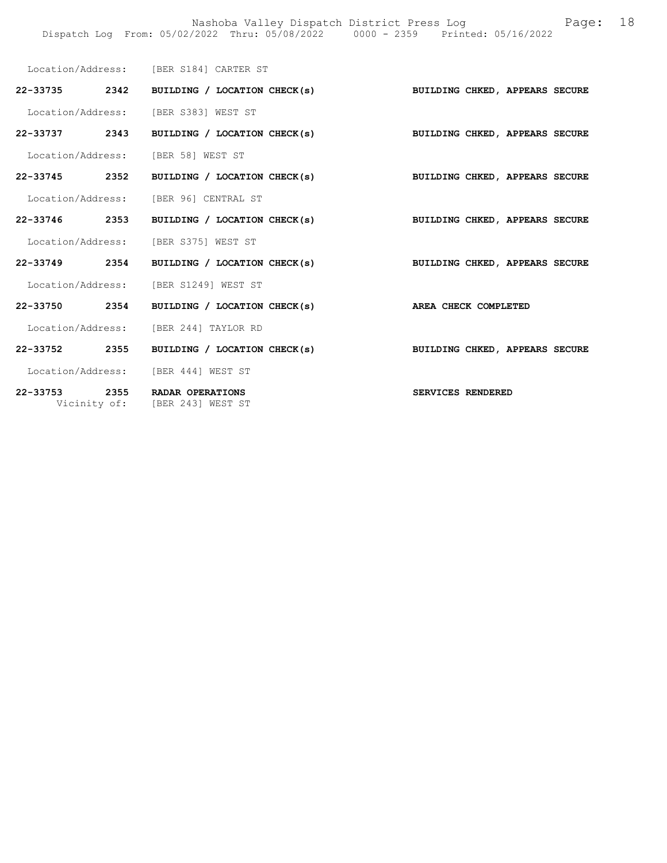|  | Location/Address: [BER S184] CARTER ST                                    |                                |
|--|---------------------------------------------------------------------------|--------------------------------|
|  | 22-33735 2342 BUILDING / LOCATION CHECK(s) BUILDING CHKED, APPEARS SECURE |                                |
|  | Location/Address: [BER S383] WEST ST                                      |                                |
|  | 22-33737 2343 BUILDING / LOCATION CHECK(s)                                | BUILDING CHKED, APPEARS SECURE |
|  | Location/Address: [BER 58] WEST ST                                        |                                |
|  | 22-33745 2352 BUILDING / LOCATION CHECK(s) BUILDING CHKED, APPEARS SECURE |                                |
|  | Location/Address: [BER 96] CENTRAL ST                                     |                                |
|  | 22-33746 2353 BUILDING / LOCATION CHECK(s) BUILDING CHKED, APPEARS SECURE |                                |
|  | Location/Address: [BER S375] WEST ST                                      |                                |
|  | 22-33749 2354 BUILDING / LOCATION CHECK(s)                                | BUILDING CHKED, APPEARS SECURE |
|  | Location/Address: [BER S1249] WEST ST                                     |                                |
|  | 22-33750 2354 BUILDING / LOCATION CHECK(s) AREA CHECK COMPLETED           |                                |
|  | Location/Address: [BER 244] TAYLOR RD                                     |                                |
|  | 22-33752 2355 BUILDING / LOCATION CHECK(s)                                | BUILDING CHKED, APPEARS SECURE |
|  | Location/Address: [BER 444] WEST ST                                       |                                |
|  | 22-33753 2355 RADAR OPERATIONS<br>Vicinity of: [BER 243] WEST ST          | SERVICES RENDERED              |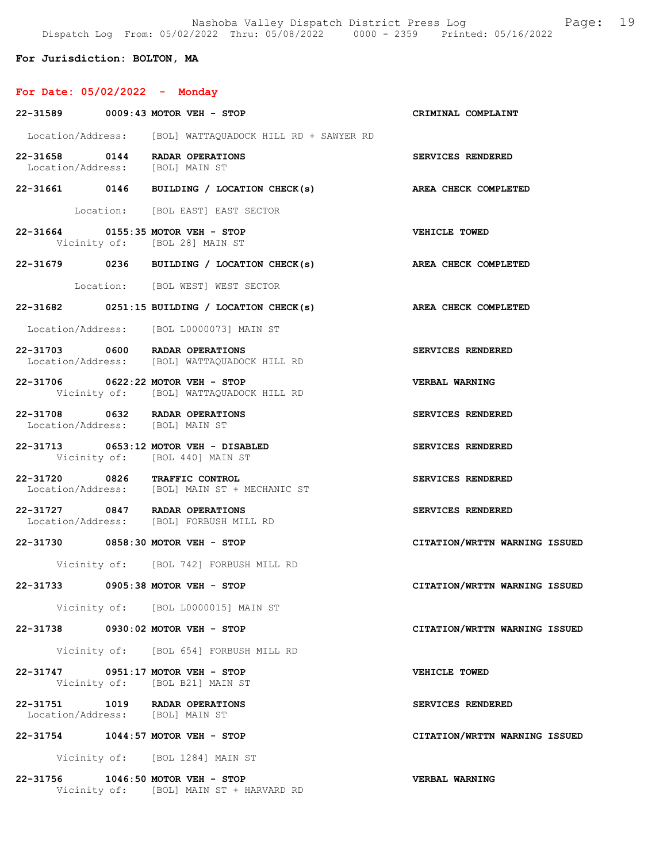Nashoba Valley Dispatch District Press Log Fage: 19 Dispatch Log From: 05/02/2022 Thru: 05/08/2022 0000 - 2359 Printed: 05/16/2022

For Jurisdiction: BOLTON, MA

# For Date: 05/02/2022 - Monday

|                                 | 22-31589 0009:43 MOTOR VEH - STOP                                              | CRIMINAL COMPLAINT            |
|---------------------------------|--------------------------------------------------------------------------------|-------------------------------|
|                                 | Location/Address: [BOL] WATTAQUADOCK HILL RD + SAWYER RD                       |                               |
|                                 | 22-31658 0144 RADAR OPERATIONS<br>Location/Address: [BOL] MAIN ST              | SERVICES RENDERED             |
|                                 | 22-31661 0146 BUILDING / LOCATION CHECK(s) AREA CHECK COMPLETED                |                               |
|                                 | Location: [BOL EAST] EAST SECTOR                                               |                               |
|                                 | 22-31664 0155:35 MOTOR VEH - STOP<br>Vicinity of: [BOL 28] MAIN ST             | <b>VEHICLE TOWED</b>          |
|                                 | 22-31679 0236 BUILDING / LOCATION CHECK(s)                                     | AREA CHECK COMPLETED          |
|                                 | Location: [BOL WEST] WEST SECTOR                                               |                               |
|                                 | 22-31682 0251:15 BUILDING / LOCATION CHECK(s) AREA CHECK COMPLETED             |                               |
|                                 | Location/Address: [BOL L0000073] MAIN ST                                       |                               |
|                                 | 22-31703 0600 RADAR OPERATIONS<br>Location/Address: [BOL] WATTAQUADOCK HILL RD | SERVICES RENDERED             |
|                                 | 22-31706 0622:22 MOTOR VEH - STOP<br>Vicinity of: [BOL] WATTAQUADOCK HILL RD   | <b>VERBAL WARNING</b>         |
|                                 | 22-31708 0632 RADAR OPERATIONS<br>Location/Address: [BOL] MAIN ST              | SERVICES RENDERED             |
|                                 | 22-31713 0653:12 MOTOR VEH - DISABLED<br>Vicinity of: [BOL 440] MAIN ST        | SERVICES RENDERED             |
|                                 | 22-31720 0826 TRAFFIC CONTROL<br>Location/Address: [BOL] MAIN ST + MECHANIC ST | SERVICES RENDERED             |
|                                 | 22-31727 0847 RADAR OPERATIONS<br>Location/Address: [BOL] FORBUSH MILL RD      | SERVICES RENDERED             |
|                                 | 22-31730 0858:30 MOTOR VEH - STOP                                              | CITATION/WRTTN WARNING ISSUED |
|                                 | Vicinity of: [BOL 742] FORBUSH MILL RD                                         |                               |
|                                 | 22-31733 0905:38 MOTOR VEH - STOP                                              | CITATION/WRTTN WARNING ISSUED |
|                                 | Vicinity of: [BOL L0000015] MAIN ST                                            |                               |
|                                 | 22-31738 0930:02 MOTOR VEH - STOP                                              | CITATION/WRTTN WARNING ISSUED |
|                                 | Vicinity of: [BOL 654] FORBUSH MILL RD                                         |                               |
|                                 | 22-31747 0951:17 MOTOR VEH - STOP<br>Vicinity of: [BOL B21] MAIN ST            | VEHICLE TOWED                 |
| Location/Address: [BOL] MAIN ST | 22-31751 1019 RADAR OPERATIONS                                                 | SERVICES RENDERED             |
|                                 | 22-31754 1044:57 MOTOR VEH - STOP                                              | CITATION/WRTTN WARNING ISSUED |
|                                 | Vicinity of: [BOL 1284] MAIN ST                                                |                               |
| 22-31756                        | $1046:50$ MOTOR VEH - STOP<br>Vicinity of: [BOL] MAIN ST + HARVARD RD          | <b>VERBAL WARNING</b>         |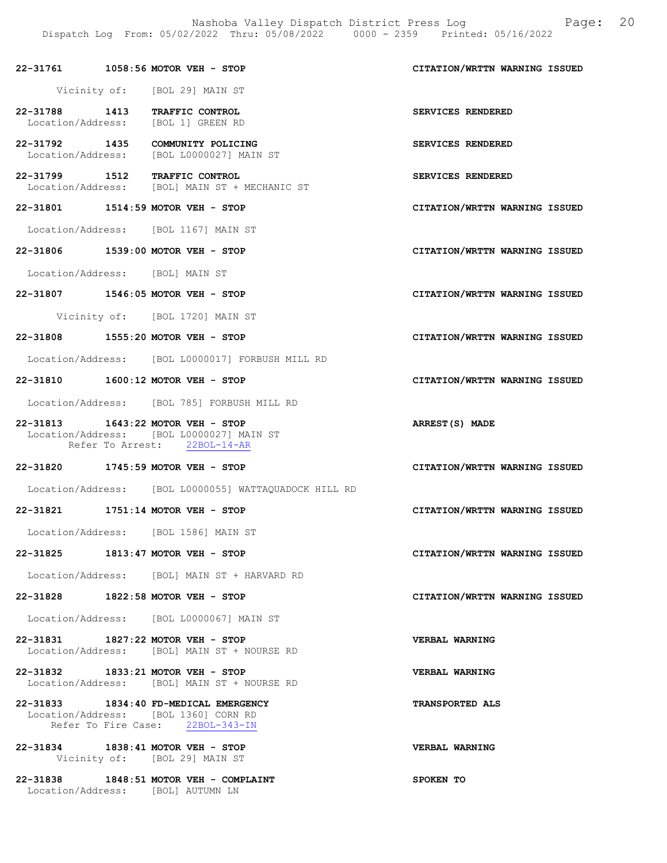Nashoba Valley Dispatch District Press Log Fage: 20 Dispatch Log From: 05/02/2022 Thru: 05/08/2022 0000 - 2359 Printed: 05/16/2022

# 22-31761 1058:56 MOTOR VEH - STOP CITATION/WRTTN WARNING ISSUED Vicinity of: [BOL 29] MAIN ST 22-31788 1413 TRAFFIC CONTROL SERVICES RENDERED Location/Address: [BOL 1] GREEN RD 22-31792 1435 COMMUNITY POLICING SERVICES RENDERED Location/Address: [BOL L0000027] MAIN ST 22-31799 1512 TRAFFIC CONTROL SERVICES RENDERED<br>Location/Address: [BOL] MAIN ST + MECHANIC ST Location/Address: [BOL] MAIN ST + MECHANIC ST 22-31801 1514:59 MOTOR VEH - STOP CITATION/WRTTN WARNING ISSUED Location/Address: [BOL 1167] MAIN ST 22-31806 1539:00 MOTOR VEH - STOP CITATION/WRTTN WARNING ISSUED Location/Address: [BOL] MAIN ST 22-31807 1546:05 MOTOR VEH - STOP CITATION/WRTTN WARNING ISSUED Vicinity of: [BOL 1720] MAIN ST 22-31808 1555:20 MOTOR VEH - STOP CITATION/WRTTN WARNING ISSUED Location/Address: [BOL L0000017] FORBUSH MILL RD 22-31810 1600:12 MOTOR VEH - STOP CITATION/WRTTN WARNING ISSUED Location/Address: [BOL 785] FORBUSH MILL RD 22-31813 1643:22 MOTOR VEH - STOP ARREST(S) MADE Location/Address: [BOL L0000027] MAIN ST Refer To Arrest: 22BOL-14-AR 22-31820 1745:59 MOTOR VEH - STOP CITATION/WRTTN WARNING ISSUED Location/Address: [BOL L0000055] WATTAQUADOCK HILL RD 22-31821 1751:14 MOTOR VEH - STOP CITATION/WRTTN WARNING ISSUED Location/Address: [BOL 1586] MAIN ST 22-31825 1813:47 MOTOR VEH - STOP CITATION/WRTTN WARNING ISSUED Location/Address: [BOL] MAIN ST + HARVARD RD 22-31828 1822:58 MOTOR VEH - STOP CITATION/WRTTN WARNING ISSUED Location/Address: [BOL L0000067] MAIN ST 22-31831 1827:22 MOTOR VEH - STOP VERBAL WARNING Location/Address: [BOL] MAIN ST + NOURSE RD 22-31832 1833:21 MOTOR VEH - STOP VERBAL WARNING Location/Address: [BOL] MAIN ST + NOURSE RD 22-31833 1834:40 FD-MEDICAL EMERGENCY TRANSPORTED ALS Location/Address: [BOL 1360] CORN RD<br>Refer To Fire Case: 22BOL-343-IN Refer To Fire Case: 22-31834 1838:41 MOTOR VEH - STOP VERBAL WARNING Vicinity of: [BOL 29] MAIN ST

22-31838 1848:51 MOTOR VEH - COMPLAINT SPOKEN TO Location/Address: [BOL] AUTUMN LN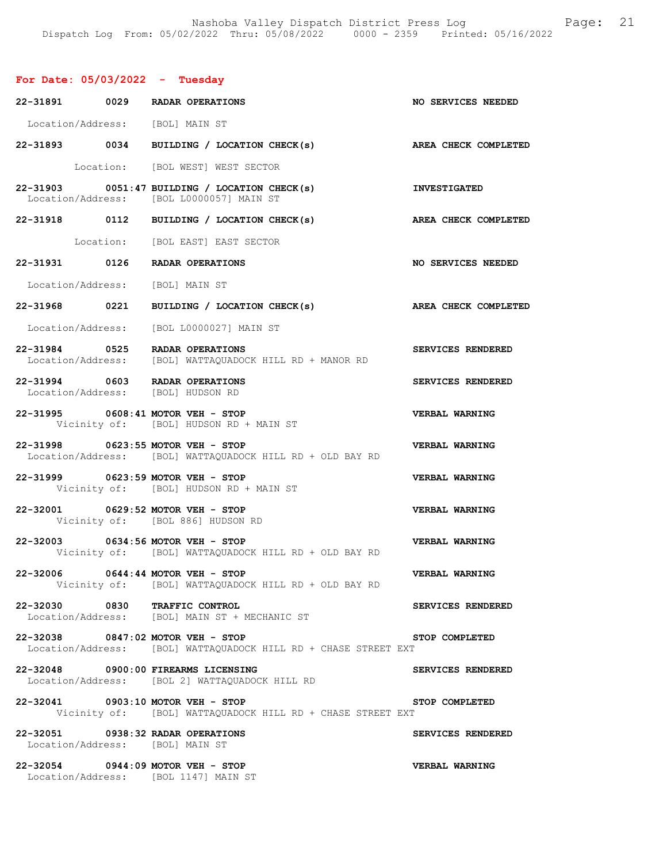# For Date: 05/03/2022 - Tuesday

|                                 | 22-31891 0029 RADAR OPERATIONS                                                                                     | NO SERVICES NEEDED        |
|---------------------------------|--------------------------------------------------------------------------------------------------------------------|---------------------------|
| Location/Address: [BOL] MAIN ST |                                                                                                                    |                           |
|                                 | 22-31893 0034 BUILDING / LOCATION CHECK(s)                                                                         | AREA CHECK COMPLETED      |
|                                 | Location: [BOL WEST] WEST SECTOR                                                                                   |                           |
|                                 | <b>INVESTIGATED</b><br>$22-31903$ 0051:47 BUILDING / LOCATION CHECK(s)<br>Location/Address: [BOL L0000057] MAIN ST |                           |
|                                 | 22-31918 0112 BUILDING / LOCATION CHECK(s)                                                                         | AREA CHECK COMPLETED      |
|                                 | Location: [BOL EAST] EAST SECTOR                                                                                   |                           |
|                                 | 22-31931 0126 RADAR OPERATIONS                                                                                     | <b>NO SERVICES NEEDED</b> |
| Location/Address: [BOL] MAIN ST |                                                                                                                    |                           |
|                                 | 22-31968 0221 BUILDING / LOCATION CHECK(s)                                                                         | AREA CHECK COMPLETED      |
|                                 | Location/Address: [BOL L0000027] MAIN ST                                                                           |                           |
|                                 | 22-31984 0525 RADAR OPERATIONS<br>Location/Address: [BOL] WATTAQUADOCK HILL RD + MANOR RD                          | <b>SERVICES RENDERED</b>  |
|                                 | 22-31994 0603 RADAR OPERATIONS<br>Location/Address: [BOL] HUDSON RD                                                | SERVICES RENDERED         |
|                                 | 22-31995 0608:41 MOTOR VEH - STOP<br>Vicinity of: [BOL] HUDSON RD + MAIN ST                                        | VERBAL WARNING            |
|                                 | 22-31998 0623:55 MOTOR VEH - STOP<br>Location/Address: [BOL] WATTAQUADOCK HILL RD + OLD BAY RD                     | VERBAL WARNING            |
|                                 | 22-31999 0623:59 MOTOR VEH - STOP<br>Vicinity of: [BOL] HUDSON RD + MAIN ST                                        | VERBAL WARNING            |
|                                 | 22-32001 0629:52 MOTOR VEH - STOP<br>Vicinity of: [BOL 886] HUDSON RD                                              | VERBAL WARNING            |
|                                 | 22-32003 0634:56 MOTOR VEH - STOP<br>Vicinity of: [BOL] WATTAQUADOCK HILL RD + OLD BAY RD                          | VERBAL WARNING            |
|                                 | 22-32006 0644:44 MOTOR VEH - STOP<br>Vicinity of: [BOL] WATTAQUADOCK HILL RD + OLD BAY RD                          | VERBAL WARNING            |
|                                 | 22-32030 0830 TRAFFIC CONTROL<br>Location/Address: [BOL] MAIN ST + MECHANIC ST                                     | SERVICES RENDERED         |
|                                 | 22-32038 0847:02 MOTOR VEH - STOP<br>Location/Address: [BOL] WATTAOUADOCK HILL RD + CHASE STREET EXT               | STOP COMPLETED            |
|                                 | 22-32048 0900:00 FIREARMS LICENSING<br>Location/Address: [BOL 2] WATTAQUADOCK HILL RD                              | SERVICES RENDERED         |
|                                 | 22-32041 0903:10 MOTOR VEH - STOP<br>Vicinity of: [BOL] WATTAQUADOCK HILL RD + CHASE STREET EXT                    | STOP COMPLETED            |
| Location/Address: [BOL] MAIN ST | 22-32051 0938:32 RADAR OPERATIONS                                                                                  | SERVICES RENDERED         |
|                                 | 22-32054 0944:09 MOTOR VEH - STOP<br>Location/Address: [BOL 1147] MAIN ST                                          | VERBAL WARNING            |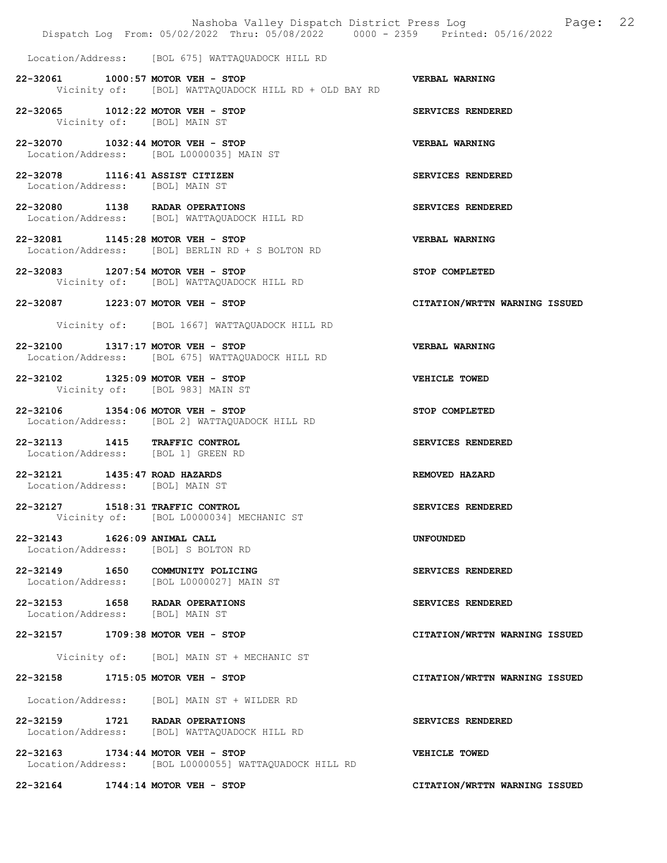|                                                                    | Dispatch Log From: 05/02/2022 Thru: 05/08/2022 0000 - 2359 Printed: 05/16/2022             | Nashoba Valley Dispatch District Press Log Fage: 22 |
|--------------------------------------------------------------------|--------------------------------------------------------------------------------------------|-----------------------------------------------------|
|                                                                    | Location/Address: [BOL 675] WATTAQUADOCK HILL RD                                           |                                                     |
|                                                                    | 22-32061 1000:57 MOTOR VEH - STOP<br>Vicinity of: [BOL] WATTAQUADOCK HILL RD + OLD BAY RD  | <b>VERBAL WARNING</b>                               |
|                                                                    | 22-32065 1012:22 MOTOR VEH - STOP<br>Vicinity of: [BOL] MAIN ST                            | SERVICES RENDERED                                   |
|                                                                    | 22-32070 1032:44 MOTOR VEH - STOP<br>Location/Address: [BOL L0000035] MAIN ST              | <b>VERBAL WARNING</b>                               |
| 22-32078 1116:41 ASSIST CITIZEN<br>Location/Address: [BOL] MAIN ST |                                                                                            | SERVICES RENDERED                                   |
|                                                                    | 22-32080 1138 RADAR OPERATIONS<br>Location/Address: [BOL] WATTAQUADOCK HILL RD             | SERVICES RENDERED                                   |
|                                                                    | 22-32081 1145:28 MOTOR VEH - STOP<br>Location/Address: [BOL] BERLIN RD + S BOLTON RD       | VERBAL WARNING                                      |
|                                                                    | 22-32083 1207:54 MOTOR VEH - STOP<br>Vicinity of: [BOL] WATTAQUADOCK HILL RD               | STOP COMPLETED                                      |
|                                                                    | 22-32087 1223:07 MOTOR VEH - STOP                                                          | CITATION/WRTTN WARNING ISSUED                       |
|                                                                    | Vicinity of: [BOL 1667] WATTAQUADOCK HILL RD                                               |                                                     |
|                                                                    | 22-32100 1317:17 MOTOR VEH - STOP<br>Location/Address: [BOL 675] WATTAQUADOCK HILL RD      | VERBAL WARNING                                      |
|                                                                    | 22-32102 1325:09 MOTOR VEH - STOP<br>Vicinity of: [BOL 983] MAIN ST                        | VEHICLE TOWED                                       |
|                                                                    | 22-32106 1354:06 MOTOR VEH - STOP<br>Location/Address: [BOL 2] WATTAQUADOCK HILL RD        | STOP COMPLETED                                      |
|                                                                    | 22-32113 1415 TRAFFIC CONTROL<br>Location/Address: [BOL 1] GREEN RD                        | SERVICES RENDERED                                   |
| 22-32121 1435:47 ROAD HAZARDS<br>Location/Address: [BOL] MAIN ST   |                                                                                            | REMOVED HAZARD                                      |
|                                                                    | 22-32127 1518:31 TRAFFIC CONTROL<br>Vicinity of: [BOL L0000034] MECHANIC ST                | SERVICES RENDERED                                   |
| 22-32143 1626:09 ANIMAL CALL                                       | Location/Address: [BOL] S BOLTON RD                                                        | <b>UNFOUNDED</b>                                    |
|                                                                    | 22-32149 1650 COMMUNITY POLICING<br>Location/Address: [BOL L0000027] MAIN ST               | SERVICES RENDERED                                   |
| Location/Address: [BOL] MAIN ST                                    | 22-32153 1658 RADAR OPERATIONS                                                             | SERVICES RENDERED                                   |
|                                                                    | 22-32157 1709:38 MOTOR VEH - STOP                                                          | CITATION/WRTTN WARNING ISSUED                       |
|                                                                    | Vicinity of: [BOL] MAIN ST + MECHANIC ST                                                   |                                                     |
|                                                                    | 22-32158 1715:05 MOTOR VEH - STOP                                                          | CITATION/WRTTN WARNING ISSUED                       |
|                                                                    | Location/Address: [BOL] MAIN ST + WILDER RD                                                |                                                     |
|                                                                    | 22-32159 1721 RADAR OPERATIONS<br>Location/Address: [BOL] WATTAQUADOCK HILL RD             | SERVICES RENDERED                                   |
|                                                                    | 22-32163 1734:44 MOTOR VEH - STOP<br>Location/Address: [BOL L0000055] WATTAQUADOCK HILL RD | VEHICLE TOWED                                       |
|                                                                    | 22-32164 1744:14 MOTOR VEH - STOP                                                          | CITATION/WRTTN WARNING ISSUED                       |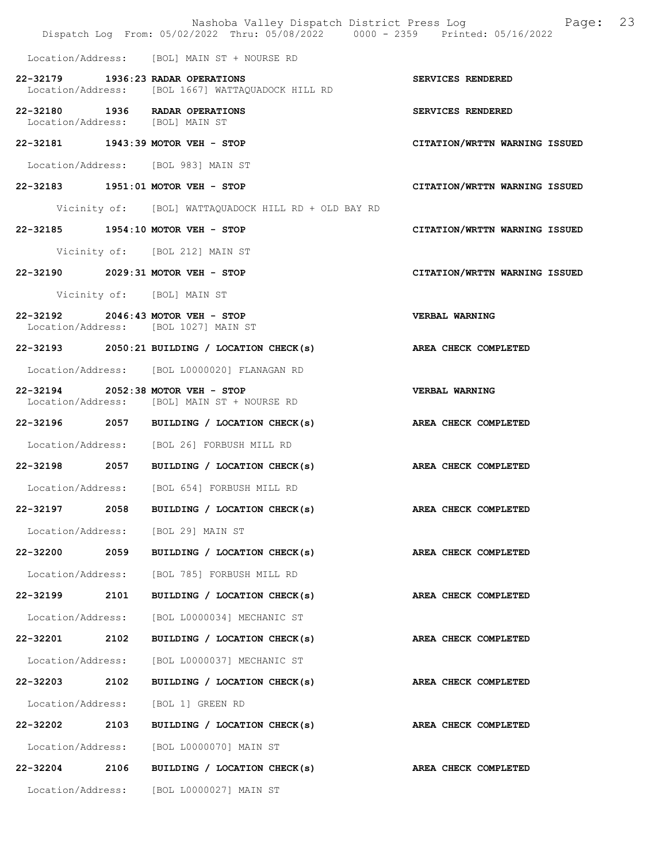|                                 |      | Dispatch Log From: 05/02/2022 Thru: 05/08/2022 0000 - 2359 Printed: 05/16/2022         | Nashoba Valley Dispatch District Press Log Fage: 23 |
|---------------------------------|------|----------------------------------------------------------------------------------------|-----------------------------------------------------|
|                                 |      | Location/Address: [BOL] MAIN ST + NOURSE RD                                            |                                                     |
|                                 |      | 22-32179 1936:23 RADAR OPERATIONS<br>Location/Address: [BOL 1667] WATTAOUADOCK HILL RD | SERVICES RENDERED                                   |
| Location/Address: [BOL] MAIN ST |      | 22-32180 1936 RADAR OPERATIONS                                                         | SERVICES RENDERED                                   |
|                                 |      | 22-32181 1943:39 MOTOR VEH - STOP                                                      | CITATION/WRTTN WARNING ISSUED                       |
|                                 |      | Location/Address: [BOL 983] MAIN ST                                                    |                                                     |
|                                 |      | 22-32183 1951:01 MOTOR VEH - STOP                                                      | CITATION/WRTTN WARNING ISSUED                       |
|                                 |      | Vicinity of: [BOL] WATTAQUADOCK HILL RD + OLD BAY RD                                   |                                                     |
|                                 |      | 22-32185 1954:10 MOTOR VEH - STOP                                                      | CITATION/WRTTN WARNING ISSUED                       |
|                                 |      | Vicinity of: [BOL 212] MAIN ST                                                         |                                                     |
|                                 |      | 22-32190 2029:31 MOTOR VEH - STOP                                                      | CITATION/WRTTN WARNING ISSUED                       |
|                                 |      | Vicinity of: [BOL] MAIN ST                                                             |                                                     |
|                                 |      | 22-32192 2046:43 MOTOR VEH - STOP<br>Location/Address: [BOL 1027] MAIN ST              | <b>VERBAL WARNING</b>                               |
|                                 |      | $22-32193$ 2050:21 BUILDING / LOCATION CHECK(s)                                        | AREA CHECK COMPLETED                                |
|                                 |      | Location/Address: [BOL L0000020] FLANAGAN RD                                           |                                                     |
|                                 |      | 22-32194 2052:38 MOTOR VEH - STOP<br>Location/Address: [BOL] MAIN ST + NOURSE RD       | VERBAL WARNING                                      |
|                                 |      | 22-32196 2057 BUILDING / LOCATION CHECK(s)                                             | AREA CHECK COMPLETED                                |
|                                 |      | Location/Address: [BOL 26] FORBUSH MILL RD                                             |                                                     |
|                                 |      | 22-32198 2057 BUILDING / LOCATION CHECK(s) AREA CHECK COMPLETED                        |                                                     |
|                                 |      | Location/Address: [BOL 654] FORBUSH MILL RD                                            |                                                     |
| 22-32197                        | 2058 | BUILDING / LOCATION CHECK(s)                                                           | AREA CHECK COMPLETED                                |
|                                 |      | Location/Address: [BOL 29] MAIN ST                                                     |                                                     |
| 22-32200 2059                   |      | BUILDING / LOCATION CHECK(s)                                                           | AREA CHECK COMPLETED                                |
| Location/Address:               |      | [BOL 785] FORBUSH MILL RD                                                              |                                                     |
| 22-32199                        | 2101 | BUILDING / LOCATION CHECK(s)                                                           | AREA CHECK COMPLETED                                |
| Location/Address:               |      | [BOL L0000034] MECHANIC ST                                                             |                                                     |
| 22-32201 2102                   |      | BUILDING / LOCATION CHECK(s)                                                           | AREA CHECK COMPLETED                                |
| Location/Address:               |      | [BOL L0000037] MECHANIC ST                                                             |                                                     |
| 22-32203 2102                   |      | BUILDING / LOCATION CHECK(s)                                                           | AREA CHECK COMPLETED                                |
| Location/Address:               |      | [BOL 1] GREEN RD                                                                       |                                                     |
| 22-32202                        | 2103 | BUILDING / LOCATION CHECK(s)                                                           | AREA CHECK COMPLETED                                |
| Location/Address:               |      | [BOL L0000070] MAIN ST                                                                 |                                                     |
| 22-32204                        | 2106 | BUILDING / LOCATION CHECK(s)                                                           | AREA CHECK COMPLETED                                |
|                                 |      | Location/Address: [BOL L0000027] MAIN ST                                               |                                                     |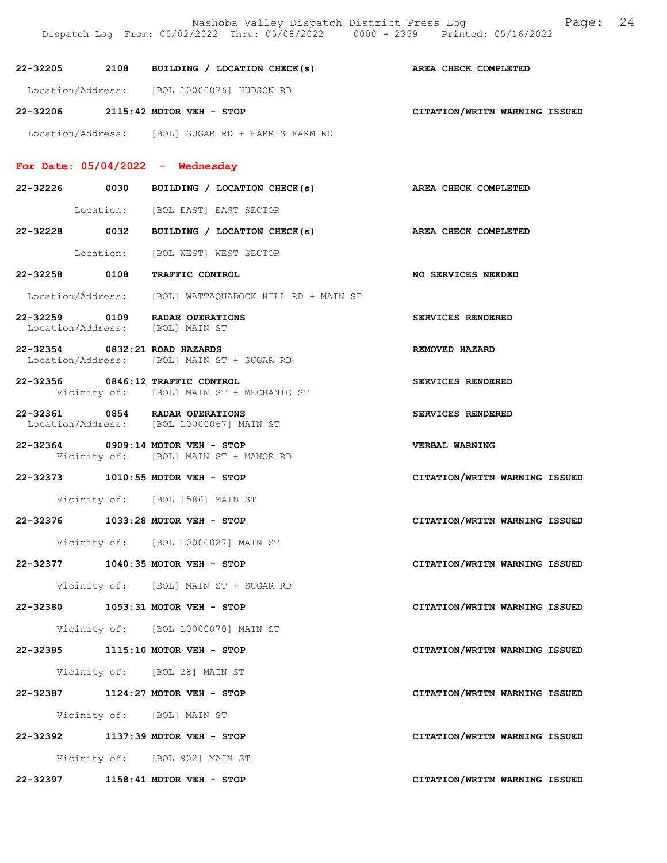|                                 | Nashoba Valley Dispatch District Press Log<br>Dispatch Log From: 05/02/2022 Thru: 05/08/2022 0000 - 2359 Printed: 05/16/2022 | 24<br>Page:                   |
|---------------------------------|------------------------------------------------------------------------------------------------------------------------------|-------------------------------|
|                                 | 22-32205 2108 BUILDING / LOCATION CHECK(s)                                                                                   | <b>AREA CHECK COMPLETED</b>   |
|                                 | Location/Address: [BOL L0000076] HUDSON RD                                                                                   |                               |
|                                 | 22-32206 2115:42 MOTOR VEH - STOP                                                                                            | CITATION/WRTTN WARNING ISSUED |
|                                 | Location/Address: [BOL] SUGAR RD + HARRIS FARM RD                                                                            |                               |
|                                 | For Date: $05/04/2022 -$ Wednesday                                                                                           |                               |
|                                 | 22-32226 0030 BUILDING / LOCATION CHECK(s) AREA CHECK COMPLETED                                                              |                               |
|                                 | Location: [BOL EAST] EAST SECTOR                                                                                             |                               |
|                                 | 22-32228 0032 BUILDING / LOCATION CHECK(s) AREA CHECK COMPLETED                                                              |                               |
|                                 | Location: [BOL WEST] WEST SECTOR                                                                                             |                               |
|                                 | 22-32258 0108 TRAFFIC CONTROL                                                                                                | NO SERVICES NEEDED            |
|                                 | Location/Address: [BOL] WATTAQUADOCK HILL RD + MAIN ST                                                                       |                               |
| Location/Address: [BOL] MAIN ST | 22-32259 0109 RADAR OPERATIONS                                                                                               | SERVICES RENDERED             |
| 22-32354 0832:21 ROAD HAZARDS   | Location/Address: [BOL] MAIN ST + SUGAR RD                                                                                   | REMOVED HAZARD                |
|                                 | 22-32356 0846:12 TRAFFIC CONTROL<br>Vicinity of: [BOL] MAIN ST + MECHANIC ST                                                 | SERVICES RENDERED             |
|                                 | 22-32361 0854 RADAR OPERATIONS<br>Location/Address: [BOL L0000067] MAIN ST                                                   | SERVICES RENDERED             |
|                                 | 22-32364 0909:14 MOTOR VEH - STOP<br>Vicinity of: [BOL] MAIN ST + MANOR RD                                                   | <b>VERBAL WARNING</b>         |
|                                 | 22-32373 1010:55 MOTOR VEH - STOP                                                                                            | CITATION/WRTTN WARNING ISSUED |
|                                 | Vicinity of: [BOL 1586] MAIN ST                                                                                              |                               |
|                                 | 22-32376 1033:28 MOTOR VEH - STOP                                                                                            | CITATION/WRTTN WARNING ISSUED |
|                                 | Vicinity of: [BOL L0000027] MAIN ST                                                                                          |                               |
|                                 | 22-32377 1040:35 MOTOR VEH - STOP                                                                                            | CITATION/WRTTN WARNING ISSUED |
|                                 | Vicinity of: [BOL] MAIN ST + SUGAR RD                                                                                        |                               |
|                                 | 22-32380 1053:31 MOTOR VEH - STOP                                                                                            | CITATION/WRTTN WARNING ISSUED |
|                                 | Vicinity of: [BOL L0000070] MAIN ST                                                                                          |                               |
|                                 | 22-32385 1115:10 MOTOR VEH - STOP                                                                                            | CITATION/WRTTN WARNING ISSUED |
|                                 | Vicinity of: [BOL 28] MAIN ST                                                                                                |                               |
|                                 | 22-32387 1124:27 MOTOR VEH - STOP                                                                                            | CITATION/WRTTN WARNING ISSUED |
|                                 | Vicinity of: [BOL] MAIN ST                                                                                                   |                               |
|                                 | 22-32392 1137:39 MOTOR VEH - STOP                                                                                            | CITATION/WRTTN WARNING ISSUED |
|                                 | Vicinity of: [BOL 902] MAIN ST                                                                                               |                               |
|                                 | 22-32397 1158:41 MOTOR VEH - STOP                                                                                            | CITATION/WRTTN WARNING ISSUED |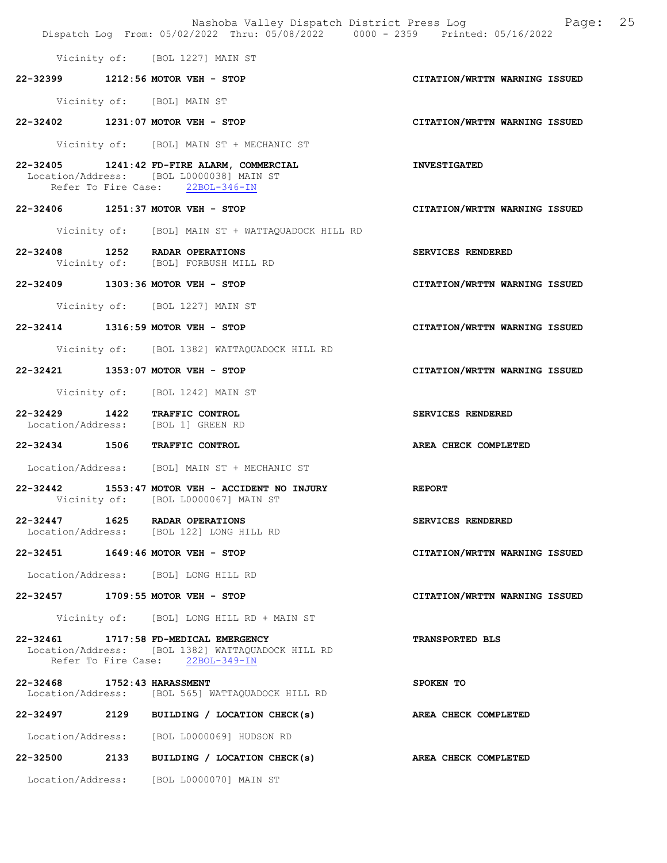|                             | Nashoba Valley Dispatch District Press Log Nashoba Valley Dispatch District Press Log<br>Dispatch Log From: 05/02/2022 Thru: 05/08/2022 0000 - 2359 Printed: 05/16/2022 |                               |
|-----------------------------|-------------------------------------------------------------------------------------------------------------------------------------------------------------------------|-------------------------------|
|                             | Vicinity of: [BOL 1227] MAIN ST                                                                                                                                         |                               |
|                             | 22-32399 1212:56 MOTOR VEH - STOP                                                                                                                                       | CITATION/WRTTN WARNING ISSUED |
|                             | Vicinity of: [BOL] MAIN ST                                                                                                                                              |                               |
|                             | 22-32402 1231:07 MOTOR VEH - STOP                                                                                                                                       | CITATION/WRTTN WARNING ISSUED |
|                             | Vicinity of: [BOL] MAIN ST + MECHANIC ST                                                                                                                                |                               |
|                             | 22-32405 1241:42 FD-FIRE ALARM, COMMERCIAL<br>Location/Address: [BOL L0000038] MAIN ST<br>Refer To Fire Case: 22BOL-346-IN                                              | <b>INVESTIGATED</b>           |
|                             | 22-32406 1251:37 MOTOR VEH - STOP                                                                                                                                       | CITATION/WRTTN WARNING ISSUED |
|                             | Vicinity of: [BOL] MAIN ST + WATTAQUADOCK HILL RD                                                                                                                       |                               |
|                             | 22-32408 1252 RADAR OPERATIONS<br>Vicinity of: [BOL] FORBUSH MILL RD                                                                                                    | SERVICES RENDERED             |
|                             | 22-32409 1303:36 MOTOR VEH - STOP                                                                                                                                       | CITATION/WRTTN WARNING ISSUED |
|                             | Vicinity of: [BOL 1227] MAIN ST                                                                                                                                         |                               |
|                             | 22-32414 1316:59 MOTOR VEH - STOP                                                                                                                                       | CITATION/WRTTN WARNING ISSUED |
|                             | Vicinity of: [BOL 1382] WATTAQUADOCK HILL RD                                                                                                                            |                               |
|                             | 22-32421 1353:07 MOTOR VEH - STOP                                                                                                                                       | CITATION/WRTTN WARNING ISSUED |
|                             | Vicinity of: [BOL 1242] MAIN ST                                                                                                                                         |                               |
|                             | 22-32429 1422 TRAFFIC CONTROL<br>Location/Address: [BOL 1] GREEN RD                                                                                                     | SERVICES RENDERED             |
|                             | 22-32434 1506 TRAFFIC CONTROL                                                                                                                                           | AREA CHECK COMPLETED          |
|                             | Location/Address: [BOL] MAIN ST + MECHANIC ST                                                                                                                           |                               |
|                             | 22-32442 1553:47 MOTOR VEH - ACCIDENT NO INJURY<br><b>EXERCITE REPORT</b><br>Vicinity of: [BOL L0000067] MAIN ST                                                        |                               |
|                             | 22-32447 1625 RADAR OPERATIONS<br>Location/Address: [BOL 122] LONG HILL RD                                                                                              | SERVICES RENDERED             |
|                             | 22-32451 1649:46 MOTOR VEH - STOP                                                                                                                                       | CITATION/WRTTN WARNING ISSUED |
|                             | Location/Address: [BOL] LONG HILL RD                                                                                                                                    |                               |
|                             | 22-32457 1709:55 MOTOR VEH - STOP                                                                                                                                       | CITATION/WRTTN WARNING ISSUED |
|                             | Vicinity of: [BOL] LONG HILL RD + MAIN ST                                                                                                                               |                               |
|                             | 22-32461 1717:58 FD-MEDICAL EMERGENCY<br>Location/Address: [BOL 1382] WATTAQUADOCK HILL RD<br>Refer To Fire Case: 22BOL-349-IN                                          | <b>TRANSPORTED BLS</b>        |
| 22-32468 1752:43 HARASSMENT | Location/Address: [BOL 565] WATTAQUADOCK HILL RD                                                                                                                        | SPOKEN TO                     |
|                             | 22-32497 2129 BUILDING / LOCATION CHECK(s)                                                                                                                              | <b>AREA CHECK COMPLETED</b>   |
|                             | Location/Address: [BOL L0000069] HUDSON RD                                                                                                                              |                               |
|                             | 22-32500 2133 BUILDING / LOCATION CHECK(s)                                                                                                                              | AREA CHECK COMPLETED          |
|                             | Location/Address: [BOL L0000070] MAIN ST                                                                                                                                |                               |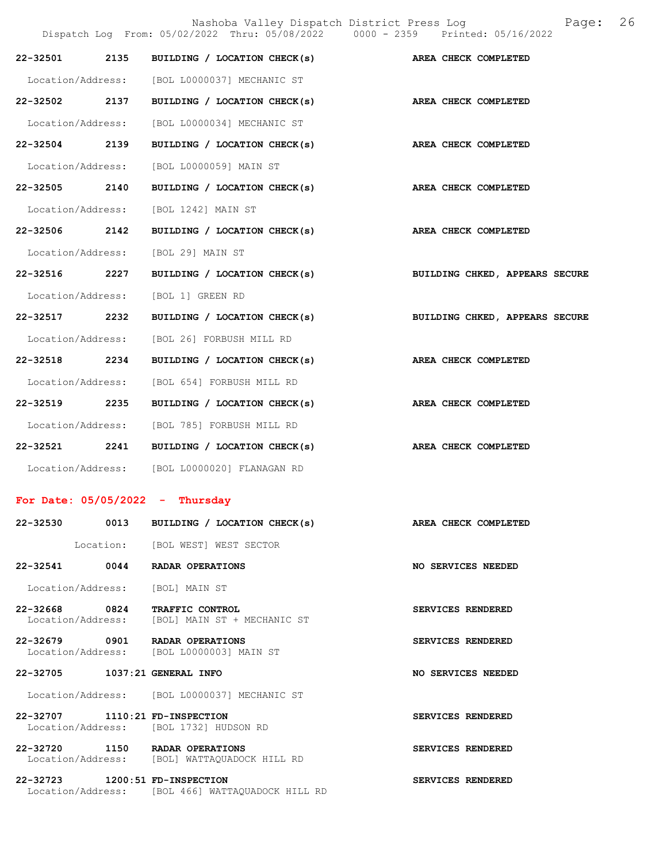|                                    |      |                                                                            | Nashoba Valley Dispatch District Press Log and Page:<br>Dispatch Log From: 05/02/2022 Thru: 05/08/2022 0000 - 2359 Printed: 05/16/2022 | 26 |
|------------------------------------|------|----------------------------------------------------------------------------|----------------------------------------------------------------------------------------------------------------------------------------|----|
| 22-32501 2135                      |      |                                                                            | BUILDING / LOCATION CHECK(s) AREA CHECK COMPLETED                                                                                      |    |
| Location/Address:                  |      | [BOL L0000037] MECHANIC ST                                                 |                                                                                                                                        |    |
| 22-32502 2137                      |      | BUILDING / LOCATION CHECK(s)                                               | AREA CHECK COMPLETED                                                                                                                   |    |
| Location/Address:                  |      | [BOL L0000034] MECHANIC ST                                                 |                                                                                                                                        |    |
| 22-32504 2139                      |      | BUILDING / LOCATION CHECK(s)                                               | AREA CHECK COMPLETED                                                                                                                   |    |
| Location/Address:                  |      | [BOL L0000059] MAIN ST                                                     |                                                                                                                                        |    |
| 22-32505 2140                      |      | BUILDING / LOCATION CHECK(s)                                               | AREA CHECK COMPLETED                                                                                                                   |    |
| Location/Address:                  |      | [BOL 1242] MAIN ST                                                         |                                                                                                                                        |    |
| 22-32506 2142                      |      |                                                                            | BUILDING / LOCATION CHECK(s) AREA CHECK COMPLETED                                                                                      |    |
| Location/Address:                  |      | [BOL 29] MAIN ST                                                           |                                                                                                                                        |    |
| 22-32516                           | 2227 | BUILDING / LOCATION CHECK(s)                                               | BUILDING CHKED, APPEARS SECURE                                                                                                         |    |
| Location/Address:                  |      | [BOL 1] GREEN RD                                                           |                                                                                                                                        |    |
| 22-32517 2232                      |      | BUILDING / LOCATION CHECK(s)                                               | BUILDING CHKED, APPEARS SECURE                                                                                                         |    |
| Location/Address:                  |      | [BOL 26] FORBUSH MILL RD                                                   |                                                                                                                                        |    |
| 22-32518 2234                      |      | BUILDING / LOCATION CHECK(s)                                               | AREA CHECK COMPLETED                                                                                                                   |    |
| Location/Address:                  |      | [BOL 654] FORBUSH MILL RD                                                  |                                                                                                                                        |    |
| 22-32519                           | 2235 | BUILDING / LOCATION CHECK(s)                                               | AREA CHECK COMPLETED                                                                                                                   |    |
|                                    |      | Location/Address: [BOL 785] FORBUSH MILL RD                                |                                                                                                                                        |    |
|                                    |      | 22-32521 2241 BUILDING / LOCATION CHECK(s)                                 | AREA CHECK COMPLETED                                                                                                                   |    |
|                                    |      | Location/Address: [BOL L0000020] FLANAGAN RD                               |                                                                                                                                        |    |
|                                    |      | For Date: $05/05/2022 - Thursday$                                          |                                                                                                                                        |    |
|                                    |      | 22-32530 0013 BUILDING / LOCATION CHECK(s)                                 | AREA CHECK COMPLETED                                                                                                                   |    |
|                                    |      | Location: [BOL WEST] WEST SECTOR                                           |                                                                                                                                        |    |
|                                    |      | 22-32541 0044 RADAR OPERATIONS                                             | NO SERVICES NEEDED                                                                                                                     |    |
|                                    |      | Location/Address: [BOL] MAIN ST                                            |                                                                                                                                        |    |
| 22-32668 0824<br>Location/Address: |      | TRAFFIC CONTROL<br>[BOL] MAIN ST + MECHANIC ST                             | SERVICES RENDERED                                                                                                                      |    |
|                                    |      | 22-32679 0901 RADAR OPERATIONS<br>Location/Address: [BOL L0000003] MAIN ST | SERVICES RENDERED                                                                                                                      |    |
|                                    |      | 22-32705 1037:21 GENERAL INFO                                              | NO SERVICES NEEDED                                                                                                                     |    |
|                                    |      | Location/Address: [BOL L0000037] MECHANIC ST                               |                                                                                                                                        |    |

22-32707 1110:21 FD-INSPECTION SERVICES RENDERED Location/Address: [BOL 1732] HUDSON RD

22-32720 1150 RADAR OPERATIONS SERVICES RENDERED Location/Address: [BOL] WATTAQUADOCK HILL RD

22-32723 1200:51 FD-INSPECTION SERVICES RENDERED Location/Address: [BOL 466] WATTAQUADOCK HILL RD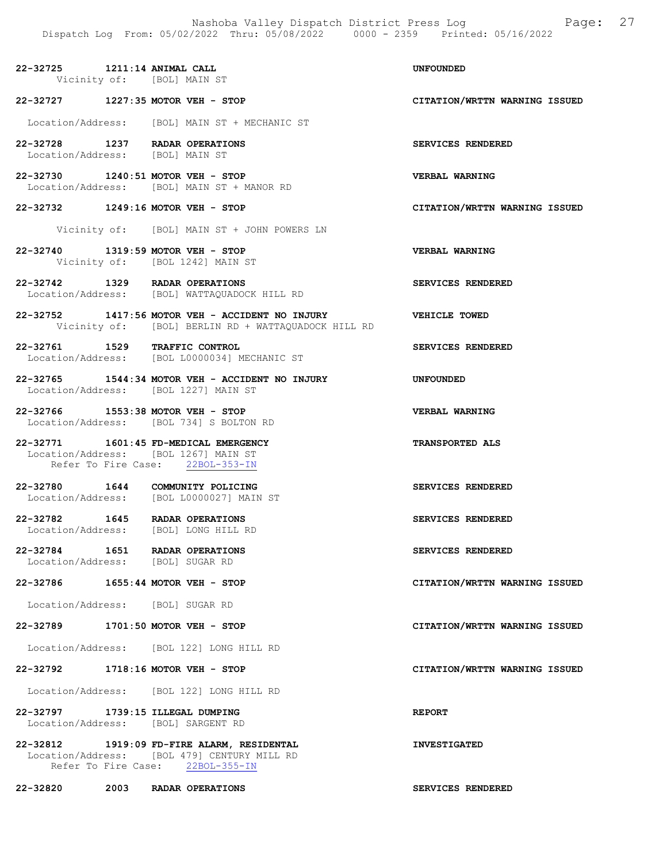22-32725 1211:14 ANIMAL CALL UNFOUNDED Vicinity of: [BOL] MAIN ST

# 22-32727 1227:35 MOTOR VEH - STOP CITATION/WRTTN WARNING ISSUED

Location/Address: [BOL] MAIN ST + MECHANIC ST

- 22-32728 1237 RADAR OPERATIONS SERVICES RENDERED Location/Address: [BOL] MAIN ST
- 22-32730 1240:51 MOTOR VEH STOP VERBAL WARNING<br>Location/Address: [BOL] MAIN ST + MANOR RD Location/Address: [BOL] MAIN ST + MANOR RD
- 22-32732 1249:16 MOTOR VEH STOP CITATION/WRTTN WARNING ISSUED
	- Vicinity of: [BOL] MAIN ST + JOHN POWERS LN
- 22-32740 1319:59 MOTOR VEH STOP VERBAL WARNING Vicinity of: [BOL 1242] MAIN ST
- 22-32742 1329 RADAR OPERATIONS SERVICES RENDERED Location/Address: [BOL] WATTAQUADOCK HILL RD
- 22-32752 1417:56 MOTOR VEH ACCIDENT NO INJURY VEHICLE TOWED Vicinity of: [BOL] BERLIN RD + WATTAQUADOCK HILL RD
- 22-32761 1529 TRAFFIC CONTROL SERVICES RENDERED Location/Address: [BOL L0000034] MECHANIC ST
- 22-32765 1544:34 MOTOR VEH ACCIDENT NO INJURY UNFOUNDED Location/Address: [BOL 1227] MAIN ST
- 22-32766 1553:38 MOTOR VEH STOP VERBAL WARNING Location/Address: [BOL 734] S BOLTON RD
- 22-32771 1601:45 FD-MEDICAL EMERGENCY TRANSPORTED ALS Location/Address: [BOL 1267] MAIN ST Refer To Fire Case: 22BOL-353-IN
- 22-32780 1644 COMMUNITY POLICING<br>
Location/Address: [BOL L0000027] MAIN ST Location/Address: [BOL L0000027] MAIN ST
- 22-32782 1645 RADAR OPERATIONS SERVICES RENDERED Location/Address: [BOL] LONG HILL RD
- 22-32784 1651 RADAR OPERATIONS SERVICES RENDERED<br>
Location/Address: [BOL] SUGAR RD Location/Address:
- 22-32786 1655:44 MOTOR VEH STOP CITATION/WRTTN WARNING ISSUED
- Location/Address: [BOL] SUGAR RD
- 22-32789 1701:50 MOTOR VEH STOP CITATION/WRTTN WARNING ISSUED
- Location/Address: [BOL 122] LONG HILL RD
- 22-32792 1718:16 MOTOR VEH STOP CITATION/WRTTN WARNING ISSUED
	- Location/Address: [BOL 122] LONG HILL RD
- 22-32797 1739:15 ILLEGAL DUMPING REPORT Location/Address: [BOL] SARGENT RD
- 22-32812 1919:09 FD-FIRE ALARM, RESIDENTAL INVESTIGATED Location/Address: [BOL 479] CENTURY MILL RD Refer To Fire Case: 22BOL-355-IN

22-32820 2003 RADAR OPERATIONS SERVICES RENDERED

- 
- 
- 
- 
- 
- 
- 
- 
- 
- 
- 
- 
- 
- 
- -
-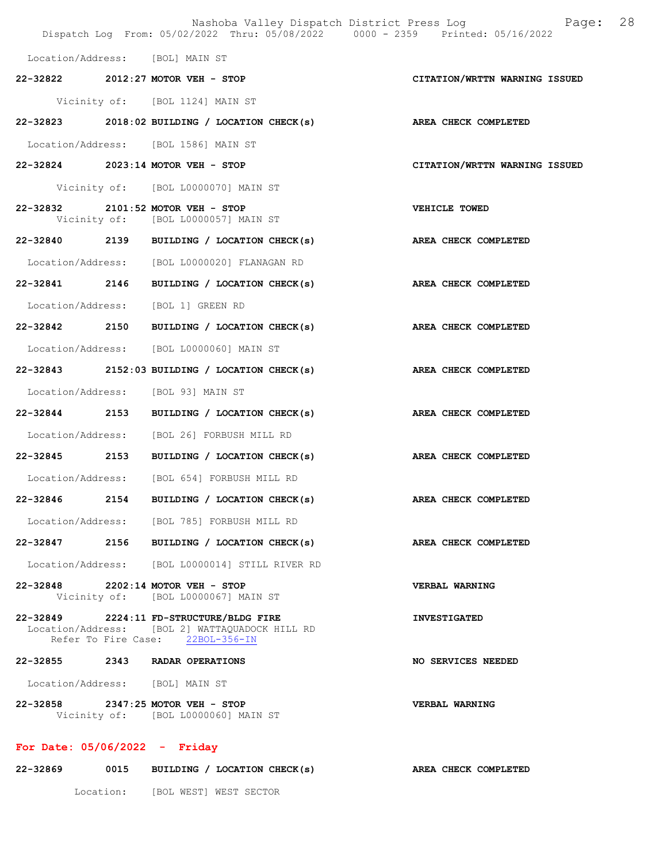|                                 | Dispatch Log From: 05/02/2022 Thru: 05/08/2022 0000 - 2359 Printed: 05/16/2022                                                | Nashoba Valley Dispatch District Press Log<br>Page: 28 |  |
|---------------------------------|-------------------------------------------------------------------------------------------------------------------------------|--------------------------------------------------------|--|
|                                 | Location/Address: [BOL] MAIN ST                                                                                               |                                                        |  |
|                                 | 22-32822 2012:27 MOTOR VEH - STOP                                                                                             | CITATION/WRTTN WARNING ISSUED                          |  |
|                                 | Vicinity of: [BOL 1124] MAIN ST                                                                                               |                                                        |  |
|                                 | 22-32823 2018:02 BUILDING / LOCATION CHECK(s) AREA CHECK COMPLETED                                                            |                                                        |  |
|                                 | Location/Address: [BOL 1586] MAIN ST                                                                                          |                                                        |  |
|                                 | 22-32824 2023:14 MOTOR VEH - STOP                                                                                             | CITATION/WRTTN WARNING ISSUED                          |  |
|                                 | Vicinity of: [BOL L0000070] MAIN ST                                                                                           |                                                        |  |
|                                 | 22-32832 2101:52 MOTOR VEH - STOP<br>Vicinity of: [BOL L0000057] MAIN ST                                                      | VEHICLE TOWED                                          |  |
|                                 | 22-32840 2139 BUILDING / LOCATION CHECK(s)                                                                                    | AREA CHECK COMPLETED                                   |  |
|                                 | Location/Address: [BOL L0000020] FLANAGAN RD                                                                                  |                                                        |  |
|                                 | 22-32841 2146 BUILDING / LOCATION CHECK(s) AREA CHECK COMPLETED                                                               |                                                        |  |
|                                 | Location/Address: [BOL 1] GREEN RD                                                                                            |                                                        |  |
|                                 | 22-32842 2150 BUILDING / LOCATION CHECK(s) AREA CHECK COMPLETED                                                               |                                                        |  |
|                                 | Location/Address: [BOL L0000060] MAIN ST                                                                                      |                                                        |  |
|                                 | 22-32843 2152:03 BUILDING / LOCATION CHECK(s) AREA CHECK COMPLETED                                                            |                                                        |  |
|                                 | Location/Address: [BOL 93] MAIN ST                                                                                            |                                                        |  |
|                                 | 22-32844 2153 BUILDING / LOCATION CHECK(s) AREA CHECK COMPLETED                                                               |                                                        |  |
|                                 | Location/Address: [BOL 26] FORBUSH MILL RD                                                                                    |                                                        |  |
|                                 | 22-32845 2153 BUILDING / LOCATION CHECK(s) AREA CHECK COMPLETED                                                               |                                                        |  |
|                                 | Location/Address: [BOL 654] FORBUSH MILL RD                                                                                   |                                                        |  |
|                                 | 22-32846 2154 BUILDING / LOCATION CHECK(s) AREA CHECK COMPLETED                                                               |                                                        |  |
|                                 | Location/Address: [BOL 785] FORBUSH MILL RD                                                                                   |                                                        |  |
|                                 | 22-32847 2156 BUILDING / LOCATION CHECK(s) AREA CHECK COMPLETED                                                               |                                                        |  |
|                                 | Location/Address: [BOL L0000014] STILL RIVER RD                                                                               |                                                        |  |
|                                 | 22-32848 2202:14 MOTOR VEH - STOP<br>Vicinity of: [BOL L0000067] MAIN ST                                                      | VERBAL WARNING                                         |  |
|                                 | 22-32849 2224:11 FD-STRUCTURE/BLDG FIRE<br>Location/Address: [BOL 2] WATTAQUADOCK HILL RD<br>Refer To Fire Case: 22BOL-356-IN | <b>INVESTIGATED</b>                                    |  |
|                                 | 22-32855 2343 RADAR OPERATIONS                                                                                                | NO SERVICES NEEDED                                     |  |
|                                 | Location/Address: [BOL] MAIN ST                                                                                               |                                                        |  |
|                                 | 22-32858 2347:25 MOTOR VEH - STOP<br>Vicinity of: [BOL L0000060] MAIN ST                                                      | VERBAL WARNING                                         |  |
| For Date: $05/06/2022 -$ Friday |                                                                                                                               |                                                        |  |

22-32869 0015 BUILDING / LOCATION CHECK(s) AREA CHECK COMPLETED Location: [BOL WEST] WEST SECTOR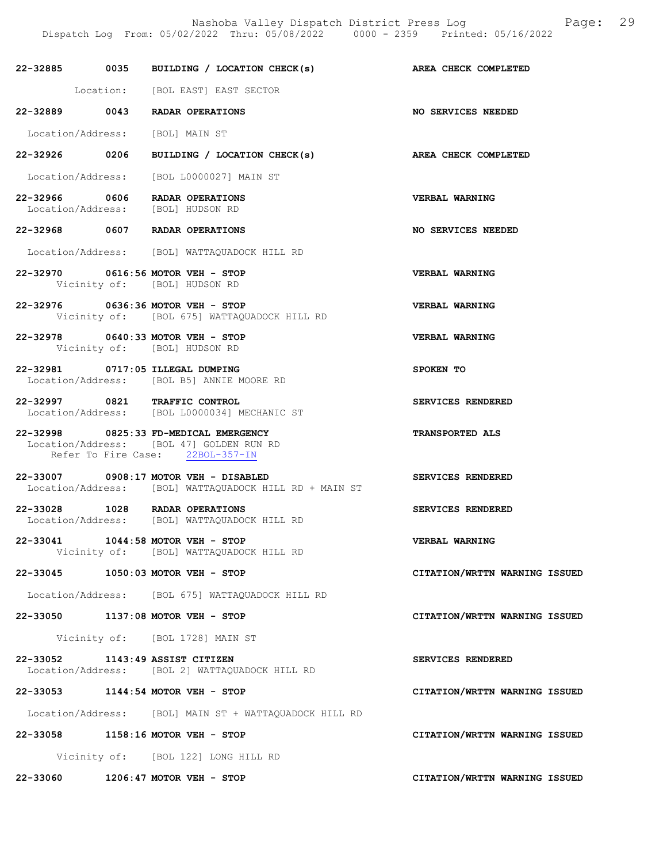Nashoba Valley Dispatch District Press Log Fage: 29

Dispatch Log From: 05/02/2022 Thru: 05/08/2022 0000 - 2359 Printed: 05/16/2022

|                                 | 22-32885 0035 BUILDING / LOCATION CHECK(s) AREA CHECK COMPLETED                                                       |                               |
|---------------------------------|-----------------------------------------------------------------------------------------------------------------------|-------------------------------|
|                                 | Location: [BOL EAST] EAST SECTOR                                                                                      |                               |
|                                 | 22-32889 0043 RADAR OPERATIONS                                                                                        | NO SERVICES NEEDED            |
|                                 | Location/Address: [BOL] MAIN ST                                                                                       |                               |
|                                 | 22-32926 0206 BUILDING / LOCATION CHECK(s) AREA CHECK COMPLETED                                                       |                               |
|                                 | Location/Address: [BOL L0000027] MAIN ST                                                                              |                               |
|                                 | 22-32966 0606 RADAR OPERATIONS<br>Location/Address: [BOL] HUDSON RD                                                   | <b>VERBAL WARNING</b>         |
|                                 | 22-32968 0607 RADAR OPERATIONS                                                                                        | NO SERVICES NEEDED            |
|                                 | Location/Address: [BOL] WATTAQUADOCK HILL RD                                                                          |                               |
|                                 | 22-32970 0616:56 MOTOR VEH - STOP<br>Vicinity of: [BOL] HUDSON RD                                                     | <b>VERBAL WARNING</b>         |
|                                 | 22-32976 0636:36 MOTOR VEH - STOP<br>Vicinity of: [BOL 675] WATTAQUADOCK HILL RD                                      | VERBAL WARNING                |
|                                 | 22-32978 0640:33 MOTOR VEH - STOP<br>Vicinity of: [BOL] HUDSON RD                                                     | VERBAL WARNING                |
|                                 | 22-32981 0717:05 ILLEGAL DUMPING<br>Location/Address: [BOL B5] ANNIE MOORE RD                                         | SPOKEN TO                     |
|                                 | 22-32997 0821 TRAFFIC CONTROL<br>Location/Address: [BOL L0000034] MECHANIC ST                                         | SERVICES RENDERED             |
|                                 | 22-32998 0825:33 FD-MEDICAL EMERGENCY<br>Location/Address: [BOL 47] GOLDEN RUN RD<br>Refer To Fire Case: 22BOL-357-IN | <b>TRANSPORTED ALS</b>        |
|                                 | 22-33007 0908:17 MOTOR VEH - DISABLED<br>Location/Address: [BOL] WATTAQUADOCK HILL RD + MAIN ST                       | SERVICES RENDERED             |
|                                 | 22-33028 1028 RADAR OPERATIONS<br>Location/Address: [BOL] WATTAQUADOCK HILL RD                                        | SERVICES RENDERED             |
|                                 | 22-33041 1044:58 MOTOR VEH - STOP<br>Vicinity of: [BOL] WATTAQUADOCK HILL RD                                          | VERBAL WARNING                |
|                                 | 22-33045 1050:03 MOTOR VEH - STOP                                                                                     | CITATION/WRTTN WARNING ISSUED |
|                                 | Location/Address: [BOL 675] WATTAQUADOCK HILL RD                                                                      |                               |
|                                 | 22-33050 1137:08 MOTOR VEH - STOP                                                                                     | CITATION/WRTTN WARNING ISSUED |
|                                 | Vicinity of: [BOL 1728] MAIN ST                                                                                       |                               |
| 22-33052 1143:49 ASSIST CITIZEN | Location/Address: [BOL 2] WATTAQUADOCK HILL RD                                                                        | SERVICES RENDERED             |
|                                 | 22-33053 1144:54 MOTOR VEH - STOP                                                                                     | CITATION/WRTTN WARNING ISSUED |
|                                 | Location/Address: [BOL] MAIN ST + WATTAQUADOCK HILL RD                                                                |                               |
|                                 | 22-33058 1158:16 MOTOR VEH - STOP                                                                                     | CITATION/WRTTN WARNING ISSUED |
|                                 | Vicinity of: [BOL 122] LONG HILL RD                                                                                   |                               |

22-33060 1206:47 MOTOR VEH - STOP CITATION/WRTTN WARNING ISSUED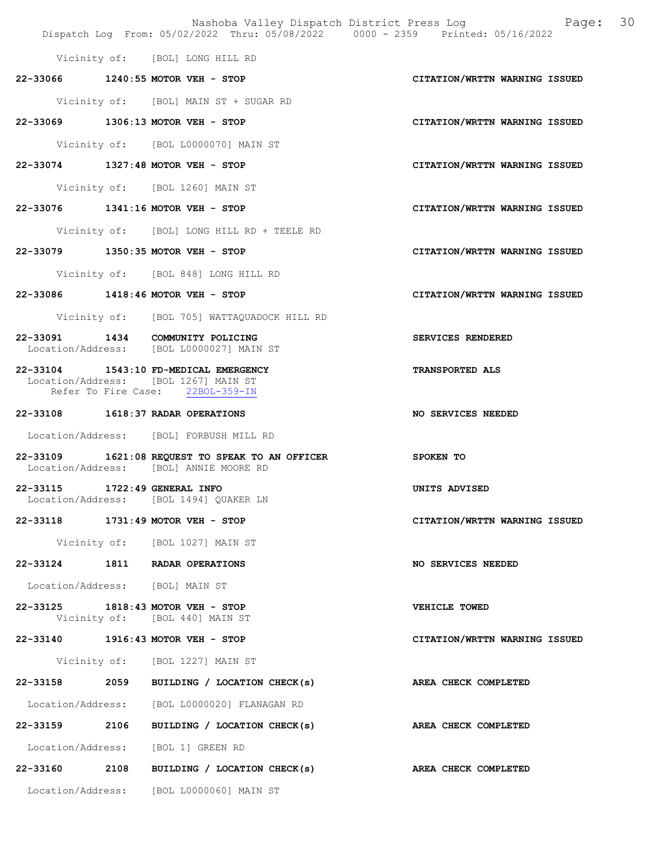Nashoba Valley Dispatch District Press Log Fage: 30 Dispatch Log From: 05/02/2022 Thru: 05/08/2022 0000 - 2359 Printed: 05/16/2022 Vicinity of: [BOL] LONG HILL RD 22-33066 1240:55 MOTOR VEH - STOP CITATION/WRTTN WARNING ISSUED Vicinity of: [BOL] MAIN ST + SUGAR RD 22-33069 1306:13 MOTOR VEH - STOP CITATION/WRTTN WARNING ISSUED Vicinity of: [BOL L0000070] MAIN ST 22-33074 1327:48 MOTOR VEH - STOP CITATION/WRTTN WARNING ISSUED Vicinity of: [BOL 1260] MAIN ST 22-33076 1341:16 MOTOR VEH - STOP CITATION/WRTTN WARNING ISSUED Vicinity of: [BOL] LONG HILL RD + TEELE RD 22-33079 1350:35 MOTOR VEH - STOP CITATION/WRTTN WARNING ISSUED Vicinity of: [BOL 848] LONG HILL RD 22-33086 1418:46 MOTOR VEH - STOP CITATION/WRTTN WARNING ISSUED Vicinity of: [BOL 705] WATTAQUADOCK HILL RD 22-33091 1434 COMMUNITY POLICING SERVICES RENDERED Location/Address: [BOL L0000027] MAIN ST 22-33104 1543:10 FD-MEDICAL EMERGENCY TRANSPORTED ALS Location/Address: [BOL 1267] MAIN ST<br>Refer To Fire Case: 22BOL-359-IN Refer To Fire Case: 22-33108 1618:37 RADAR OPERATIONS NO SERVICES NEEDED Location/Address: [BOL] FORBUSH MILL RD 22-33109 1621:08 REQUEST TO SPEAK TO AN OFFICER SPOKEN TO Location/Address: [BOL] ANNIE MOORE RD 22-33115 1722:49 GENERAL INFO<br>
Location/Address: [BOL 1494] QUAKER LN<br>
UNITS ADVISED [BOL 1494] QUAKER LN 22-33118 1731:49 MOTOR VEH - STOP CITATION/WRTTN WARNING ISSUED Vicinity of: [BOL 1027] MAIN ST 22-33124 1811 RADAR OPERATIONS NO SERVICES NEEDED Location/Address: [BOL] MAIN ST 22-33125 1818:43 MOTOR VEH - STOP VEHICLE TOWED Vicinity of: [BOL 440] MAIN ST 22-33140 1916:43 MOTOR VEH - STOP CITATION/WRTTN WARNING ISSUED Vicinity of: [BOL 1227] MAIN ST 22-33158 2059 BUILDING / LOCATION CHECK(s) AREA CHECK COMPLETED Location/Address: [BOL L0000020] FLANAGAN RD 22-33159 2106 BUILDING / LOCATION CHECK(s) AREA CHECK COMPLETED Location/Address: [BOL 1] GREEN RD 22-33160 2108 BUILDING / LOCATION CHECK(s) AREA CHECK COMPLETED Location/Address: [BOL L0000060] MAIN ST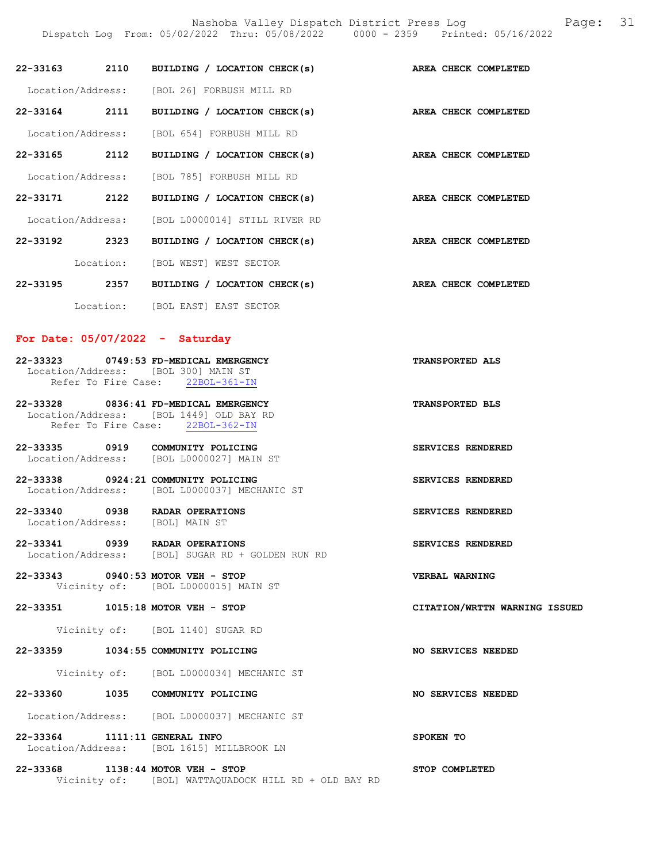|                               |      |                                                                                                                      | Dispatch Log From: 05/02/2022 Thru: 05/08/2022 0000 - 2359 Printed: 05/16/2022 |
|-------------------------------|------|----------------------------------------------------------------------------------------------------------------------|--------------------------------------------------------------------------------|
|                               |      | 22-33163 2110 BUILDING / LOCATION CHECK(s)                                                                           | <b>AREA CHECK COMPLETED</b>                                                    |
|                               |      | Location/Address: [BOL 26] FORBUSH MILL RD                                                                           |                                                                                |
|                               |      | 22-33164 2111 BUILDING / LOCATION CHECK(s)                                                                           | AREA CHECK COMPLETED                                                           |
|                               |      | Location/Address: [BOL 654] FORBUSH MILL RD                                                                          |                                                                                |
|                               |      | 22-33165 2112 BUILDING / LOCATION CHECK(s)                                                                           | AREA CHECK COMPLETED                                                           |
|                               |      | Location/Address: [BOL 785] FORBUSH MILL RD                                                                          |                                                                                |
| 22-33171 2122                 |      | BUILDING / LOCATION CHECK(s)                                                                                         | AREA CHECK COMPLETED                                                           |
|                               |      | Location/Address: [BOL L0000014] STILL RIVER RD                                                                      |                                                                                |
|                               |      | 22-33192 2323 BUILDING / LOCATION CHECK(s)                                                                           | AREA CHECK COMPLETED                                                           |
|                               |      | Location: [BOL WEST] WEST SECTOR                                                                                     |                                                                                |
|                               |      | 22-33195 2357 BUILDING / LOCATION CHECK(s)                                                                           | AREA CHECK COMPLETED                                                           |
|                               |      | Location: [BOL EAST] EAST SECTOR                                                                                     |                                                                                |
|                               |      | For Date: $05/07/2022 - Saturday$                                                                                    |                                                                                |
|                               |      | 22-33323 0749:53 FD-MEDICAL EMERGENCY<br>Location/Address: [BOL 300] MAIN ST<br>Refer To Fire Case: 22BOL-361-IN     | <b>TRANSPORTED ALS</b>                                                         |
|                               |      | 22-33328 0836:41 FD-MEDICAL EMERGENCY<br>Location/Address: [BOL 1449] OLD BAY RD<br>Refer To Fire Case: 22BOL-362-IN | <b>TRANSPORTED BLS</b>                                                         |
|                               |      | 22-33335 0919 COMMUNITY POLICING<br>Location/Address: [BOL L0000027] MAIN ST                                         | SERVICES RENDERED                                                              |
|                               |      | 22-33338 0924:21 COMMUNITY POLICING<br>Location/Address: [BOL L0000037] MECHANIC ST                                  | SERVICES RENDERED                                                              |
| Location/Address:             |      | 22-33340 0938 RADAR OPERATIONS<br>[BOL] MAIN ST                                                                      | SERVICES RENDERED                                                              |
| 22-33341<br>Location/Address: | 0939 | RADAR OPERATIONS<br>[BOL] SUGAR RD + GOLDEN RUN RD                                                                   | SERVICES RENDERED                                                              |
|                               |      | 22-33343 0940:53 MOTOR VEH - STOP<br>Vicinity of: [BOL L0000015] MAIN ST                                             | <b>VERBAL WARNING</b>                                                          |
| 22-33351                      |      | $1015:18$ MOTOR VEH - STOP                                                                                           | CITATION/WRTTN WARNING ISSUED                                                  |

Vicinity of: [BOL 1140] SUGAR RD

# 22-33359 1034:55 COMMUNITY POLICING NO SERVICES NEEDED

Vicinity of: [BOL L0000034] MECHANIC ST

# 22-33360 1035 COMMUNITY POLICING 100 SERVICES NEEDED

Location/Address: [BOL L0000037] MECHANIC ST

22-33364 1111:11 GENERAL INFO SPOKEN TO Location/Address: [BOL 1615] MILLBROOK LN

22-33368 1138:44 MOTOR VEH - STOP STOP COMPLETED Vicinity of: [BOL] WATTAQUADOCK HILL RD + OLD BAY RD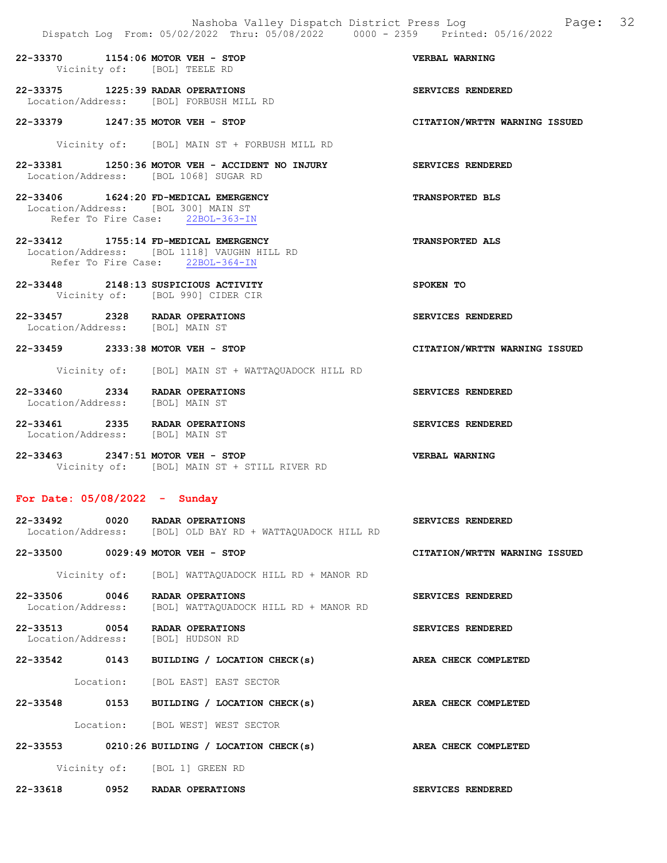22-33370 1154:06 MOTOR VEH - STOP VERBAL WARNING Vicinity of: [BOL] TEELE RD

22-33375 1225:39 RADAR OPERATIONS SERVICES RENDERED Location/Address: [BOL] FORBUSH MILL RD

22-33379 1247:35 MOTOR VEH - STOP CITATION/WRTTN WARNING ISSUED

Vicinity of: [BOL] MAIN ST + FORBUSH MILL RD

22-33381 1250:36 MOTOR VEH - ACCIDENT NO INJURY SERVICES RENDERED Location/Address: [BOL 1068] SUGAR RD

22-33406 1624:20 FD-MEDICAL EMERGENCY TRANSPORTED BLS Location/Address: [BOL 300] MAIN ST Refer To Fire Case: 22BOL-363-IN

- 22-33412 1755:14 FD-MEDICAL EMERGENCY TRANSPORTED ALS Location/Address: [BOL 1118] VAUGHN HILL RD Refer To Fire Case: 22BOL-364-IN
- 22-33448 2148:13 SUSPICIOUS ACTIVITY SPOKEN TO Vicinity of: [BOL 990] CIDER CIR
- 22-33457 2328 RADAR OPERATIONS SERVICES RENDERED Location/Address: [BOL] MAIN ST

22-33459 2333:38 MOTOR VEH - STOP CITATION/WRTTN WARNING ISSUED

Vicinity of: [BOL] MAIN ST + WATTAQUADOCK HILL RD

- 22-33460 2334 RADAR OPERATIONS SERVICES RENDERED Location/Address: [BOL] MAIN ST
- 22-33461 2335 RADAR OPERATIONS SERVICES RENDERED Location/Address: [BOL] MAIN ST
- 22-33463 2347:51 MOTOR VEH STOP VERBAL WARNING Vicinity of: [BOL] MAIN ST + STILL RIVER RD

# For Date: 05/08/2022 - Sunday

| 22-33492          | 0020 | RADAR OPERATIONS |  |  |                                         |  | <b>SERVICES RENDERED</b> |  |
|-------------------|------|------------------|--|--|-----------------------------------------|--|--------------------------|--|
| Location/Address: |      |                  |  |  | [BOL] OLD BAY RD + WATTAQUADOCK HILL RD |  |                          |  |

22-33500 0029:49 MOTOR VEH - STOP CITATION/WRTTN WARNING ISSUED

Vicinity of: [BOL] WATTAQUADOCK HILL RD + MANOR RD

- 22-33506 0046 RADAR OPERATIONS SERVICES RENDERED Location/Address: [BOL] WATTAQUADOCK HILL RD + MANOR RD
- 22-33513 0054 RADAR OPERATIONS SERVICES RENDERED Location/Address: [BOL] HUDSON RD

22-33542 0143 BUILDING / LOCATION CHECK(s) AREA CHECK COMPLETED

Location: [BOL EAST] EAST SECTOR

22-33548 0153 BUILDING / LOCATION CHECK(s) AREA CHECK COMPLETED

Location: [BOL WEST] WEST SECTOR

22-33553 0210:26 BUILDING / LOCATION CHECK(s) AREA CHECK COMPLETED Vicinity of: [BOL 1] GREEN RD

22-33618 0952 RADAR OPERATIONS SERVICES RENDERED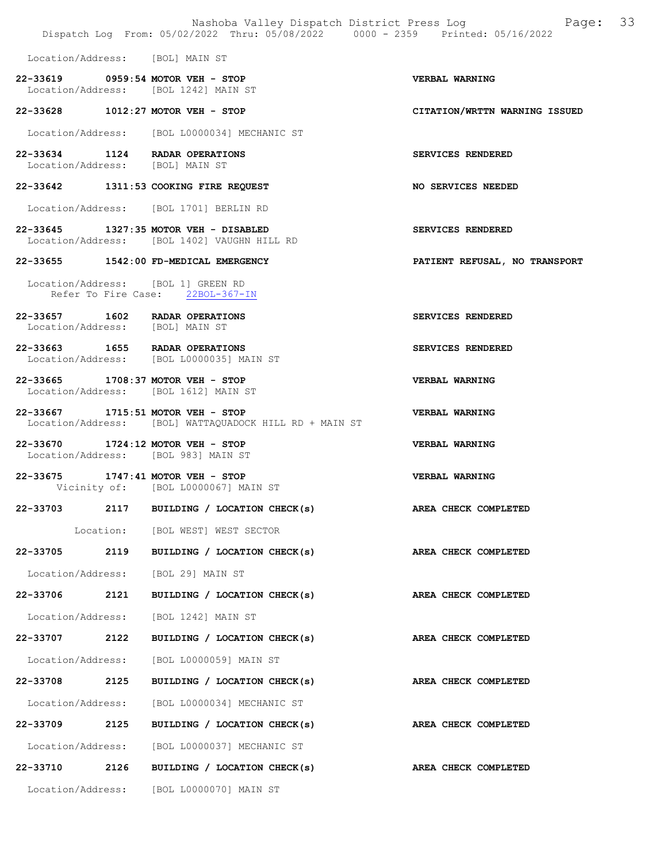Dispatch Log From: 05/02/2022 Thru: 05/08/2022 0000 - 2359 Printed: 05/16/2022 Location/Address: [BOL] MAIN ST 22-33619 0959:54 MOTOR VEH - STOP VERBAL WARNING Location/Address: [BOL 1242] MAIN ST 22-33628 1012:27 MOTOR VEH - STOP CITATION/WRTTN WARNING ISSUED Location/Address: [BOL L0000034] MECHANIC ST 22-33634 1124 RADAR OPERATIONS SERVICES RENDERED Location/Address: [BOL] MAIN ST 22-33642 1311:53 COOKING FIRE REQUEST NO SERVICES NEEDED Location/Address: [BOL 1701] BERLIN RD 22-33645 1327:35 MOTOR VEH - DISABLED SERVICES RENDERED Location/Address: [BOL 1402] VAUGHN HILL RD 22-33655 1542:00 FD-MEDICAL EMERGENCY PATIENT REFUSAL, NO TRANSPORT Location/Address: [BOL 1] GREEN RD Refer To Fire Case: 22BOL-367-IN 22-33657 1602 RADAR OPERATIONS SERVICES RENDERED Location/Address: [BOL] MAIN ST 22-33663 1655 RADAR OPERATIONS SERVICES RENDERED Location/Address: [BOL L0000035] MAIN ST 22-33665 1708:37 MOTOR VEH - STOP VERBAL WARNING Location/Address: [BOL 1612] MAIN ST 22-33667 1715:51 MOTOR VEH - STOP VERBAL WARNING Location/Address: [BOL] WATTAQUADOCK HILL RD + MAIN ST 22-33670 1724:12 MOTOR VEH - STOP VERBAL WARNING Location/Address: [BOL 983] MAIN ST 22-33675 1747:41 MOTOR VEH - STOP VERBAL WARNING Vicinity of: [BOL L0000067] MAIN ST 22-33703 2117 BUILDING / LOCATION CHECK(s) AREA CHECK COMPLETED Location: [BOL WEST] WEST SECTOR 22-33705 2119 BUILDING / LOCATION CHECK(s) AREA CHECK COMPLETED Location/Address: [BOL 29] MAIN ST 22-33706 2121 BUILDING / LOCATION CHECK(s) AREA CHECK COMPLETED Location/Address: [BOL 1242] MAIN ST 22-33707 2122 BUILDING / LOCATION CHECK(s) AREA CHECK COMPLETED Location/Address: [BOL L0000059] MAIN ST 22-33708 2125 BUILDING / LOCATION CHECK(s) AREA CHECK COMPLETED Location/Address: [BOL L0000034] MECHANIC ST 22-33709 2125 BUILDING / LOCATION CHECK(s) AREA CHECK COMPLETED Location/Address: [BOL L0000037] MECHANIC ST 22-33710 2126 BUILDING / LOCATION CHECK(s) AREA CHECK COMPLETED Location/Address: [BOL L0000070] MAIN ST

Nashoba Valley Dispatch District Press Log Fage: 33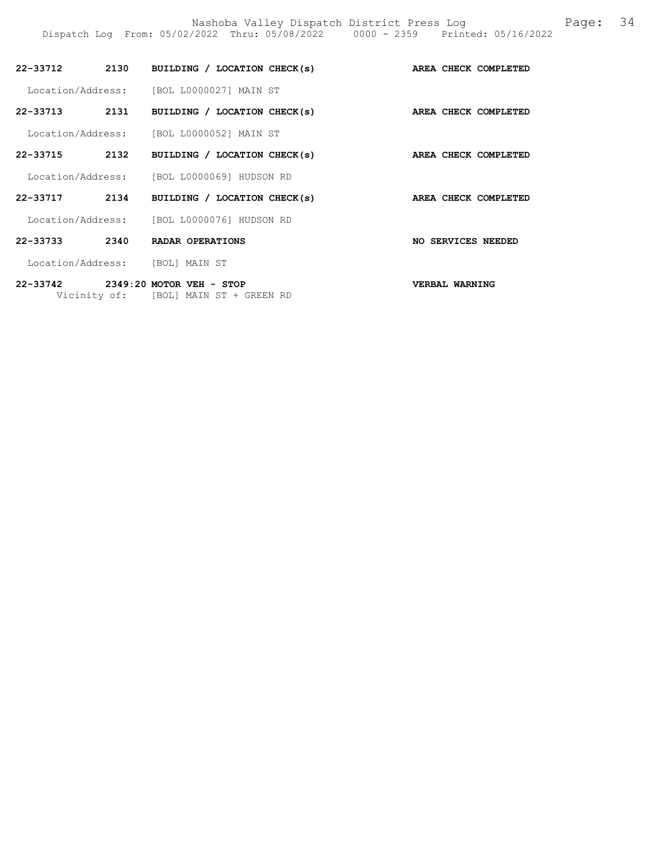| 22-33712          | 2130 | BUILDING / LOCATION CHECK(s)               |     | AREA CHECK COMPLETED |
|-------------------|------|--------------------------------------------|-----|----------------------|
|                   |      | Location/Address: [BOL L0000027] MAIN ST   |     |                      |
| 22-33713          | 2131 | BUILDING / LOCATION CHECK(s)               |     | AREA CHECK COMPLETED |
| Location/Address: |      | [BOL L0000052] MAIN ST                     |     |                      |
| 22-33715          | 2132 | BUILDING / LOCATION CHECK(s)               |     | AREA CHECK COMPLETED |
|                   |      | Location/Address: [BOL L0000069] HUDSON RD |     |                      |
| 22-33717          | 2134 | BUILDING / LOCATION CHECK(s)               |     | AREA CHECK COMPLETED |
| Location/Address: |      | [BOL L0000076] HUDSON RD                   |     |                      |
| 22-33733          | 2340 | <b>RADAR OPERATIONS</b>                    | NO. | SERVICES NEEDED      |
| Location/Address: |      | [BOL] MAIN ST                              |     |                      |

Dispatch Log From: 05/02/2022 Thru: 05/08/2022 0000 - 2359 Printed: 05/16/2022

22-33742 2349:20 MOTOR VEH - STOP VERBAL WARNING Vicinity of: [BOL] MAIN ST + GREEN RD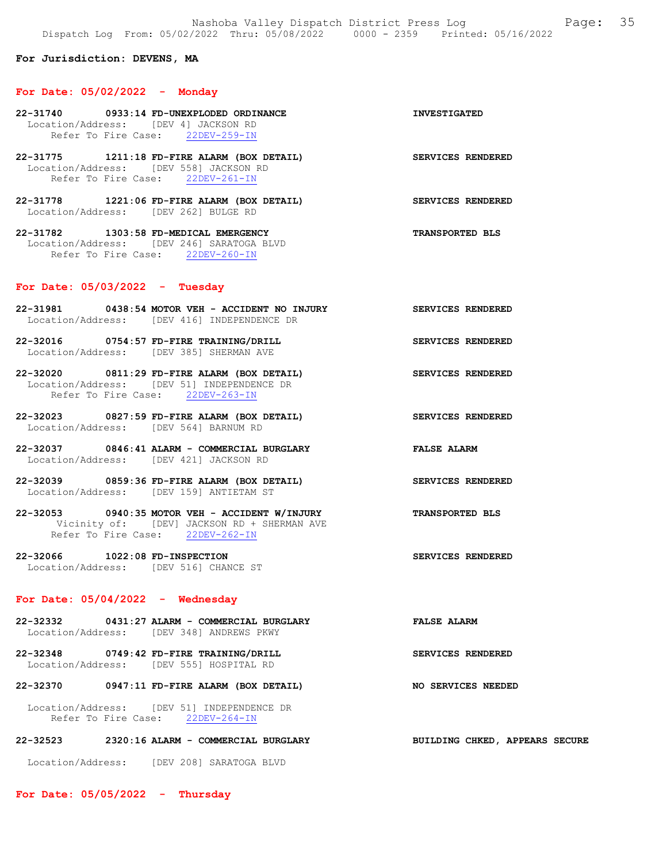## For Jurisdiction: DEVENS, MA

#### For Date: 05/02/2022 - Monday

- 22-31740 0933:14 FD-UNEXPLODED ORDINANCE INVESTIGATED Location/Address: [DEV 4] JACKSON RD<br>Refer To Fire Case: 22DEV-259-IN Refer To Fire Case:
- 22-31775 1211:18 FD-FIRE ALARM (BOX DETAIL) SERVICES RENDERED Location/Address: [DEV 558] JACKSON RD Refer To Fire Case: 22DEV-261-IN
- 22-31778 1221:06 FD-FIRE ALARM (BOX DETAIL) SERVICES RENDERED Location/Address: [DEV 262] BULGE RD
- 22-31782 1303:58 FD-MEDICAL EMERGENCY TRANSPORTED BLS Location/Address: [DEV 246] SARATOGA BLVD Refer To Fire Case: 22DEV-260-IN

## For Date: 05/03/2022 - Tuesday

- 22-31981 0438:54 MOTOR VEH ACCIDENT NO INJURY SERVICES RENDERED Location/Address: [DEV 416] INDEPENDENCE DR
- 22-32016 0754:57 FD-FIRE TRAINING/DRILL SERVICES RENDERED Location/Address: [DEV 385] SHERMAN AVE
- 22-32020 0811:29 FD-FIRE ALARM (BOX DETAIL) SERVICES RENDERED Location/Address: [DEV 51] INDEPENDENCE DR Refer To Fire Case: 22DEV-263-IN
- 22-32023 0827:59 FD-FIRE ALARM (BOX DETAIL) SERVICES RENDERED Location/Address: [DEV 564] BARNUM RD
- 22-32037 0846:41 ALARM COMMERCIAL BURGLARY FALSE ALARM Location/Address: [DEV 421] JACKSON RD
- 22-32039 0859:36 FD-FIRE ALARM (BOX DETAIL) SERVICES RENDERED Location/Address: [DEV 159] ANTIETAM ST
- 22-32053 0940:35 MOTOR VEH ACCIDENT W/INJURY TRANSPORTED BLS Vicinity of: [DEV] JACKSON RD + SHERMAN AVE Refer To Fire Case: 22DEV-262-IN
- 22-32066 1022:08 FD-INSPECTION SERVICES RENDERED Location/Address: [DEV 516] CHANCE ST

# For Date: 05/04/2022 - Wednesday

- 22-32332 0431:27 ALARM COMMERCIAL BURGLARY FALSE ALARM Location/Address: [DEV 348] ANDREWS PKWY
- 22-32348 0749:42 FD-FIRE TRAINING/DRILL SERVICES RENDERED Location/Address: [DEV 555] HOSPITAL RD

#### 22-32370 0947:11 FD-FIRE ALARM (BOX DETAIL) NO SERVICES NEEDED

 Location/Address: [DEV 51] INDEPENDENCE DR Refer To Fire Case: 22DEV-264-IN

# 22-32523 2320:16 ALARM - COMMERCIAL BURGLARY BUILDING CHKED, APPEARS SECURE

Location/Address: [DEV 208] SARATOGA BLVD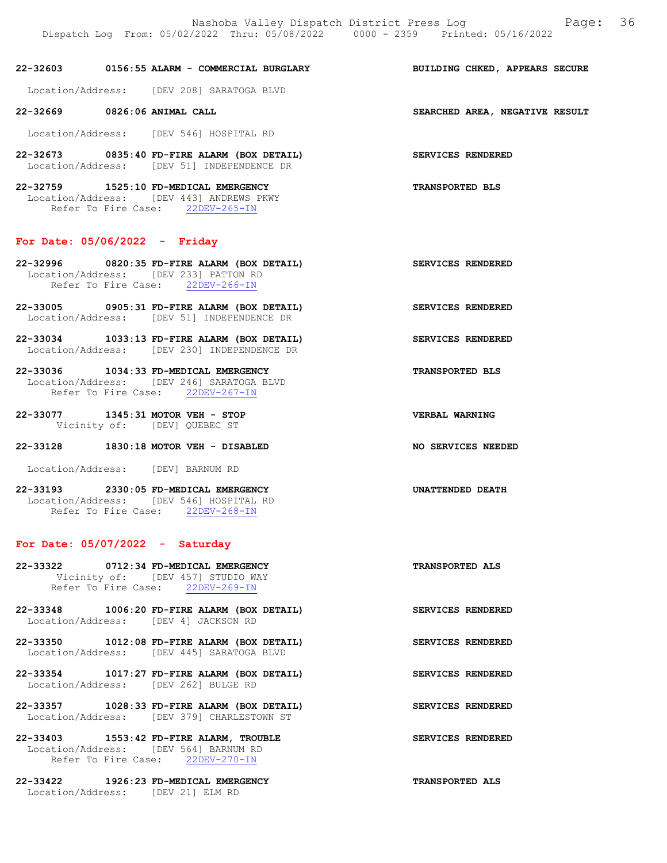22-32603 0156:55 ALARM - COMMERCIAL BURGLARY BUILDING CHKED, APPEARS SECURE

Location/Address: [DEV 208] SARATOGA BLVD

Location/Address: [DEV 546] HOSPITAL RD

22-32673 0835:40 FD-FIRE ALARM (BOX DETAIL) SERVICES RENDERED Location/Address: [DEV 51] INDEPENDENCE DR

22-32759 1525:10 FD-MEDICAL EMERGENCY TRANSPORTED BLS Location/Address: [DEV 443] ANDREWS PKWY Refer To Fire Case: 22DEV-265-IN

#### For Date: 05/06/2022 - Friday

22-32996 0820:35 FD-FIRE ALARM (BOX DETAIL) SERVICES RENDERED Location/Address: [DEV 233] PATTON RD Refer To Fire Case: 22DEV-266-IN

- 22-33005 0905:31 FD-FIRE ALARM (BOX DETAIL) SERVICES RENDERED Location/Address: [DEV 51] INDEPENDENCE DR
- 22-33034 1033:13 FD-FIRE ALARM (BOX DETAIL) SERVICES RENDERED Location/Address: [DEV 230] INDEPENDENCE DR
- 22-33036 1034:33 FD-MEDICAL EMERGENCY TRANSPORTED BLS Location/Address: [DEV 246] SARATOGA BLVD Refer To Fire Case: 22DEV-267-IN
- 22-33077 1345:31 MOTOR VEH STOP VERBAL WARNING Vicinity of: [DEV] QUEBEC ST

# 22-33128 1830:18 MOTOR VEH - DISABLED NO SERVICES NEEDED

Location/Address: [DEV] BARNUM RD

22-33193 2330:05 FD-MEDICAL EMERGENCY UNATTENDED DEATH Location/Address: [DEV 546] HOSPITAL RD Refer To Fire Case: 22DEV-268-IN

# For Date: 05/07/2022 - Saturday

- 22-33322 0712:34 FD-MEDICAL EMERGENCY TRANSPORTED ALS Vicinity of: [DEV 457] STUDIO WAY Refer To Fire Case: 22DEV-269-IN
- 22-33348 1006:20 FD-FIRE ALARM (BOX DETAIL) SERVICES RENDERED Location/Address: [DEV 4] JACKSON RD
- 22-33350 1012:08 FD-FIRE ALARM (BOX DETAIL) SERVICES RENDERED Location/Address: [DEV 445] SARATOGA BLVD
- 22-33354 1017:27 FD-FIRE ALARM (BOX DETAIL) SERVICES RENDERED Location/Address: [DEV 262] BULGE RD
- 22-33357 1028:33 FD-FIRE ALARM (BOX DETAIL) SERVICES RENDERED Location/Address: [DEV 379] CHARLESTOWN ST
- 22-33403 1553:42 FD-FIRE ALARM, TROUBLE SERVICES RENDERED Location/Address: [DEV 564] BARNUM RD Refer To Fire Case: 22DEV-270-IN
- 22-33422 1926:23 FD-MEDICAL EMERGENCY TRANSPORTED ALS Location/Address: [DEV 21] ELM RD

22-32669 0826:06 ANIMAL CALL SEARCHED AREA, NEGATIVE RESULT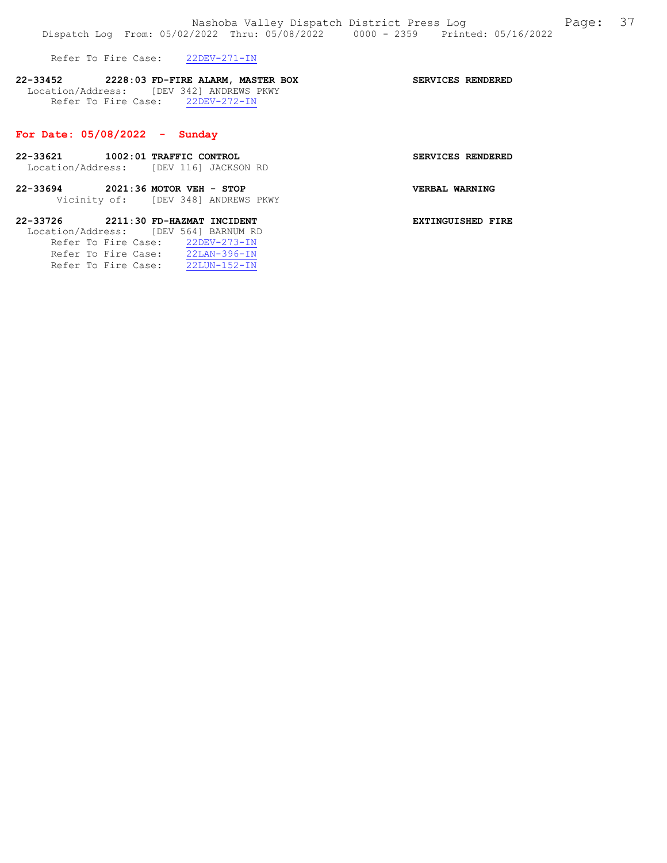Refer To Fire Case: 22DEV-271-IN

# 22-33452 2228:03 FD-FIRE ALARM, MASTER BOX SERVICES RENDERED Location/Address: [DEV 342] ANDREWS PKWY Refer To Fire Case: 22DEV-272-IN

#### For Date: 05/08/2022 - Sunday

- 22-33621 1002:01 TRAFFIC CONTROL SERVICES RENDERED Location/Address: [DEV 116] JACKSON RD
- 22-33694 2021:36 MOTOR VEH STOP VERBAL WARNING Vicinity of: [DEV 348] ANDREWS PKWY

# 22-33726 2211:30 FD-HAZMAT INCIDENT EXTINGUISHED FIRE Location/Address: [DEV 564] BARNUM RD Refer To Fire Case: 22DEV-273-IN

|  | Refer To Fire Case: | $22$ LAN-396-IN    |
|--|---------------------|--------------------|
|  | Refer To Fire Case: | $22LUN - 152 - IN$ |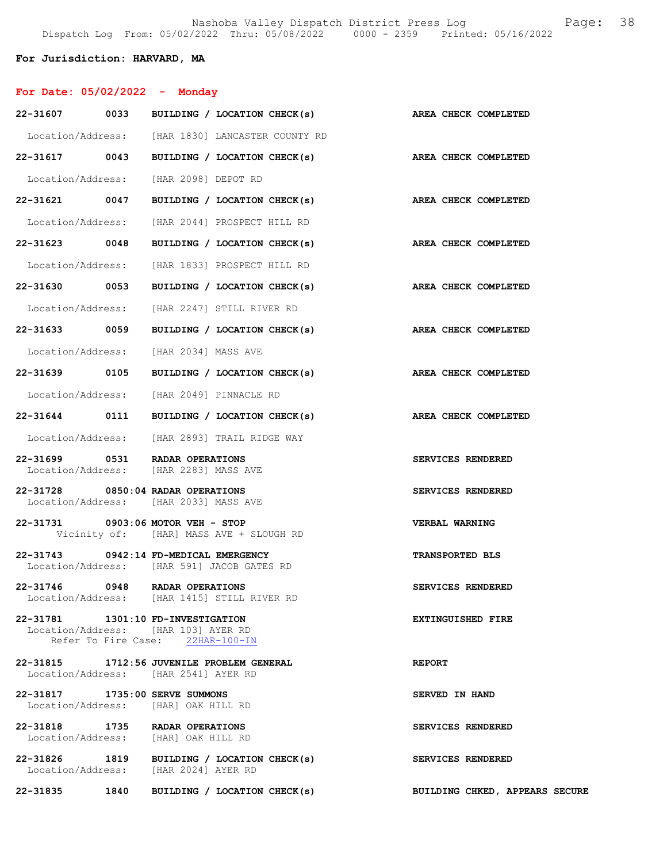# For Jurisdiction: HARVARD, MA

| For Date: $05/02/2022 -$ Monday                                            |                                  |                                                                 |                                |
|----------------------------------------------------------------------------|----------------------------------|-----------------------------------------------------------------|--------------------------------|
|                                                                            |                                  | 22-31607 0033 BUILDING / LOCATION CHECK(s) AREA CHECK COMPLETED |                                |
|                                                                            |                                  | Location/Address: [HAR 1830] LANCASTER COUNTY RD                |                                |
|                                                                            |                                  | 22-31617 0043 BUILDING / LOCATION CHECK(s) AREA CHECK COMPLETED |                                |
| Location/Address: [HAR 2098] DEPOT RD                                      |                                  |                                                                 |                                |
|                                                                            |                                  | 22-31621 0047 BUILDING / LOCATION CHECK(s)                      | AREA CHECK COMPLETED           |
|                                                                            |                                  | Location/Address: [HAR 2044] PROSPECT HILL RD                   |                                |
|                                                                            |                                  | 22-31623 0048 BUILDING / LOCATION CHECK(s)                      | AREA CHECK COMPLETED           |
|                                                                            |                                  | Location/Address: [HAR 1833] PROSPECT HILL RD                   |                                |
|                                                                            |                                  | 22-31630 0053 BUILDING / LOCATION CHECK(s)                      | AREA CHECK COMPLETED           |
|                                                                            |                                  | Location/Address: [HAR 2247] STILL RIVER RD                     |                                |
|                                                                            |                                  | 22-31633 0059 BUILDING / LOCATION CHECK(s)                      | <b>AREA CHECK COMPLETED</b>    |
| Location/Address: [HAR 2034] MASS AVE                                      |                                  |                                                                 |                                |
|                                                                            |                                  | 22-31639 0105 BUILDING / LOCATION CHECK(s)                      | AREA CHECK COMPLETED           |
|                                                                            |                                  | Location/Address: [HAR 2049] PINNACLE RD                        |                                |
|                                                                            |                                  | 22-31644 0111 BUILDING / LOCATION CHECK(s)                      | AREA CHECK COMPLETED           |
|                                                                            |                                  | Location/Address: [HAR 2893] TRAIL RIDGE WAY                    |                                |
| 22-31699 0531 RADAR OPERATIONS<br>Location/Address: [HAR 2283] MASS AVE    |                                  |                                                                 | SERVICES RENDERED              |
| 22-31728 0850:04 RADAR OPERATIONS<br>Location/Address: [HAR 2033] MASS AVE |                                  |                                                                 | SERVICES RENDERED              |
| 22-31731 0903:06 MOTOR VEH - STOP                                          |                                  | Vicinity of: [HAR] MASS AVE + SLOUGH RD                         | <b>VERBAL WARNING</b>          |
| 22-31743 0942:14 FD-MEDICAL EMERGENCY                                      |                                  | Location/Address: [HAR 591] JACOB GATES RD                      | <b>TRANSPORTED BLS</b>         |
| 22-31746 0948 RADAR OPERATIONS                                             |                                  | Location/Address: [HAR 1415] STILL RIVER RD                     | SERVICES RENDERED              |
| 22-31781 1301:10 FD-INVESTIGATION<br>Location/Address: [HAR 103] AYER RD   | Refer To Fire Case: 22HAR-100-IN |                                                                 | EXTINGUISHED FIRE              |
| Location/Address: [HAR 2541] AYER RD                                       |                                  | 22-31815 1712:56 JUVENILE PROBLEM GENERAL                       | <b>REPORT</b>                  |
| 22-31817 1735:00 SERVE SUMMONS<br>Location/Address: [HAR] OAK HILL RD      |                                  |                                                                 | SERVED IN HAND                 |
| 22-31818 1735 RADAR OPERATIONS<br>Location/Address: [HAR] OAK HILL RD      |                                  |                                                                 | SERVICES RENDERED              |
| Location/Address: [HAR 2024] AYER RD                                       |                                  | 22-31826 1819 BUILDING / LOCATION CHECK(s)                      | SERVICES RENDERED              |
|                                                                            |                                  | 22-31835 1840 BUILDING / LOCATION CHECK(s)                      | BUILDING CHKED, APPEARS SECURE |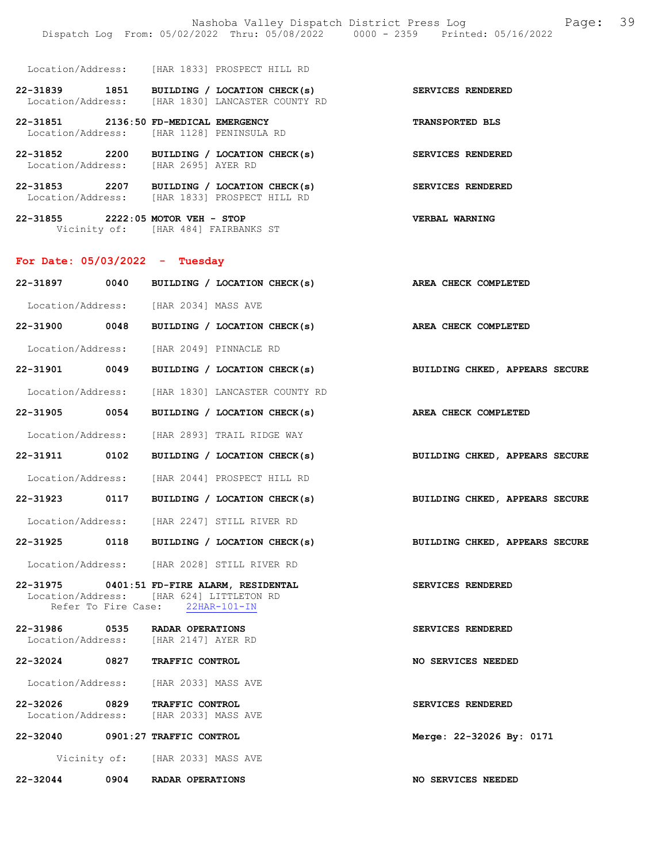|                                  |                                                                                                | Nashoba Valley Dispatch District Press Log<br>Dispatch Log From: 05/02/2022 Thru: 05/08/2022 0000 - 2359 Printed: 05/16/2022 | 39<br>Page: |
|----------------------------------|------------------------------------------------------------------------------------------------|------------------------------------------------------------------------------------------------------------------------------|-------------|
|                                  | Location/Address: [HAR 1833] PROSPECT HILL RD                                                  |                                                                                                                              |             |
|                                  | 22-31839 1851 BUILDING / LOCATION CHECK(s)<br>Location/Address: [HAR 1830] LANCASTER COUNTY RD | SERVICES RENDERED                                                                                                            |             |
|                                  | 22-31851 2136:50 FD-MEDICAL EMERGENCY<br>Location/Address: [HAR 1128] PENINSULA RD             | <b>TRANSPORTED BLS</b>                                                                                                       |             |
|                                  | 22-31852 2200 BUILDING / LOCATION CHECK(s)<br>Location/Address: [HAR 2695] AYER RD             | SERVICES RENDERED                                                                                                            |             |
|                                  | 22-31853 2207 BUILDING / LOCATION CHECK(s)<br>Location/Address: [HAR 1833] PROSPECT HILL RD    | SERVICES RENDERED                                                                                                            |             |
|                                  | 22-31855 2222:05 MOTOR VEH - STOP<br>Vicinity of: [HAR 484] FAIRBANKS ST                       | VERBAL WARNING                                                                                                               |             |
| For Date: $05/03/2022 - Tuesday$ |                                                                                                |                                                                                                                              |             |
|                                  | 22-31897 0040 BUILDING / LOCATION CHECK(s)                                                     | AREA CHECK COMPLETED                                                                                                         |             |
|                                  | Location/Address: [HAR 2034] MASS AVE                                                          |                                                                                                                              |             |
|                                  | 22-31900 0048 BUILDING / LOCATION CHECK(s)                                                     | AREA CHECK COMPLETED                                                                                                         |             |
|                                  | Location/Address: [HAR 2049] PINNACLE RD                                                       |                                                                                                                              |             |
| 22-31901 0049                    | BUILDING / LOCATION CHECK(s)                                                                   | BUILDING CHKED, APPEARS SECURE                                                                                               |             |
|                                  | Location/Address: [HAR 1830] LANCASTER COUNTY RD                                               |                                                                                                                              |             |
| 22-31905 0054                    | BUILDING / LOCATION CHECK(s)                                                                   | AREA CHECK COMPLETED                                                                                                         |             |

 Location/Address: [HAR 2893] TRAIL RIDGE WAY 22-31911 0102 BUILDING / LOCATION CHECK(s) BUILDING CHKED, APPEARS SECURE

Location/Address: [HAR 2044] PROSPECT HILL RD

22-31923 0117 BUILDING / LOCATION CHECK(s) BUILDING CHKED, APPEARS SECURE

Location/Address: [HAR 2247] STILL RIVER RD

22-31925 0118 BUILDING / LOCATION CHECK(s) BUILDING CHKED, APPEARS SECURE

Location/Address: [HAR 2028] STILL RIVER RD

### 22-31975 0401:51 FD-FIRE ALARM, RESIDENTAL SERVICES RENDERED Location/Address: [HAR 624] LITTLETON RD<br>Refer To Fire Case: 22HAR-101-IN Refer To Fire Case:

22-31986 0535 RADAR OPERATIONS SERVICES RENDERED Location/Address: [HAR 2147] AYER RD Location/Address:

22-32024 0827 TRAFFIC CONTROL NO SERVICES NEEDED

Location/Address: [HAR 2033] MASS AVE

22-32026 0829 TRAFFIC CONTROL SERVICES RENDERED Location/Address: [HAR 2033] MASS AVE

22-32040 0901:27 TRAFFIC CONTROL Merge: 22-32026 By: 0171 Vicinity of: [HAR 2033] MASS AVE

22-32044 0904 RADAR OPERATIONS NO SERVICES NEEDED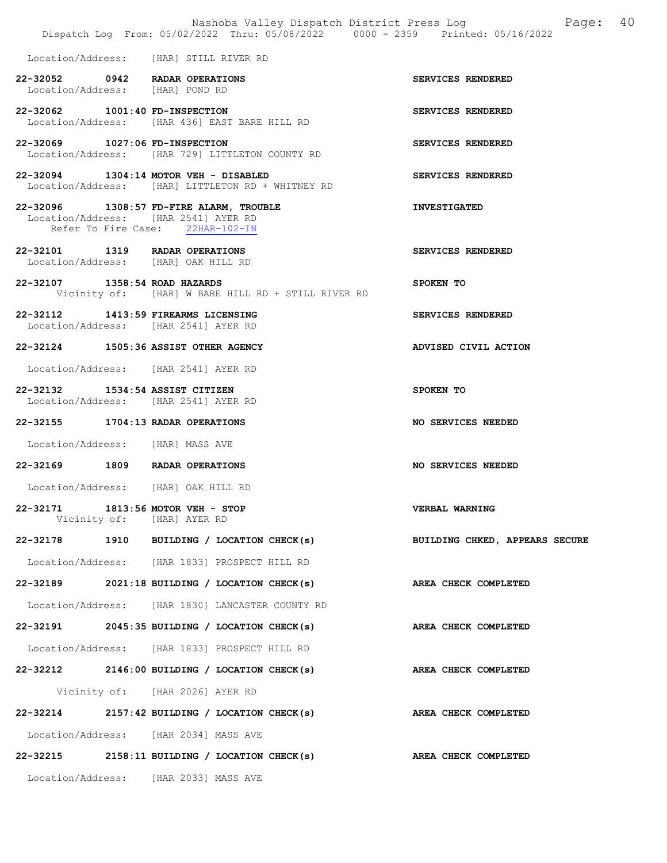|                                  | Nashoba Valley Dispatch District Press Log<br>Dispatch Log From: 05/02/2022 Thru: 05/08/2022 0000 - 2359 Printed: 05/16/2022 | Page: 40             |
|----------------------------------|------------------------------------------------------------------------------------------------------------------------------|----------------------|
|                                  | Location/Address: [HAR] STILL RIVER RD                                                                                       |                      |
| Location/Address: [HAR] POND RD  | 22-32052 0942 RADAR OPERATIONS                                                                                               | SERVICES RENDERED    |
| 22-32062 1001:40 FD-INSPECTION   | Location/Address: [HAR 436] EAST BARE HILL RD                                                                                | SERVICES RENDERED    |
| 22-32069 1027:06 FD-INSPECTION   | Location/Address: [HAR 729] LITTLETON COUNTY RD                                                                              | SERVICES RENDERED    |
|                                  | 22-32094 1304:14 MOTOR VEH - DISABLED<br>Location/Address: [HAR] LITTLETON RD + WHITNEY RD                                   | SERVICES RENDERED    |
|                                  | 22-32096 1308:57 FD-FIRE ALARM, TROUBLE<br>Location/Address: [HAR 2541] AYER RD<br>Refer To Fire Case: 22HAR-102-IN          | <b>INVESTIGATED</b>  |
|                                  | 22-32101 1319 RADAR OPERATIONS<br>Location/Address: [HAR] OAK HILL RD                                                        | SERVICES RENDERED    |
| 22-32107 1358:54 ROAD HAZARDS    | Vicinity of: [HAR] W BARE HILL RD + STILL RIVER RD                                                                           | SPOKEN TO            |
|                                  | 22-32112 1413:59 FIREARMS LICENSING<br>Location/Address: [HAR 2541] AYER RD                                                  | SERVICES RENDERED    |
|                                  | 22-32124 1505:36 ASSIST OTHER AGENCY                                                                                         | ADVISED CIVIL ACTION |
|                                  | Location/Address: [HAR 2541] AYER RD                                                                                         |                      |
| 22-32132 1534:54 ASSIST CITIZEN  | Location/Address: [HAR 2541] AYER RD                                                                                         | SPOKEN TO            |
|                                  | 22-32155 1704:13 RADAR OPERATIONS                                                                                            | NO SERVICES NEEDED   |
| Location/Address: [HAR] MASS AVE |                                                                                                                              |                      |
|                                  | 22-32169 1809 RADAR OPERATIONS                                                                                               | NO SERVICES NEEDED   |
|                                  | Location/Address: [HAR] OAK HILL RD                                                                                          |                      |
|                                  | 22-32171 1813:56 MOTOR VEH - STOP<br>Vicinity of: [HAR] AYER RD                                                              | VERBAL WARNING       |
|                                  | 22-32178 1910 BUILDING / LOCATION CHECK(s) BUILDING CHKED, APPEARS SECURE                                                    |                      |
|                                  | Location/Address: [HAR 1833] PROSPECT HILL RD                                                                                |                      |
|                                  | 22-32189 2021:18 BUILDING / LOCATION CHECK(s)                                                                                | AREA CHECK COMPLETED |
|                                  | Location/Address: [HAR 1830] LANCASTER COUNTY RD                                                                             |                      |
|                                  | 22-32191 2045:35 BUILDING / LOCATION CHECK(s)                                                                                | AREA CHECK COMPLETED |
|                                  | Location/Address: [HAR 1833] PROSPECT HILL RD                                                                                |                      |
|                                  | 22-32212 2146:00 BUILDING / LOCATION CHECK(s) AREA CHECK COMPLETED                                                           |                      |
|                                  | Vicinity of: [HAR 2026] AYER RD                                                                                              |                      |
|                                  | 22-32214 2157:42 BUILDING / LOCATION CHECK(s) AREA CHECK COMPLETED                                                           |                      |
|                                  | Location/Address: [HAR 2034] MASS AVE                                                                                        |                      |
|                                  | 22-32215 2158:11 BUILDING / LOCATION CHECK(s) AREA CHECK COMPLETED                                                           |                      |
|                                  | Location/Address: [HAR 2033] MASS AVE                                                                                        |                      |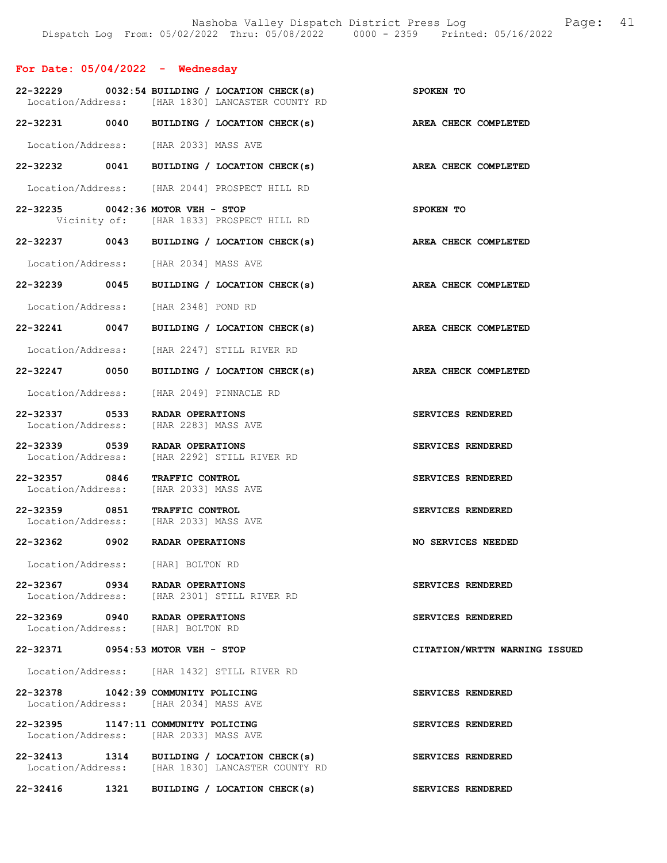| For Date: $05/04/2022 -$ Wednesday |                                                                                                     |                               |
|------------------------------------|-----------------------------------------------------------------------------------------------------|-------------------------------|
|                                    | $22-32229$ 0032:54 BUILDING / LOCATION CHECK(s)<br>Location/Address: [HAR 1830] LANCASTER COUNTY RD | <b>SPOKEN TO</b>              |
|                                    | 22-32231 0040 BUILDING / LOCATION CHECK(s)                                                          | AREA CHECK COMPLETED          |
|                                    | Location/Address: [HAR 2033] MASS AVE                                                               |                               |
|                                    | 22-32232 0041 BUILDING / LOCATION CHECK(s)                                                          | AREA CHECK COMPLETED          |
|                                    | Location/Address: [HAR 2044] PROSPECT HILL RD                                                       |                               |
|                                    | 22-32235 0042:36 MOTOR VEH - STOP<br>Vicinity of: [HAR 1833] PROSPECT HILL RD                       | SPOKEN TO                     |
|                                    | 22-32237 0043 BUILDING / LOCATION CHECK(s)                                                          | AREA CHECK COMPLETED          |
|                                    | Location/Address: [HAR 2034] MASS AVE                                                               |                               |
|                                    | 22-32239 0045 BUILDING / LOCATION CHECK(s)                                                          | AREA CHECK COMPLETED          |
|                                    | Location/Address: [HAR 2348] POND RD                                                                |                               |
|                                    | 22-32241 0047 BUILDING / LOCATION CHECK(s)                                                          | AREA CHECK COMPLETED          |
|                                    | Location/Address: [HAR 2247] STILL RIVER RD                                                         |                               |
| 22-32247 0050                      | BUILDING / LOCATION CHECK(s)                                                                        | AREA CHECK COMPLETED          |
|                                    | Location/Address: [HAR 2049] PINNACLE RD                                                            |                               |
| 22-32337 0533                      | RADAR OPERATIONS<br>Location/Address: [HAR 2283] MASS AVE                                           | SERVICES RENDERED             |
|                                    | 22-32339 0539 RADAR OPERATIONS<br>Location/Address: [HAR 2292] STILL RIVER RD                       | SERVICES RENDERED             |
| 22-32357 0846<br>Location/Address: | TRAFFIC CONTROL<br>[HAR 2033] MASS AVE                                                              | SERVICES RENDERED             |
| 22-32359 0851 TRAFFIC CONTROL      | Location/Address: [HAR 2033] MASS AVE                                                               | SERVICES RENDERED             |
|                                    | 22-32362 0902 RADAR OPERATIONS                                                                      | NO SERVICES NEEDED            |
|                                    | Location/Address: [HAR] BOLTON RD                                                                   |                               |
|                                    | 22-32367 0934 RADAR OPERATIONS<br>Location/Address: [HAR 2301] STILL RIVER RD                       | SERVICES RENDERED             |
| 22-32369 0940 RADAR OPERATIONS     | Location/Address: [HAR] BOLTON RD                                                                   | SERVICES RENDERED             |
|                                    | 22-32371 0954:53 MOTOR VEH - STOP                                                                   | CITATION/WRTTN WARNING ISSUED |
|                                    | Location/Address: [HAR 1432] STILL RIVER RD                                                         |                               |
|                                    | 22-32378 1042:39 COMMUNITY POLICING<br>Location/Address: [HAR 2034] MASS AVE                        | SERVICES RENDERED             |
|                                    | 22-32395 1147:11 COMMUNITY POLICING<br>Location/Address: [HAR 2033] MASS AVE                        | SERVICES RENDERED             |
|                                    | 22-32413 1314 BUILDING / LOCATION CHECK(s)<br>Location/Address: [HAR 1830] LANCASTER COUNTY RD      | SERVICES RENDERED             |
| 22-32416                           | 1321 BUILDING / LOCATION CHECK(s)                                                                   | SERVICES RENDERED             |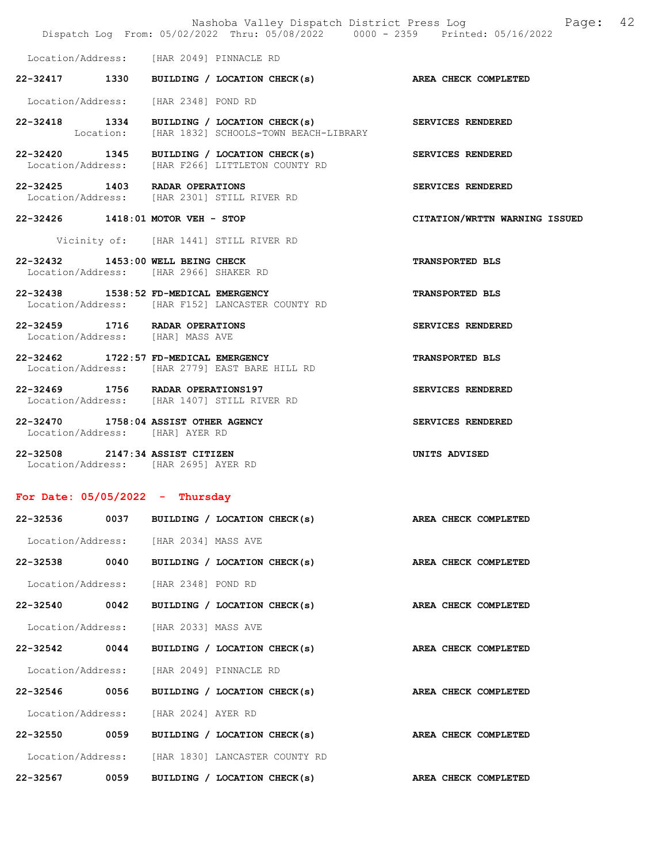|                                                                             |      |                     |                                                                                                | Nashoba Valley Dispatch District Press Log Mashoba Valley Dispatch District Press Log<br>Dispatch Log From: 05/02/2022 Thru: 05/08/2022 0000 - 2359 Printed: 05/16/2022 |  |
|-----------------------------------------------------------------------------|------|---------------------|------------------------------------------------------------------------------------------------|-------------------------------------------------------------------------------------------------------------------------------------------------------------------------|--|
| Location/Address: [HAR 2049] PINNACLE RD                                    |      |                     |                                                                                                |                                                                                                                                                                         |  |
|                                                                             |      |                     | 22-32417 1330 BUILDING / LOCATION CHECK(s) AREA CHECK COMPLETED                                |                                                                                                                                                                         |  |
| Location/Address: [HAR 2348] POND RD                                        |      |                     |                                                                                                |                                                                                                                                                                         |  |
|                                                                             |      |                     | 22-32418 1334 BUILDING / LOCATION CHECK(s)<br>Location: [HAR 1832] SCHOOLS-TOWN BEACH-LIBRARY  | SERVICES RENDERED                                                                                                                                                       |  |
|                                                                             |      |                     | 22-32420 1345 BUILDING / LOCATION CHECK(s)<br>Location/Address: [HAR F266] LITTLETON COUNTY RD | SERVICES RENDERED                                                                                                                                                       |  |
| 22-32425 1403 RADAR OPERATIONS                                              |      |                     | Location/Address: [HAR 2301] STILL RIVER RD                                                    | SERVICES RENDERED                                                                                                                                                       |  |
| 22-32426 1418:01 MOTOR VEH - STOP                                           |      |                     |                                                                                                | CITATION/WRTTN WARNING ISSUED                                                                                                                                           |  |
|                                                                             |      |                     | Vicinity of: [HAR 1441] STILL RIVER RD                                                         |                                                                                                                                                                         |  |
| 22-32432 1453:00 WELL BEING CHECK<br>Location/Address: [HAR 2966] SHAKER RD |      |                     |                                                                                                | <b>TRANSPORTED BLS</b>                                                                                                                                                  |  |
| 22-32438 1538:52 FD-MEDICAL EMERGENCY                                       |      |                     | Location/Address: [HAR F152] LANCASTER COUNTY RD                                               | <b>TRANSPORTED BLS</b>                                                                                                                                                  |  |
| 22-32459 1716 RADAR OPERATIONS<br>Location/Address: [HAR] MASS AVE          |      |                     |                                                                                                | SERVICES RENDERED                                                                                                                                                       |  |
| 22-32462 1722:57 FD-MEDICAL EMERGENCY                                       |      |                     | Location/Address: [HAR 2779] EAST BARE HILL RD                                                 | <b>TRANSPORTED BLS</b>                                                                                                                                                  |  |
| 22-32469 1756 RADAR OPERATIONS197                                           |      |                     | Location/Address: [HAR 1407] STILL RIVER RD                                                    | SERVICES RENDERED                                                                                                                                                       |  |
| 22-32470 1758:04 ASSIST OTHER AGENCY<br>Location/Address: [HAR] AYER RD     |      |                     |                                                                                                | SERVICES RENDERED                                                                                                                                                       |  |
| 22-32508 2147:34 ASSIST CITIZEN<br>Location/Address: [HAR 2695] AYER RD     |      |                     |                                                                                                | UNITS ADVISED                                                                                                                                                           |  |
| For Date: $05/05/2022 - Thursday$                                           |      |                     |                                                                                                |                                                                                                                                                                         |  |
| 22-32536                                                                    |      |                     | 0037 BUILDING / LOCATION CHECK(s)                                                              | AREA CHECK COMPLETED                                                                                                                                                    |  |
| Location/Address: [HAR 2034] MASS AVE                                       |      |                     |                                                                                                |                                                                                                                                                                         |  |
| 22-32538 0040                                                               |      |                     | BUILDING / LOCATION CHECK(s)                                                                   | AREA CHECK COMPLETED                                                                                                                                                    |  |
| Location/Address:                                                           |      | [HAR 2348] POND RD  |                                                                                                |                                                                                                                                                                         |  |
| 22-32540 0042                                                               |      |                     | BUILDING / LOCATION CHECK(s)                                                                   | AREA CHECK COMPLETED                                                                                                                                                    |  |
| Location/Address:                                                           |      | [HAR 2033] MASS AVE |                                                                                                |                                                                                                                                                                         |  |
| 22-32542                                                                    | 0044 |                     | BUILDING / LOCATION CHECK(s)                                                                   | AREA CHECK COMPLETED                                                                                                                                                    |  |
| Location/Address: [HAR 2049] PINNACLE RD                                    |      |                     |                                                                                                |                                                                                                                                                                         |  |

22-32546 0056 BUILDING / LOCATION CHECK(s) AREA CHECK COMPLETED Location/Address: [HAR 2024] AYER RD 22-32550 0059 BUILDING / LOCATION CHECK(s) AREA CHECK COMPLETED

 Location/Address: [HAR 1830] LANCASTER COUNTY RD 22-32567 0059 BUILDING / LOCATION CHECK(s) AREA CHECK COMPLETED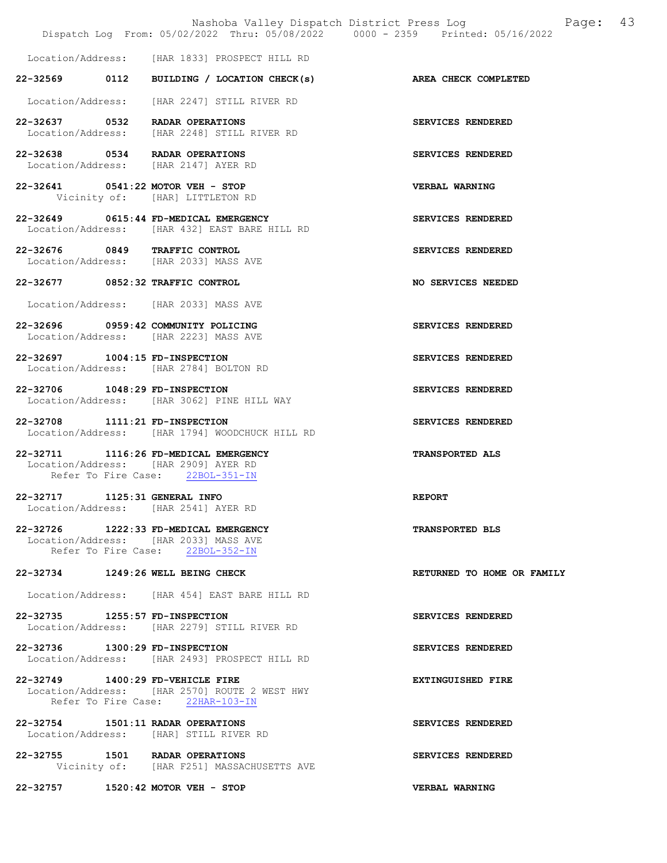|                                                                               |                                                                                        | $\mathbb{P}$<br>Nashoba Valley Dispatch District Press Log<br>Dispatch Log From: 05/02/2022 Thru: 05/08/2022 0000 - 2359 Printed: 05/16/2022 |
|-------------------------------------------------------------------------------|----------------------------------------------------------------------------------------|----------------------------------------------------------------------------------------------------------------------------------------------|
|                                                                               |                                                                                        |                                                                                                                                              |
|                                                                               | Location/Address: [HAR 1833] PROSPECT HILL RD                                          |                                                                                                                                              |
|                                                                               | 22-32569 0112 BUILDING / LOCATION CHECK(s) AREA CHECK COMPLETED                        |                                                                                                                                              |
|                                                                               | Location/Address: [HAR 2247] STILL RIVER RD                                            |                                                                                                                                              |
| 22-32637 0532 RADAR OPERATIONS                                                | Location/Address: [HAR 2248] STILL RIVER RD                                            | SERVICES RENDERED                                                                                                                            |
| 22-32638 0534 RADAR OPERATIONS<br>Location/Address: [HAR 2147] AYER RD        |                                                                                        | SERVICES RENDERED                                                                                                                            |
| 22-32641 0541:22 MOTOR VEH - STOP                                             | Vicinity of: [HAR] LITTLETON RD                                                        | <b>VERBAL WARNING</b>                                                                                                                        |
|                                                                               | 22-32649 0615:44 FD-MEDICAL EMERGENCY<br>Location/Address: [HAR 432] EAST BARE HILL RD | SERVICES RENDERED                                                                                                                            |
| 22-32676 0849 TRAFFIC CONTROL                                                 | Location/Address: [HAR 2033] MASS AVE                                                  | SERVICES RENDERED                                                                                                                            |
| 22-32677 0852:32 TRAFFIC CONTROL                                              |                                                                                        | NO SERVICES NEEDED                                                                                                                           |
|                                                                               | Location/Address: [HAR 2033] MASS AVE                                                  |                                                                                                                                              |
| 22-32696 0959:42 COMMUNITY POLICING                                           | Location/Address: [HAR 2223] MASS AVE                                                  | SERVICES RENDERED                                                                                                                            |
| 22-32697 1004:15 FD-INSPECTION                                                | Location/Address: [HAR 2784] BOLTON RD                                                 | SERVICES RENDERED                                                                                                                            |
| 22-32706 1048:29 FD-INSPECTION                                                | Location/Address: [HAR 3062] PINE HILL WAY                                             | SERVICES RENDERED                                                                                                                            |
| 22-32708 1111:21 FD-INSPECTION                                                | Location/Address: [HAR 1794] WOODCHUCK HILL RD                                         | SERVICES RENDERED                                                                                                                            |
| 22-32711 1116:26 FD-MEDICAL EMERGENCY<br>Location/Address: [HAR 2909] AYER RD | Refer To Fire Case: 22BOL-351-IN                                                       | TRANSPORTED ALS                                                                                                                              |
|                                                                               |                                                                                        |                                                                                                                                              |
| 22-32717 1125:31 GENERAL INFO<br>Location/Address: [HAR 2541] AYER RD         |                                                                                        | <b>REPORT</b>                                                                                                                                |
| 22-32726 1222:33 FD-MEDICAL EMERGENCY                                         | Location/Address: [HAR 2033] MASS AVE<br>Refer To Fire Case: 22BOL-352-IN              | <b>TRANSPORTED BLS</b>                                                                                                                       |
| 22-32734 1249:26 WELL BEING CHECK                                             |                                                                                        | RETURNED TO HOME OR FAMILY                                                                                                                   |
|                                                                               | Location/Address: [HAR 454] EAST BARE HILL RD                                          |                                                                                                                                              |
| 22-32735 1255:57 FD-INSPECTION                                                |                                                                                        | SERVICES RENDERED                                                                                                                            |
|                                                                               | Location/Address: [HAR 2279] STILL RIVER RD                                            |                                                                                                                                              |
| 22-32736 1300:29 FD-INSPECTION                                                | Location/Address: [HAR 2493] PROSPECT HILL RD                                          | SERVICES RENDERED                                                                                                                            |
| 22-32749 1400:29 FD-VEHICLE FIRE                                              | Location/Address: [HAR 2570] ROUTE 2 WEST HWY<br>Refer To Fire Case: 22HAR-103-IN      | EXTINGUISHED FIRE                                                                                                                            |
| 22-32754 1501:11 RADAR OPERATIONS                                             | Location/Address: [HAR] STILL RIVER RD                                                 | SERVICES RENDERED                                                                                                                            |
|                                                                               | 22-32755 1501 RADAR OPERATIONS<br>Vicinity of: [HAR F251] MASSACHUSETTS AVE            | SERVICES RENDERED                                                                                                                            |
| 22-32757 1520:42 MOTOR VEH - STOP                                             |                                                                                        | <b>VERBAL WARNING</b>                                                                                                                        |

Page: 43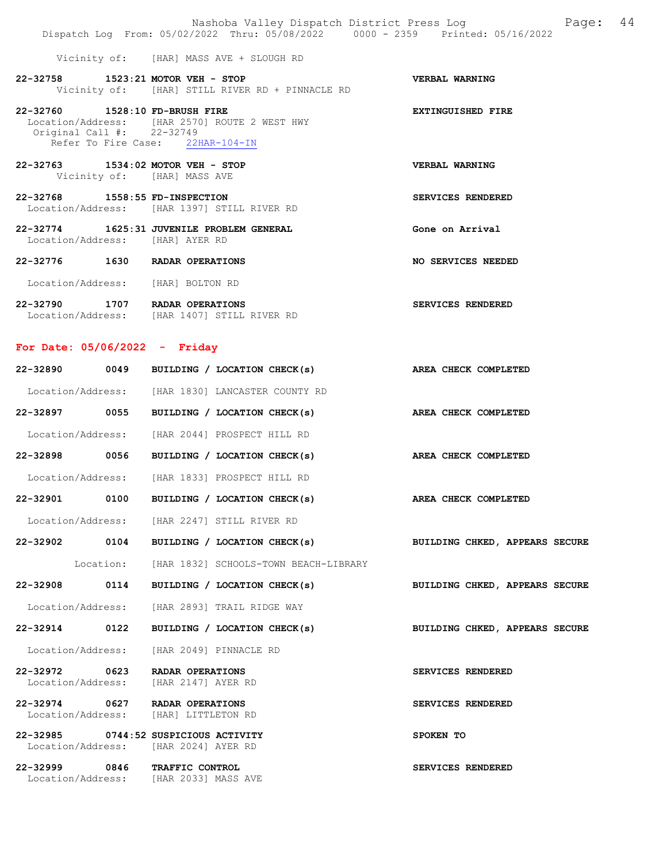|                                                             | Nashoba Valley Dispatch District Press Log Mashoba Valley Dispatch District Press Log<br>Dispatch Log From: 05/02/2022 Thru: 05/08/2022 0000 - 2359 Printed: 05/16/2022 |                          |  |
|-------------------------------------------------------------|-------------------------------------------------------------------------------------------------------------------------------------------------------------------------|--------------------------|--|
|                                                             | Vicinity of: [HAR] MASS AVE + SLOUGH RD                                                                                                                                 |                          |  |
| 22-32758 1523:21 MOTOR VEH - STOP                           | Vicinity of: [HAR] STILL RIVER RD + PINNACLE RD                                                                                                                         | VERBAL WARNING           |  |
| 22-32760 1528:10 FD-BRUSH FIRE<br>Original Call #: 22-32749 | Location/Address: [HAR 2570] ROUTE 2 WEST HWY<br>Refer To Fire Case: 22HAR-104-IN                                                                                       | <b>EXTINGUISHED FIRE</b> |  |
| 22-32763 1534:02 MOTOR VEH - STOP                           | Vicinity of: [HAR] MASS AVE                                                                                                                                             | VERBAL WARNING           |  |
| 22-32768 1558:55 FD-INSPECTION                              | Location/Address: [HAR 1397] STILL RIVER RD                                                                                                                             | SERVICES RENDERED        |  |
| Location/Address: [HAR] AYER RD                             | 22-32774 1625:31 JUVENILE PROBLEM GENERAL                                                                                                                               | Gone on Arrival          |  |
| 22-32776 1630 RADAR OPERATIONS                              |                                                                                                                                                                         | NO SERVICES NEEDED       |  |
| Location/Address: [HAR] BOLTON RD                           |                                                                                                                                                                         |                          |  |
| 22-32790 1707 RADAR OPERATIONS                              | Location/Address: [HAR 1407] STILL RIVER RD                                                                                                                             | SERVICES RENDERED        |  |
| For Date: $05/06/2022 -$ Friday                             |                                                                                                                                                                         |                          |  |
|                                                             | 22-32890 0049 BUILDING / LOCATION CHECK(s) AREA CHECK COMPLETED                                                                                                         |                          |  |
|                                                             | Location/Address: [HAR 1830] LANCASTER COUNTY RD                                                                                                                        |                          |  |
|                                                             | 22-32897 0055 BUILDING / LOCATION CHECK(s) AREA CHECK COMPLETED                                                                                                         |                          |  |

| Location/Address: |      | [HAR 2044] PROSPECT HILL RD  |  |  |                      |
|-------------------|------|------------------------------|--|--|----------------------|
| 22-32898          | 0056 | BUILDING / LOCATION CHECK(s) |  |  | AREA CHECK COMPLETED |
| Location/Address: |      | [HAR 1833] PROSPECT HILL RD  |  |  |                      |

22-32901 0100 BUILDING / LOCATION CHECK(s) AREA CHECK COMPLETED

Location/Address: [HAR 2247] STILL RIVER RD

22-32902 0104 BUILDING / LOCATION CHECK(s) BUILDING CHKED, APPEARS SECURE

Location: [HAR 1832] SCHOOLS-TOWN BEACH-LIBRARY

Location/Address: [HAR 2893] TRAIL RIDGE WAY

22-32914 0122 BUILDING / LOCATION CHECK(s) BUILDING CHKED, APPEARS SECURE

Location/Address: [HAR 2049] PINNACLE RD

22-32972 0623 RADAR OPERATIONS SERVICES RENDERED Location/Address: [HAR 2147] AYER RD

22-32974 0627 RADAR OPERATIONS SERVICES RENDERED Location/Address: [HAR] LITTLETON RD

22-32985 0744:52 SUSPICIOUS ACTIVITY SPOKEN TO Location/Address: [HAR 2024] AYER RD

22-32999 0846 TRAFFIC CONTROL SERVICES RENDERED Location/Address: [HAR 2033] MASS AVE

22-32908 0114 BUILDING / LOCATION CHECK(s) BUILDING CHKED, APPEARS SECURE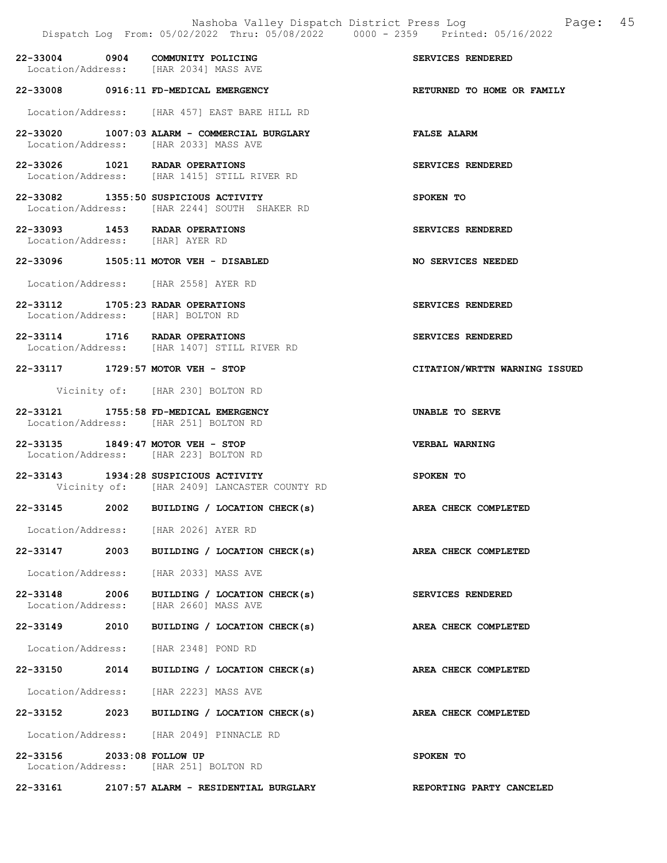|                               |      | Nashoba Valley Dispatch District Press Log<br>Dispatch Log From: 05/02/2022 Thru: 05/08/2022 0000 - 2359 Printed: 05/16/2022 | 45<br>Page:                   |
|-------------------------------|------|------------------------------------------------------------------------------------------------------------------------------|-------------------------------|
|                               |      | 22-33004 0904 COMMUNITY POLICING<br>Location/Address: [HAR 2034] MASS AVE                                                    | SERVICES RENDERED             |
|                               |      | 22-33008 0916:11 FD-MEDICAL EMERGENCY                                                                                        | RETURNED TO HOME OR FAMILY    |
|                               |      | Location/Address: [HAR 457] EAST BARE HILL RD                                                                                |                               |
|                               |      | 22-33020 1007:03 ALARM - COMMERCIAL BURGLARY<br>Location/Address: [HAR 2033] MASS AVE                                        | <b>FALSE ALARM</b>            |
|                               |      | 22-33026 1021 RADAR OPERATIONS<br>Location/Address: [HAR 1415] STILL RIVER RD                                                | SERVICES RENDERED             |
|                               |      | 22-33082 1355:50 SUSPICIOUS ACTIVITY<br>Location/Address: [HAR 2244] SOUTH SHAKER RD                                         | SPOKEN TO                     |
|                               |      | 22-33093 1453 RADAR OPERATIONS<br>Location/Address: [HAR] AYER RD                                                            | SERVICES RENDERED             |
|                               |      | 22-33096 1505:11 MOTOR VEH - DISABLED                                                                                        | NO SERVICES NEEDED            |
|                               |      | Location/Address: [HAR 2558] AYER RD                                                                                         |                               |
|                               |      | 22-33112 1705:23 RADAR OPERATIONS<br>Location/Address: [HAR] BOLTON RD                                                       | SERVICES RENDERED             |
|                               |      | 22-33114 1716 RADAR OPERATIONS<br>Location/Address: [HAR 1407] STILL RIVER RD                                                | SERVICES RENDERED             |
|                               |      | 22-33117 1729:57 MOTOR VEH - STOP                                                                                            | CITATION/WRTTN WARNING ISSUED |
|                               |      | Vicinity of: [HAR 230] BOLTON RD                                                                                             |                               |
|                               |      | 22-33121 1755:58 FD-MEDICAL EMERGENCY<br>Location/Address: [HAR 251] BOLTON RD                                               | UNABLE TO SERVE               |
|                               |      | 22-33135 1849:47 MOTOR VEH - STOP<br>Location/Address: [HAR 223] BOLTON RD                                                   | VERBAL WARNING                |
|                               |      | 22-33143 1934:28 SUSPICIOUS ACTIVITY<br>Vicinity of: [HAR 2409] LANCASTER COUNTY RD                                          | SPOKEN TO                     |
|                               |      | 22-33145 2002 BUILDING / LOCATION CHECK(s)                                                                                   | AREA CHECK COMPLETED          |
|                               |      | Location/Address: [HAR 2026] AYER RD                                                                                         |                               |
|                               |      | 22-33147 2003 BUILDING / LOCATION CHECK(s) AREA CHECK COMPLETED                                                              |                               |
|                               |      | Location/Address: [HAR 2033] MASS AVE                                                                                        |                               |
| 22-33148<br>Location/Address: | 2006 | BUILDING / LOCATION CHECK(s)<br>[HAR 2660] MASS AVE                                                                          | SERVICES RENDERED             |
| 22-33149 2010                 |      | BUILDING / LOCATION CHECK(s)                                                                                                 | AREA CHECK COMPLETED          |
|                               |      | Location/Address: [HAR 2348] POND RD                                                                                         |                               |
| 22-33150 2014                 |      | BUILDING / LOCATION CHECK(s)                                                                                                 | AREA CHECK COMPLETED          |
|                               |      | Location/Address: [HAR 2223] MASS AVE                                                                                        |                               |
|                               |      | 22-33152 2023 BUILDING / LOCATION CHECK(s)                                                                                   | AREA CHECK COMPLETED          |
|                               |      | Location/Address: [HAR 2049] PINNACLE RD                                                                                     |                               |
| 22-33156 2033:08 FOLLOW UP    |      | Location/Address: [HAR 251] BOLTON RD                                                                                        | SPOKEN TO                     |
|                               |      | 22-33161 2107:57 ALARM - RESIDENTIAL BURGLARY                                                                                | REPORTING PARTY CANCELED      |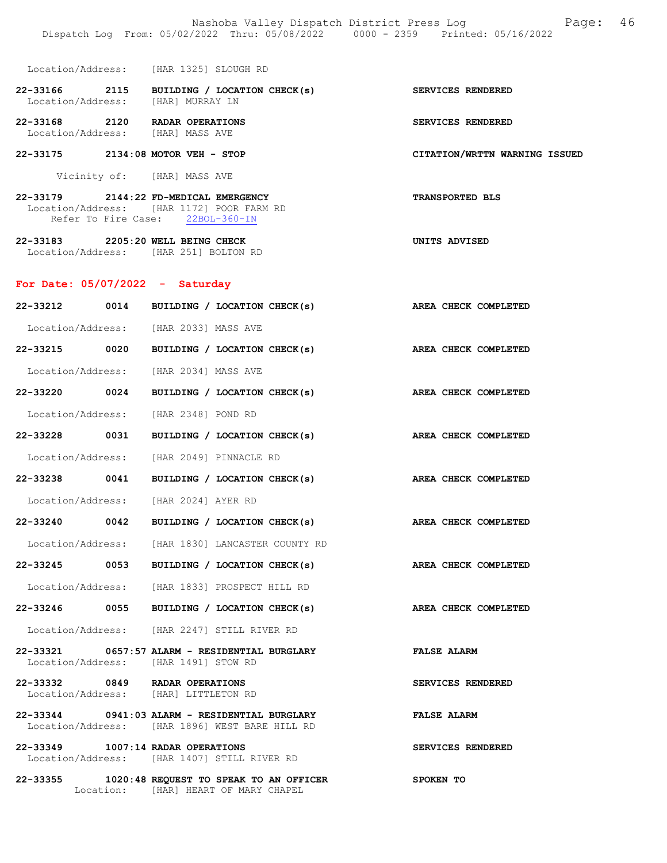- Location/Address: [HAR 1325] SLOUGH RD 22-33166 2115 BUILDING / LOCATION CHECK(s) SERVICES RENDERED<br>Location/Address: [HAR] MURRAY LN Location/Address: 22-33168 2120 RADAR OPERATIONS SERVICES RENDERED Location/Address: [HAR] MASS AVE 22-33175 2134:08 MOTOR VEH - STOP CITATION/WRTTN WARNING ISSUED Vicinity of: [HAR] MASS AVE 22-33179 2144:22 FD-MEDICAL EMERGENCY TRANSPORTED BLS
- Refer To Fire Case: 22BOL-360-IN 22-33183 2205:20 WELL BEING CHECK UNITS ADVISED Location/Address: [HAR 251] BOLTON RD

# For Date: 05/07/2022 - Saturday

Location/Address: [HAR 1172] POOR FARM RD

| 22-33212 0014 | BUILDING / LOCATION CHECK(s)                                                                    | AREA CHECK COMPLETED        |
|---------------|-------------------------------------------------------------------------------------------------|-----------------------------|
|               | Location/Address: [HAR 2033] MASS AVE                                                           |                             |
| 22-33215 0020 | BUILDING / LOCATION CHECK(s)                                                                    | AREA CHECK COMPLETED        |
|               | Location/Address: [HAR 2034] MASS AVE                                                           |                             |
| 22-33220 0024 | BUILDING / LOCATION CHECK(s)                                                                    | AREA CHECK COMPLETED        |
|               | Location/Address: [HAR 2348] POND RD                                                            |                             |
| 22-33228 0031 | BUILDING / LOCATION CHECK(s)                                                                    | AREA CHECK COMPLETED        |
|               | Location/Address: [HAR 2049] PINNACLE RD                                                        |                             |
|               | 22-33238 0041 BUILDING / LOCATION CHECK(s)                                                      | AREA CHECK COMPLETED        |
|               | Location/Address: [HAR 2024] AYER RD                                                            |                             |
| 22-33240 0042 | BUILDING / LOCATION CHECK(s)                                                                    | AREA CHECK COMPLETED        |
|               | Location/Address: [HAR 1830] LANCASTER COUNTY RD                                                |                             |
| 22-33245 0053 | BUILDING / LOCATION CHECK(s)                                                                    | AREA CHECK COMPLETED        |
|               | Location/Address: [HAR 1833] PROSPECT HILL RD                                                   |                             |
|               | 22-33246 0055 BUILDING / LOCATION CHECK(s)                                                      | <b>AREA CHECK COMPLETED</b> |
|               | Location/Address: [HAR 2247] STILL RIVER RD                                                     |                             |
|               | 22-33321 0657:57 ALARM - RESIDENTIAL BURGLARY<br>Location/Address: [HAR 1491] STOW RD           | <b>FALSE ALARM</b>          |
|               | 22-33332 0849 RADAR OPERATIONS<br>Location/Address: [HAR] LITTLETON RD                          | SERVICES RENDERED           |
|               | 22-33344 0941:03 ALARM - RESIDENTIAL BURGLARY<br>Location/Address: [HAR 1896] WEST BARE HILL RD | <b>FALSE ALARM</b>          |
|               | 22-33349 1007:14 RADAR OPERATIONS<br>Location/Address: [HAR 1407] STILL RIVER RD                | SERVICES RENDERED           |

22-33355 1020:48 REQUEST TO SPEAK TO AN OFFICER SPOKEN TO Location: [HAR] HEART OF MARY CHAPEL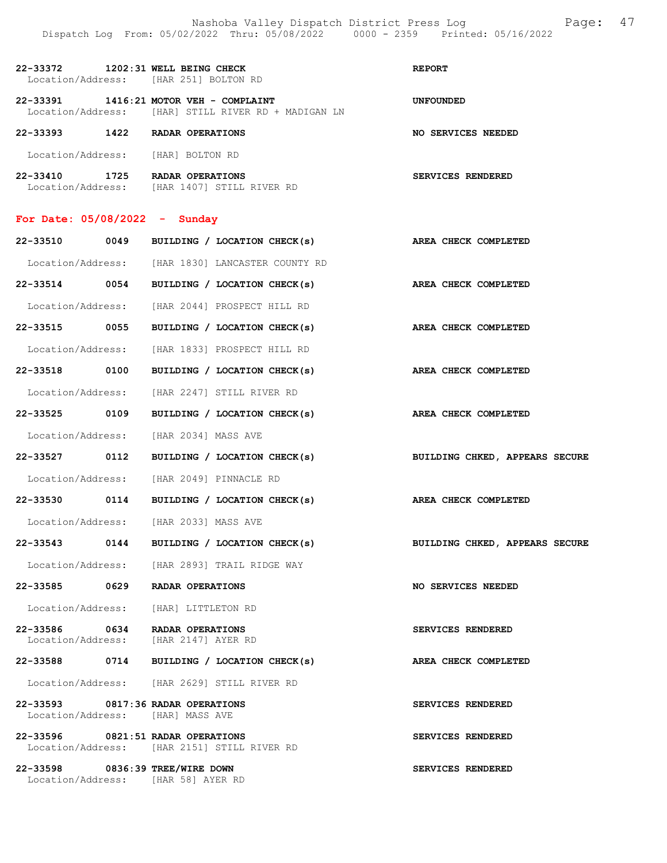| 22-33372<br>Location/Address:         | 1202:31 WELL BEING CHECK<br>[HAR 251] BOLTON RD                    | <b>REPORT</b>      |
|---------------------------------------|--------------------------------------------------------------------|--------------------|
| 22-33391<br>Location/Address:         | 1416:21 MOTOR VEH - COMPLAINT<br>[HAR] STILL RIVER RD + MADIGAN LN | <b>UNFOUNDED</b>   |
| 22-33393<br>1422                      | RADAR OPERATIONS                                                   | NO SERVICES NEEDED |
| Location/Address:                     | [HAR] BOLTON RD                                                    |                    |
| 22-33410<br>1725<br>Location/Address: | <b>RADAR OPERATIONS</b><br>[HAR 1407]<br>STILL RIVER RD            | SERVICES RENDERED  |

# For Date: 05/08/2022 - Sunday

| 22-33510      | 0049 | BUILDING / LOCATION CHECK(s)                                                     | AREA CHECK COMPLETED           |
|---------------|------|----------------------------------------------------------------------------------|--------------------------------|
|               |      | Location/Address: [HAR 1830] LANCASTER COUNTY RD                                 |                                |
|               |      | 22-33514 0054 BUILDING / LOCATION CHECK(s) AREA CHECK COMPLETED                  |                                |
|               |      | Location/Address: [HAR 2044] PROSPECT HILL RD                                    |                                |
|               |      | 22-33515 0055 BUILDING / LOCATION CHECK(s)                                       | AREA CHECK COMPLETED           |
|               |      | Location/Address: [HAR 1833] PROSPECT HILL RD                                    |                                |
|               |      | 22-33518 0100 BUILDING / LOCATION CHECK(s)                                       | AREA CHECK COMPLETED           |
|               |      | Location/Address: [HAR 2247] STILL RIVER RD                                      |                                |
| 22-33525 0109 |      | BUILDING / LOCATION CHECK(s)                                                     | AREA CHECK COMPLETED           |
|               |      | Location/Address: [HAR 2034] MASS AVE                                            |                                |
|               |      | 22-33527 0112 BUILDING / LOCATION CHECK(s)                                       | BUILDING CHKED, APPEARS SECURE |
|               |      | Location/Address: [HAR 2049] PINNACLE RD                                         |                                |
|               |      | 22-33530 0114 BUILDING / LOCATION CHECK(s)                                       | AREA CHECK COMPLETED           |
|               |      | Location/Address: [HAR 2033] MASS AVE                                            |                                |
|               |      | 22-33543 0144 BUILDING / LOCATION CHECK(s)                                       | BUILDING CHKED, APPEARS SECURE |
|               |      | Location/Address: [HAR 2893] TRAIL RIDGE WAY                                     |                                |
|               |      | 22-33585 0629 RADAR OPERATIONS                                                   | NO SERVICES NEEDED             |
|               |      | Location/Address: [HAR] LITTLETON RD                                             |                                |
|               |      | 22-33586 0634 RADAR OPERATIONS<br>Location/Address: [HAR 2147] AYER RD           | <b>SERVICES RENDERED</b>       |
|               |      | 22-33588 0714 BUILDING / LOCATION CHECK(s)                                       | AREA CHECK COMPLETED           |
|               |      | Location/Address: [HAR 2629] STILL RIVER RD                                      |                                |
|               |      | 22-33593 0817:36 RADAR OPERATIONS<br>Location/Address: [HAR] MASS AVE            | SERVICES RENDERED              |
|               |      | 22-33596 0821:51 RADAR OPERATIONS<br>Location/Address: [HAR 2151] STILL RIVER RD | SERVICES RENDERED              |
|               |      | 22-33598 0836:39 TREE/WIRE DOWN<br>Location/Address: [HAR 58] AYER RD            | SERVICES RENDERED              |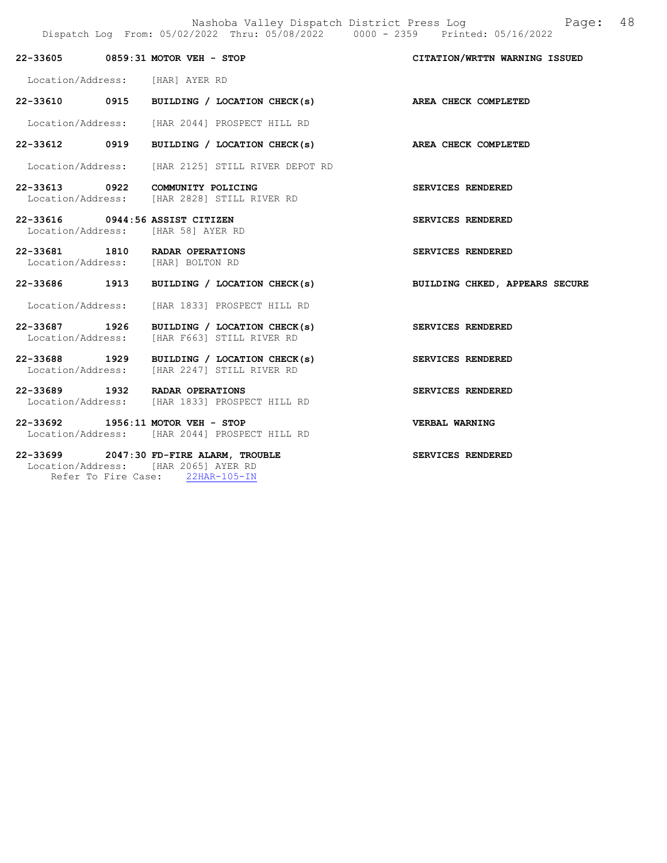|                                 | 22-33605 0859:31 MOTOR VEH - STOP                                                         | CITATION/WRTTN WARNING ISSUED  |
|---------------------------------|-------------------------------------------------------------------------------------------|--------------------------------|
|                                 |                                                                                           |                                |
| Location/Address: [HAR] AYER RD |                                                                                           |                                |
|                                 | 22-33610 0915 BUILDING / LOCATION CHECK(s) AREA CHECK COMPLETED                           |                                |
|                                 | Location/Address: [HAR 2044] PROSPECT HILL RD                                             |                                |
|                                 | 22-33612 0919 BUILDING / LOCATION CHECK(s)                                                | AREA CHECK COMPLETED           |
|                                 | Location/Address: [HAR 2125] STILL RIVER DEPOT RD                                         |                                |
|                                 | 22-33613 0922 COMMUNITY POLICING<br>Location/Address: [HAR 2828] STILL RIVER RD           | SERVICES RENDERED              |
| 22-33616 0944:56 ASSIST CITIZEN | Location/Address: [HAR 58] AYER RD                                                        | SERVICES RENDERED              |
|                                 | 22-33681 1810 RADAR OPERATIONS<br>Location/Address: [HAR] BOLTON RD                       | <b>SERVICES RENDERED</b>       |
|                                 | 22-33686 1913 BUILDING / LOCATION CHECK(s)                                                | BUILDING CHKED, APPEARS SECURE |
|                                 | Location/Address: [HAR 1833] PROSPECT HILL RD                                             |                                |
|                                 | 22-33687 1926 BUILDING / LOCATION CHECK(s)<br>Location/Address: [HAR F663] STILL RIVER RD | SERVICES RENDERED              |
|                                 | 22-33688 1929 BUILDING / LOCATION CHECK(s)<br>Location/Address: [HAR 2247] STILL RIVER RD | SERVICES RENDERED              |
|                                 | 22-33689 1932 RADAR OPERATIONS<br>Location/Address: [HAR 1833] PROSPECT HILL RD           | SERVICES RENDERED              |
|                                 | 22-33692 1956:11 MOTOR VEH - STOP<br>Location/Address: [HAR 2044] PROSPECT HILL RD        | VERBAL WARNING                 |
|                                 | 22-33699 2047:30 FD-FIRE ALARM, TROUBLE<br>Location/Address: [HAR 2065] AYER RD           | SERVICES RENDERED              |

Refer To Fire Case: 22HAR-105-IN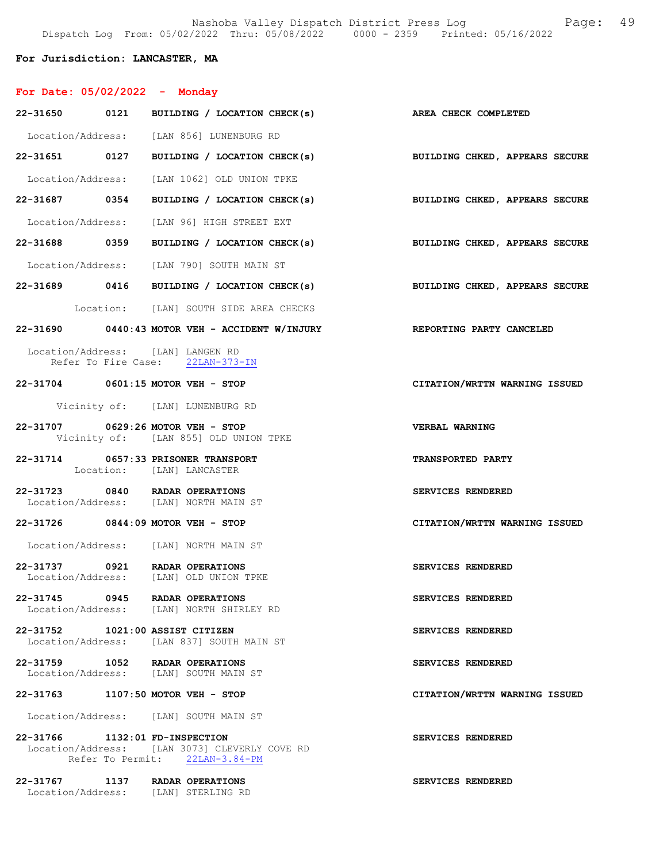# For Jurisdiction: LANCASTER, MA

| For Date: 05/02/2022 - Monday                                            |                                                                                 |                                |
|--------------------------------------------------------------------------|---------------------------------------------------------------------------------|--------------------------------|
|                                                                          | 22-31650 0121 BUILDING / LOCATION CHECK(s) AREA CHECK COMPLETED                 |                                |
|                                                                          | Location/Address: [LAN 856] LUNENBURG RD                                        |                                |
|                                                                          | 22-31651 0127 BUILDING / LOCATION CHECK(s) BUILDING CHKED, APPEARS SECURE       |                                |
|                                                                          | Location/Address: [LAN 1062] OLD UNION TPKE                                     |                                |
|                                                                          | 22-31687 0354 BUILDING / LOCATION CHECK(s)                                      | BUILDING CHKED, APPEARS SECURE |
|                                                                          | Location/Address: [LAN 96] HIGH STREET EXT                                      |                                |
|                                                                          | 22-31688 0359 BUILDING / LOCATION CHECK(s) BUILDING CHKED, APPEARS SECURE       |                                |
|                                                                          | Location/Address: [LAN 790] SOUTH MAIN ST                                       |                                |
|                                                                          | 22-31689 0416 BUILDING / LOCATION CHECK(s) BUILDING CHKED, APPEARS SECURE       |                                |
|                                                                          | Location: [LAN] SOUTH SIDE AREA CHECKS                                          |                                |
|                                                                          | 22-31690 0440:43 MOTOR VEH - ACCIDENT W/INJURY                                  | REPORTING PARTY CANCELED       |
| Location/Address: [LAN] LANGEN RD                                        | Refer To Fire Case: 22LAN-373-IN                                                |                                |
| 22-31704 0601:15 MOTOR VEH - STOP                                        |                                                                                 | CITATION/WRTTN WARNING ISSUED  |
|                                                                          | Vicinity of: [LAN] LUNENBURG RD                                                 |                                |
| 22-31707 0629:26 MOTOR VEH - STOP                                        | Vicinity of: [LAN 855] OLD UNION TPKE                                           | VERBAL WARNING                 |
| 22-31714                                                                 | 0657:33 PRISONER TRANSPORT<br>Location: [LAN] LANCASTER                         | <b>TRANSPORTED PARTY</b>       |
| 22-31723 0840 RADAR OPERATIONS<br>Location/Address: [LAN] NORTH MAIN ST  |                                                                                 | SERVICES RENDERED              |
| 22-31726 0844:09 MOTOR VEH - STOP                                        |                                                                                 | CITATION/WRTTN WARNING ISSUED  |
| Location/Address: [LAN] NORTH MAIN ST                                    |                                                                                 |                                |
| 22-31737 0921 RADAR OPERATIONS<br>Location/Address: [LAN] OLD UNION TPKE |                                                                                 | SERVICES RENDERED              |
| 22-31745 0945 RADAR OPERATIONS                                           | Location/Address: [LAN] NORTH SHIRLEY RD                                        | <b>SERVICES RENDERED</b>       |
| 22-31752 1021:00 ASSIST CITIZEN                                          | Location/Address: [LAN 837] SOUTH MAIN ST                                       | SERVICES RENDERED              |
| 22-31759 1052 RADAR OPERATIONS<br>Location/Address: [LAN] SOUTH MAIN ST  |                                                                                 | <b>SERVICES RENDERED</b>       |
| 22-31763                                                                 | $1107:50$ MOTOR VEH - STOP                                                      | CITATION/WRTTN WARNING ISSUED  |
|                                                                          |                                                                                 |                                |
| Location/Address: [LAN] SOUTH MAIN ST                                    |                                                                                 |                                |
| 22-31766 1132:01 FD-INSPECTION                                           | Location/Address: [LAN 3073] CLEVERLY COVE RD<br>Refer To Permit: 22LAN-3.84-PM | SERVICES RENDERED              |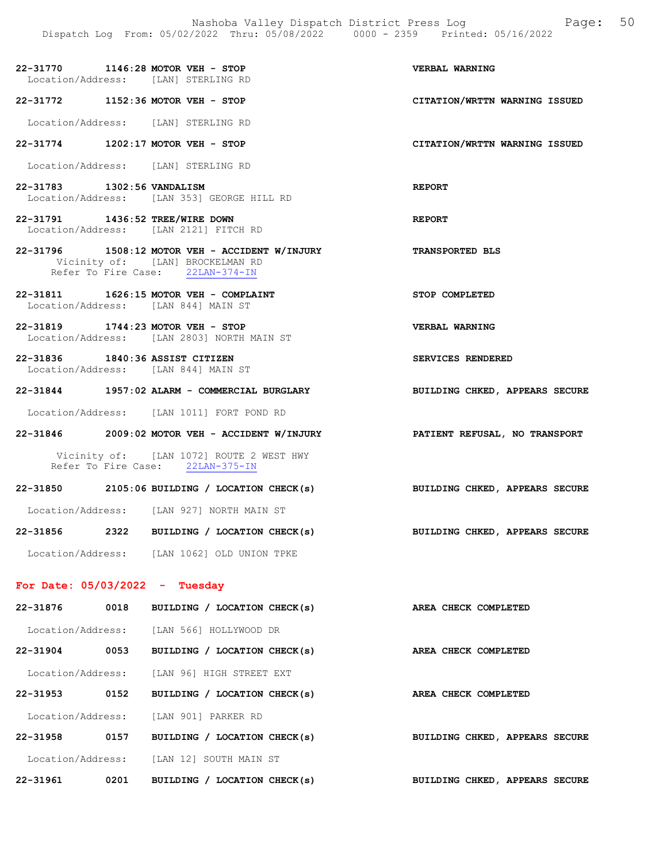22-31770 1146:28 MOTOR VEH - STOP VERBAL WARNING Location/Address: [LAN] STERLING RD 22-31772 1152:36 MOTOR VEH - STOP CITATION/WRTTN WARNING ISSUED Location/Address: [LAN] STERLING RD 22-31774 1202:17 MOTOR VEH - STOP CITATION/WRTTN WARNING ISSUED Location/Address: [LAN] STERLING RD 22-31783 1302:56 VANDALISM REPORT Location/Address: [LAN 353] GEORGE HILL RD 22-31791 1436:52 TREE/WIRE DOWN REPORT Location/Address: [LAN 2121] FITCH RD 22-31796 1508:12 MOTOR VEH - ACCIDENT W/INJURY TRANSPORTED BLS Vicinity of: [LAN] BROCKELMAN RD Refer To Fire Case: 22LAN-374-IN 22-31811 1626:15 MOTOR VEH - COMPLAINT STOP COMPLETED Location/Address: [LAN 844] MAIN ST 22-31819 1744:23 MOTOR VEH - STOP VERBAL WARNING Location/Address: [LAN 2803] NORTH MAIN ST 22-31836 1840:36 ASSIST CITIZEN SERVICES RENDERED Location/Address: [LAN 844] MAIN ST 22-31844 1957:02 ALARM - COMMERCIAL BURGLARY BUILDING CHKED, APPEARS SECURE

Location/Address: [LAN 1011] FORT POND RD

22-31846 2009:02 MOTOR VEH - ACCIDENT W/INJURY PATIENT REFUSAL, NO TRANSPORT

 Vicinity of: [LAN 1072] ROUTE 2 WEST HWY Refer To Fire Case: 22LAN-375-IN

22-31850 2105:06 BUILDING / LOCATION CHECK(s) BUILDING CHKED, APPEARS SECURE Location/Address: [LAN 927] NORTH MAIN ST 22-31856 2322 BUILDING / LOCATION CHECK(s) BUILDING CHKED, APPEARS SECURE

Location/Address: [LAN 1062] OLD UNION TPKE

### For Date: 05/03/2022 - Tuesday

| 22-31876          | 0018 | BUILDING / LOCATION CHECK(s)         | AREA CHECK COMPLETED           |
|-------------------|------|--------------------------------------|--------------------------------|
| Location/Address: |      | [LAN 566] HOLLYWOOD DR               |                                |
| $22 - 31904$      | 0053 | BUILDING / LOCATION CHECK(s)         | AREA CHECK COMPLETED           |
| Location/Address: |      | [LAN 96] HIGH STREET EXT             |                                |
| $22 - 31953$      | 0152 | BUILDING / LOCATION CHECK(s)         | AREA CHECK COMPLETED           |
| Location/Address: |      | [LAN 901] PARKER RD                  |                                |
| 22-31958          | 0157 | BUILDING / LOCATION CHECK(s)         | BUILDING CHKED, APPEARS SECURE |
| Location/Address: |      | [LAN 12] SOUTH MAIN ST               |                                |
| 22-31961          | 0201 | LOCATION CHECK(s)<br><b>BUILDING</b> | BUILDING CHKED, APPEARS SECURE |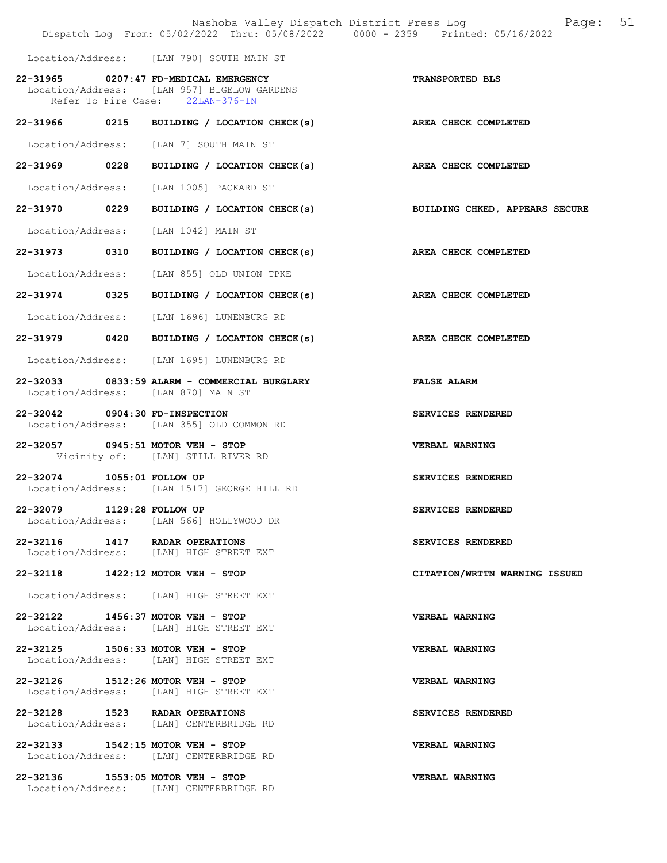|                                       | Nashoba Valley Dispatch District Press Log<br>Dispatch Log From: 05/02/2022 Thru: 05/08/2022 0000 - 2359 Printed: 05/16/2022 | 51<br>Page:                    |
|---------------------------------------|------------------------------------------------------------------------------------------------------------------------------|--------------------------------|
|                                       | Location/Address: [LAN 790] SOUTH MAIN ST                                                                                    |                                |
| 22-31965 0207:47 FD-MEDICAL EMERGENCY | Location/Address: [LAN 957] BIGELOW GARDENS<br>Refer To Fire Case: 22LAN-376-IN                                              | TRANSPORTED BLS                |
| 22-31966 0215                         | BUILDING / LOCATION CHECK(s)                                                                                                 | AREA CHECK COMPLETED           |
|                                       | Location/Address: [LAN 7] SOUTH MAIN ST                                                                                      |                                |
|                                       | 22-31969 0228 BUILDING / LOCATION CHECK(s) AREA CHECK COMPLETED                                                              |                                |
| Location/Address:                     | [LAN 1005] PACKARD ST                                                                                                        |                                |
| 22-31970 0229                         | BUILDING / LOCATION CHECK(s)                                                                                                 | BUILDING CHKED, APPEARS SECURE |
| Location/Address: [LAN 1042] MAIN ST  |                                                                                                                              |                                |
| 22-31973 0310                         | BUILDING / LOCATION CHECK(s)                                                                                                 | AREA CHECK COMPLETED           |
|                                       | Location/Address: [LAN 855] OLD UNION TPKE                                                                                   |                                |
| 22-31974 0325                         | BUILDING / LOCATION CHECK(s) AREA CHECK COMPLETED                                                                            |                                |
|                                       | Location/Address: [LAN 1696] LUNENBURG RD                                                                                    |                                |
|                                       | 22-31979 0420 BUILDING / LOCATION CHECK(s)                                                                                   | AREA CHECK COMPLETED           |
|                                       | Location/Address: [LAN 1695] LUNENBURG RD                                                                                    |                                |
| Location/Address: [LAN 870] MAIN ST   | 22-32033 0833:59 ALARM - COMMERCIAL BURGLARY                                                                                 | <b>FALSE ALARM</b>             |
| 22-32042 0904:30 FD-INSPECTION        | Location/Address: [LAN 355] OLD COMMON RD                                                                                    | SERVICES RENDERED              |
| 22-32057 0945:51 MOTOR VEH - STOP     | Vicinity of: [LAN] STILL RIVER RD                                                                                            | VERBAL WARNING                 |
| $22 - 32074$                          | 1055:01 FOLLOW UP<br>Location/Address: [LAN 1517] GEORGE HILL RD                                                             | SERVICES RENDERED              |
| 22-32079 1129:28 FOLLOW UP            | Location/Address: [LAN 566] HOLLYWOOD DR                                                                                     | SERVICES RENDERED              |
| 22-32116 1417 RADAR OPERATIONS        | Location/Address: [LAN] HIGH STREET EXT                                                                                      | SERVICES RENDERED              |
| 22-32118 1422:12 MOTOR VEH - STOP     |                                                                                                                              | CITATION/WRTTN WARNING ISSUED  |
|                                       | Location/Address: [LAN] HIGH STREET EXT                                                                                      |                                |
| 22-32122 1456:37 MOTOR VEH - STOP     | Location/Address: [LAN] HIGH STREET EXT                                                                                      | VERBAL WARNING                 |
| 22-32125 1506:33 MOTOR VEH - STOP     | Location/Address: [LAN] HIGH STREET EXT                                                                                      | VERBAL WARNING                 |
| 22-32126 1512:26 MOTOR VEH - STOP     | Location/Address: [LAN] HIGH STREET EXT                                                                                      | VERBAL WARNING                 |
| 22-32128 1523 RADAR OPERATIONS        | Location/Address: [LAN] CENTERBRIDGE RD                                                                                      | SERVICES RENDERED              |
| 22-32133 1542:15 MOTOR VEH - STOP     | Location/Address: [LAN] CENTERBRIDGE RD                                                                                      | VERBAL WARNING                 |
| 22-32136 1553:05 MOTOR VEH - STOP     | Location/Address: [LAN] CENTERBRIDGE RD                                                                                      | VERBAL WARNING                 |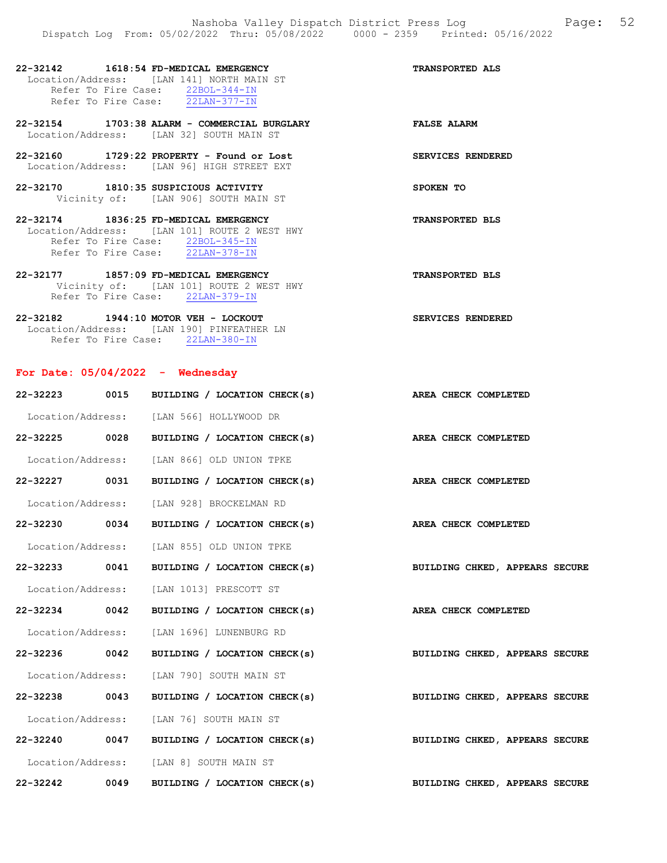| 22-32142 1618:54 FD-MEDICAL EMERGENCY                                                     | <b>TRANSPORTED ALS</b> |
|-------------------------------------------------------------------------------------------|------------------------|
| Location/Address: [LAN 141] NORTH MAIN ST                                                 |                        |
| Refer To Fire Case: 22BOL-344-IN                                                          |                        |
| Refer To Fire Case: 22LAN-377-IN                                                          |                        |
| 22-32154 1703:38 ALARM - COMMERCIAL BURGLARY<br>Location/Address: [LAN 32] SOUTH MAIN ST  | <b>FALSE ALARM</b>     |
| $22-32160$ 1729:22 PROPERTY - Found or Lost<br>Location/Address: [LAN 96] HIGH STREET EXT | SERVICES RENDERED      |
| 22-32170 1810:35 SUSPICIOUS ACTIVITY                                                      | SPOKEN TO              |
| Vicinity of: [LAN 906] SOUTH MAIN ST                                                      |                        |
| 22-32174 1836:25 FD-MEDICAL EMERGENCY                                                     | <b>TRANSPORTED BLS</b> |
| Location/Address: [LAN 101] ROUTE 2 WEST HWY                                              |                        |
| Refer To Fire Case: 22BOL-345-IN                                                          |                        |
| Refer To Fire Case: 22LAN-378-IN                                                          |                        |
|                                                                                           |                        |
| 22-32177 1857:09 FD-MEDICAL EMERGENCY                                                     | <b>TRANSPORTED BLS</b> |

Refer To Fire Case: 22LAN-379-IN 22-32182 1944:10 MOTOR VEH - LOCKOUT SERVICES RENDERED Location/Address: [LAN 190] PINFEATHER LN

Refer To Fire Case: 22LAN-380-IN

# For Date: 05/04/2022 - Wednesday

|               | 22-32223 0015 BUILDING / LOCATION CHECK(s) AREA CHECK COMPLETED |                                |
|---------------|-----------------------------------------------------------------|--------------------------------|
|               | Location/Address: [LAN 566] HOLLYWOOD DR                        |                                |
| 22-32225 0028 | BUILDING / LOCATION CHECK(s) AREA CHECK COMPLETED               |                                |
|               | Location/Address: [LAN 866] OLD UNION TPKE                      |                                |
| 22-32227 0031 | BUILDING / LOCATION CHECK(s) AREA CHECK COMPLETED               |                                |
|               | Location/Address: [LAN 928] BROCKELMAN RD                       |                                |
| 22-32230 0034 | BUILDING / LOCATION CHECK(s) AREA CHECK COMPLETED               |                                |
|               | Location/Address: [LAN 855] OLD UNION TPKE                      |                                |
| 22-32233 0041 | BUILDING / LOCATION CHECK(s)                                    | BUILDING CHKED, APPEARS SECURE |
|               | Location/Address: [LAN 1013] PRESCOTT ST                        |                                |
| 22-32234 0042 | BUILDING / LOCATION CHECK(s) AREA CHECK COMPLETED               |                                |
|               | Location/Address: [LAN 1696] LUNENBURG RD                       |                                |
| 22-32236 0042 | BUILDING / LOCATION CHECK(s) BUILDING CHKED, APPEARS SECURE     |                                |
|               | Location/Address: [LAN 790] SOUTH MAIN ST                       |                                |
| 22-32238 0043 | BUILDING / LOCATION CHECK(s) BUILDING CHKED, APPEARS SECURE     |                                |
|               | Location/Address: [LAN 76] SOUTH MAIN ST                        |                                |
| 22-32240 0047 | BUILDING / LOCATION CHECK(s) BUILDING CHKED, APPEARS SECURE     |                                |
|               | Location/Address: [LAN 8] SOUTH MAIN ST                         |                                |
| 22-32242 0049 | BUILDING / LOCATION CHECK(s)                                    | BUILDING CHKED, APPEARS SECURE |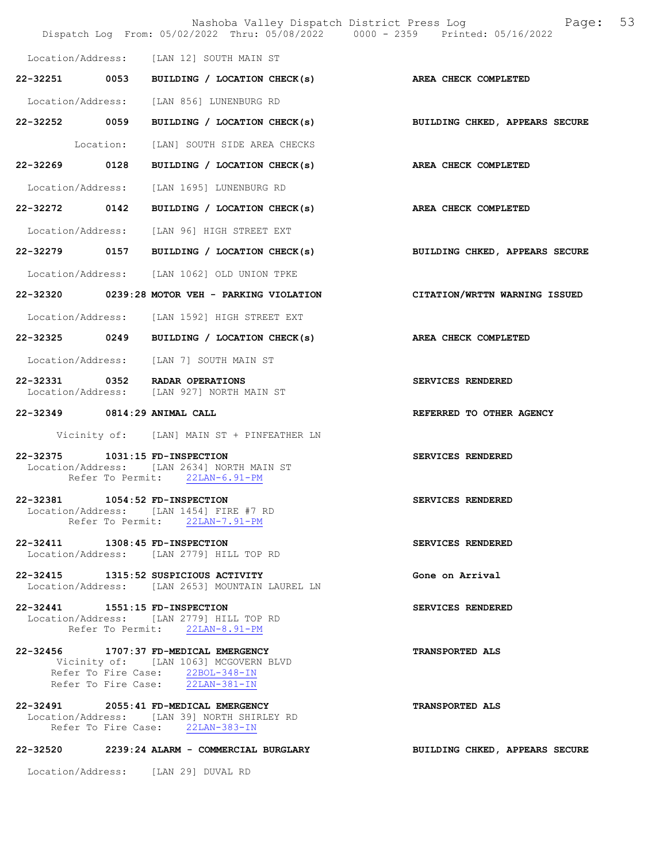|                              |                                                                                                                                                        | Nashoba Valley Dispatch District Press Log Fage: 53<br>Dispatch Log From: 05/02/2022 Thru: 05/08/2022 0000 - 2359 Printed: 05/16/2022 |
|------------------------------|--------------------------------------------------------------------------------------------------------------------------------------------------------|---------------------------------------------------------------------------------------------------------------------------------------|
|                              | Location/Address: [LAN 12] SOUTH MAIN ST                                                                                                               |                                                                                                                                       |
|                              | 22-32251 0053 BUILDING / LOCATION CHECK(s)                                                                                                             | AREA CHECK COMPLETED                                                                                                                  |
|                              | Location/Address: [LAN 856] LUNENBURG RD                                                                                                               |                                                                                                                                       |
|                              |                                                                                                                                                        | 22-32252 0059 BUILDING / LOCATION CHECK(s) BUILDING CHKED, APPEARS SECURE                                                             |
|                              | Location: [LAN] SOUTH SIDE AREA CHECKS                                                                                                                 |                                                                                                                                       |
|                              | 22-32269 0128 BUILDING / LOCATION CHECK(s)                                                                                                             | AREA CHECK COMPLETED                                                                                                                  |
|                              | Location/Address: [LAN 1695] LUNENBURG RD                                                                                                              |                                                                                                                                       |
|                              | 22-32272 0142 BUILDING / LOCATION CHECK(s) AREA CHECK COMPLETED                                                                                        |                                                                                                                                       |
|                              | Location/Address: [LAN 96] HIGH STREET EXT                                                                                                             |                                                                                                                                       |
|                              |                                                                                                                                                        | 22-32279 0157 BUILDING / LOCATION CHECK(s) BUILDING CHKED, APPEARS SECURE                                                             |
|                              | Location/Address: [LAN 1062] OLD UNION TPKE                                                                                                            |                                                                                                                                       |
|                              | 22-32320 0239:28 MOTOR VEH - PARKING VIOLATION                                                                                                         | CITATION/WRTTN WARNING ISSUED                                                                                                         |
|                              | Location/Address: [LAN 1592] HIGH STREET EXT                                                                                                           |                                                                                                                                       |
|                              | 22-32325 0249 BUILDING / LOCATION CHECK(s)                                                                                                             | AREA CHECK COMPLETED                                                                                                                  |
|                              | Location/Address: [LAN 7] SOUTH MAIN ST                                                                                                                |                                                                                                                                       |
|                              | 22-32331 0352 RADAR OPERATIONS<br>Location/Address: [LAN 927] NORTH MAIN ST                                                                            | SERVICES RENDERED                                                                                                                     |
| 22-32349 0814:29 ANIMAL CALL |                                                                                                                                                        | REFERRED TO OTHER AGENCY                                                                                                              |
|                              | Vicinity of: [LAN] MAIN ST + PINFEATHER LN                                                                                                             |                                                                                                                                       |
|                              | 22-32375    1031:15 FD-INSPECTION<br>Location/Address: [LAN 2634] NORTH MAIN ST<br>Refer To Permit: 22LAN-6.91-PM                                      | SERVICES RENDERED                                                                                                                     |
|                              | 22-32381 1054:52 FD-INSPECTION<br>Location/Address: [LAN 1454] FIRE #7 RD<br>Refer To Permit: 22LAN-7.91-PM                                            | SERVICES RENDERED                                                                                                                     |
|                              | 22-32411 1308:45 FD-INSPECTION<br>Location/Address: [LAN 2779] HILL TOP RD                                                                             | SERVICES RENDERED                                                                                                                     |
|                              | 22-32415 1315:52 SUSPICIOUS ACTIVITY<br>Location/Address: [LAN 2653] MOUNTAIN LAUREL LN                                                                | Gone on Arrival                                                                                                                       |
|                              | 22-32441 1551:15 FD-INSPECTION<br>Location/Address: [LAN 2779] HILL TOP RD<br>Refer To Permit: 22LAN-8.91-PM                                           | SERVICES RENDERED                                                                                                                     |
|                              | 22-32456 1707:37 FD-MEDICAL EMERGENCY<br>Vicinity of: [LAN 1063] MCGOVERN BLVD<br>Refer To Fire Case: 22BOL-348-IN<br>Refer To Fire Case: 22LAN-381-IN | <b>TRANSPORTED ALS</b>                                                                                                                |
|                              | 22-32491 2055:41 FD-MEDICAL EMERGENCY<br>Location/Address: [LAN 39] NORTH SHIRLEY RD<br>Refer To Fire Case: 22LAN-383-IN                               | <b>TRANSPORTED ALS</b>                                                                                                                |
|                              | 22-32520 2239:24 ALARM - COMMERCIAL BURGLARY                                                                                                           | BUILDING CHKED, APPEARS SECURE                                                                                                        |

Location/Address: [LAN 29] DUVAL RD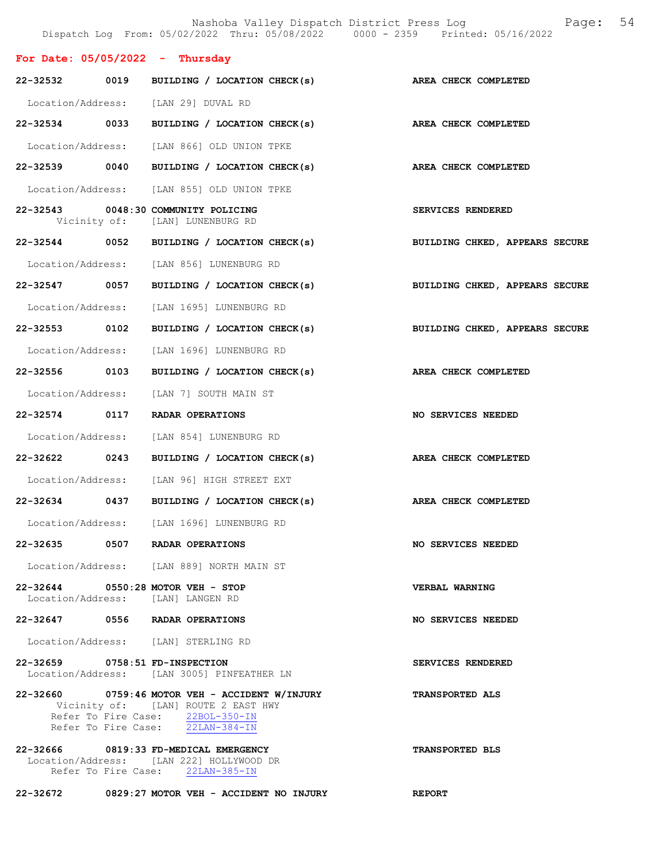|                                   |                                                                                                                                                               | Nashoba Valley Dispatch District Press Log Faqe: 54<br>Dispatch Log From: 05/02/2022 Thru: 05/08/2022 0000 - 2359 Printed: 05/16/2022 |  |
|-----------------------------------|---------------------------------------------------------------------------------------------------------------------------------------------------------------|---------------------------------------------------------------------------------------------------------------------------------------|--|
| For Date: $05/05/2022 - Thursday$ |                                                                                                                                                               |                                                                                                                                       |  |
|                                   | 22-32532 0019 BUILDING / LOCATION CHECK(s)                                                                                                                    | AREA CHECK COMPLETED                                                                                                                  |  |
|                                   | Location/Address: [LAN 29] DUVAL RD                                                                                                                           |                                                                                                                                       |  |
|                                   | 22-32534 0033 BUILDING / LOCATION CHECK(s)                                                                                                                    | AREA CHECK COMPLETED                                                                                                                  |  |
|                                   | Location/Address: [LAN 866] OLD UNION TPKE                                                                                                                    |                                                                                                                                       |  |
|                                   | 22-32539 0040 BUILDING / LOCATION CHECK(s) AREA CHECK COMPLETED                                                                                               |                                                                                                                                       |  |
|                                   | Location/Address: [LAN 855] OLD UNION TPKE                                                                                                                    |                                                                                                                                       |  |
|                                   | 22-32543 0048:30 COMMUNITY POLICING<br>Vicinity of: [LAN] LUNENBURG RD                                                                                        | SERVICES RENDERED                                                                                                                     |  |
|                                   | 22-32544 0052 BUILDING / LOCATION CHECK(s)                                                                                                                    | BUILDING CHKED, APPEARS SECURE                                                                                                        |  |
|                                   | Location/Address: [LAN 856] LUNENBURG RD                                                                                                                      |                                                                                                                                       |  |
|                                   | 22-32547 0057 BUILDING / LOCATION CHECK(s)                                                                                                                    | BUILDING CHKED, APPEARS SECURE                                                                                                        |  |
|                                   | Location/Address: [LAN 1695] LUNENBURG RD                                                                                                                     |                                                                                                                                       |  |
|                                   |                                                                                                                                                               | BUILDING CHKED, APPEARS SECURE                                                                                                        |  |
|                                   | Location/Address: [LAN 1696] LUNENBURG RD                                                                                                                     |                                                                                                                                       |  |
|                                   | 22-32556 0103 BUILDING / LOCATION CHECK(s)                                                                                                                    | AREA CHECK COMPLETED                                                                                                                  |  |
|                                   | Location/Address: [LAN 7] SOUTH MAIN ST                                                                                                                       |                                                                                                                                       |  |
|                                   | 22-32574 0117 RADAR OPERATIONS                                                                                                                                | <b>NO SERVICES NEEDED</b>                                                                                                             |  |
|                                   | Location/Address: [LAN 854] LUNENBURG RD                                                                                                                      |                                                                                                                                       |  |
|                                   | 22-32622 0243 BUILDING / LOCATION CHECK(s)                                                                                                                    | AREA CHECK COMPLETED                                                                                                                  |  |
|                                   | Location/Address: [LAN 96] HIGH STREET EXT                                                                                                                    |                                                                                                                                       |  |
|                                   | 22-32634 0437 BUILDING / LOCATION CHECK(s) AREA CHECK COMPLETED                                                                                               |                                                                                                                                       |  |
|                                   | Location/Address: [LAN 1696] LUNENBURG RD                                                                                                                     |                                                                                                                                       |  |
|                                   | 22-32635 0507 RADAR OPERATIONS                                                                                                                                | NO SERVICES NEEDED                                                                                                                    |  |
|                                   | Location/Address: [LAN 889] NORTH MAIN ST                                                                                                                     |                                                                                                                                       |  |
| Location/Address: [LAN] LANGEN RD | 22-32644 0550:28 MOTOR VEH - STOP                                                                                                                             | <b>VERBAL WARNING</b>                                                                                                                 |  |
|                                   | 22-32647 0556 RADAR OPERATIONS                                                                                                                                | NO SERVICES NEEDED                                                                                                                    |  |
|                                   | Location/Address: [LAN] STERLING RD                                                                                                                           |                                                                                                                                       |  |
| 22-32659 0758:51 FD-INSPECTION    | Location/Address: [LAN 3005] PINFEATHER LN                                                                                                                    | SERVICES RENDERED                                                                                                                     |  |
|                                   | 22-32660 0759:46 MOTOR VEH - ACCIDENT W/INJURY<br>Vicinity of: [LAN] ROUTE 2 EAST HWY<br>Refer To Fire Case: 22BOL-350-IN<br>Refer To Fire Case: 22LAN-384-IN | <b>TRANSPORTED ALS</b>                                                                                                                |  |
|                                   | 22-32666 0819:33 FD-MEDICAL EMERGENCY<br>Location/Address: [LAN 222] HOLLYWOOD DR<br>Refer To Fire Case: 22LAN-385-IN                                         | <b>TRANSPORTED BLS</b>                                                                                                                |  |

22-32672 0829:27 MOTOR VEH - ACCIDENT NO INJURY REPORT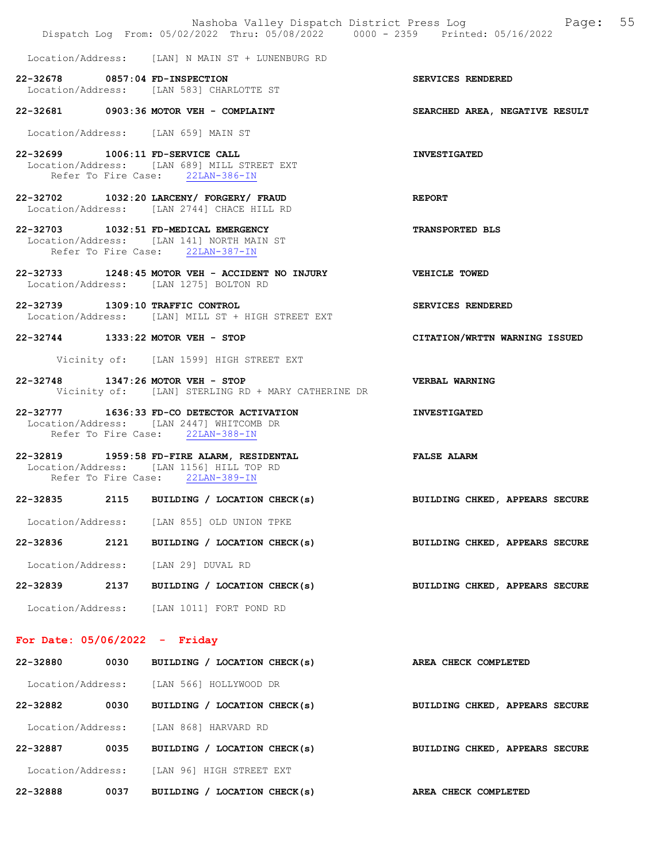|                                     | Dispatch Log From: 05/02/2022 Thru: 05/08/2022 0000 - 2359 Printed: 05/16/2022                                             | Nashoba Valley Dispatch District Press Log Mashoba Valley Dispatch District Press Log |  |
|-------------------------------------|----------------------------------------------------------------------------------------------------------------------------|---------------------------------------------------------------------------------------|--|
|                                     | Location/Address: [LAN] N MAIN ST + LUNENBURG RD                                                                           |                                                                                       |  |
| 22-32678 0857:04 FD-INSPECTION      | Location/Address: [LAN 583] CHARLOTTE ST                                                                                   | SERVICES RENDERED                                                                     |  |
|                                     | 22-32681 0903:36 MOTOR VEH - COMPLAINT                                                                                     | SEARCHED AREA, NEGATIVE RESULT                                                        |  |
| Location/Address: [LAN 659] MAIN ST |                                                                                                                            |                                                                                       |  |
| 22-32699 1006:11 FD-SERVICE CALL    | Location/Address: [LAN 689] MILL STREET EXT<br>Refer To Fire Case: 22LAN-386-IN                                            | <b>INVESTIGATED</b>                                                                   |  |
|                                     | 22-32702 1032:20 LARCENY/ FORGERY/ FRAUD<br>Location/Address: [LAN 2744] CHACE HILL RD                                     | <b>REPORT</b>                                                                         |  |
|                                     | 22-32703 1032:51 FD-MEDICAL EMERGENCY<br>Location/Address: [LAN 141] NORTH MAIN ST<br>Refer To Fire Case: 22LAN-387-IN     | <b>TRANSPORTED BLS</b>                                                                |  |
|                                     | 22-32733 1248:45 MOTOR VEH - ACCIDENT NO INJURY VEHICLE TOWED<br>Location/Address: [LAN 1275] BOLTON RD                    |                                                                                       |  |
| 22-32739 1309:10 TRAFFIC CONTROL    | Location/Address: [LAN] MILL ST + HIGH STREET EXT                                                                          | SERVICES RENDERED                                                                     |  |
| 22-32744 1333:22 MOTOR VEH - STOP   |                                                                                                                            | CITATION/WRTTN WARNING ISSUED                                                         |  |
|                                     | Vicinity of: [LAN 1599] HIGH STREET EXT                                                                                    |                                                                                       |  |
| 22-32748 1347:26 MOTOR VEH - STOP   | Vicinity of: [LAN] STERLING RD + MARY CATHERINE DR                                                                         | VERBAL WARNING                                                                        |  |
|                                     | 22-32777 1636:33 FD-CO DETECTOR ACTIVATION<br>Location/Address: [LAN 2447] WHITCOMB DR<br>Refer To Fire Case: 22LAN-388-IN | <b>INVESTIGATED</b>                                                                   |  |
|                                     | 22-32819 1959:58 FD-FIRE ALARM, RESIDENTAL<br>Location/Address: [LAN 1156] HILL TOP RD<br>Refer To Fire Case: 22LAN-389-IN | <b>FALSE ALARM</b>                                                                    |  |
| 22-32835                            | 2115 BUILDING / LOCATION CHECK(s) THE BUILDING CHKED, APPEARS SECURE                                                       |                                                                                       |  |
|                                     | Location/Address: [LAN 855] OLD UNION TPKE                                                                                 |                                                                                       |  |
| 22-32836                            | 2121 BUILDING / LOCATION CHECK(s)                                                                                          | BUILDING CHKED, APPEARS SECURE                                                        |  |
| Location/Address: [LAN 29] DUVAL RD |                                                                                                                            |                                                                                       |  |
| 22-32839                            | 2137 BUILDING / LOCATION CHECK(s)                                                                                          | BUILDING CHKED, APPEARS SECURE                                                        |  |
|                                     | Location/Address: [LAN 1011] FORT POND RD                                                                                  |                                                                                       |  |
| For Date: $05/06/2022 -$ Friday     |                                                                                                                            |                                                                                       |  |
| 22-32880                            | 0030 BUILDING / LOCATION CHECK(s)                                                                                          | AREA CHECK COMPLETED                                                                  |  |
|                                     | Location/Address: [LAN 566] HOLLYWOOD DR                                                                                   |                                                                                       |  |
| 22-32882                            | 0030 BUILDING / LOCATION CHECK(s)                                                                                          | BUILDING CHKED, APPEARS SECURE                                                        |  |

22-32887 0035 BUILDING / LOCATION CHECK(s) BUILDING CHKED, APPEARS SECURE

Location/Address: [LAN 96] HIGH STREET EXT

Location/Address: [LAN 868] HARVARD RD

22-32888 0037 BUILDING / LOCATION CHECK(s) AREA CHECK COMPLETED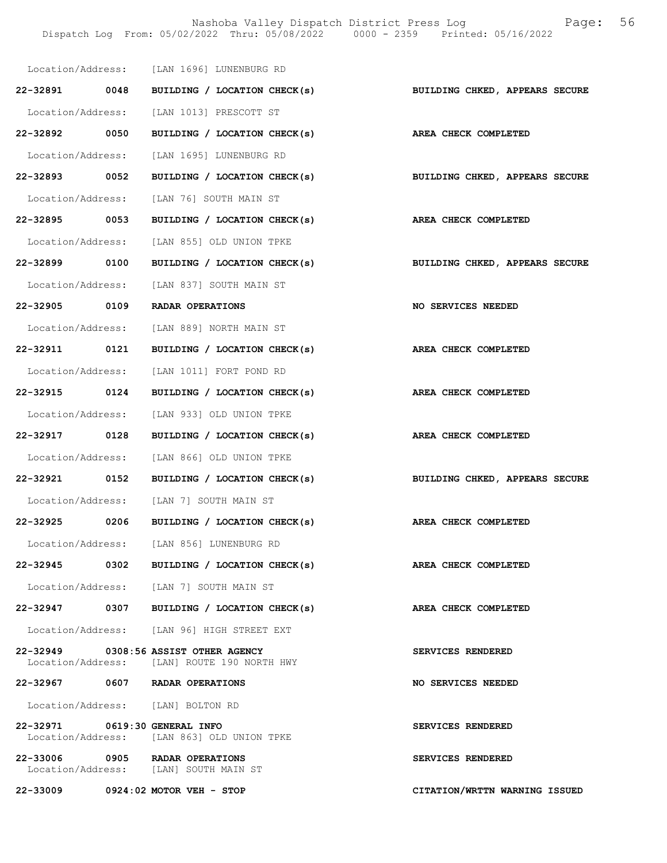Nashoba Valley Dispatch District Press Log Fage: 56 Dispatch Log From: 05/02/2022 Thru: 05/08/2022 0000 - 2359 Printed: 05/16/2022

|                               | Location/Address: [LAN 1696] LUNENBURG RD                                           |                                |
|-------------------------------|-------------------------------------------------------------------------------------|--------------------------------|
|                               | 22-32891 0048 BUILDING / LOCATION CHECK(s)                                          | BUILDING CHKED, APPEARS SECURE |
|                               | Location/Address: [LAN 1013] PRESCOTT ST                                            |                                |
|                               | 22-32892 0050 BUILDING / LOCATION CHECK(s) AREA CHECK COMPLETED                     |                                |
|                               | Location/Address: [LAN 1695] LUNENBURG RD                                           |                                |
| 22-32893 0052                 | BUILDING / LOCATION CHECK(s)                                                        | BUILDING CHKED, APPEARS SECURE |
|                               | Location/Address: [LAN 76] SOUTH MAIN ST                                            |                                |
| 22-32895 0053                 | BUILDING / LOCATION CHECK(s)                                                        | <b>AREA CHECK COMPLETED</b>    |
|                               | Location/Address: [LAN 855] OLD UNION TPKE                                          |                                |
|                               | 22-32899 0100 BUILDING / LOCATION CHECK(s) BUILDING CHKED, APPEARS SECURE           |                                |
|                               | Location/Address: [LAN 837] SOUTH MAIN ST                                           |                                |
|                               | 22-32905 0109 RADAR OPERATIONS                                                      | NO SERVICES NEEDED             |
|                               | Location/Address: [LAN 889] NORTH MAIN ST                                           |                                |
|                               | 22-32911 0121 BUILDING / LOCATION CHECK(s) AREA CHECK COMPLETED                     |                                |
|                               | Location/Address: [LAN 1011] FORT POND RD                                           |                                |
| 22-32915 0124                 | BUILDING / LOCATION CHECK(s) AREA CHECK COMPLETED                                   |                                |
|                               | Location/Address: [LAN 933] OLD UNION TPKE                                          |                                |
| 22-32917 0128                 | BUILDING / LOCATION CHECK(s)                                                        | AREA CHECK COMPLETED           |
|                               | Location/Address: [LAN 866] OLD UNION TPKE                                          |                                |
| 22-32921 0152                 | BUILDING / LOCATION CHECK(s)                                                        | BUILDING CHKED, APPEARS SECURE |
|                               | Location/Address: [LAN 7] SOUTH MAIN ST                                             |                                |
|                               | 22-32925 0206 BUILDING / LOCATION CHECK(s) AREA CHECK COMPLETED                     |                                |
|                               | Location/Address: [LAN 856] LUNENBURG RD                                            |                                |
|                               | $22-32945$ 0302 BUILDING / LOCATION CHECK(s)                                        | AREA CHECK COMPLETED           |
|                               | Location/Address: [LAN 7] SOUTH MAIN ST                                             |                                |
| 22-32947 0307                 | BUILDING / LOCATION CHECK(s)                                                        | AREA CHECK COMPLETED           |
|                               | Location/Address: [LAN 96] HIGH STREET EXT                                          |                                |
|                               | 22-32949 0308:56 ASSIST OTHER AGENCY<br>Location/Address: [LAN] ROUTE 190 NORTH HWY | SERVICES RENDERED              |
|                               | 22-32967 0607 RADAR OPERATIONS                                                      | NO SERVICES NEEDED             |
|                               | Location/Address: [LAN] BOLTON RD                                                   |                                |
| 22-32971 0619:30 GENERAL INFO | Location/Address: [LAN 863] OLD UNION TPKE                                          | SERVICES RENDERED              |
|                               | 22-33006 0905 RADAR OPERATIONS<br>Location/Address: [LAN] SOUTH MAIN ST             | SERVICES RENDERED              |
|                               | 22-33009 0924:02 MOTOR VEH - STOP                                                   | CITATION/WRTTN WARNING ISSUED  |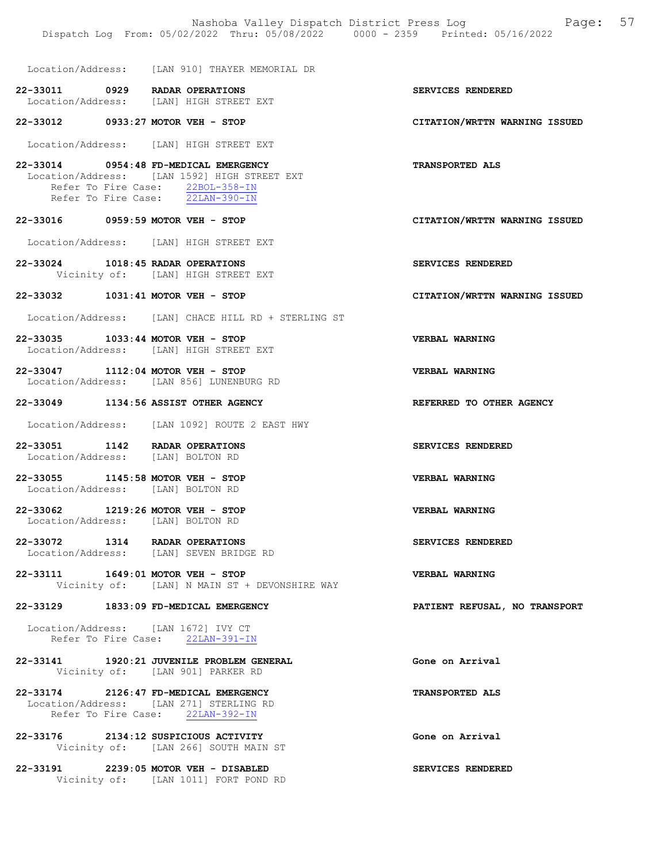Location/Address: [LAN 910] THAYER MEMORIAL DR

22-33011 0929 RADAR OPERATIONS SERVICES RENDERED<br>Location/Address: [LAN] HIGH STREET EXT Location/Address: [LAN] HIGH STREET EXT

22-33012 0933:27 MOTOR VEH - STOP CITATION/WRTTN WARNING ISSUED

Location/Address: [LAN] HIGH STREET EXT

- 22-33014 0954:48 FD-MEDICAL EMERGENCY TRANSPORTED ALS Location/Address: [LAN 1592] HIGH STREET EXT Refer To Fire Case:  $\frac{22BOL-358-IN}{22LAN-390-IN}$ Refer To Fire Case:
- 22-33016 0959:59 MOTOR VEH STOP CITATION/WRTTN WARNING ISSUED

Location/Address: [LAN] HIGH STREET EXT

- 22-33024 1018:45 RADAR OPERATIONS SERVICES RENDERED Vicinity of: [LAN] HIGH STREET EXT
- 22-33032 1031:41 MOTOR VEH STOP CITATION/WRTTN WARNING ISSUED
- Location/Address: [LAN] CHACE HILL RD + STERLING ST
- 22-33035 1033:44 MOTOR VEH STOP VERBAL WARNING Location/Address: [LAN] HIGH STREET EXT
- 22-33047 1112:04 MOTOR VEH STOP VERBAL WARNING Location/Address: [LAN 856] LUNENBURG RD

#### 22-33049 1134:56 ASSIST OTHER AGENCY REFERRED TO OTHER AGENCY

Location/Address: [LAN 1092] ROUTE 2 EAST HWY

- 22-33051 1142 RADAR OPERATIONS SERVICES RENDERED Location/Address: [LAN] BOLTON RD
- 22-33055 1145:58 MOTOR VEH STOP VERBAL WARNING Location/Address: [LAN] BOLTON RD
- 22-33062 1219:26 MOTOR VEH STOP VERBAL WARNING Location/Address: [LAN] BOLTON RD
- 22-33072 1314 RADAR OPERATIONS SERVICES RENDERED Location/Address: [LAN] SEVEN BRIDGE RD
- 22-33111 1649:01 MOTOR VEH STOP VERBAL WARNING Vicinity of: [LAN] N MAIN ST + DEVONSHIRE WAY

#### 22-33129 1833:09 FD-MEDICAL EMERGENCY PARTIENT REFUSAL, NO TRANSPORT

 Location/Address: [LAN 1672] IVY CT Refer To Fire Case: 22LAN-391-IN

- 22-33141 1920:21 JUVENILE PROBLEM GENERAL Gone on Arrival Vicinity of: [LAN 901] PARKER RD
- 22-33174 2126:47 FD-MEDICAL EMERGENCY TRANSPORTED ALS Location/Address: [LAN 271] STERLING RD Refer To Fire Case: 22LAN-392-IN
- 22-33176 2134:12 SUSPICIOUS ACTIVITY Gone on Arrival Vicinity of: [LAN 266] SOUTH MAIN ST
- 22-33191 2239:05 MOTOR VEH DISABLED SERVICES RENDERED Vicinity of: [LAN 1011] FORT POND RD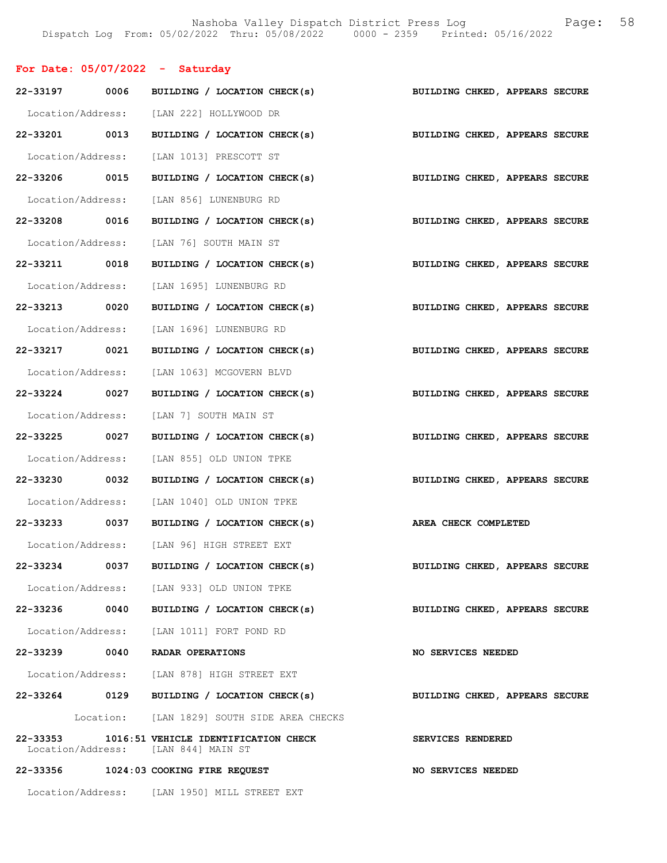# For Date: 05/07/2022 - Saturday

|               |      | 22-33197 0006 BUILDING / LOCATION CHECK(s)                                  | BUILDING CHKED, APPEARS SECURE |
|---------------|------|-----------------------------------------------------------------------------|--------------------------------|
|               |      | Location/Address: [LAN 222] HOLLYWOOD DR                                    |                                |
| 22-33201 0013 |      | BUILDING / LOCATION CHECK(s) BUILDING CHKED, APPEARS SECURE                 |                                |
|               |      | Location/Address: [LAN 1013] PRESCOTT ST                                    |                                |
|               |      | 22-33206 0015 BUILDING / LOCATION CHECK(s) BUILDING CHKED, APPEARS SECURE   |                                |
|               |      | Location/Address: [LAN 856] LUNENBURG RD                                    |                                |
| 22-33208 0016 |      | BUILDING / LOCATION CHECK(s)                                                | BUILDING CHKED, APPEARS SECURE |
|               |      | Location/Address: [LAN 76] SOUTH MAIN ST                                    |                                |
| 22-33211 0018 |      | BUILDING / LOCATION CHECK(s)                                                | BUILDING CHKED, APPEARS SECURE |
|               |      | Location/Address: [LAN 1695] LUNENBURG RD                                   |                                |
| 22-33213 0020 |      | BUILDING / LOCATION CHECK(s) BUILDING CHKED, APPEARS SECURE                 |                                |
|               |      | Location/Address: [LAN 1696] LUNENBURG RD                                   |                                |
| 22-33217 0021 |      | BUILDING / LOCATION CHECK(s) BUILDING CHKED, APPEARS SECURE                 |                                |
|               |      | Location/Address: [LAN 1063] MCGOVERN BLVD                                  |                                |
| 22-33224 0027 |      | BUILDING / LOCATION CHECK(s)                                                | BUILDING CHKED, APPEARS SECURE |
|               |      | Location/Address: [LAN 7] SOUTH MAIN ST                                     |                                |
| 22-33225 0027 |      | BUILDING / LOCATION CHECK(s) BUILDING CHKED, APPEARS SECURE                 |                                |
|               |      | Location/Address: [LAN 855] OLD UNION TPKE                                  |                                |
| 22-33230 0032 |      | BUILDING / LOCATION CHECK(s)                                                | BUILDING CHKED, APPEARS SECURE |
|               |      | Location/Address: [LAN 1040] OLD UNION TPKE                                 |                                |
| 22-33233 0037 |      | BUILDING / LOCATION CHECK(s) AREA CHECK COMPLETED                           |                                |
|               |      | Location/Address: [LAN 96] HIGH STREET EXT                                  |                                |
| 22-33234      | 0037 | BUILDING / LOCATION CHECK(s)                                                | BUILDING CHKED, APPEARS SECURE |
|               |      | Location/Address: [LAN 933] OLD UNION TPKE                                  |                                |
|               |      | 22-33236 0040 BUILDING / LOCATION CHECK(s)                                  | BUILDING CHKED, APPEARS SECURE |
|               |      | Location/Address: [LAN 1011] FORT POND RD                                   |                                |
|               |      | 22-33239 0040 RADAR OPERATIONS                                              | NO SERVICES NEEDED             |
|               |      | Location/Address: [LAN 878] HIGH STREET EXT                                 |                                |
|               |      | 22-33264 0129 BUILDING / LOCATION CHECK(s)                                  | BUILDING CHKED, APPEARS SECURE |
|               |      | Location: [LAN 1829] SOUTH SIDE AREA CHECKS                                 |                                |
| 22-33353      |      | 1016:51 VEHICLE IDENTIFICATION CHECK<br>Location/Address: [LAN 844] MAIN ST | SERVICES RENDERED              |
|               |      | 22-33356 1024:03 COOKING FIRE REQUEST                                       | NO SERVICES NEEDED             |
|               |      | Location/Address: [LAN 1950] MILL STREET EXT                                |                                |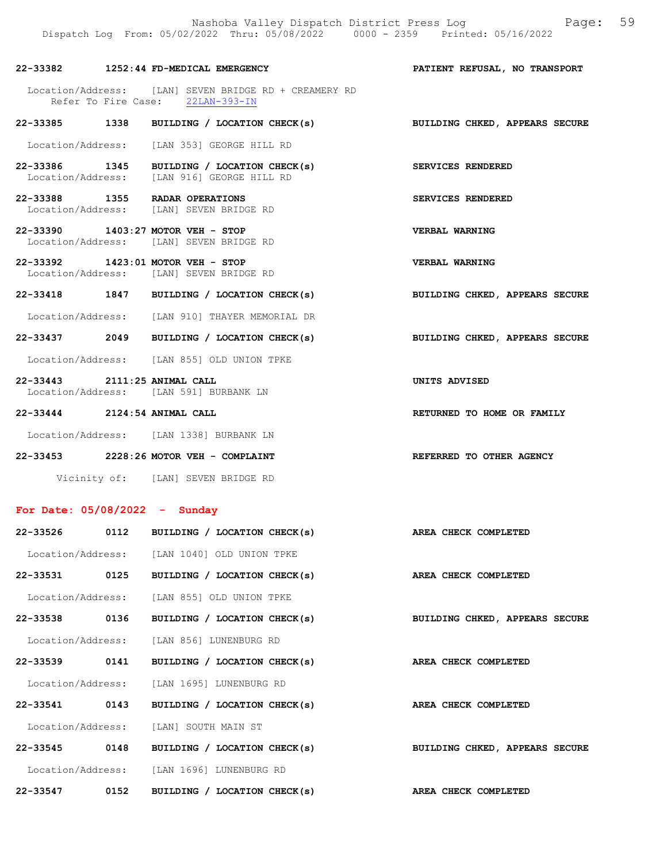# 22-33382 1252:44 FD-MEDICAL EMERGENCY PATIENT REFUSAL, NO TRANSPORT

- Location/Address: [LAN] SEVEN BRIDGE RD + CREAMERY RD Refer To Fire Case: 22LAN-393-IN
- 22-33385 1338 BUILDING / LOCATION CHECK(s) BUILDING CHKED, APPEARS SECURE

Location/Address: [LAN 353] GEORGE HILL RD

- 22-33386 1345 BUILDING / LOCATION CHECK(s) SERVICES RENDERED Location/Address: [LAN 916] GEORGE HILL RD
- 22-33388 1355 RADAR OPERATIONS SERVICES RENDERED Location/Address: [LAN] SEVEN BRIDGE RD
- 22-33390 1403:27 MOTOR VEH STOP VERBAL WARNING Location/Address: [LAN] SEVEN BRIDGE RD
- 22-33392 1423:01 MOTOR VEH STOP VERBAL WARNING<br>
Location/Address: [LAN] SEVEN BRIDGE RD [LAN] SEVEN BRIDGE RD
- 22-33418 1847 BUILDING / LOCATION CHECK(s) BUILDING CHKED, APPEARS SECURE
- Location/Address: [LAN 910] THAYER MEMORIAL DR
- 22-33437 2049 BUILDING / LOCATION CHECK(s) BUILDING CHKED, APPEARS SECURE
- Location/Address: [LAN 855] OLD UNION TPKE
- 22-33443 2111:25 ANIMAL CALL UNITS ADVISED Location/Address: [LAN 591] BURBANK LN
- 22-33444 2124:54 ANIMAL CALL RETURNED TO HOME OR FAMILY
- Location/Address: [LAN 1338] BURBANK LN
- 22-33453 2228:26 MOTOR VEH COMPLAINT REFERRED TO OTHER AGENCY Vicinity of: [LAN] SEVEN BRIDGE RD

# For Date: 05/08/2022 - Sunday

| 22-33526      |      | 0112 BUILDING / LOCATION CHECK(s)           | AREA CHECK COMPLETED           |
|---------------|------|---------------------------------------------|--------------------------------|
|               |      | Location/Address: [LAN 1040] OLD UNION TPKE |                                |
|               |      | 22-33531 0125 BUILDING / LOCATION CHECK(s)  | AREA CHECK COMPLETED           |
|               |      | Location/Address: [LAN 855] OLD UNION TPKE  |                                |
|               |      | 22-33538 0136 BUILDING / LOCATION CHECK(s)  | BUILDING CHKED, APPEARS SECURE |
|               |      | Location/Address: [LAN 856] LUNENBURG RD    |                                |
|               |      | 22-33539 0141 BUILDING / LOCATION CHECK(s)  | AREA CHECK COMPLETED           |
|               |      | Location/Address: [LAN 1695] LUNENBURG RD   |                                |
| 22-33541 0143 |      | BUILDING / LOCATION CHECK(s)                | AREA CHECK COMPLETED           |
|               |      | Location/Address: [LAN] SOUTH MAIN ST       |                                |
| 22-33545 0148 |      | BUILDING / LOCATION CHECK(s)                | BUILDING CHKED, APPEARS SECURE |
|               |      | Location/Address: [LAN 1696] LUNENBURG RD   |                                |
| 22-33547      | 0152 | BUILDING / LOCATION CHECK(s)                | AREA CHECK COMPLETED           |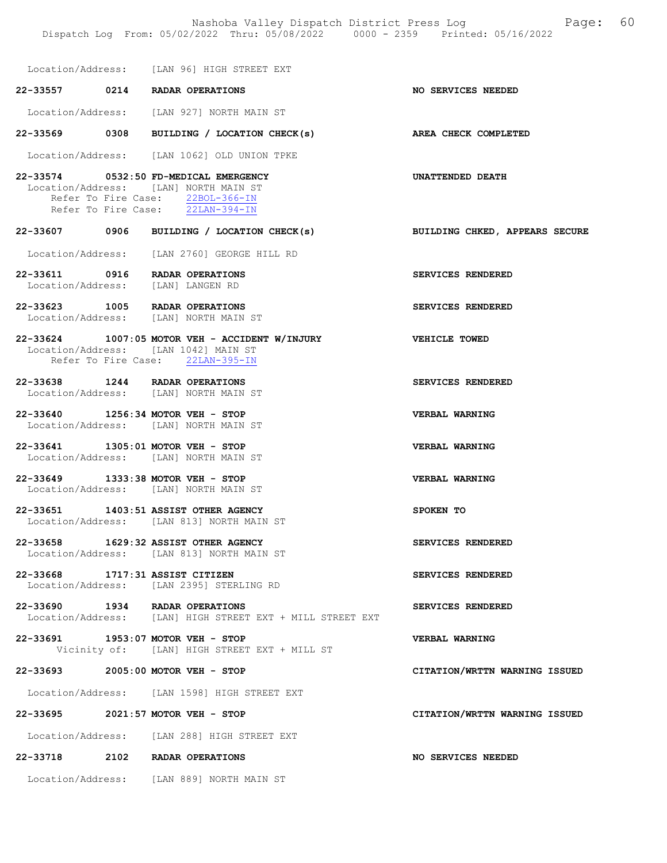Nashoba Valley Dispatch District Press Log Fage: 60 Dispatch Log From: 05/02/2022 Thru: 05/08/2022 0000 - 2359 Printed: 05/16/2022 Location/Address: [LAN 96] HIGH STREET EXT 22-33557 0214 RADAR OPERATIONS NO SERVICES NEEDED Location/Address: [LAN 927] NORTH MAIN ST 22-33569 0308 BUILDING / LOCATION CHECK(s) AREA CHECK COMPLETED Location/Address: [LAN 1062] OLD UNION TPKE 22-33574 0532:50 FD-MEDICAL EMERGENCY UNATTENDED DEATH Location/Address: [LAN] NORTH MAIN ST Refer To Fire Case:  $\frac{22BOL-366-IN}{22LAN-394-IN}$ Refer To Fire Case: 22-33607 0906 BUILDING / LOCATION CHECK(s) BUILDING CHKED, APPEARS SECURE Location/Address: [LAN 2760] GEORGE HILL RD 22-33611 0916 RADAR OPERATIONS SERVICES RENDERED<br>
Location/Address: [LAN] LANGEN RD Location/Address: 22-33623 1005 RADAR OPERATIONS SERVICES RENDERED Location/Address: [LAN] NORTH MAIN ST 22-33624 1007:05 MOTOR VEH - ACCIDENT W/INJURY VEHICLE TOWED Location/Address: [LAN 1042] MAIN ST Refer To Fire Case: 22LAN-395-IN 22-33638 1244 RADAR OPERATIONS SERVICES RENDERED Location/Address: [LAN] NORTH MAIN ST 22-33640 1256:34 MOTOR VEH - STOP VERBAL WARNING Location/Address: [LAN] NORTH MAIN ST 22-33641 1305:01 MOTOR VEH - STOP VERBAL WARNING Location/Address: [LAN] NORTH MAIN ST 22-33649 1333:38 MOTOR VEH - STOP VERBAL WARNING Location/Address: [LAN] NORTH MAIN ST 22-33651 1403:51 ASSIST OTHER AGENCY SPOKEN TO Location/Address: [LAN 813] NORTH MAIN ST 22-33658 1629:32 ASSIST OTHER AGENCY SERVICES RENDERED Location/Address: [LAN 813] NORTH MAIN ST 22-33668 1717:31 ASSIST CITIZEN SERVICES RENDERED Location/Address: [LAN 2395] STERLING RD 22-33690 1934 RADAR OPERATIONS SERVICES RENDERED Location/Address: [LAN] HIGH STREET EXT + MILL STREET EXT 22-33691 1953:07 MOTOR VEH - STOP VERBAL WARNING Vicinity of: [LAN] HIGH STREET EXT + MILL ST 22-33693 2005:00 MOTOR VEH - STOP CITATION/WRTTN WARNING ISSUED Location/Address: [LAN 1598] HIGH STREET EXT 22-33695 2021:57 MOTOR VEH - STOP CITATION/WRTTN WARNING ISSUED Location/Address: [LAN 288] HIGH STREET EXT 22-33718 2102 RADAR OPERATIONS NO SERVICES NEEDED

Location/Address: [LAN 889] NORTH MAIN ST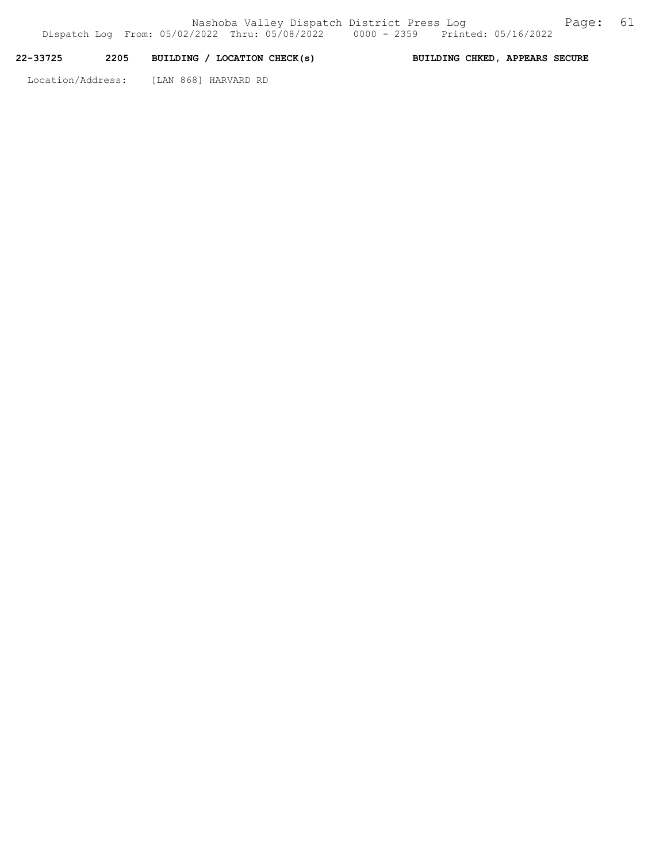# 22-33725 2205 BUILDING / LOCATION CHECK(s) BUILDING CHKED, APPEARS SECURE

Location/Address: [LAN 868] HARVARD RD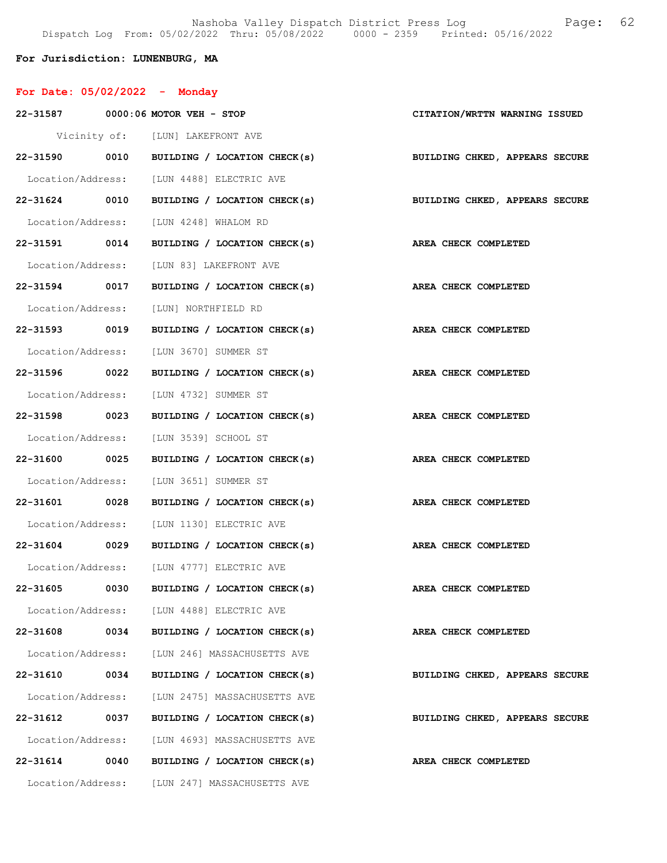Nashoba Valley Dispatch District Press Log Fage: 62 Dispatch Log From: 05/02/2022 Thru: 05/08/2022 0000 - 2359 Printed: 05/16/2022

For Jurisdiction: LUNENBURG, MA

| For Date: $05/02/2022 -$ Monday        |                                                                           |                                |
|----------------------------------------|---------------------------------------------------------------------------|--------------------------------|
| 22-31587 0000:06 MOTOR VEH - STOP      |                                                                           | CITATION/WRTTN WARNING ISSUED  |
|                                        | Vicinity of: [LUN] LAKEFRONT AVE                                          |                                |
|                                        | 22-31590 0010 BUILDING / LOCATION CHECK(s) BUILDING CHKED, APPEARS SECURE |                                |
|                                        | Location/Address: [LUN 4488] ELECTRIC AVE                                 |                                |
| 22-31624 0010                          | BUILDING / LOCATION CHECK(s)                                              | BUILDING CHKED, APPEARS SECURE |
|                                        | Location/Address: [LUN 4248] WHALOM RD                                    |                                |
| 22-31591 0014                          | BUILDING / LOCATION CHECK(s)                                              | AREA CHECK COMPLETED           |
|                                        | Location/Address: [LUN 83] LAKEFRONT AVE                                  |                                |
| 22-31594 0017                          | BUILDING / LOCATION CHECK(s) AREA CHECK COMPLETED                         |                                |
| Location/Address: [LUN] NORTHFIELD RD  |                                                                           |                                |
| 22-31593 0019                          | BUILDING / LOCATION CHECK(s) AREA CHECK COMPLETED                         |                                |
|                                        | Location/Address: [LUN 3670] SUMMER ST                                    |                                |
| 22-31596 0022                          | BUILDING / LOCATION CHECK(s)                                              | AREA CHECK COMPLETED           |
| Location/Address: [LUN 4732] SUMMER ST |                                                                           |                                |
| 22-31598 0023                          | BUILDING / LOCATION CHECK(s)                                              | AREA CHECK COMPLETED           |
| Location/Address: [LUN 3539] SCHOOL ST |                                                                           |                                |
| 22-31600 0025                          | BUILDING / LOCATION CHECK(s)                                              | AREA CHECK COMPLETED           |
|                                        | Location/Address: [LUN 3651] SUMMER ST                                    |                                |
| 22-31601 0028                          | BUILDING / LOCATION CHECK(s) AREA CHECK COMPLETED                         |                                |
|                                        | Location/Address: [LUN 1130] ELECTRIC AVE                                 |                                |
| 22-31604 0029                          | BUILDING / LOCATION CHECK(s)                                              | AREA CHECK COMPLETED           |
|                                        | Location/Address: [LUN 4777] ELECTRIC AVE                                 |                                |
| 22-31605<br>0030                       | BUILDING / LOCATION CHECK(s)                                              | AREA CHECK COMPLETED           |
|                                        | Location/Address: [LUN 4488] ELECTRIC AVE                                 |                                |
| 0034<br>22-31608                       | BUILDING / LOCATION CHECK(s)                                              | AREA CHECK COMPLETED           |
|                                        | Location/Address: [LUN 246] MASSACHUSETTS AVE                             |                                |
| 22-31610<br>0034                       | BUILDING / LOCATION CHECK(s)                                              | BUILDING CHKED, APPEARS SECURE |
| Location/Address:                      | [LUN 2475] MASSACHUSETTS AVE                                              |                                |
| 22-31612<br>0037                       | BUILDING / LOCATION CHECK(s)                                              | BUILDING CHKED, APPEARS SECURE |
| Location/Address:                      | [LUN 4693] MASSACHUSETTS AVE                                              |                                |
| 22-31614<br>0040                       | BUILDING / LOCATION CHECK(s)                                              | AREA CHECK COMPLETED           |
| Location/Address:                      | [LUN 247] MASSACHUSETTS AVE                                               |                                |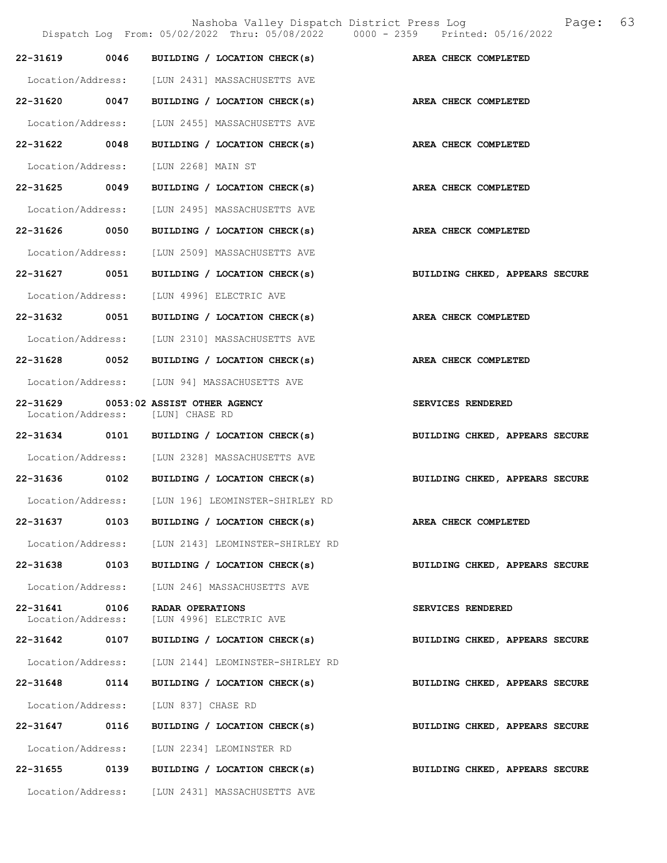|                                    |      | Nashoba Valley Dispatch District Press Log<br>Dispatch Log From: 05/02/2022 Thru: 05/08/2022 0000 - 2359 Printed: 05/16/2022 | Page: 63                       |
|------------------------------------|------|------------------------------------------------------------------------------------------------------------------------------|--------------------------------|
|                                    |      | 22-31619 0046 BUILDING / LOCATION CHECK(s) AREA CHECK COMPLETED                                                              |                                |
|                                    |      | Location/Address: [LUN 2431] MASSACHUSETTS AVE                                                                               |                                |
|                                    |      | 22-31620 0047 BUILDING / LOCATION CHECK(s) AREA CHECK COMPLETED                                                              |                                |
|                                    |      | Location/Address: [LUN 2455] MASSACHUSETTS AVE                                                                               |                                |
| 22-31622 0048                      |      | BUILDING / LOCATION CHECK(s) AREA CHECK COMPLETED                                                                            |                                |
|                                    |      | Location/Address: [LUN 2268] MAIN ST                                                                                         |                                |
| 22-31625 0049                      |      | BUILDING / LOCATION CHECK(s)                                                                                                 | AREA CHECK COMPLETED           |
|                                    |      | Location/Address: [LUN 2495] MASSACHUSETTS AVE                                                                               |                                |
|                                    |      | 22-31626 0050 BUILDING / LOCATION CHECK(s)                                                                                   | AREA CHECK COMPLETED           |
|                                    |      | Location/Address: [LUN 2509] MASSACHUSETTS AVE                                                                               |                                |
|                                    |      | 22-31627 0051 BUILDING / LOCATION CHECK(s)                                                                                   | BUILDING CHKED, APPEARS SECURE |
|                                    |      | Location/Address: [LUN 4996] ELECTRIC AVE                                                                                    |                                |
|                                    |      | 22-31632 0051 BUILDING / LOCATION CHECK(s)                                                                                   | AREA CHECK COMPLETED           |
|                                    |      | Location/Address: [LUN 2310] MASSACHUSETTS AVE                                                                               |                                |
|                                    |      | 22-31628 0052 BUILDING / LOCATION CHECK(s)                                                                                   | AREA CHECK COMPLETED           |
|                                    |      | Location/Address: [LUN 94] MASSACHUSETTS AVE                                                                                 |                                |
|                                    |      | 22-31629 0053:02 ASSIST OTHER AGENCY<br>Location/Address: [LUN] CHASE RD                                                     | SERVICES RENDERED              |
|                                    |      | 22-31634 0101 BUILDING / LOCATION CHECK(s)                                                                                   | BUILDING CHKED, APPEARS SECURE |
|                                    |      | Location/Address: [LUN 2328] MASSACHUSETTS AVE                                                                               |                                |
|                                    |      | 22-31636 0102 BUILDING / LOCATION CHECK(s)                                                                                   | BUILDING CHKED, APPEARS SECURE |
|                                    |      | Location/Address: [LUN 196] LEOMINSTER-SHIRLEY RD                                                                            |                                |
|                                    |      | 22-31637 0103 BUILDING / LOCATION CHECK(s)                                                                                   | AREA CHECK COMPLETED           |
|                                    |      | Location/Address: [LUN 2143] LEOMINSTER-SHIRLEY RD                                                                           |                                |
| 22-31638 0103                      |      | BUILDING / LOCATION CHECK(s)                                                                                                 | BUILDING CHKED, APPEARS SECURE |
| Location/Address:                  |      | [LUN 246] MASSACHUSETTS AVE                                                                                                  |                                |
| 22-31641 0106<br>Location/Address: |      | RADAR OPERATIONS<br>[LUN 4996] ELECTRIC AVE                                                                                  | SERVICES RENDERED              |
| 22-31642 0107                      |      | BUILDING / LOCATION CHECK(s)                                                                                                 | BUILDING CHKED, APPEARS SECURE |
| Location/Address:                  |      | [LUN 2144] LEOMINSTER-SHIRLEY RD                                                                                             |                                |
| 22-31648 0114                      |      | BUILDING / LOCATION CHECK(s)                                                                                                 | BUILDING CHKED, APPEARS SECURE |
| Location/Address:                  |      | [LUN 837] CHASE RD                                                                                                           |                                |
| 22-31647 0116                      |      | BUILDING / LOCATION CHECK(s)                                                                                                 | BUILDING CHKED, APPEARS SECURE |
|                                    |      | Location/Address: [LUN 2234] LEOMINSTER RD                                                                                   |                                |
| 22-31655                           | 0139 | BUILDING / LOCATION CHECK(s)                                                                                                 | BUILDING CHKED, APPEARS SECURE |

Location/Address: [LUN 2431] MASSACHUSETTS AVE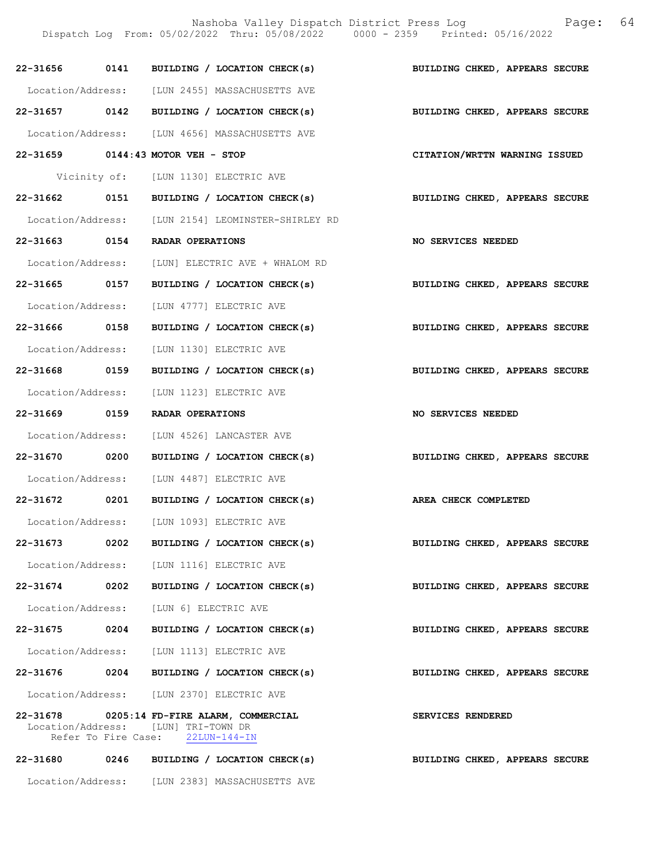|                   |      | Nashoba Valley Dispatch District Press Log<br>Dispatch Log From: 05/02/2022 Thru: 05/08/2022 0000 - 2359 Printed: 05/16/2022 | Page:                          | 64 |
|-------------------|------|------------------------------------------------------------------------------------------------------------------------------|--------------------------------|----|
|                   |      | 22-31656 0141 BUILDING / LOCATION CHECK(s)                                                                                   | BUILDING CHKED, APPEARS SECURE |    |
|                   |      | Location/Address: [LUN 2455] MASSACHUSETTS AVE                                                                               |                                |    |
|                   |      | 22-31657 0142 BUILDING / LOCATION CHECK(s)                                                                                   | BUILDING CHKED, APPEARS SECURE |    |
|                   |      | Location/Address: [LUN 4656] MASSACHUSETTS AVE                                                                               |                                |    |
|                   |      | 22-31659 0144:43 MOTOR VEH - STOP                                                                                            | CITATION/WRTTN WARNING ISSUED  |    |
|                   |      | Vicinity of: [LUN 1130] ELECTRIC AVE                                                                                         |                                |    |
|                   |      | 22-31662 0151 BUILDING / LOCATION CHECK(s)                                                                                   | BUILDING CHKED, APPEARS SECURE |    |
|                   |      | Location/Address: [LUN 2154] LEOMINSTER-SHIRLEY RD                                                                           |                                |    |
|                   |      | 22-31663 0154 RADAR OPERATIONS                                                                                               | NO SERVICES NEEDED             |    |
| Location/Address: |      | [LUN] ELECTRIC AVE + WHALOM RD                                                                                               |                                |    |
| 22-31665 0157     |      | BUILDING / LOCATION CHECK(s)                                                                                                 | BUILDING CHKED, APPEARS SECURE |    |
| Location/Address: |      | [LUN 4777] ELECTRIC AVE                                                                                                      |                                |    |
| 22-31666 0158     |      | BUILDING / LOCATION CHECK(s)                                                                                                 | BUILDING CHKED, APPEARS SECURE |    |
| Location/Address: |      | [LUN 1130] ELECTRIC AVE                                                                                                      |                                |    |
| 22-31668 0159     |      | BUILDING / LOCATION CHECK(s)                                                                                                 | BUILDING CHKED, APPEARS SECURE |    |
| Location/Address: |      | [LUN 1123] ELECTRIC AVE                                                                                                      |                                |    |
| 22-31669 0159     |      | <b>RADAR OPERATIONS</b>                                                                                                      | NO SERVICES NEEDED             |    |
| Location/Address: |      | [LUN 4526] LANCASTER AVE                                                                                                     |                                |    |
| 22-31670 0200     |      | BUILDING / LOCATION CHECK(s)                                                                                                 | BUILDING CHKED, APPEARS SECURE |    |
|                   |      | Location/Address: [LUN 4487] ELECTRIC AVE                                                                                    |                                |    |
| 22-31672          | 0201 | BUILDING / LOCATION CHECK(s)                                                                                                 | AREA CHECK COMPLETED           |    |
|                   |      | Location/Address: [LUN 1093] ELECTRIC AVE                                                                                    |                                |    |
|                   |      | 22-31673 0202 BUILDING / LOCATION CHECK(s)                                                                                   | BUILDING CHKED, APPEARS SECURE |    |
|                   |      | Location/Address: [LUN 1116] ELECTRIC AVE                                                                                    |                                |    |
|                   |      | 22-31674 0202 BUILDING / LOCATION CHECK(s)                                                                                   | BUILDING CHKED, APPEARS SECURE |    |
|                   |      | Location/Address: [LUN 6] ELECTRIC AVE                                                                                       |                                |    |
|                   |      | 22-31675 0204 BUILDING / LOCATION CHECK(s)                                                                                   | BUILDING CHKED, APPEARS SECURE |    |
|                   |      | Location/Address: [LUN 1113] ELECTRIC AVE                                                                                    |                                |    |
|                   |      | 22-31676 0204 BUILDING / LOCATION CHECK(s)                                                                                   | BUILDING CHKED, APPEARS SECURE |    |
|                   |      | Location/Address: [LUN 2370] ELECTRIC AVE                                                                                    |                                |    |
|                   |      | 22-31678 0205:14 FD-FIRE ALARM, COMMERCIAL<br>Location/Address: [LUN] TRI-TOWN DR<br>Refer To Fire Case: 22LUN-144-IN        | SERVICES RENDERED              |    |
|                   |      | 22-31680 0246 BUILDING / LOCATION CHECK(s)                                                                                   | BUILDING CHKED, APPEARS SECURE |    |

Location/Address: [LUN 2383] MASSACHUSETTS AVE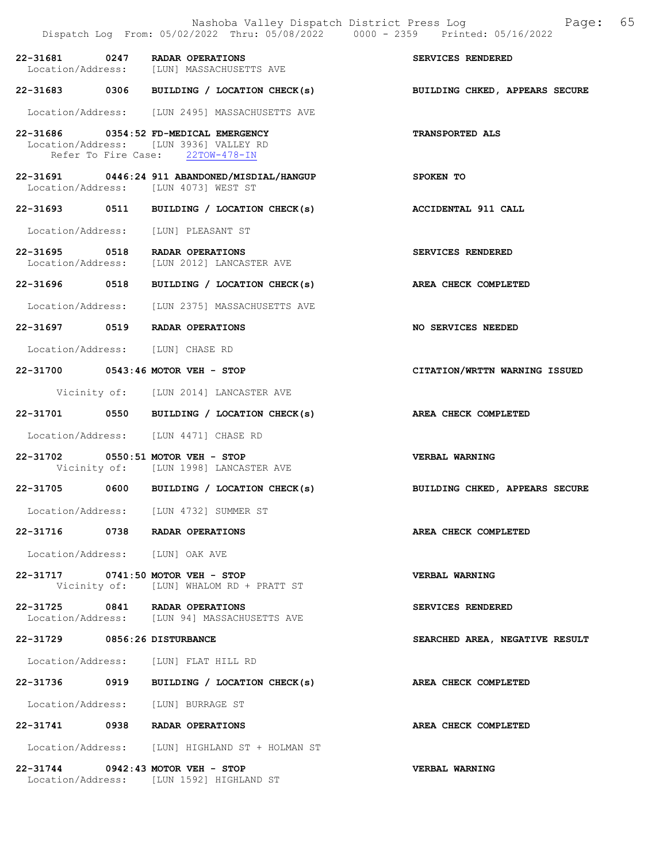|                                  | Nashoba Valley Dispatch District Press Log<br>Dispatch Log From: 05/02/2022 Thru: 05/08/2022 0000 - 2359 Printed: 05/16/2022 | 65<br>Page:                    |
|----------------------------------|------------------------------------------------------------------------------------------------------------------------------|--------------------------------|
|                                  | 22-31681 0247 RADAR OPERATIONS<br>Location/Address: [LUN] MASSACHUSETTS AVE                                                  | SERVICES RENDERED              |
|                                  | 22-31683 0306 BUILDING / LOCATION CHECK(s)                                                                                   | BUILDING CHKED, APPEARS SECURE |
|                                  | Location/Address: [LUN 2495] MASSACHUSETTS AVE                                                                               |                                |
|                                  | 22-31686 0354:52 FD-MEDICAL EMERGENCY<br>Location/Address: [LUN 3936] VALLEY RD<br>Refer To Fire Case: 22TOW-478-IN          | TRANSPORTED ALS                |
|                                  | 22-31691 0446:24 911 ABANDONED/MISDIAL/HANGUP<br>Location/Address: [LUN 4073] WEST ST                                        | SPOKEN TO                      |
|                                  | 22-31693 0511 BUILDING / LOCATION CHECK(s)                                                                                   | <b>ACCIDENTAL 911 CALL</b>     |
|                                  | Location/Address: [LUN] PLEASANT ST                                                                                          |                                |
|                                  | 22-31695 0518 RADAR OPERATIONS<br>Location/Address: [LUN 2012] LANCASTER AVE                                                 | SERVICES RENDERED              |
|                                  | 22-31696 0518 BUILDING / LOCATION CHECK(s)                                                                                   | AREA CHECK COMPLETED           |
|                                  | Location/Address: [LUN 2375] MASSACHUSETTS AVE                                                                               |                                |
|                                  | 22-31697 0519 RADAR OPERATIONS                                                                                               | NO SERVICES NEEDED             |
| Location/Address: [LUN] CHASE RD |                                                                                                                              |                                |
|                                  | 22-31700 0543:46 MOTOR VEH - STOP                                                                                            | CITATION/WRTTN WARNING ISSUED  |
|                                  | Vicinity of: [LUN 2014] LANCASTER AVE                                                                                        |                                |
|                                  | 22-31701 0550 BUILDING / LOCATION CHECK(s)                                                                                   | AREA CHECK COMPLETED           |
|                                  | Location/Address: [LUN 4471] CHASE RD                                                                                        |                                |
|                                  | 22-31702 0550:51 MOTOR VEH - STOP<br>Vicinity of: [LUN 1998] LANCASTER AVE                                                   | <b>VERBAL WARNING</b>          |
|                                  | 22-31705 0600 BUILDING / LOCATION CHECK(s)                                                                                   | BUILDING CHKED, APPEARS SECURE |
|                                  | Location/Address: [LUN 4732] SUMMER ST                                                                                       |                                |
|                                  | 22-31716 0738 RADAR OPERATIONS                                                                                               | AREA CHECK COMPLETED           |
| Location/Address: [LUN] OAK AVE  |                                                                                                                              |                                |
|                                  | 22-31717 0741:50 MOTOR VEH - STOP<br>Vicinity of: [LUN] WHALOM RD + PRATT ST                                                 | <b>VERBAL WARNING</b>          |
|                                  | 22-31725 0841 RADAR OPERATIONS<br>Location/Address: [LUN 94] MASSACHUSETTS AVE                                               | SERVICES RENDERED              |
| 22-31729 0856:26 DISTURBANCE     |                                                                                                                              | SEARCHED AREA, NEGATIVE RESULT |
|                                  | Location/Address: [LUN] FLAT HILL RD                                                                                         |                                |
|                                  | 22-31736 0919 BUILDING / LOCATION CHECK(s)                                                                                   | AREA CHECK COMPLETED           |
|                                  | Location/Address: [LUN] BURRAGE ST                                                                                           |                                |
|                                  | 22-31741 0938 RADAR OPERATIONS                                                                                               | AREA CHECK COMPLETED           |
|                                  | Location/Address: [LUN] HIGHLAND ST + HOLMAN ST                                                                              |                                |
|                                  | 22-31744 0942:43 MOTOR VEH - STOP<br>Location/Address: [LUN 1592] HIGHLAND ST                                                | <b>VERBAL WARNING</b>          |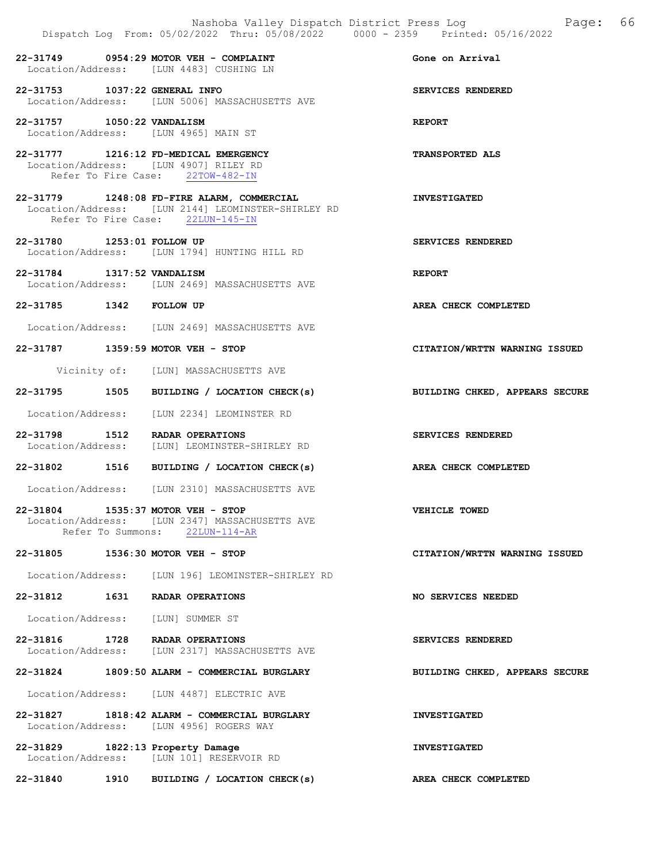|                                  | Nashoba Valley Dispatch District Press Log<br>Dispatch Log From: 05/02/2022 Thru: 05/08/2022 0000 - 2359 Printed: 05/16/2022         | 66<br>Page:                    |
|----------------------------------|--------------------------------------------------------------------------------------------------------------------------------------|--------------------------------|
|                                  | $22-31749$ 0954:29 MOTOR VEH - COMPLAINT<br>Location/Address: [LUN 4483] CUSHING LN                                                  | Gone on Arrival                |
| 22-31753 1037:22 GENERAL INFO    | Location/Address: [LUN 5006] MASSACHUSETTS AVE                                                                                       | SERVICES RENDERED              |
| 22-31757 1050:22 VANDALISM       | Location/Address: [LUN 4965] MAIN ST                                                                                                 | <b>REPORT</b>                  |
|                                  | 22-31777 1216:12 FD-MEDICAL EMERGENCY<br>Location/Address: [LUN 4907] RILEY RD<br>Refer To Fire Case: 22TOW-482-IN                   | <b>TRANSPORTED ALS</b>         |
|                                  | 22-31779 1248:08 FD-FIRE ALARM, COMMERCIAL<br>Location/Address: [LUN 2144] LEOMINSTER-SHIRLEY RD<br>Refer To Fire Case: 22LUN-145-IN | <b>INVESTIGATED</b>            |
| 22-31780 1253:01 FOLLOW UP       | Location/Address: [LUN 1794] HUNTING HILL RD                                                                                         | SERVICES RENDERED              |
| 22-31784 1317:52 VANDALISM       | Location/Address: [LUN 2469] MASSACHUSETTS AVE                                                                                       | <b>REPORT</b>                  |
| 22-31785 1342 FOLLOW UP          |                                                                                                                                      | AREA CHECK COMPLETED           |
|                                  | Location/Address: [LUN 2469] MASSACHUSETTS AVE                                                                                       |                                |
|                                  | 22-31787 1359:59 MOTOR VEH - STOP                                                                                                    | CITATION/WRTTN WARNING ISSUED  |
|                                  | Vicinity of: [LUN] MASSACHUSETTS AVE                                                                                                 |                                |
|                                  | 22-31795 1505 BUILDING / LOCATION CHECK(s)                                                                                           | BUILDING CHKED, APPEARS SECURE |
|                                  | Location/Address: [LUN 2234] LEOMINSTER RD                                                                                           |                                |
|                                  | 22-31798 1512 RADAR OPERATIONS<br>Location/Address: [LUN] LEOMINSTER-SHIRLEY RD                                                      | SERVICES RENDERED              |
|                                  | 22-31802 1516 BUILDING / LOCATION CHECK(s)                                                                                           | AREA CHECK COMPLETED           |
|                                  | Location/Address: [LUN 2310] MASSACHUSETTS AVE                                                                                       |                                |
|                                  | 22-31804 1535:37 MOTOR VEH - STOP<br>Location/Address: [LUN 2347] MASSACHUSETTS AVE<br>Refer To Summons: 22LUN-114-AR                | VEHICLE TOWED                  |
|                                  | 22-31805 1536:30 MOTOR VEH - STOP                                                                                                    | CITATION/WRTTN WARNING ISSUED  |
|                                  | Location/Address: [LUN 196] LEOMINSTER-SHIRLEY RD                                                                                    |                                |
| 22-31812                         | 1631 RADAR OPERATIONS                                                                                                                | NO SERVICES NEEDED             |
|                                  | Location/Address: [LUN] SUMMER ST                                                                                                    |                                |
|                                  | 22-31816 1728 RADAR OPERATIONS<br>Location/Address: [LUN 2317] MASSACHUSETTS AVE                                                     | SERVICES RENDERED              |
|                                  | 22-31824 1809:50 ALARM - COMMERCIAL BURGLARY                                                                                         | BUILDING CHKED, APPEARS SECURE |
|                                  | Location/Address: [LUN 4487] ELECTRIC AVE                                                                                            |                                |
|                                  | 22-31827 1818:42 ALARM - COMMERCIAL BURGLARY<br>Location/Address: [LUN 4956] ROGERS WAY                                              | <b>INVESTIGATED</b>            |
| 22-31829 1822:13 Property Damage | Location/Address: [LUN 101] RESERVOIR RD                                                                                             | <b>INVESTIGATED</b>            |

22-31840 1910 BUILDING / LOCATION CHECK(s) AREA CHECK COMPLETED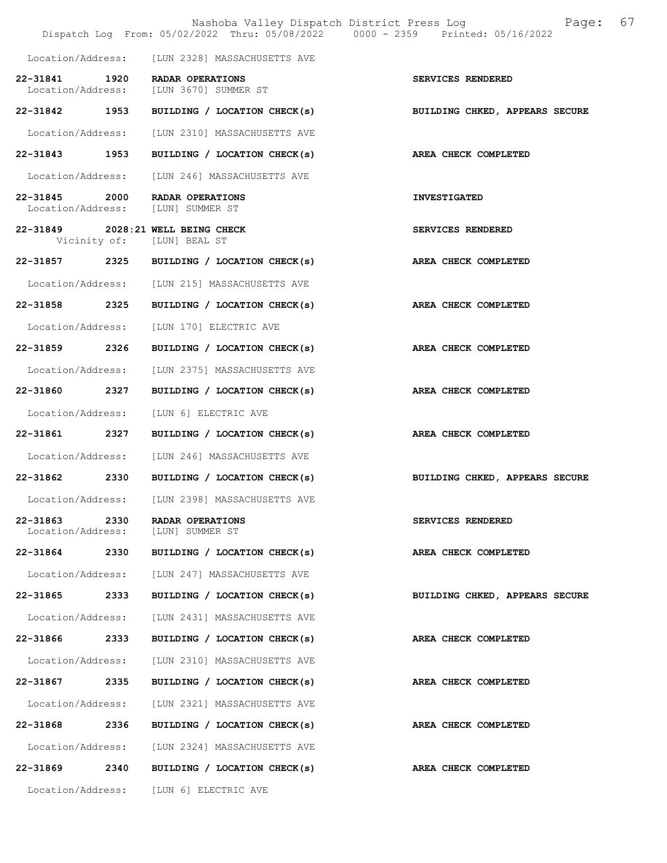|                               |      | Nashoba Valley Dispatch District Press Log<br>Dispatch Log From: 05/02/2022 Thru: 05/08/2022 0000 - 2359 Printed: 05/16/2022 | 67<br>Page:                    |
|-------------------------------|------|------------------------------------------------------------------------------------------------------------------------------|--------------------------------|
|                               |      | Location/Address: [LUN 2328] MASSACHUSETTS AVE                                                                               |                                |
| Location/Address:             |      | 22-31841 1920 RADAR OPERATIONS<br>[LUN 3670] SUMMER ST                                                                       | SERVICES RENDERED              |
| 22-31842 1953                 |      | BUILDING / LOCATION CHECK(s)                                                                                                 | BUILDING CHKED, APPEARS SECURE |
| Location/Address:             |      | [LUN 2310] MASSACHUSETTS AVE                                                                                                 |                                |
| 22-31843 1953                 |      | BUILDING / LOCATION CHECK(s)                                                                                                 | AREA CHECK COMPLETED           |
| Location/Address:             |      | [LUN 246] MASSACHUSETTS AVE                                                                                                  |                                |
| 22-31845 2000                 |      | RADAR OPERATIONS<br>Location/Address: [LUN] SUMMER ST                                                                        | <b>INVESTIGATED</b>            |
|                               |      | 22-31849 2028:21 WELL BEING CHECK<br>Vicinity of: [LUN] BEAL ST                                                              | SERVICES RENDERED              |
|                               |      | 22-31857 2325 BUILDING / LOCATION CHECK(s)                                                                                   | AREA CHECK COMPLETED           |
| Location/Address:             |      | [LUN 215] MASSACHUSETTS AVE                                                                                                  |                                |
| 22-31858 2325                 |      | BUILDING / LOCATION CHECK(s)                                                                                                 | AREA CHECK COMPLETED           |
| Location/Address:             |      | [LUN 170] ELECTRIC AVE                                                                                                       |                                |
| 22-31859 2326                 |      | BUILDING / LOCATION CHECK(s)                                                                                                 | AREA CHECK COMPLETED           |
| Location/Address:             |      | [LUN 2375] MASSACHUSETTS AVE                                                                                                 |                                |
| 22-31860 2327                 |      | BUILDING / LOCATION CHECK(s)                                                                                                 | AREA CHECK COMPLETED           |
| Location/Address:             |      | [LUN 6] ELECTRIC AVE                                                                                                         |                                |
| 22-31861                      | 2327 | BUILDING / LOCATION CHECK(s)                                                                                                 | AREA CHECK COMPLETED           |
| Location/Address:             |      | [LUN 246] MASSACHUSETTS AVE                                                                                                  |                                |
|                               |      | 22-31862 2330 BUILDING / LOCATION CHECK(s)                                                                                   | BUILDING CHKED, APPEARS SECURE |
| Location/Address:             |      | [LUN 2398] MASSACHUSETTS AVE                                                                                                 |                                |
| 22-31863<br>Location/Address: | 2330 | RADAR OPERATIONS<br>[LUN] SUMMER ST                                                                                          | SERVICES RENDERED              |
| 22-31864 2330                 |      | BUILDING / LOCATION CHECK(s)                                                                                                 | AREA CHECK COMPLETED           |
| Location/Address:             |      | [LUN 247] MASSACHUSETTS AVE                                                                                                  |                                |
| 22-31865                      | 2333 | BUILDING / LOCATION CHECK(s)                                                                                                 | BUILDING CHKED, APPEARS SECURE |
| Location/Address:             |      | [LUN 2431] MASSACHUSETTS AVE                                                                                                 |                                |
| 22-31866                      | 2333 | BUILDING / LOCATION CHECK(s)                                                                                                 | AREA CHECK COMPLETED           |
| Location/Address:             |      | [LUN 2310] MASSACHUSETTS AVE                                                                                                 |                                |
| 22-31867 2335                 |      | BUILDING / LOCATION CHECK(s)                                                                                                 | AREA CHECK COMPLETED           |
| Location/Address:             |      | [LUN 2321] MASSACHUSETTS AVE                                                                                                 |                                |
| 22-31868                      | 2336 | BUILDING / LOCATION CHECK(s)                                                                                                 | AREA CHECK COMPLETED           |
| Location/Address:             |      | [LUN 2324] MASSACHUSETTS AVE                                                                                                 |                                |
| 22-31869                      | 2340 | BUILDING / LOCATION CHECK(s)                                                                                                 | AREA CHECK COMPLETED           |
| Location/Address:             |      | [LUN 6] ELECTRIC AVE                                                                                                         |                                |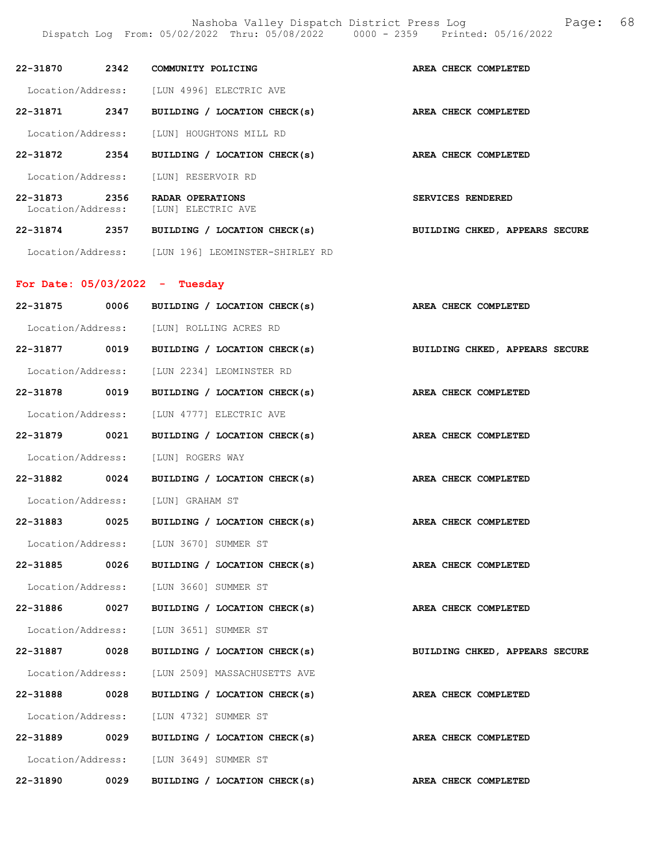Nashoba Valley Dispatch District Press Log Fage: 68

|               |      |                                                                        | Dispatch Log From: 05/02/2022 Thru: 05/08/2022 0000 - 2359 Printed: 05/16/2022 |
|---------------|------|------------------------------------------------------------------------|--------------------------------------------------------------------------------|
|               |      | 22-31870 2342 COMMUNITY POLICING                                       | AREA CHECK COMPLETED                                                           |
|               |      | Location/Address: [LUN 4996] ELECTRIC AVE                              |                                                                                |
|               |      | 22-31871 2347 BUILDING / LOCATION CHECK(s)                             | AREA CHECK COMPLETED                                                           |
|               |      | Location/Address: [LUN] HOUGHTONS MILL RD                              |                                                                                |
|               |      | 22-31872 2354 BUILDING / LOCATION CHECK(s) AREA CHECK COMPLETED        |                                                                                |
|               |      | Location/Address: [LUN] RESERVOIR RD                                   |                                                                                |
|               |      | 22-31873 2356 RADAR OPERATIONS<br>Location/Address: [LUN] ELECTRIC AVE | SERVICES RENDERED                                                              |
|               |      | 22-31874 2357 BUILDING / LOCATION CHECK(s)                             | <b>BUILDING CHKED, APPEARS SECURE</b>                                          |
|               |      | Location/Address: [LUN 196] LEOMINSTER-SHIRLEY RD                      |                                                                                |
|               |      | For Date: $05/03/2022 - Tuesday$                                       |                                                                                |
|               |      | 22-31875 0006 BUILDING / LOCATION CHECK(s)                             | AREA CHECK COMPLETED                                                           |
|               |      | Location/Address: [LUN] ROLLING ACRES RD                               |                                                                                |
|               |      | 22-31877 0019 BUILDING / LOCATION CHECK(s)                             | BUILDING CHKED, APPEARS SECURE                                                 |
|               |      | Location/Address: [LUN 2234] LEOMINSTER RD                             |                                                                                |
|               |      | 22-31878 0019 BUILDING / LOCATION CHECK(s)                             | AREA CHECK COMPLETED                                                           |
|               |      | Location/Address: [LUN 4777] ELECTRIC AVE                              |                                                                                |
| 22-31879 0021 |      | BUILDING / LOCATION CHECK(s)                                           | AREA CHECK COMPLETED                                                           |
|               |      | Location/Address: [LUN] ROGERS WAY                                     |                                                                                |
|               |      | 22-31882 0024 BUILDING / LOCATION CHECK(s)                             | AREA CHECK COMPLETED                                                           |
|               |      | Location/Address: [LUN] GRAHAM ST                                      |                                                                                |
| 22-31883      | 0025 | BUILDING / LOCATION CHECK(s)                                           | AREA CHECK COMPLETED                                                           |
|               |      | Location/Address: [LUN 3670] SUMMER ST                                 |                                                                                |
|               |      | 22-31885 0026 BUILDING / LOCATION CHECK(s)                             | AREA CHECK COMPLETED                                                           |
|               |      | Location/Address: [LUN 3660] SUMMER ST                                 |                                                                                |
|               |      | 22-31886 0027 BUILDING / LOCATION CHECK(s)                             | AREA CHECK COMPLETED                                                           |
|               |      | Location/Address: [LUN 3651] SUMMER ST                                 |                                                                                |
| 22-31887      | 0028 | BUILDING / LOCATION CHECK(s)                                           | BUILDING CHKED, APPEARS SECURE                                                 |
|               |      | Location/Address: [LUN 2509] MASSACHUSETTS AVE                         |                                                                                |
|               |      | 22-31888 0028 BUILDING / LOCATION CHECK(s)                             | AREA CHECK COMPLETED                                                           |
|               |      | Location/Address: [LUN 4732] SUMMER ST                                 |                                                                                |
|               |      | 22-31889 0029 BUILDING / LOCATION CHECK(s)                             | AREA CHECK COMPLETED                                                           |
|               |      |                                                                        |                                                                                |

Location/Address: [LUN 3649] SUMMER ST

22-31890 0029 BUILDING / LOCATION CHECK(s) AREA CHECK COMPLETED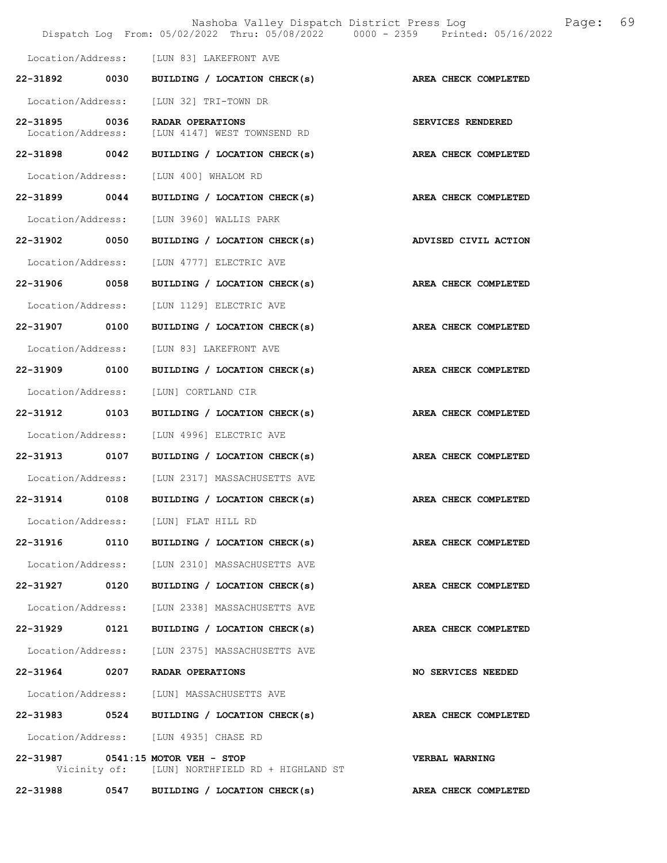|                                    |      | Nashoba Valley Dispatch District Press Log<br>Dispatch Log From: 05/02/2022 Thru: 05/08/2022 0000 - 2359 Printed: 05/16/2022 | 69<br>Page:                 |
|------------------------------------|------|------------------------------------------------------------------------------------------------------------------------------|-----------------------------|
|                                    |      | Location/Address: [LUN 83] LAKEFRONT AVE                                                                                     |                             |
|                                    |      | 22-31892 0030 BUILDING / LOCATION CHECK(s)                                                                                   | AREA CHECK COMPLETED        |
| Location/Address:                  |      | [LUN 32] TRI-TOWN DR                                                                                                         |                             |
| 22-31895 0036<br>Location/Address: |      | RADAR OPERATIONS<br>[LUN 4147] WEST TOWNSEND RD                                                                              | SERVICES RENDERED           |
| 22-31898 0042                      |      | BUILDING / LOCATION CHECK(s)                                                                                                 | AREA CHECK COMPLETED        |
| Location/Address:                  |      | [LUN 400] WHALOM RD                                                                                                          |                             |
| 22-31899 0044                      |      | BUILDING / LOCATION CHECK(s)                                                                                                 | AREA CHECK COMPLETED        |
| Location/Address:                  |      | [LUN 3960] WALLIS PARK                                                                                                       |                             |
| 22-31902                           | 0050 | BUILDING / LOCATION CHECK(s)                                                                                                 | ADVISED CIVIL ACTION        |
| Location/Address:                  |      | [LUN 4777] ELECTRIC AVE                                                                                                      |                             |
| 22-31906 0058                      |      | BUILDING / LOCATION CHECK(s)                                                                                                 | AREA CHECK COMPLETED        |
| Location/Address:                  |      | [LUN 1129] ELECTRIC AVE                                                                                                      |                             |
| 22-31907 0100                      |      | BUILDING / LOCATION CHECK(s)                                                                                                 | AREA CHECK COMPLETED        |
| Location/Address:                  |      | [LUN 83] LAKEFRONT AVE                                                                                                       |                             |
| 22-31909                           | 0100 | BUILDING / LOCATION CHECK(s)                                                                                                 | <b>AREA CHECK COMPLETED</b> |
| Location/Address:                  |      | [LUN] CORTLAND CIR                                                                                                           |                             |
| 22-31912 0103                      |      | BUILDING / LOCATION CHECK(s)                                                                                                 | AREA CHECK COMPLETED        |
| Location/Address:                  |      | [LUN 4996] ELECTRIC AVE                                                                                                      |                             |
| 22-31913 0107                      |      | BUILDING / LOCATION CHECK(s)                                                                                                 | AREA CHECK COMPLETED        |
| Location/Address:                  |      | [LUN 2317] MASSACHUSETTS AVE                                                                                                 |                             |
| 22-31914                           | 0108 | BUILDING / LOCATION CHECK(s)                                                                                                 | AREA CHECK COMPLETED        |
|                                    |      | Location/Address: [LUN] FLAT HILL RD                                                                                         |                             |
|                                    |      | 22-31916 0110 BUILDING / LOCATION CHECK(s)                                                                                   | AREA CHECK COMPLETED        |
| Location/Address:                  |      | [LUN 2310] MASSACHUSETTS AVE                                                                                                 |                             |
| 22-31927                           | 0120 | BUILDING / LOCATION CHECK(s)                                                                                                 | AREA CHECK COMPLETED        |
| Location/Address:                  |      | [LUN 2338] MASSACHUSETTS AVE                                                                                                 |                             |
| 22-31929 0121                      |      | BUILDING / LOCATION CHECK(s)                                                                                                 | AREA CHECK COMPLETED        |
|                                    |      | Location/Address: [LUN 2375] MASSACHUSETTS AVE                                                                               |                             |
| 22-31964 0207 RADAR OPERATIONS     |      |                                                                                                                              | NO SERVICES NEEDED          |
|                                    |      | Location/Address: [LUN] MASSACHUSETTS AVE                                                                                    |                             |
|                                    |      | 22-31983 0524 BUILDING / LOCATION CHECK(s)                                                                                   | AREA CHECK COMPLETED        |
|                                    |      | Location/Address: [LUN 4935] CHASE RD                                                                                        |                             |
| 22-31987 0541:15 MOTOR VEH - STOP  |      | Vicinity of: [LUN] NORTHFIELD RD + HIGHLAND ST                                                                               | <b>VERBAL WARNING</b>       |
|                                    |      | 22-31988 0547 BUILDING / LOCATION CHECK(s) AREA CHECK COMPLETED                                                              |                             |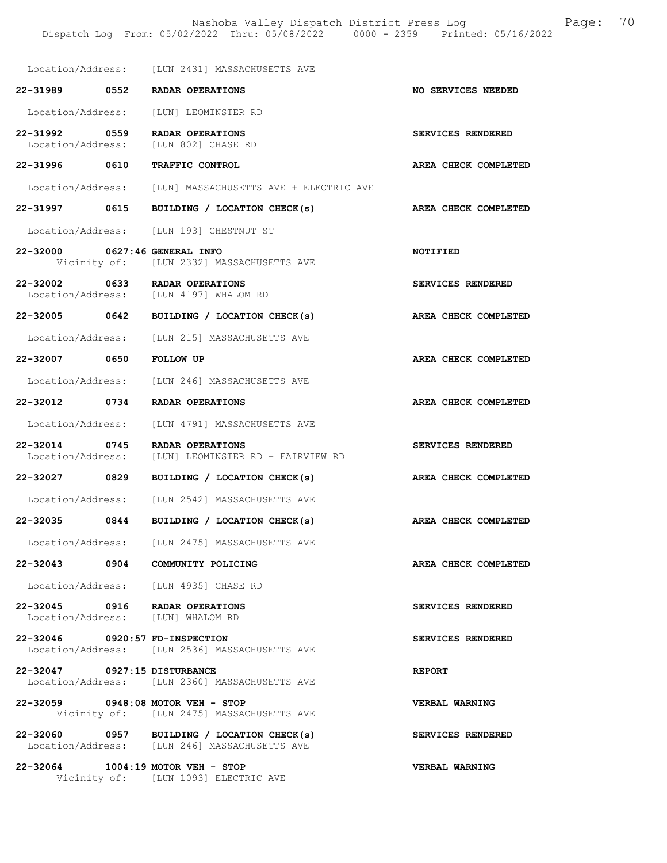|                                    | Location/Address: [LUN 2431] MASSACHUSETTS AVE                                              |                       |
|------------------------------------|---------------------------------------------------------------------------------------------|-----------------------|
|                                    | 22-31989 0552 RADAR OPERATIONS                                                              | NO SERVICES NEEDED    |
|                                    | Location/Address: [LUN] LEOMINSTER RD                                                       |                       |
| 22-31992 0559                      | RADAR OPERATIONS<br>Location/Address: [LUN 802] CHASE RD                                    | SERVICES RENDERED     |
| 22-31996 0610                      | TRAFFIC CONTROL                                                                             | AREA CHECK COMPLETED  |
|                                    | Location/Address: [LUN] MASSACHUSETTS AVE + ELECTRIC AVE                                    |                       |
| 22-31997 0615                      | BUILDING / LOCATION CHECK(s)                                                                | AREA CHECK COMPLETED  |
|                                    | Location/Address: [LUN 193] CHESTNUT ST                                                     |                       |
| 22-32000 0627:46 GENERAL INFO      | Vicinity of: [LUN 2332] MASSACHUSETTS AVE                                                   | <b>NOTIFIED</b>       |
|                                    | 22-32002 0633 RADAR OPERATIONS<br>Location/Address: [LUN 4197] WHALOM RD                    | SERVICES RENDERED     |
|                                    | 22-32005 0642 BUILDING / LOCATION CHECK(s)                                                  | AREA CHECK COMPLETED  |
|                                    | Location/Address: [LUN 215] MASSACHUSETTS AVE                                               |                       |
| 22-32007 0650                      | <b>FOLLOW UP</b>                                                                            | AREA CHECK COMPLETED  |
|                                    | Location/Address: [LUN 246] MASSACHUSETTS AVE                                               |                       |
|                                    | 22-32012 0734 RADAR OPERATIONS                                                              | AREA CHECK COMPLETED  |
|                                    | Location/Address: [LUN 4791] MASSACHUSETTS AVE                                              |                       |
| 22-32014 0745<br>Location/Address: | RADAR OPERATIONS<br>[LUN] LEOMINSTER RD + FAIRVIEW RD                                       | SERVICES RENDERED     |
| 22-32027 0829                      | BUILDING / LOCATION CHECK(s)                                                                | AREA CHECK COMPLETED  |
|                                    | Location/Address: [LUN 2542] MASSACHUSETTS AVE                                              |                       |
| 22-32035 0844                      | BUILDING / LOCATION CHECK(s)                                                                | AREA CHECK COMPLETED  |
| Location/Address:                  | [LUN 2475] MASSACHUSETTS AVE                                                                |                       |
| $22 - 32043$ 0904                  | COMMUNITY POLICING                                                                          | AREA CHECK COMPLETED  |
|                                    | Location/Address: [LUN 4935] CHASE RD                                                       |                       |
|                                    | 22-32045 0916 RADAR OPERATIONS<br>Location/Address: [LUN] WHALOM RD                         | SERVICES RENDERED     |
| 22-32046 0920:57 FD-INSPECTION     | Location/Address: [LUN 2536] MASSACHUSETTS AVE                                              | SERVICES RENDERED     |
| 22-32047 0927:15 DISTURBANCE       | Location/Address: [LUN 2360] MASSACHUSETTS AVE                                              | <b>REPORT</b>         |
|                                    | 22-32059 0948:08 MOTOR VEH - STOP<br>Vicinity of: [LUN 2475] MASSACHUSETTS AVE              | <b>VERBAL WARNING</b> |
|                                    | 22-32060 0957 BUILDING / LOCATION CHECK(s)<br>Location/Address: [LUN 246] MASSACHUSETTS AVE | SERVICES RENDERED     |
|                                    | 22-32064 1004:19 MOTOR VEH - STOP<br>Vicinity of: [LUN 1093] ELECTRIC AVE                   | VERBAL WARNING        |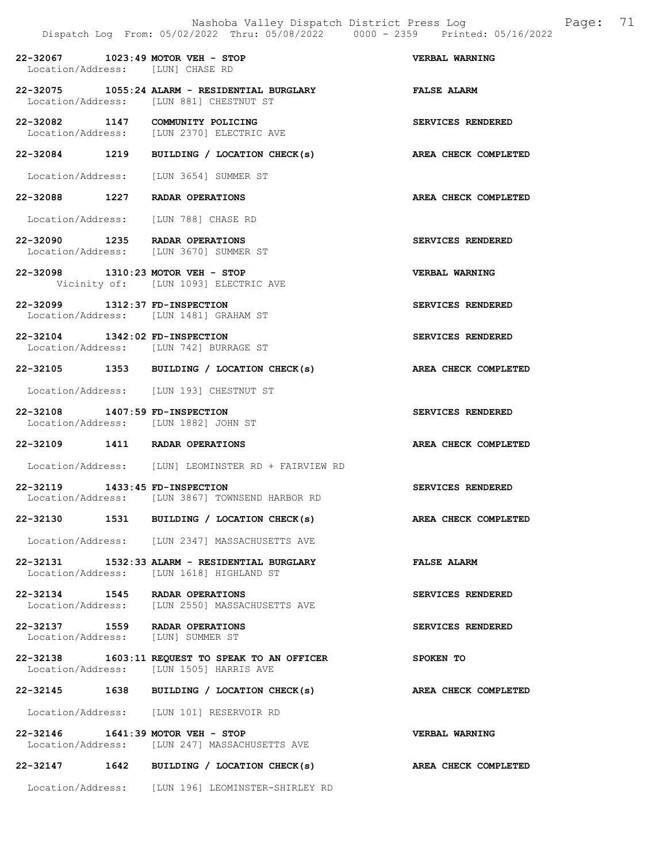22-32067 1023:49 MOTOR VEH - STOP VERBAL WARNING Location/Address: [LUN] CHASE RD

22-32075 1055:24 ALARM - RESIDENTIAL BURGLARY FALSE ALARM Location/Address: [LUN 881] CHESTNUT ST Location/Address: [LUN 881] CHESTNUT ST

22-32082 1147 COMMUNITY POLICING SERVICES RENDERED Location/Address: [LUN 2370] ELECTRIC AVE

22-32084 1219 BUILDING / LOCATION CHECK(s) AREA CHECK COMPLETED

Location/Address: [LUN 3654] SUMMER ST

22-32088 1227 RADAR OPERATIONS AREA CHECK COMPLETED

Location/Address: [LUN 788] CHASE RD

22-32090 1235 RADAR OPERATIONS SERVICES RENDERED Location/Address: [LUN 3670] SUMMER ST

22-32098 1310:23 MOTOR VEH - STOP VERBAL WARNING Vicinity of: [LUN 1093] ELECTRIC AVE

22-32099 1312:37 FD-INSPECTION SERVICES RENDERED Location/Address: [LUN 1481] GRAHAM ST

22-32104 1342:02 FD-INSPECTION SERVICES RENDERED<br>Location/Address: [LUN 742] BURRAGE ST Location/Address: [LUN 742] BURRAGE ST

22-32105 1353 BUILDING / LOCATION CHECK(s) AREA CHECK COMPLETED

Location/Address: [LUN 193] CHESTNUT ST

22-32108 1407:59 FD-INSPECTION SERVICES RENDERED<br>
Location/Address: [LUN 1882] JOHN ST Location/Address: [LUN 1882] JOHN ST

22-32109 1411 RADAR OPERATIONS AREA CHECK COMPLETED

Location/Address: [LUN] LEOMINSTER RD + FAIRVIEW RD

22-32119 1433:45 FD-INSPECTION SERVICES RENDERED<br>Location/Address: [LUN 3867] TOWNSEND HARBOR RD [LUN 3867] TOWNSEND HARBOR RD

22-32130 1531 BUILDING / LOCATION CHECK(s) AREA CHECK COMPLETED

Location/Address: [LUN 2347] MASSACHUSETTS AVE

22-32131 1532:33 ALARM - RESIDENTIAL BURGLARY FALSE ALARM Location/Address: [LUN 1618] HIGHLAND ST Location/Address: [LUN 1618] HIGHLAND ST

22-32134 1545 RADAR OPERATIONS SERVICES RENDERED Location/Address: [LUN 2550] MASSACHUSETTS AVE

22-32137 1559 RADAR OPERATIONS SERVICES RENDERED Location/Address: [LUN] SUMMER ST

22-32138 1603:11 REQUEST TO SPEAK TO AN OFFICER SPOKEN TO Location/Address: [LUN 1505] HARRIS AVE

22-32145 1638 BUILDING / LOCATION CHECK(s) AREA CHECK COMPLETED

Location/Address: [LUN 101] RESERVOIR RD

22-32146 1641:39 MOTOR VEH - STOP VERBAL WARNING Location/Address: [LUN 247] MASSACHUSETTS AVE

22-32147 1642 BUILDING / LOCATION CHECK(s) AREA CHECK COMPLETED

Location/Address: [LUN 196] LEOMINSTER-SHIRLEY RD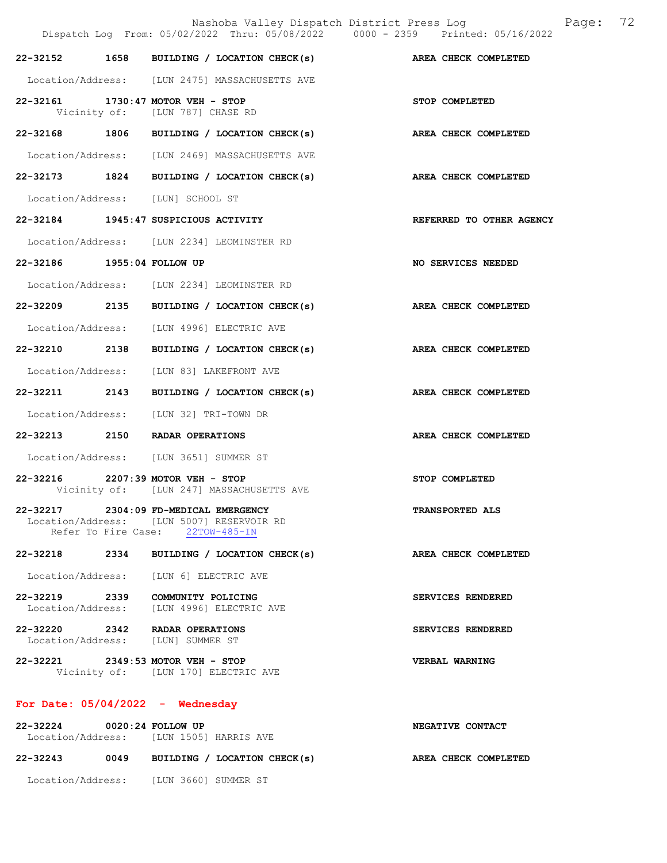|                                    | Nashoba Valley Dispatch District Press Loq<br>Dispatch Log From: 05/02/2022 Thru: 05/08/2022 0000 - 2359 Printed: 05/16/2022 |                          | Page: | 72 |
|------------------------------------|------------------------------------------------------------------------------------------------------------------------------|--------------------------|-------|----|
|                                    | 22-32152 1658 BUILDING / LOCATION CHECK(s) AREA CHECK COMPLETED                                                              |                          |       |    |
|                                    | Location/Address: [LUN 2475] MASSACHUSETTS AVE                                                                               |                          |       |    |
|                                    | 22-32161 1730:47 MOTOR VEH - STOP<br>Vicinity of: [LUN 787] CHASE RD                                                         | STOP COMPLETED           |       |    |
|                                    | 22-32168 1806 BUILDING / LOCATION CHECK(s)                                                                                   | AREA CHECK COMPLETED     |       |    |
|                                    | Location/Address: [LUN 2469] MASSACHUSETTS AVE                                                                               |                          |       |    |
|                                    | 22-32173 1824 BUILDING / LOCATION CHECK(s) AREA CHECK COMPLETED                                                              |                          |       |    |
|                                    | Location/Address: [LUN] SCHOOL ST                                                                                            |                          |       |    |
|                                    | 22-32184 1945:47 SUSPICIOUS ACTIVITY                                                                                         | REFERRED TO OTHER AGENCY |       |    |
|                                    | Location/Address: [LUN 2234] LEOMINSTER RD                                                                                   |                          |       |    |
| 22-32186 1955:04 FOLLOW UP         |                                                                                                                              | NO SERVICES NEEDED       |       |    |
|                                    | Location/Address: [LUN 2234] LEOMINSTER RD                                                                                   |                          |       |    |
|                                    | 22-32209 2135 BUILDING / LOCATION CHECK(s)                                                                                   | AREA CHECK COMPLETED     |       |    |
|                                    | Location/Address: [LUN 4996] ELECTRIC AVE                                                                                    |                          |       |    |
|                                    | 22-32210 2138 BUILDING / LOCATION CHECK(s)                                                                                   | AREA CHECK COMPLETED     |       |    |
|                                    | Location/Address: [LUN 83] LAKEFRONT AVE                                                                                     |                          |       |    |
|                                    | 22-32211 2143 BUILDING / LOCATION CHECK(s) AREA CHECK COMPLETED                                                              |                          |       |    |
|                                    | Location/Address: [LUN 32] TRI-TOWN DR                                                                                       |                          |       |    |
|                                    | 22-32213 2150 RADAR OPERATIONS                                                                                               | AREA CHECK COMPLETED     |       |    |
|                                    | Location/Address: [LUN 3651] SUMMER ST                                                                                       |                          |       |    |
|                                    | 22-32216 2207:39 MOTOR VEH - STOP<br>Vicinity of: [LUN 247] MASSACHUSETTS AVE                                                | STOP COMPLETED           |       |    |
|                                    | 22-32217 2304:09 FD-MEDICAL EMERGENCY<br>Location/Address: [LUN 5007] RESERVOIR RD<br>Refer To Fire Case: 22TOW-485-IN       | <b>TRANSPORTED ALS</b>   |       |    |
|                                    | 22-32218 2334 BUILDING / LOCATION CHECK(s)                                                                                   | AREA CHECK COMPLETED     |       |    |
|                                    | Location/Address: [LUN 6] ELECTRIC AVE                                                                                       |                          |       |    |
|                                    | 22-32219 2339 COMMUNITY POLICING<br>Location/Address: [LUN 4996] ELECTRIC AVE                                                | SERVICES RENDERED        |       |    |
|                                    | 22-32220 2342 RADAR OPERATIONS<br>Location/Address: [LUN] SUMMER ST                                                          | SERVICES RENDERED        |       |    |
|                                    | 22-32221 2349:53 MOTOR VEH - STOP<br>Vicinity of: [LUN 170] ELECTRIC AVE                                                     | <b>VERBAL WARNING</b>    |       |    |
| For Date: $05/04/2022 -$ Wednesday |                                                                                                                              |                          |       |    |
| 22-32224 0020:24 FOLLOW UP         | Location/Address: [LUN 1505] HARRIS AVE                                                                                      | NEGATIVE CONTACT         |       |    |

22-32243 0049 BUILDING / LOCATION CHECK(s) AREA CHECK COMPLETED

Location/Address: [LUN 3660] SUMMER ST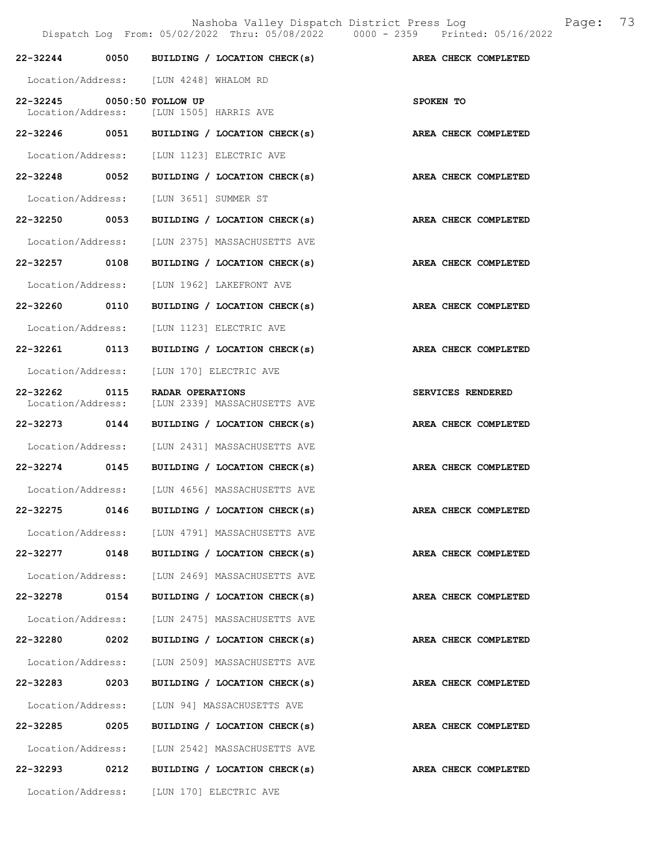Nashoba Valley Dispatch District Press Log Bage: 73<br> $/2022$  Thru: 05/08/2022 0000 - 2359 Printed: 05/16/2022 Dispatch Log From: 05/02/2022 Thru: 05/08/2022 22-32244 0050 BUILDING / LOCATION CHECK(s) AREA CHECK COMPLETED Location/Address: [LUN 4248] WHALOM RD 22-32245 0050:50 FOLLOW UP <br>Location/Address: [LUN 1505] HARRIS AVE [LUN 1505] HARRIS AVE 22-32246 0051 BUILDING / LOCATION CHECK(s) AREA CHECK COMPLETED Location/Address: [LUN 1123] ELECTRIC AVE 22-32248 0052 BUILDING / LOCATION CHECK(s) AREA CHECK COMPLETED Location/Address: [LUN 3651] SUMMER ST 22-32250 0053 BUILDING / LOCATION CHECK(s) AREA CHECK COMPLETED Location/Address: [LUN 2375] MASSACHUSETTS AVE 22-32257 0108 BUILDING / LOCATION CHECK(s) AREA CHECK COMPLETED Location/Address: [LUN 1962] LAKEFRONT AVE 22-32260 0110 BUILDING / LOCATION CHECK(s) AREA CHECK COMPLETED Location/Address: [LUN 1123] ELECTRIC AVE 22-32261 0113 BUILDING / LOCATION CHECK(s) AREA CHECK COMPLETED Location/Address: [LUN 170] ELECTRIC AVE 22-32262 0115 RADAR OPERATIONS<br>
Location/Address: [LUN 2339] MASSACHUSETTS AVE [LUN 2339] MASSACHUSETTS AVE 22-32273 0144 BUILDING / LOCATION CHECK(s) AREA CHECK COMPLETED Location/Address: [LUN 2431] MASSACHUSETTS AVE 22-32274 0145 BUILDING / LOCATION CHECK(s) AREA CHECK COMPLETED Location/Address: [LUN 4656] MASSACHUSETTS AVE 22-32275 0146 BUILDING / LOCATION CHECK(s) AREA CHECK COMPLETED Location/Address: [LUN 4791] MASSACHUSETTS AVE 22-32277 0148 BUILDING / LOCATION CHECK(s) AREA CHECK COMPLETED Location/Address: [LUN 2469] MASSACHUSETTS AVE 22-32278 0154 BUILDING / LOCATION CHECK(s) AREA CHECK COMPLETED Location/Address: [LUN 2475] MASSACHUSETTS AVE 22-32280 0202 BUILDING / LOCATION CHECK(s) AREA CHECK COMPLETED Location/Address: [LUN 2509] MASSACHUSETTS AVE 22-32283 0203 BUILDING / LOCATION CHECK(s) AREA CHECK COMPLETED Location/Address: [LUN 94] MASSACHUSETTS AVE 22-32285 0205 BUILDING / LOCATION CHECK(s) AREA CHECK COMPLETED Location/Address: [LUN 2542] MASSACHUSETTS AVE

Location/Address: [LUN 170] ELECTRIC AVE

22-32293 0212 BUILDING / LOCATION CHECK(s) AREA CHECK COMPLETED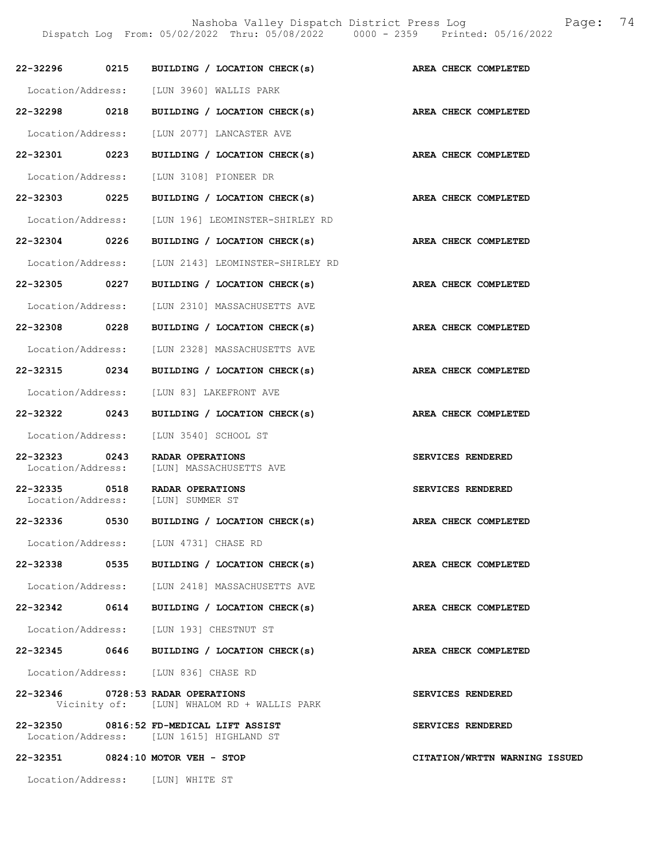Nashoba Valley Dispatch District Press Log Fage: 74

Dispatch Log From: 05/02/2022 Thru: 05/08/2022 0000 - 2359 Printed: 05/16/2022

|                                    |      | 22-32296 0215 BUILDING / LOCATION CHECK(s)                                          | AREA CHECK COMPLETED          |
|------------------------------------|------|-------------------------------------------------------------------------------------|-------------------------------|
|                                    |      | Location/Address: [LUN 3960] WALLIS PARK                                            |                               |
| 22-32298 0218                      |      | BUILDING / LOCATION CHECK(s)                                                        | AREA CHECK COMPLETED          |
| Location/Address:                  |      | [LUN 2077] LANCASTER AVE                                                            |                               |
| 22-32301 0223                      |      | BUILDING / LOCATION CHECK(s)                                                        | AREA CHECK COMPLETED          |
| Location/Address:                  |      | [LUN 3108] PIONEER DR                                                               |                               |
| 22-32303 0225                      |      | BUILDING / LOCATION CHECK(s)                                                        | AREA CHECK COMPLETED          |
| Location/Address:                  |      | [LUN 196] LEOMINSTER-SHIRLEY RD                                                     |                               |
| 22-32304 0226                      |      | BUILDING / LOCATION CHECK(s)                                                        | AREA CHECK COMPLETED          |
| Location/Address:                  |      |                                                                                     |                               |
|                                    |      | [LUN 2143] LEOMINSTER-SHIRLEY RD                                                    |                               |
| 22-32305 0227                      |      | BUILDING / LOCATION CHECK(s)                                                        | AREA CHECK COMPLETED          |
| Location/Address:                  |      | [LUN 2310] MASSACHUSETTS AVE                                                        |                               |
| 22-32308 0228                      |      | BUILDING / LOCATION CHECK(s)                                                        | AREA CHECK COMPLETED          |
|                                    |      | Location/Address: [LUN 2328] MASSACHUSETTS AVE                                      |                               |
| 22-32315 0234                      |      | BUILDING / LOCATION CHECK(s)                                                        | AREA CHECK COMPLETED          |
| Location/Address:                  |      | [LUN 83] LAKEFRONT AVE                                                              |                               |
| 22-32322 0243                      |      | BUILDING / LOCATION CHECK(s)                                                        | AREA CHECK COMPLETED          |
| Location/Address:                  |      | [LUN 3540] SCHOOL ST                                                                |                               |
| 22-32323 0243<br>Location/Address: |      | RADAR OPERATIONS<br>[LUN] MASSACHUSETTS AVE                                         | SERVICES RENDERED             |
| 22-32335                           | 0518 | RADAR OPERATIONS<br>Location/Address: [LUN] SUMMER ST                               | SERVICES RENDERED             |
| 22-32336 0530                      |      | BUILDING / LOCATION CHECK(s)                                                        | AREA CHECK COMPLETED          |
|                                    |      | Location/Address: [LUN 4731] CHASE RD                                               |                               |
|                                    |      | 22-32338 0535 BUILDING / LOCATION CHECK(s)                                          | AREA CHECK COMPLETED          |
|                                    |      | Location/Address: [LUN 2418] MASSACHUSETTS AVE                                      |                               |
|                                    |      | 22-32342 0614 BUILDING / LOCATION CHECK(s)                                          | AREA CHECK COMPLETED          |
|                                    |      | Location/Address: [LUN 193] CHESTNUT ST                                             |                               |
|                                    |      | 22-32345 0646 BUILDING / LOCATION CHECK(s)                                          | AREA CHECK COMPLETED          |
|                                    |      | Location/Address: [LUN 836] CHASE RD                                                |                               |
|                                    |      | 22-32346 0728:53 RADAR OPERATIONS<br>Vicinity of: [LUN] WHALOM RD + WALLIS PARK     | SERVICES RENDERED             |
|                                    |      | 22-32350 0816:52 FD-MEDICAL LIFT ASSIST<br>Location/Address: [LUN 1615] HIGHLAND ST | SERVICES RENDERED             |
|                                    |      | 22-32351 0824:10 MOTOR VEH - STOP                                                   | CITATION/WRTTN WARNING ISSUED |

Location/Address: [LUN] WHITE ST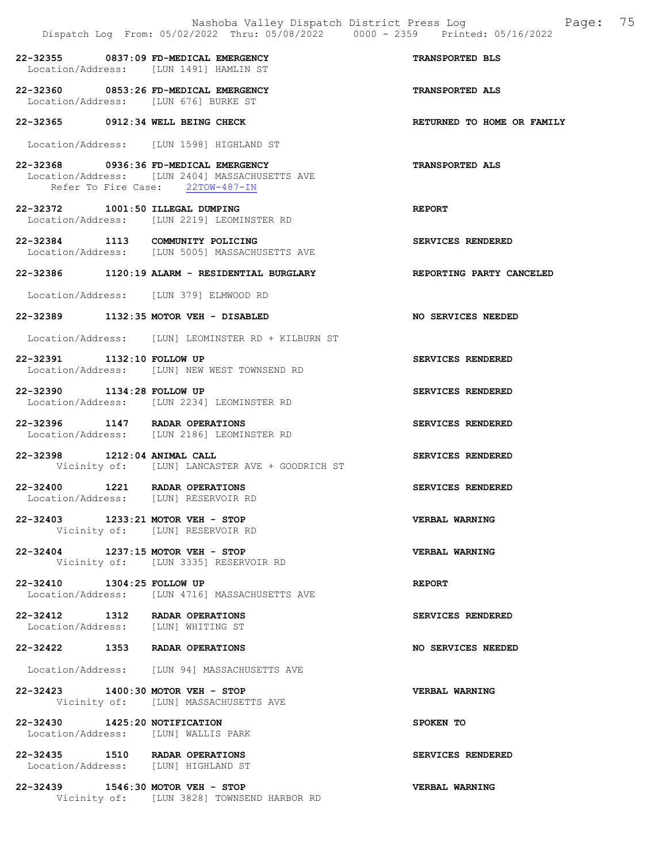|                                                                               | Dispatch Log From: 05/02/2022 Thru: 05/08/2022 0000 - 2359 Printed: 05/16/2022     | Nashoba Valley Dispatch District Press Log Faqe: 75 |
|-------------------------------------------------------------------------------|------------------------------------------------------------------------------------|-----------------------------------------------------|
| 22-32355 0837:09 FD-MEDICAL EMERGENCY                                         | Location/Address: [LUN 1491] HAMLIN ST                                             | TRANSPORTED BLS                                     |
| 22-32360 0853:26 FD-MEDICAL EMERGENCY<br>Location/Address: [LUN 676] BURKE ST |                                                                                    | <b>TRANSPORTED ALS</b>                              |
| 22-32365 0912:34 WELL BEING CHECK                                             |                                                                                    | RETURNED TO HOME OR FAMILY                          |
|                                                                               | Location/Address: [LUN 1598] HIGHLAND ST                                           |                                                     |
| 22-32368 0936:36 FD-MEDICAL EMERGENCY                                         | Location/Address: [LUN 2404] MASSACHUSETTS AVE<br>Refer To Fire Case: 22TOW-487-IN | TRANSPORTED ALS                                     |
| 22-32372 1001:50 ILLEGAL DUMPING                                              | Location/Address: [LUN 2219] LEOMINSTER RD                                         | <b>REPORT</b>                                       |
| 22-32384 1113 COMMUNITY POLICING                                              | Location/Address: [LUN 5005] MASSACHUSETTS AVE                                     | SERVICES RENDERED                                   |
|                                                                               | 22-32386 1120:19 ALARM - RESIDENTIAL BURGLARY                                      | REPORTING PARTY CANCELED                            |
| Location/Address: [LUN 379] ELMWOOD RD                                        |                                                                                    |                                                     |
| 22-32389 1132:35 MOTOR VEH - DISABLED                                         |                                                                                    | NO SERVICES NEEDED                                  |
|                                                                               | Location/Address: [LUN] LEOMINSTER RD + KILBURN ST                                 |                                                     |
| 22-32391 1132:10 FOLLOW UP                                                    | Location/Address: [LUN] NEW WEST TOWNSEND RD                                       | SERVICES RENDERED                                   |
| 22-32390 1134:28 FOLLOW UP                                                    | Location/Address: [LUN 2234] LEOMINSTER RD                                         | SERVICES RENDERED                                   |
| 22-32396 1147 RADAR OPERATIONS                                                | Location/Address: [LUN 2186] LEOMINSTER RD                                         | SERVICES RENDERED                                   |
| 22-32398 1212:04 ANIMAL CALL                                                  | Vicinity of: [LUN] LANCASTER AVE + GOODRICH ST                                     | SERVICES RENDERED                                   |
| 22-32400 1221 RADAR OPERATIONS<br>Location/Address: [LUN] RESERVOIR RD        |                                                                                    | <b>SERVICES RENDERED</b>                            |
| 22-32403 1233:21 MOTOR VEH - STOP                                             | Vicinity of: [LUN] RESERVOIR RD                                                    | <b>VERBAL WARNING</b>                               |
| 22-32404 1237:15 MOTOR VEH - STOP                                             | Vicinity of: [LUN 3335] RESERVOIR RD                                               | <b>VERBAL WARNING</b>                               |
| 22-32410 1304:25 FOLLOW UP                                                    | Location/Address: [LUN 4716] MASSACHUSETTS AVE                                     | <b>REPORT</b>                                       |
| 22-32412 1312 RADAR OPERATIONS<br>Location/Address: [LUN] WHITING ST          |                                                                                    | SERVICES RENDERED                                   |
| 22-32422 1353 RADAR OPERATIONS                                                |                                                                                    | NO SERVICES NEEDED                                  |
|                                                                               | Location/Address: [LUN 94] MASSACHUSETTS AVE                                       |                                                     |
| 22-32423 1400:30 MOTOR VEH - STOP                                             | Vicinity of: [LUN] MASSACHUSETTS AVE                                               | <b>VERBAL WARNING</b>                               |
| 22-32430 1425:20 NOTIFICATION<br>Location/Address: [LUN] WALLIS PARK          |                                                                                    | SPOKEN TO                                           |
| 22-32435 1510 RADAR OPERATIONS<br>Location/Address: [LUN] HIGHLAND ST         |                                                                                    | SERVICES RENDERED                                   |

22-32439 1546:30 MOTOR VEH - STOP VERBAL WARNING

Vicinity of: [LUN 3828] TOWNSEND HARBOR RD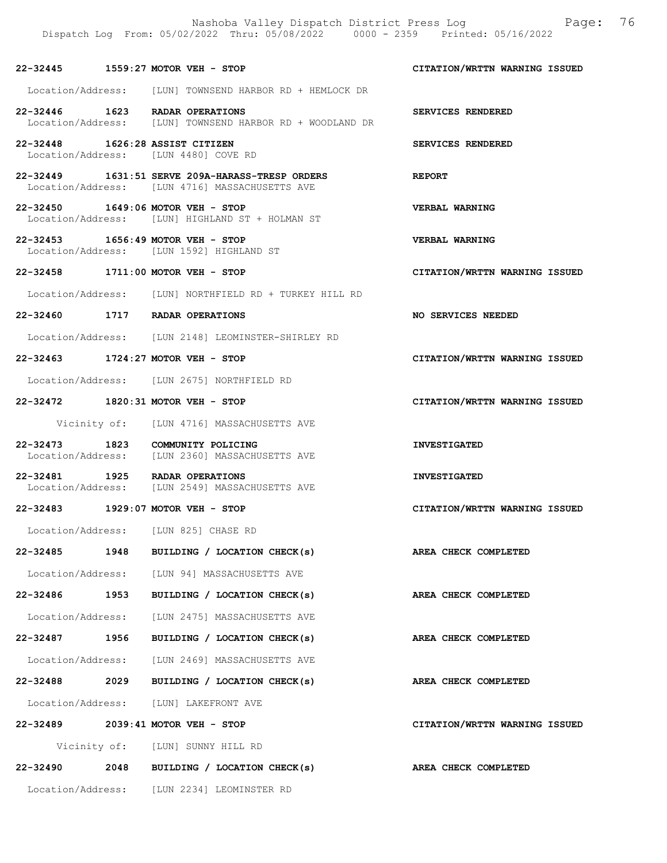|                   |      | Nashoba Valley Dispatch District Press Log<br>Dispatch Log From: 05/02/2022 Thru: 05/08/2022 0000 - 2359 Printed: 05/16/2022 | 76<br>Page:                   |
|-------------------|------|------------------------------------------------------------------------------------------------------------------------------|-------------------------------|
|                   |      | 22-32445 1559:27 MOTOR VEH - STOP                                                                                            | CITATION/WRTTN WARNING ISSUED |
|                   |      | Location/Address: [LUN] TOWNSEND HARBOR RD + HEMLOCK DR                                                                      |                               |
|                   |      | 22-32446 1623 RADAR OPERATIONS<br>Location/Address: [LUN] TOWNSEND HARBOR RD + WOODLAND DR                                   | SERVICES RENDERED             |
|                   |      | 22-32448 1626:28 ASSIST CITIZEN<br>Location/Address: [LUN 4480] COVE RD                                                      | SERVICES RENDERED             |
|                   |      | 22-32449 1631:51 SERVE 209A-HARASS-TRESP ORDERS<br>Location/Address: [LUN 4716] MASSACHUSETTS AVE                            | <b>REPORT</b>                 |
|                   |      | 22-32450 1649:06 MOTOR VEH - STOP<br>Location/Address: [LUN] HIGHLAND ST + HOLMAN ST                                         | <b>VERBAL WARNING</b>         |
|                   |      | 22-32453 1656:49 MOTOR VEH - STOP<br>Location/Address: [LUN 1592] HIGHLAND ST                                                | VERBAL WARNING                |
|                   |      | 22-32458 1711:00 MOTOR VEH - STOP                                                                                            | CITATION/WRTTN WARNING ISSUED |
|                   |      | Location/Address: [LUN] NORTHFIELD RD + TURKEY HILL RD                                                                       |                               |
|                   |      | 22-32460 1717 RADAR OPERATIONS                                                                                               | NO SERVICES NEEDED            |
|                   |      | Location/Address: [LUN 2148] LEOMINSTER-SHIRLEY RD                                                                           |                               |
|                   |      | 22-32463 1724:27 MOTOR VEH - STOP                                                                                            | CITATION/WRTTN WARNING ISSUED |
|                   |      | Location/Address: [LUN 2675] NORTHFIELD RD                                                                                   |                               |
|                   |      | 22-32472 1820:31 MOTOR VEH - STOP                                                                                            | CITATION/WRTTN WARNING ISSUED |
|                   |      | Vicinity of: [LUN 4716] MASSACHUSETTS AVE                                                                                    |                               |
|                   |      | 22-32473 1823 COMMUNITY POLICING<br>Location/Address: [LUN 2360] MASSACHUSETTS AVE                                           | <b>INVESTIGATED</b>           |
|                   |      | 22-32481 1925 RADAR OPERATIONS<br>Location/Address: [LUN 2549] MASSACHUSETTS AVE                                             | <b>INVESTIGATED</b>           |
| 22-32483          |      | $1929:07$ MOTOR VEH - STOP                                                                                                   | CITATION/WRTTN WARNING ISSUED |
|                   |      | Location/Address: [LUN 825] CHASE RD                                                                                         |                               |
|                   |      | 22-32485 1948 BUILDING / LOCATION CHECK(s)                                                                                   | AREA CHECK COMPLETED          |
|                   |      | Location/Address: [LUN 94] MASSACHUSETTS AVE                                                                                 |                               |
|                   |      | 22-32486 1953 BUILDING / LOCATION CHECK(s)                                                                                   | AREA CHECK COMPLETED          |
| Location/Address: |      | [LUN 2475] MASSACHUSETTS AVE                                                                                                 |                               |
| 22-32487          | 1956 | BUILDING / LOCATION CHECK(s)                                                                                                 | AREA CHECK COMPLETED          |
|                   |      | Location/Address: [LUN 2469] MASSACHUSETTS AVE                                                                               |                               |
|                   |      | 22-32488 2029 BUILDING / LOCATION CHECK(s)                                                                                   | AREA CHECK COMPLETED          |
|                   |      | Location/Address: [LUN] LAKEFRONT AVE                                                                                        |                               |

22-32489 2039:41 MOTOR VEH - STOP CITATION/WRTTN WARNING ISSUED

Vicinity of: [LUN] SUNNY HILL RD

22-32490 2048 BUILDING / LOCATION CHECK(s) AREA CHECK COMPLETED Location/Address: [LUN 2234] LEOMINSTER RD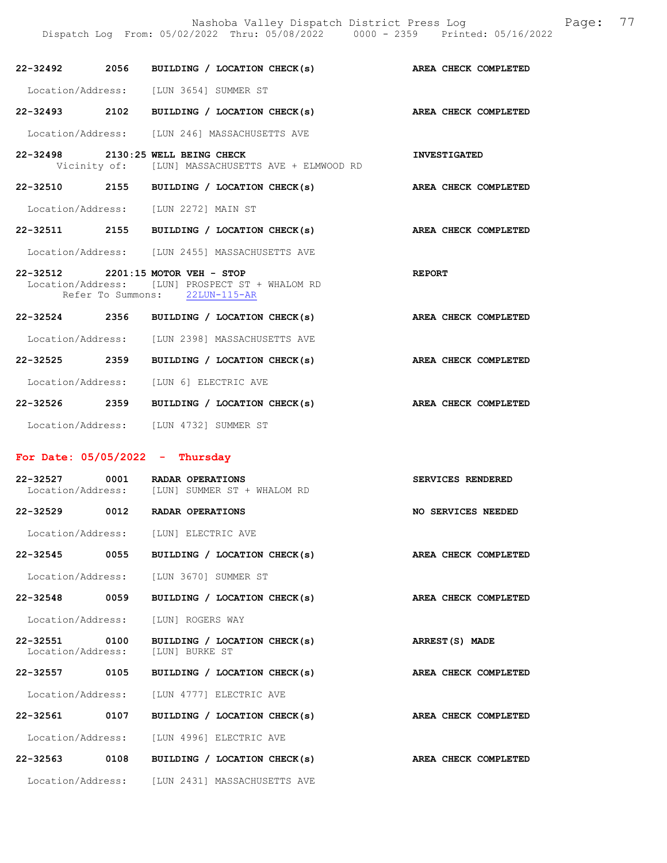|               | 22-32492 2056 BUILDING / LOCATION CHECK(s)                                                                             |               | AREA CHECK COMPLETED |
|---------------|------------------------------------------------------------------------------------------------------------------------|---------------|----------------------|
|               | Location/Address: [LUN 3654] SUMMER ST                                                                                 |               |                      |
| 22-32493 2102 | BUILDING / LOCATION CHECK(s) AREA CHECK COMPLETED                                                                      |               |                      |
|               | Location/Address: [LUN 246] MASSACHUSETTS AVE                                                                          |               |                      |
|               | 22-32498 2130:25 WELL BEING CHECK<br>Vicinity of: [LUN] MASSACHUSETTS AVE + ELMWOOD RD                                 |               | <b>INVESTIGATED</b>  |
|               | 22-32510 2155 BUILDING / LOCATION CHECK(s) AREA CHECK COMPLETED                                                        |               |                      |
|               | Location/Address: [LUN 2272] MAIN ST                                                                                   |               |                      |
| 22-32511 2155 | BUILDING / LOCATION CHECK(s)                                                                                           |               | AREA CHECK COMPLETED |
|               | Location/Address: [LUN 2455] MASSACHUSETTS AVE                                                                         |               |                      |
|               | 22-32512 2201:15 MOTOR VEH - STOP<br>Location/Address: [LUN] PROSPECT ST + WHALOM RD<br>Refer To Summons: 22LUN-115-AR | <b>REPORT</b> |                      |
|               | 22-32524 2356 BUILDING / LOCATION CHECK(s)                                                                             |               | AREA CHECK COMPLETED |
|               | Location/Address: [LUN 2398] MASSACHUSETTS AVE                                                                         |               |                      |
| 22-32525 2359 | BUILDING / LOCATION CHECK(s)                                                                                           |               | AREA CHECK COMPLETED |
|               | Location/Address: [LUN 6] ELECTRIC AVE                                                                                 |               |                      |
| 22-32526 2359 | BUILDING / LOCATION CHECK(s)                                                                                           |               | AREA CHECK COMPLETED |

Location/Address: [LUN 4732] SUMMER ST

## For Date: 05/05/2022 - Thursday

| 22-32527 0001<br>Location/Address: | <b>RADAR OPERATIONS</b><br>[LUN] SUMMER ST + WHALOM RD           | <b>SERVICES RENDERED</b> |
|------------------------------------|------------------------------------------------------------------|--------------------------|
| 22-32529 0012                      | RADAR OPERATIONS                                                 | NO SERVICES NEEDED       |
|                                    | Location/Address: [LUN] ELECTRIC AVE                             |                          |
| 22-32545 0055                      | BUILDING / LOCATION CHECK(s)                                     | AREA CHECK COMPLETED     |
|                                    | Location/Address: [LUN 3670] SUMMER ST                           |                          |
| 22-32548 0059                      | BUILDING / LOCATION CHECK(s)                                     | AREA CHECK COMPLETED     |
|                                    | Location/Address: [LUN] ROGERS WAY                               |                          |
| 22-32551 0100                      | BUILDING / LOCATION CHECK(s)<br>Location/Address: [LUN] BURKE ST | ARREST(S) MADE           |
| 22-32557 0105                      | BUILDING / LOCATION CHECK(s)                                     | AREA CHECK COMPLETED     |
|                                    | Location/Address: [LUN 4777] ELECTRIC AVE                        |                          |
| 22-32561 0107                      | BUILDING / LOCATION CHECK(s)                                     | AREA CHECK COMPLETED     |
|                                    | Location/Address: [LUN 4996] ELECTRIC AVE                        |                          |
| 22-32563 0108                      | BUILDING / LOCATION CHECK(s)                                     | AREA CHECK COMPLETED     |
| Location/Address:                  | <b>ILUN 24311 MASSACHUSETTS AVE</b>                              |                          |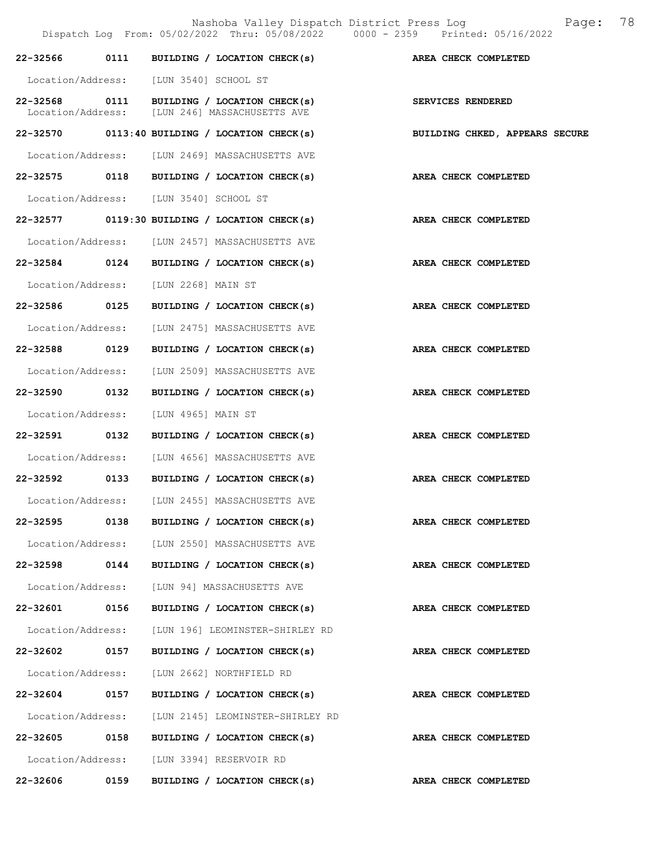|                   |      | Nashoba Valley Dispatch District Press Log<br>Dispatch Log From: 05/02/2022 Thru: 05/08/2022 0000 - 2359 Printed: 05/16/2022 | 78<br>Page:                    |
|-------------------|------|------------------------------------------------------------------------------------------------------------------------------|--------------------------------|
|                   |      | 22-32566 0111 BUILDING / LOCATION CHECK(s) AREA CHECK COMPLETED                                                              |                                |
|                   |      | Location/Address: [LUN 3540] SCHOOL ST                                                                                       |                                |
|                   |      | 22-32568 0111 BUILDING / LOCATION CHECK(s)<br>Location/Address: [LUN 246] MASSACHUSETTS AVE                                  | SERVICES RENDERED              |
|                   |      | $22-32570$ 0113:40 BUILDING / LOCATION CHECK(s)                                                                              | BUILDING CHKED, APPEARS SECURE |
|                   |      | Location/Address: [LUN 2469] MASSACHUSETTS AVE                                                                               |                                |
|                   |      | 22-32575 0118 BUILDING / LOCATION CHECK(s)                                                                                   | AREA CHECK COMPLETED           |
|                   |      | Location/Address: [LUN 3540] SCHOOL ST                                                                                       |                                |
|                   |      | 22-32577 0119:30 BUILDING / LOCATION CHECK(s)                                                                                | AREA CHECK COMPLETED           |
|                   |      | Location/Address: [LUN 2457] MASSACHUSETTS AVE                                                                               |                                |
|                   |      | 22-32584 0124 BUILDING / LOCATION CHECK(s)                                                                                   | AREA CHECK COMPLETED           |
|                   |      | Location/Address: [LUN 2268] MAIN ST                                                                                         |                                |
| 22-32586 0125     |      | BUILDING / LOCATION CHECK(s)                                                                                                 | AREA CHECK COMPLETED           |
| Location/Address: |      | [LUN 2475] MASSACHUSETTS AVE                                                                                                 |                                |
| 22-32588 0129     |      | BUILDING / LOCATION CHECK(s)                                                                                                 | AREA CHECK COMPLETED           |
| Location/Address: |      | [LUN 2509] MASSACHUSETTS AVE                                                                                                 |                                |
| 22-32590 0132     |      | BUILDING / LOCATION CHECK(s)                                                                                                 | AREA CHECK COMPLETED           |
| Location/Address: |      | [LUN 4965] MAIN ST                                                                                                           |                                |
| 22-32591          | 0132 | BUILDING / LOCATION CHECK(s)                                                                                                 | AREA CHECK COMPLETED           |
|                   |      | Location/Address: [LUN 4656] MASSACHUSETTS AVE                                                                               |                                |
|                   |      | 22-32592 0133 BUILDING / LOCATION CHECK(s)                                                                                   | AREA CHECK COMPLETED           |
| Location/Address: |      | [LUN 2455] MASSACHUSETTS AVE                                                                                                 |                                |
| 22-32595          |      | 0138 BUILDING / LOCATION CHECK(s)                                                                                            | AREA CHECK COMPLETED           |
|                   |      | Location/Address: [LUN 2550] MASSACHUSETTS AVE                                                                               |                                |
| 22-32598 0144     |      | BUILDING / LOCATION CHECK(s)                                                                                                 | AREA CHECK COMPLETED           |
| Location/Address: |      | [LUN 94] MASSACHUSETTS AVE                                                                                                   |                                |
| 22-32601 0156     |      | BUILDING / LOCATION CHECK(s)                                                                                                 | AREA CHECK COMPLETED           |
| Location/Address: |      | [LUN 196] LEOMINSTER-SHIRLEY RD                                                                                              |                                |
| 22-32602          | 0157 | BUILDING / LOCATION CHECK(s)                                                                                                 | <b>AREA CHECK COMPLETED</b>    |
|                   |      | Location/Address: [LUN 2662] NORTHFIELD RD                                                                                   |                                |
| 22-32604 0157     |      | BUILDING / LOCATION CHECK(s)                                                                                                 | AREA CHECK COMPLETED           |
|                   |      | Location/Address: [LUN 2145] LEOMINSTER-SHIRLEY RD                                                                           |                                |
| 22-32605 0158     |      | BUILDING / LOCATION CHECK(s) AREA CHECK COMPLETED                                                                            |                                |
|                   |      | Location/Address: [LUN 3394] RESERVOIR RD                                                                                    |                                |
| 22-32606 0159     |      | BUILDING / LOCATION CHECK(s) AREA CHECK COMPLETED                                                                            |                                |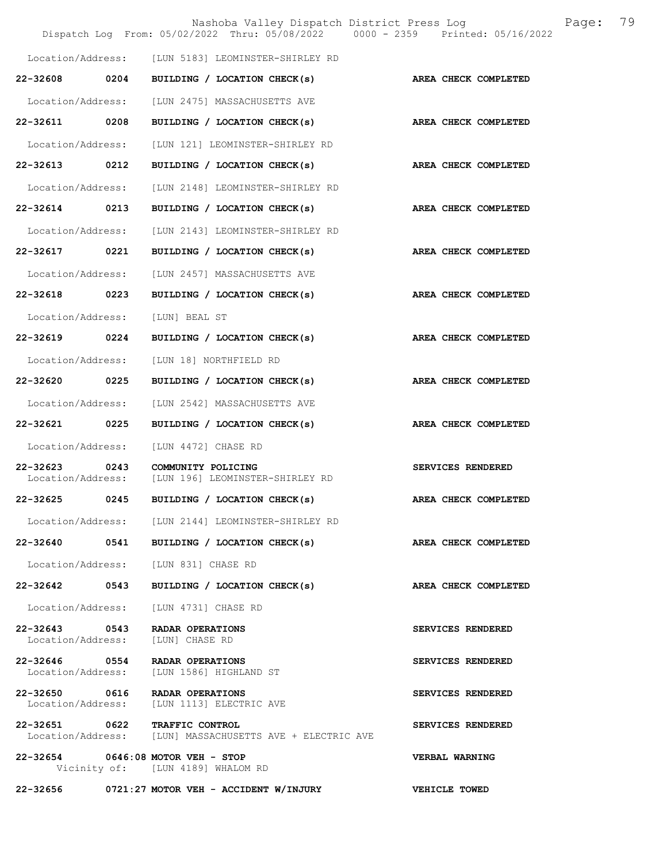|                                    |      | Nashoba Valley Dispatch District Press Log<br>Dispatch Log From: 05/02/2022 Thru: 05/08/2022 0000 - 2359 Printed: 05/16/2022 |                       | Page: | 79 |
|------------------------------------|------|------------------------------------------------------------------------------------------------------------------------------|-----------------------|-------|----|
|                                    |      | Location/Address: [LUN 5183] LEOMINSTER-SHIRLEY RD                                                                           |                       |       |    |
| 22-32608                           | 0204 | BUILDING / LOCATION CHECK(s)                                                                                                 | AREA CHECK COMPLETED  |       |    |
| Location/Address:                  |      | [LUN 2475] MASSACHUSETTS AVE                                                                                                 |                       |       |    |
| 22-32611                           | 0208 | BUILDING / LOCATION CHECK(s)                                                                                                 | AREA CHECK COMPLETED  |       |    |
| Location/Address:                  |      | [LUN 121] LEOMINSTER-SHIRLEY RD                                                                                              |                       |       |    |
| 22-32613 0212                      |      | BUILDING / LOCATION CHECK(s)                                                                                                 | AREA CHECK COMPLETED  |       |    |
| Location/Address:                  |      | [LUN 2148] LEOMINSTER-SHIRLEY RD                                                                                             |                       |       |    |
| 22-32614                           | 0213 | BUILDING / LOCATION CHECK(s)                                                                                                 | AREA CHECK COMPLETED  |       |    |
| Location/Address:                  |      | [LUN 2143] LEOMINSTER-SHIRLEY RD                                                                                             |                       |       |    |
| 22-32617                           | 0221 | BUILDING / LOCATION CHECK(s)                                                                                                 | AREA CHECK COMPLETED  |       |    |
| Location/Address:                  |      | [LUN 2457] MASSACHUSETTS AVE                                                                                                 |                       |       |    |
| 22-32618 0223                      |      | BUILDING / LOCATION CHECK(s)                                                                                                 | AREA CHECK COMPLETED  |       |    |
| Location/Address:                  |      | [LUN] BEAL ST                                                                                                                |                       |       |    |
| 22-32619                           | 0224 | BUILDING / LOCATION CHECK(s)                                                                                                 | AREA CHECK COMPLETED  |       |    |
| Location/Address:                  |      | [LUN 18] NORTHFIELD RD                                                                                                       |                       |       |    |
| 22-32620                           | 0225 | BUILDING / LOCATION CHECK(s)                                                                                                 | AREA CHECK COMPLETED  |       |    |
| Location/Address:                  |      | [LUN 2542] MASSACHUSETTS AVE                                                                                                 |                       |       |    |
| 22-32621 0225                      |      | BUILDING / LOCATION CHECK(s)                                                                                                 | AREA CHECK COMPLETED  |       |    |
| Location/Address:                  |      | [LUN 4472] CHASE RD                                                                                                          |                       |       |    |
| $22 - 32623$<br>Location/Address:  | 0243 | COMMUNITY POLICING<br>[LUN 196] LEOMINSTER-SHIRLEY RD                                                                        | SERVICES RENDERED     |       |    |
| 22-32625                           | 0245 | BUILDING / LOCATION CHECK(s)                                                                                                 | AREA CHECK COMPLETED  |       |    |
|                                    |      | Location/Address: [LUN 2144] LEOMINSTER-SHIRLEY RD                                                                           |                       |       |    |
| $22 - 32640$                       |      | 0541 BUILDING / LOCATION CHECK(s)                                                                                            | AREA CHECK COMPLETED  |       |    |
| Location/Address:                  |      | [LUN 831] CHASE RD                                                                                                           |                       |       |    |
| 22-32642                           | 0543 | BUILDING / LOCATION CHECK(s)                                                                                                 | AREA CHECK COMPLETED  |       |    |
| Location/Address:                  |      | [LUN 4731] CHASE RD                                                                                                          |                       |       |    |
| 22-32643 0543<br>Location/Address: |      | RADAR OPERATIONS<br>[LUN] CHASE RD                                                                                           | SERVICES RENDERED     |       |    |
| 22-32646 0554<br>Location/Address: |      | RADAR OPERATIONS<br>[LUN 1586] HIGHLAND ST                                                                                   | SERVICES RENDERED     |       |    |
| 22-32650 0616<br>Location/Address: |      | RADAR OPERATIONS<br>[LUN 1113] ELECTRIC AVE                                                                                  | SERVICES RENDERED     |       |    |
| 22-32651 0622                      |      | TRAFFIC CONTROL<br>Location/Address: [LUN] MASSACHUSETTS AVE + ELECTRIC AVE                                                  | SERVICES RENDERED     |       |    |
|                                    |      | 22-32654 0646:08 MOTOR VEH - STOP<br>Vicinity of: [LUN 4189] WHALOM RD                                                       | <b>VERBAL WARNING</b> |       |    |
| 22-32656                           |      | 0721:27 MOTOR VEH - ACCIDENT W/INJURY                                                                                        | VEHICLE TOWED         |       |    |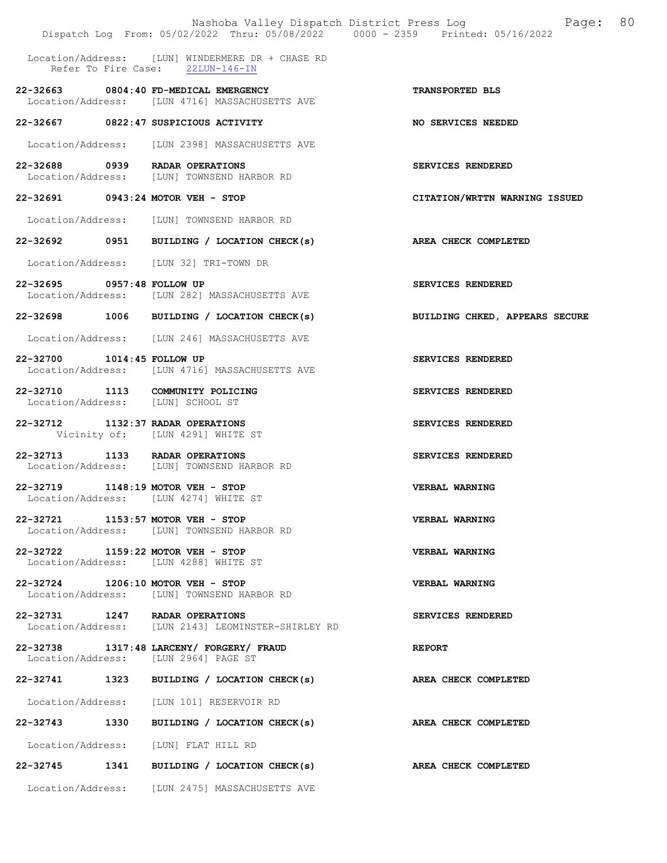|                            | Nashoba Valley Dispatch District Press Log<br>Dispatch Log From: 05/02/2022 Thru: 05/08/2022 0000 - 2359 Printed: 05/16/2022 | 80<br>Page:                    |
|----------------------------|------------------------------------------------------------------------------------------------------------------------------|--------------------------------|
|                            | Location/Address: [LUN] WINDERMERE DR + CHASE RD<br>Refer To Fire Case: 22LUN-146-IN                                         |                                |
|                            | 22-32663 0804:40 FD-MEDICAL EMERGENCY<br>Location/Address: [LUN 4716] MASSACHUSETTS AVE                                      | TRANSPORTED BLS                |
|                            | 22-32667 0822:47 SUSPICIOUS ACTIVITY                                                                                         | NO SERVICES NEEDED             |
|                            | Location/Address: [LUN 2398] MASSACHUSETTS AVE                                                                               |                                |
|                            | 22-32688 0939 RADAR OPERATIONS<br>Location/Address: [LUN] TOWNSEND HARBOR RD                                                 | SERVICES RENDERED              |
|                            | 22-32691 0943:24 MOTOR VEH - STOP                                                                                            | CITATION/WRTTN WARNING ISSUED  |
|                            | Location/Address: [LUN] TOWNSEND HARBOR RD                                                                                   |                                |
|                            | 22-32692 0951 BUILDING / LOCATION CHECK(s)                                                                                   | AREA CHECK COMPLETED           |
|                            | Location/Address: [LUN 32] TRI-TOWN DR                                                                                       |                                |
| 22-32695 0957:48 FOLLOW UP | Location/Address: [LUN 282] MASSACHUSETTS AVE                                                                                | SERVICES RENDERED              |
|                            | 22-32698 1006 BUILDING / LOCATION CHECK(s)                                                                                   | BUILDING CHKED, APPEARS SECURE |
|                            | Location/Address: [LUN 246] MASSACHUSETTS AVE                                                                                |                                |
| 22-32700 1014:45 FOLLOW UP | Location/Address: [LUN 4716] MASSACHUSETTS AVE                                                                               | SERVICES RENDERED              |
|                            | 22-32710 1113 COMMUNITY POLICING<br>Location/Address: [LUN] SCHOOL ST                                                        | SERVICES RENDERED              |
|                            | 22-32712 1132:37 RADAR OPERATIONS<br>Vicinity of: [LUN 4291] WHITE ST                                                        | SERVICES RENDERED              |
|                            | 22-32713 1133 RADAR OPERATIONS<br>Location/Address: [LUN] TOWNSEND HARBOR RD                                                 | SERVICES RENDERED              |
|                            | 22-32719 1148:19 MOTOR VEH - STOP<br>Location/Address: [LUN 4274] WHITE ST                                                   | <b>VERBAL WARNING</b>          |
|                            | 22-32721 1153:57 MOTOR VEH - STOP<br>Location/Address: [LUN] TOWNSEND HARBOR RD                                              | VERBAL WARNING                 |
|                            | 22-32722 1159:22 MOTOR VEH - STOP<br>Location/Address: [LUN 4288] WHITE ST                                                   | VERBAL WARNING                 |
|                            | 22-32724 1206:10 MOTOR VEH - STOP<br>Location/Address: [LUN] TOWNSEND HARBOR RD                                              | <b>VERBAL WARNING</b>          |
|                            | 22-32731 1247 RADAR OPERATIONS<br>Location/Address: [LUN 2143] LEOMINSTER-SHIRLEY RD                                         | <b>SERVICES RENDERED</b>       |
|                            | 22-32738 1317:48 LARCENY/ FORGERY/ FRAUD<br>Location/Address: [LUN 2964] PAGE ST                                             | <b>REPORT</b>                  |
|                            | 22-32741 1323 BUILDING / LOCATION CHECK(s)                                                                                   | <b>AREA CHECK COMPLETED</b>    |
|                            | Location/Address: [LUN 101] RESERVOIR RD                                                                                     |                                |
|                            | 22-32743 1330 BUILDING / LOCATION CHECK(s) AREA CHECK COMPLETED                                                              |                                |
|                            | Location/Address: [LUN] FLAT HILL RD                                                                                         |                                |
|                            | 22-32745 1341 BUILDING / LOCATION CHECK(s)                                                                                   | AREA CHECK COMPLETED           |
|                            | Location/Address: [LUN 2475] MASSACHUSETTS AVE                                                                               |                                |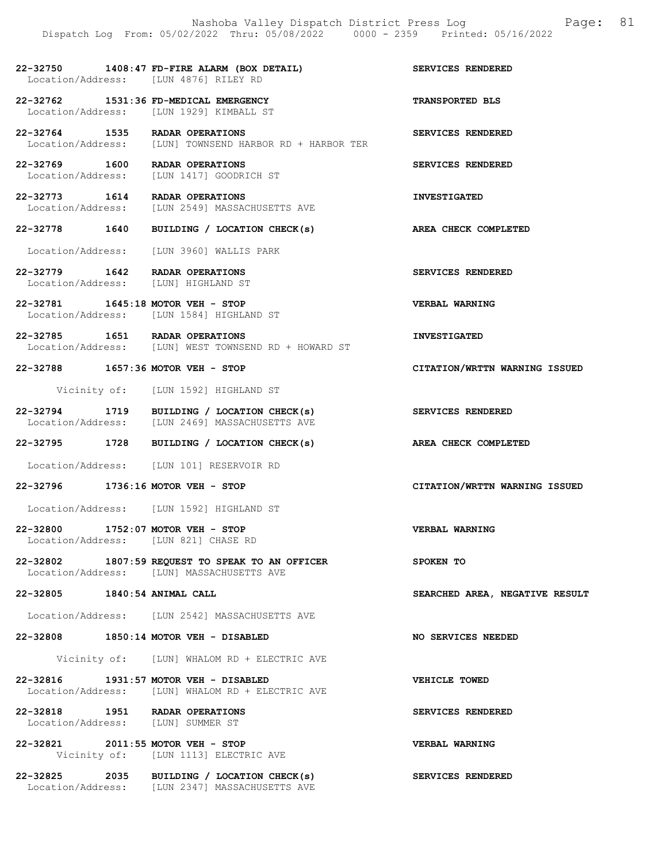22-32750 1408:47 FD-FIRE ALARM (BOX DETAIL) SERVICES RENDERED Location/Address: [LUN 4876] RILEY RD

- 22-32762 1531:36 FD-MEDICAL EMERGENCY TRANSPORTED BLS<br>
Location/Address: [LUN 1929] KIMBALL ST Location/Address: [LUN 1929] KIMBALL ST
- 22-32764 1535 RADAR OPERATIONS SERVICES RENDERED Location/Address: [LUN] TOWNSEND HARBOR RD + HARBOR TER
- 22-32769 1600 RADAR OPERATIONS SERVICES RENDERED Location/Address: [LUN 1417] GOODRICH ST
- 22-32773 1614 RADAR OPERATIONS INVESTIGATED Location/Address: [LUN 2549] MASSACHUSETTS AVE
- 22-32778 1640 BUILDING / LOCATION CHECK(s) AREA CHECK COMPLETED
- Location/Address: [LUN 3960] WALLIS PARK
- 22-32779 1642 RADAR OPERATIONS SERVICES RENDERED Location/Address: [LUN] HIGHLAND ST
- 22-32781 1645:18 MOTOR VEH STOP VERBAL WARNING Location/Address: [LUN 1584] HIGHLAND ST
- 22-32785 1651 RADAR OPERATIONS INVESTIGATED<br>Location/Address: [LUN] WEST TOWNSEND RD + HOWARD ST [LUN] WEST TOWNSEND RD + HOWARD ST
- 22-32788 1657:36 MOTOR VEH STOP CITATION/WRTTN WARNING ISSUED
	- Vicinity of: [LUN 1592] HIGHLAND ST
- 22-32794 1719 BUILDING / LOCATION CHECK(s) SERVICES RENDERED<br>Location/Address: [LUN 2469] MASSACHUSETTS AVE [LUN 2469] MASSACHUSETTS AVE
- 22-32795 1728 BUILDING / LOCATION CHECK(s) AREA CHECK COMPLETED
- Location/Address: [LUN 101] RESERVOIR RD
- 22-32796 1736:16 MOTOR VEH STOP CITATION/WRTTN WARNING ISSUED
- Location/Address: [LUN 1592] HIGHLAND ST
- 22-32800 1752:07 MOTOR VEH STOP VERBAL WARNING Location/Address: [LUN 821] CHASE RD
- 22-32802 1807:59 REQUEST TO SPEAK TO AN OFFICER SPOKEN TO<br>Location/Address: [LUN] MASSACHUSETTS AVE [LUN] MASSACHUSETTS AVE
- 22-32805 1840:54 ANIMAL CALL SEARCHED AREA, NEGATIVE RESULT
- Location/Address: [LUN 2542] MASSACHUSETTS AVE
- 22-32808 1850:14 MOTOR VEH DISABLED NO SERVICES NEEDED
	- Vicinity of: [LUN] WHALOM RD + ELECTRIC AVE
- 22-32816 1931:57 MOTOR VEH DISABLED VEHICLE TOWED Location/Address: [LUN] WHALOM RD + ELECTRIC AVE
- 22-32818 1951 RADAR OPERATIONS SERVICES RENDERED<br>
Location/Address: [LUN] SUMMER ST Location/Address:
- 22-32821 2011:55 MOTOR VEH STOP VERBAL WARNING Vicinity of: [LUN 1113] ELECTRIC AVE
- 22-32825 2035 BUILDING / LOCATION CHECK(s) SERVICES RENDERED Location/Address: [LUN 2347] MASSACHUSETTS AVE
- 
- 
- 
- 
- 
- 
- 
- 
- 
- 
- 
- 
- 
- 
-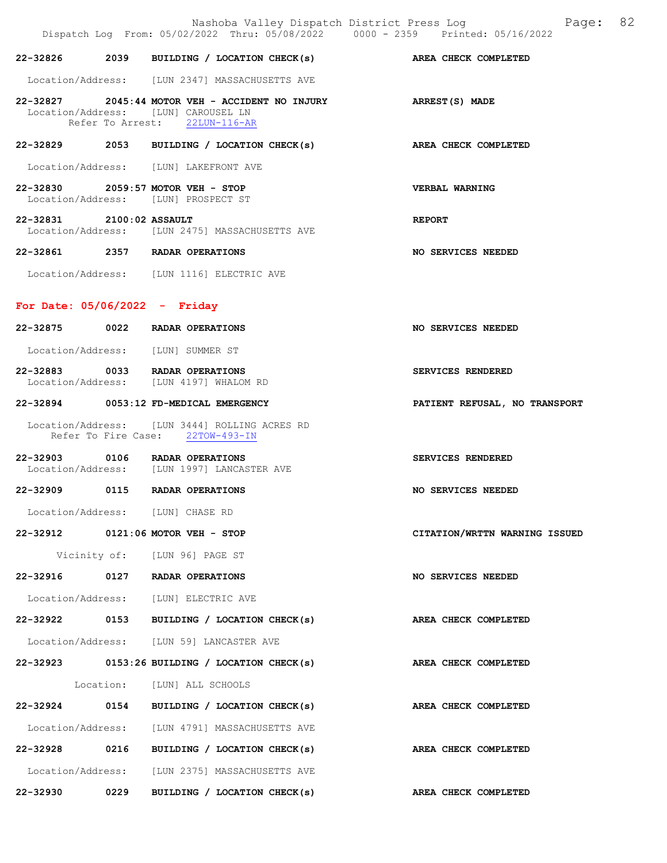Nashoba Valley Dispatch District Press Log Page: 82 Dispatch Log From: 05/02/2022 Thru: 05/08/2022 0000 - 2359 Printed: 05/16/2022 22-32826 2039 BUILDING / LOCATION CHECK(s) AREA CHECK COMPLETED Location/Address: [LUN 2347] MASSACHUSETTS AVE 22-32827 2045:44 MOTOR VEH - ACCIDENT NO INJURY ARREST(S) MADE Location/Address: [LUN] CAROUSEL LN Refer To Arrest: 22LUN-116-AR 22-32829 2053 BUILDING / LOCATION CHECK(s) AREA CHECK COMPLETED Location/Address: [LUN] LAKEFRONT AVE 22-32830 2059:57 MOTOR VEH - STOP VERBAL WARNING Location/Address: [LUN] PROSPECT ST 22-32831 2100:02 ASSAULT REPORT Location/Address: [LUN 2475] MASSACHUSETTS AVE 22-32861 2357 RADAR OPERATIONS NO SERVICES NEEDED Location/Address: [LUN 1116] ELECTRIC AVE For Date: 05/06/2022 - Friday 22-32875 0022 RADAR OPERATIONS NO SERVICES NEEDED Location/Address: [LUN] SUMMER ST 22-32883 0033 RADAR OPERATIONS SERVICES RENDERED Location/Address: [LUN 4197] WHALOM RD 22-32894 0053:12 FD-MEDICAL EMERGENCY PATIENT REFUSAL, NO TRANSPORT Location/Address: [LUN 3444] ROLLING ACRES RD<br>Refer To Fire Case: 22TOW-493-IN Refer To Fire Case: 22-32903 0106 RADAR OPERATIONS SERVICES RENDERED<br>Location/Address: [LUN 1997] LANCASTER AVE [LUN 1997] LANCASTER AVE 22-32909 0115 RADAR OPERATIONS NO SERVICES NEEDED Location/Address: [LUN] CHASE RD 22-32912 0121:06 MOTOR VEH - STOP CITATION/WRTTN WARNING ISSUED Vicinity of: [LUN 96] PAGE ST 22-32916 0127 RADAR OPERATIONS NO SERVICES NEEDED Location/Address: [LUN] ELECTRIC AVE 22-32922 0153 BUILDING / LOCATION CHECK(s) AREA CHECK COMPLETED Location/Address: [LUN 59] LANCASTER AVE 22-32923 0153:26 BUILDING / LOCATION CHECK(s) AREA CHECK COMPLETED Location: [LUN] ALL SCHOOLS 22-32924 0154 BUILDING / LOCATION CHECK(s) AREA CHECK COMPLETED Location/Address: [LUN 4791] MASSACHUSETTS AVE 22-32928 0216 BUILDING / LOCATION CHECK(s) AREA CHECK COMPLETED Location/Address: [LUN 2375] MASSACHUSETTS AVE 22-32930 0229 BUILDING / LOCATION CHECK(s) AREA CHECK COMPLETED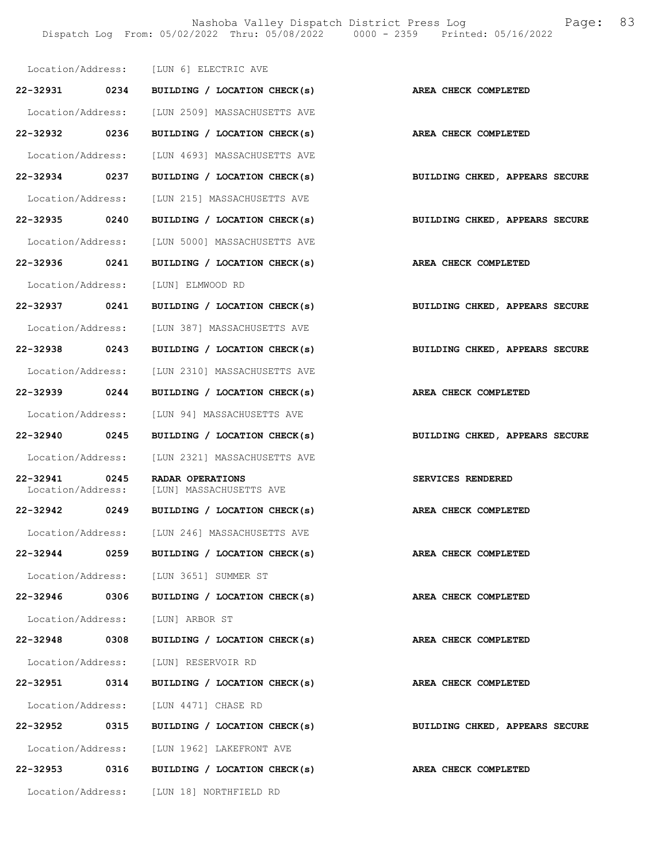|                                    |      | Location/Address: [LUN 6] ELECTRIC AVE         |                                |
|------------------------------------|------|------------------------------------------------|--------------------------------|
| 22-32931 0234                      |      | BUILDING / LOCATION CHECK(s)                   | AREA CHECK COMPLETED           |
|                                    |      | Location/Address: [LUN 2509] MASSACHUSETTS AVE |                                |
| 22-32932 0236                      |      | BUILDING / LOCATION CHECK(s)                   | AREA CHECK COMPLETED           |
| Location/Address:                  |      | [LUN 4693] MASSACHUSETTS AVE                   |                                |
| 22-32934 0237                      |      | BUILDING / LOCATION CHECK(s)                   | BUILDING CHKED, APPEARS SECURE |
| Location/Address:                  |      | [LUN 215] MASSACHUSETTS AVE                    |                                |
| 22-32935 0240                      |      | BUILDING / LOCATION CHECK(s)                   | BUILDING CHKED, APPEARS SECURE |
|                                    |      | Location/Address: [LUN 5000] MASSACHUSETTS AVE |                                |
| 22-32936 0241                      |      | BUILDING / LOCATION CHECK(s)                   | <b>AREA CHECK COMPLETED</b>    |
| Location/Address:                  |      | [LUN] ELMWOOD RD                               |                                |
| 22-32937 0241                      |      | BUILDING / LOCATION CHECK(s)                   | BUILDING CHKED, APPEARS SECURE |
|                                    |      | Location/Address: [LUN 387] MASSACHUSETTS AVE  |                                |
| 22-32938 0243                      |      | BUILDING / LOCATION CHECK(s)                   | BUILDING CHKED, APPEARS SECURE |
|                                    |      | Location/Address: [LUN 2310] MASSACHUSETTS AVE |                                |
| 22-32939 0244                      |      | BUILDING / LOCATION CHECK(s)                   | AREA CHECK COMPLETED           |
| Location/Address:                  |      | [LUN 94] MASSACHUSETTS AVE                     |                                |
| 22-32940 0245                      |      | BUILDING / LOCATION CHECK(s)                   | BUILDING CHKED, APPEARS SECURE |
|                                    |      | Location/Address: [LUN 2321] MASSACHUSETTS AVE |                                |
| 22-32941 0245<br>Location/Address: |      | RADAR OPERATIONS<br>[LUN] MASSACHUSETTS AVE    | SERVICES RENDERED              |
| 22-32942 0249                      |      | BUILDING / LOCATION CHECK(s)                   | AREA CHECK COMPLETED           |
|                                    |      | Location/Address: [LUN 246] MASSACHUSETTS AVE  |                                |
| 22-32944                           | 0259 | BUILDING / LOCATION CHECK(s)                   | AREA CHECK COMPLETED           |
|                                    |      | Location/Address: [LUN 3651] SUMMER ST         |                                |
| 22-32946                           | 0306 | BUILDING / LOCATION CHECK(s)                   | AREA CHECK COMPLETED           |
|                                    |      | Location/Address: [LUN] ARBOR ST               |                                |
| 22-32948 0308                      |      | BUILDING / LOCATION CHECK(s)                   | AREA CHECK COMPLETED           |
| Location/Address:                  |      | [LUN] RESERVOIR RD                             |                                |
| 22-32951 0314                      |      | BUILDING / LOCATION CHECK(s)                   | AREA CHECK COMPLETED           |
|                                    |      | Location/Address: [LUN 4471] CHASE RD          |                                |
| 22-32952                           | 0315 | BUILDING / LOCATION CHECK(s)                   | BUILDING CHKED, APPEARS SECURE |
| Location/Address:                  |      | [LUN 1962] LAKEFRONT AVE                       |                                |
| 22-32953                           | 0316 | BUILDING / LOCATION CHECK(s)                   | AREA CHECK COMPLETED           |
|                                    |      | Location/Address: [LUN 18] NORTHFIELD RD       |                                |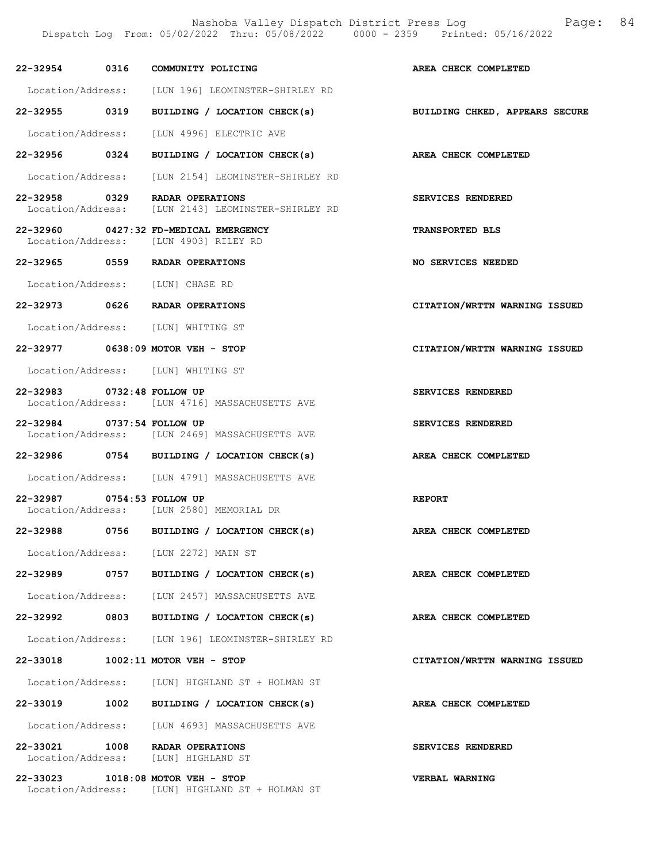|                                  |      | 22-32954 0316 COMMUNITY POLICING                                                     | AREA CHECK COMPLETED           |
|----------------------------------|------|--------------------------------------------------------------------------------------|--------------------------------|
|                                  |      | Location/Address: [LUN 196] LEOMINSTER-SHIRLEY RD                                    |                                |
| 22-32955 0319                    |      | BUILDING / LOCATION CHECK(s)                                                         | BUILDING CHKED, APPEARS SECURE |
|                                  |      | Location/Address: [LUN 4996] ELECTRIC AVE                                            |                                |
|                                  |      | 22-32956 0324 BUILDING / LOCATION CHECK(s) AREA CHECK COMPLETED                      |                                |
|                                  |      | Location/Address: [LUN 2154] LEOMINSTER-SHIRLEY RD                                   |                                |
|                                  |      | 22-32958 0329 RADAR OPERATIONS<br>Location/Address: [LUN 2143] LEOMINSTER-SHIRLEY RD | SERVICES RENDERED              |
|                                  |      | 22-32960 0427:32 FD-MEDICAL EMERGENCY<br>Location/Address: [LUN 4903] RILEY RD       | <b>TRANSPORTED BLS</b>         |
|                                  |      | 22-32965 0559 RADAR OPERATIONS                                                       | NO SERVICES NEEDED             |
| Location/Address: [LUN] CHASE RD |      |                                                                                      |                                |
|                                  |      | 22-32973 0626 RADAR OPERATIONS                                                       | CITATION/WRTTN WARNING ISSUED  |
|                                  |      | Location/Address: [LUN] WHITING ST                                                   |                                |
|                                  |      | 22-32977 0638:09 MOTOR VEH - STOP                                                    | CITATION/WRTTN WARNING ISSUED  |
|                                  |      | Location/Address: [LUN] WHITING ST                                                   |                                |
| 22-32983 0732:48 FOLLOW UP       |      | Location/Address: [LUN 4716] MASSACHUSETTS AVE                                       | SERVICES RENDERED              |
| 22-32984 0737:54 FOLLOW UP       |      | Location/Address: [LUN 2469] MASSACHUSETTS AVE                                       | SERVICES RENDERED              |
|                                  |      | 22-32986 0754 BUILDING / LOCATION CHECK(s)                                           | AREA CHECK COMPLETED           |
|                                  |      | Location/Address: [LUN 4791] MASSACHUSETTS AVE                                       |                                |
| 22-32987 0754:53 FOLLOW UP       |      | Location/Address: [LUN 2580] MEMORIAL DR                                             | <b>REPORT</b>                  |
| 22-32988                         | 0756 | BUILDING / LOCATION CHECK(s)                                                         | AREA CHECK COMPLETED           |
|                                  |      | Location/Address: [LUN 2272] MAIN ST                                                 |                                |
| 22-32989                         |      | 0757 BUILDING / LOCATION CHECK(s)                                                    | AREA CHECK COMPLETED           |
|                                  |      | Location/Address: [LUN 2457] MASSACHUSETTS AVE                                       |                                |
| 22-32992                         | 0803 | BUILDING / LOCATION CHECK(s)                                                         | AREA CHECK COMPLETED           |
|                                  |      | Location/Address: [LUN 196] LEOMINSTER-SHIRLEY RD                                    |                                |
|                                  |      | 22-33018 1002:11 MOTOR VEH - STOP                                                    | CITATION/WRTTN WARNING ISSUED  |
|                                  |      | Location/Address: [LUN] HIGHLAND ST + HOLMAN ST                                      |                                |
| 22-33019                         |      | 1002 BUILDING / LOCATION CHECK(s)                                                    | AREA CHECK COMPLETED           |
|                                  |      | Location/Address: [LUN 4693] MASSACHUSETTS AVE                                       |                                |
|                                  |      | 22-33021 1008 RADAR OPERATIONS<br>Location/Address: [LUN] HIGHLAND ST                | SERVICES RENDERED              |
|                                  |      | 22-33023 1018:08 MOTOR VEH - STOP<br>Location/Address: [LUN] HIGHLAND ST + HOLMAN ST | VERBAL WARNING                 |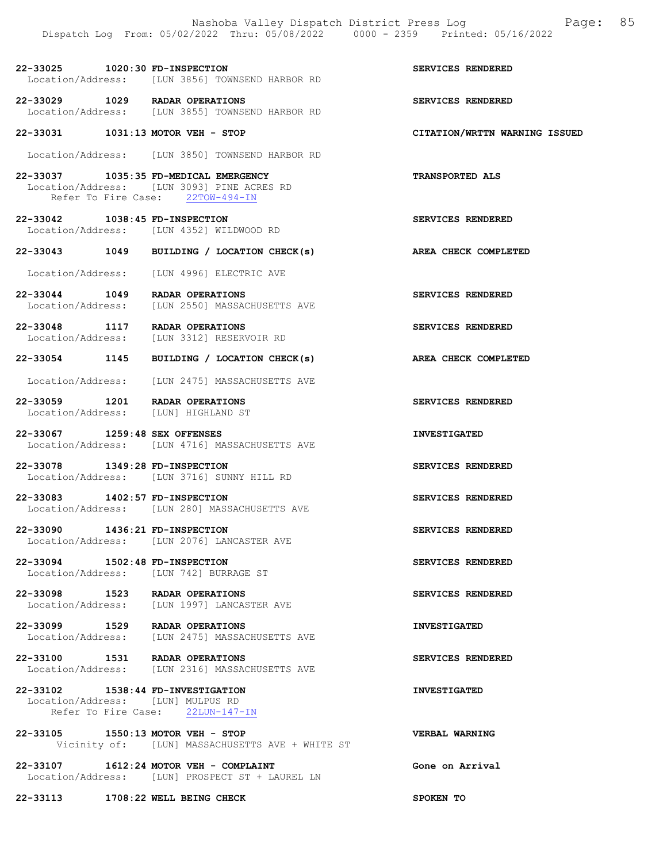22-33025 1020:30 FD-INSPECTION SERVICES RENDERED Location/Address: [LUN 3856] TOWNSEND HARBOR RD

22-33029 1029 RADAR OPERATIONS<br>
Location/Address: [LUN 3855] TOWNSEND HARBOR RD<br>
SERVICES RENDERED Location/Address: [LUN 3855] TOWNSEND HARBOR RD

22-33031 1031:13 MOTOR VEH - STOP CITATION/WRTTN WARNING ISSUED

Location/Address: [LUN 3850] TOWNSEND HARBOR RD

22-33037 1035:35 FD-MEDICAL EMERGENCY TRANSPORTED ALS Location/Address: [LUN 3093] PINE ACRES RD Refer To Fire Case: 22TOW-494-IN

22-33042 1038:45 FD-INSPECTION SERVICES RENDERED Location/Address: [LUN 4352] WILDWOOD RD

22-33043 1049 BUILDING / LOCATION CHECK(s) AREA CHECK COMPLETED

Location/Address: [LUN 4996] ELECTRIC AVE

22-33044 1049 RADAR OPERATIONS<br>
Location/Address: [LUN 2550] MASSACHUSETTS AVE [LUN 2550] MASSACHUSETTS AVE

22-33048 1117 RADAR OPERATIONS SERVICES RENDERED Location/Address: [LUN 3312] RESERVOIR RD

22-33054 1145 BUILDING / LOCATION CHECK(s) AREA CHECK COMPLETED

Location/Address: [LUN 2475] MASSACHUSETTS AVE

22-33059 1201 RADAR OPERATIONS SERVICES RENDERED Location/Address: [LUN] HIGHLAND ST

22-33067 1259:48 SEX OFFENSES INVESTIGATED Location/Address: [LUN 4716] MASSACHUSETTS AVE

22-33078 1349:28 FD-INSPECTION SERVICES RENDERED Location/Address: [LUN 3716] SUNNY HILL RD

22-33083 1402:57 FD-INSPECTION SERVICES RENDERED Location/Address: [LUN 280] MASSACHUSETTS AVE

22-33090 1436:21 FD-INSPECTION SERVICES RENDERED Location/Address: [LUN 2076] LANCASTER AVE

22-33094 1502:48 FD-INSPECTION SERVICES RENDERED Location/Address: [LUN 742] BURRAGE ST

22-33098 1523 RADAR OPERATIONS SERVICES RENDERED Location/Address: [LUN 1997] LANCASTER AVE

22-33099 1529 RADAR OPERATIONS INVESTIGATED<br>Location/Address: [LUN 2475] MASSACHUSETTS AVE [LUN 2475] MASSACHUSETTS AVE

22-33100 1531 RADAR OPERATIONS SERVICES RENDERED Location/Address: [LUN 2316] MASSACHUSETTS AVE

22-33102 1538:44 FD-INVESTIGATION INVESTIGATED Location/Address: [LUN] MULPUS RD Refer To Fire Case: 22LUN-147-IN

22-33105 1550:13 MOTOR VEH - STOP VERBAL WARNING Vicinity of: [LUN] MASSACHUSETTS AVE + WHITE ST

22-33107 1612:24 MOTOR VEH - COMPLAINT Gone on Arrival Location/Address: [LUN] PROSPECT ST + LAUREL LN

22-33113 1708:22 WELL BEING CHECK SPOKEN TO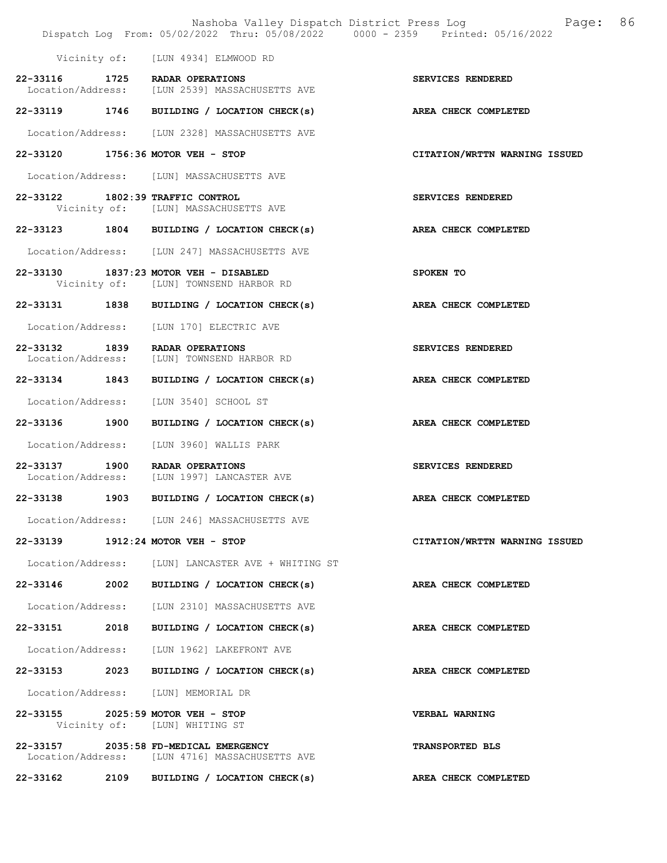|                                    |      | Nashoba Valley Dispatch District Press Log<br>Dispatch Log From: 05/02/2022 Thru: 05/08/2022 0000 - 2359 Printed: 05/16/2022 | 86<br>Page:                   |
|------------------------------------|------|------------------------------------------------------------------------------------------------------------------------------|-------------------------------|
|                                    |      | Vicinity of: [LUN 4934] ELMWOOD RD                                                                                           |                               |
|                                    |      | 22-33116 1725 RADAR OPERATIONS<br>Location/Address: [LUN 2539] MASSACHUSETTS AVE                                             | SERVICES RENDERED             |
|                                    |      | 22-33119 1746 BUILDING / LOCATION CHECK(s)                                                                                   | AREA CHECK COMPLETED          |
|                                    |      | Location/Address: [LUN 2328] MASSACHUSETTS AVE                                                                               |                               |
|                                    |      | 22-33120 1756:36 MOTOR VEH - STOP                                                                                            | CITATION/WRTTN WARNING ISSUED |
|                                    |      | Location/Address: [LUN] MASSACHUSETTS AVE                                                                                    |                               |
|                                    |      | 22-33122 1802:39 TRAFFIC CONTROL<br>Vicinity of: [LUN] MASSACHUSETTS AVE                                                     | SERVICES RENDERED             |
|                                    |      | 22-33123 1804 BUILDING / LOCATION CHECK(s)                                                                                   | AREA CHECK COMPLETED          |
|                                    |      | Location/Address: [LUN 247] MASSACHUSETTS AVE                                                                                |                               |
|                                    |      | 22-33130 1837:23 MOTOR VEH - DISABLED<br>Vicinity of: [LUN] TOWNSEND HARBOR RD                                               | SPOKEN TO                     |
|                                    |      | 22-33131 1838 BUILDING / LOCATION CHECK(s)                                                                                   | AREA CHECK COMPLETED          |
|                                    |      | Location/Address: [LUN 170] ELECTRIC AVE                                                                                     |                               |
| 22-33132 1839<br>Location/Address: |      | RADAR OPERATIONS<br>[LUN] TOWNSEND HARBOR RD                                                                                 | SERVICES RENDERED             |
|                                    |      | 22-33134 1843 BUILDING / LOCATION CHECK(s)                                                                                   | AREA CHECK COMPLETED          |
| Location/Address:                  |      | [LUN 3540] SCHOOL ST                                                                                                         |                               |
| 22-33136 1900                      |      | BUILDING / LOCATION CHECK(s) AREA CHECK COMPLETED                                                                            |                               |
|                                    |      | Location/Address: [LUN 3960] WALLIS PARK                                                                                     |                               |
| 22-33137 1900<br>Location/Address: |      | RADAR OPERATIONS<br>[LUN 1997] LANCASTER AVE                                                                                 | SERVICES RENDERED             |
| 22-33138 1903                      |      | BUILDING / LOCATION CHECK(s)                                                                                                 | AREA CHECK COMPLETED          |
|                                    |      | Location/Address: [LUN 246] MASSACHUSETTS AVE                                                                                |                               |
|                                    |      | 22-33139 1912:24 MOTOR VEH - STOP                                                                                            | CITATION/WRTTN WARNING ISSUED |
|                                    |      | Location/Address: [LUN] LANCASTER AVE + WHITING ST                                                                           |                               |
| 22-33146                           | 2002 | BUILDING / LOCATION CHECK(s)                                                                                                 | AREA CHECK COMPLETED          |
|                                    |      | Location/Address: [LUN 2310] MASSACHUSETTS AVE                                                                               |                               |
|                                    |      | 22-33151 2018 BUILDING / LOCATION CHECK(s)                                                                                   | AREA CHECK COMPLETED          |
|                                    |      | Location/Address: [LUN 1962] LAKEFRONT AVE                                                                                   |                               |
|                                    |      | 22-33153 2023 BUILDING / LOCATION CHECK(s)                                                                                   | AREA CHECK COMPLETED          |
|                                    |      | Location/Address: [LUN] MEMORIAL DR                                                                                          |                               |
|                                    |      | 22-33155 2025:59 MOTOR VEH - STOP<br>Vicinity of: [LUN] WHITING ST                                                           | <b>VERBAL WARNING</b>         |
| 22-33157                           |      | 2035:58 FD-MEDICAL EMERGENCY<br>Location/Address: [LUN 4716] MASSACHUSETTS AVE                                               | TRANSPORTED BLS               |
|                                    |      | 22-33162 2109 BUILDING / LOCATION CHECK(s)                                                                                   | AREA CHECK COMPLETED          |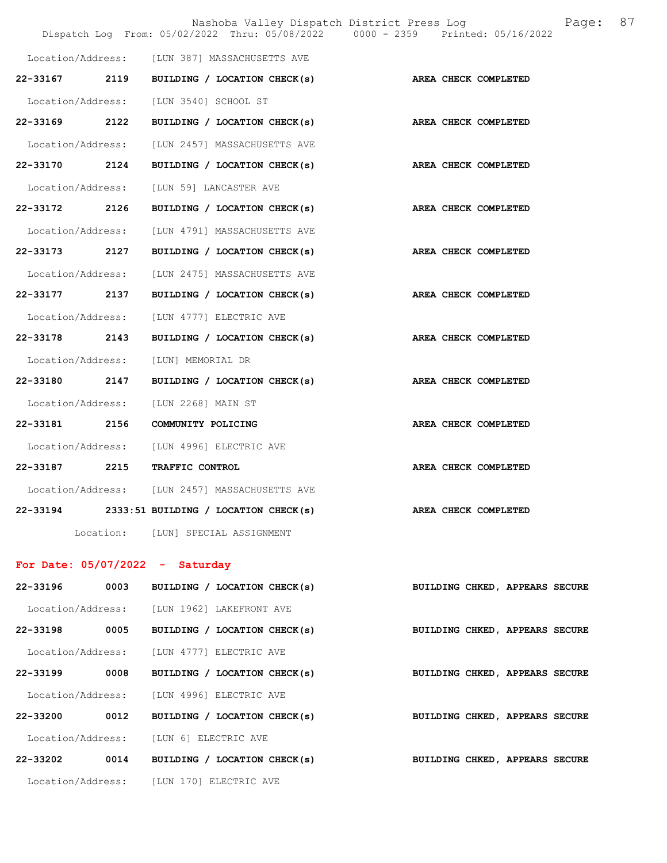|                   |           |                                                 | Nashoba Valley Dispatch District Press Log Fage: 87<br>Dispatch Log From: 05/02/2022 Thru: 05/08/2022 0000 - 2359 Printed: 05/16/2022 |  |
|-------------------|-----------|-------------------------------------------------|---------------------------------------------------------------------------------------------------------------------------------------|--|
|                   |           |                                                 |                                                                                                                                       |  |
|                   |           | Location/Address: [LUN 387] MASSACHUSETTS AVE   |                                                                                                                                       |  |
| 22-33167          | 2119      | BUILDING / LOCATION CHECK(s)                    | AREA CHECK COMPLETED                                                                                                                  |  |
| Location/Address: |           | [LUN 3540] SCHOOL ST                            |                                                                                                                                       |  |
| 22-33169          | 2122      | BUILDING / LOCATION CHECK(s)                    | AREA CHECK COMPLETED                                                                                                                  |  |
| Location/Address: |           | [LUN 2457] MASSACHUSETTS AVE                    |                                                                                                                                       |  |
| 22-33170          | 2124      | BUILDING / LOCATION CHECK(s)                    | AREA CHECK COMPLETED                                                                                                                  |  |
| Location/Address: |           | [LUN 59] LANCASTER AVE                          |                                                                                                                                       |  |
| 22-33172          | 2126      | BUILDING / LOCATION CHECK(s)                    | AREA CHECK COMPLETED                                                                                                                  |  |
| Location/Address: |           | [LUN 4791] MASSACHUSETTS AVE                    |                                                                                                                                       |  |
| 22-33173          | 2127      | BUILDING / LOCATION CHECK(s)                    | AREA CHECK COMPLETED                                                                                                                  |  |
| Location/Address: |           | [LUN 2475] MASSACHUSETTS AVE                    |                                                                                                                                       |  |
| 22-33177 2137     |           | BUILDING / LOCATION CHECK(s)                    | AREA CHECK COMPLETED                                                                                                                  |  |
| Location/Address: |           | [LUN 4777] ELECTRIC AVE                         |                                                                                                                                       |  |
| 22-33178 2143     |           | BUILDING / LOCATION CHECK(s)                    | AREA CHECK COMPLETED                                                                                                                  |  |
| Location/Address: |           | [LUN] MEMORIAL DR                               |                                                                                                                                       |  |
| 22-33180 2147     |           | BUILDING / LOCATION CHECK(s)                    | AREA CHECK COMPLETED                                                                                                                  |  |
| Location/Address: |           | [LUN 2268] MAIN ST                              |                                                                                                                                       |  |
|                   |           | 22-33181 2156 COMMUNITY POLICING                | AREA CHECK COMPLETED                                                                                                                  |  |
|                   |           | Location/Address: [LUN 4996] ELECTRIC AVE       |                                                                                                                                       |  |
|                   |           | 22-33187 2215 TRAFFIC CONTROL                   | AREA CHECK COMPLETED                                                                                                                  |  |
|                   |           | Location/Address: [LUN 2457] MASSACHUSETTS AVE  |                                                                                                                                       |  |
|                   |           | $22-33194$ 2333:51 BUILDING / LOCATION CHECK(s) | AREA CHECK COMPLETED                                                                                                                  |  |
|                   | Location: | [LUN] SPECIAL ASSIGNMENT                        |                                                                                                                                       |  |

## For Date: 05/07/2022 - Saturday

| 22-33196          | 0003 | BUILDING / LOCATION CHECK(s)              |  | BUILDING CHKED, APPEARS SECURE |  |  |
|-------------------|------|-------------------------------------------|--|--------------------------------|--|--|
| Location/Address: |      | [LUN 1962] LAKEFRONT AVE                  |  |                                |  |  |
| 22-33198          | 0005 | BUILDING / LOCATION CHECK(s)              |  | BUILDING CHKED, APPEARS SECURE |  |  |
|                   |      | Location/Address: [LUN 4777] ELECTRIC AVE |  |                                |  |  |
| 22-33199          | 0008 | BUILDING / LOCATION CHECK(s)              |  | BUILDING CHKED, APPEARS SECURE |  |  |
|                   |      | Location/Address: [LUN 4996] ELECTRIC AVE |  |                                |  |  |
| 22-33200          | 0012 | BUILDING / LOCATION CHECK(s)              |  | BUILDING CHKED, APPEARS SECURE |  |  |
| Location/Address: |      | <b>ILUN 61 ELECTRIC AVE</b>               |  |                                |  |  |
| 22-33202          | 0014 | BUILDING / LOCATION CHECK(s)              |  | BUILDING CHKED, APPEARS SECURE |  |  |
| Location/Address: |      | [LUN 170] ELECTRIC AVE                    |  |                                |  |  |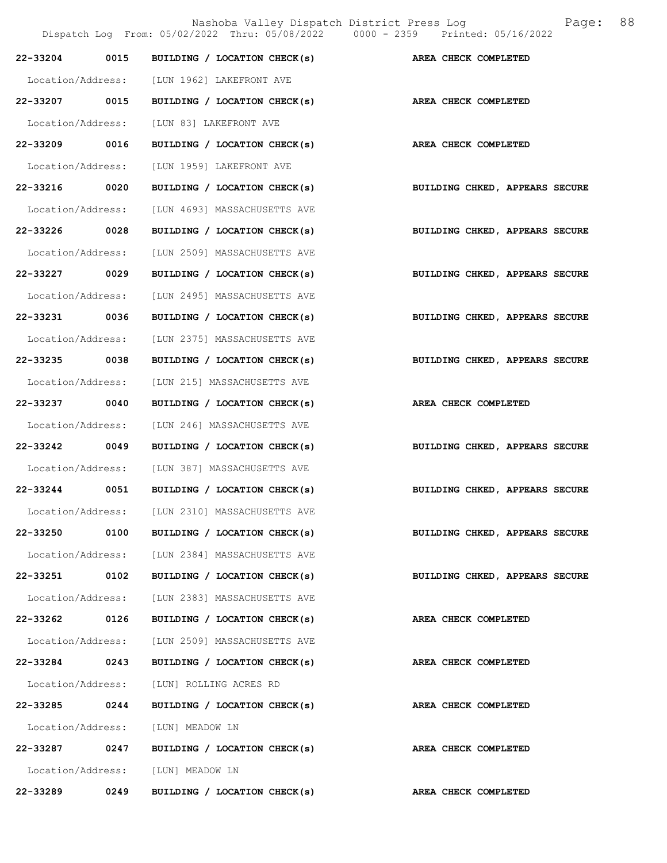|                   |      | Nashoba Valley Dispatch District Press Log<br>Dispatch Log From: 05/02/2022 Thru: 05/08/2022 0000 - 2359 Printed: 05/16/2022 | Page:                          | 88 |
|-------------------|------|------------------------------------------------------------------------------------------------------------------------------|--------------------------------|----|
| 22-33204          | 0015 | BUILDING / LOCATION CHECK(s)                                                                                                 | AREA CHECK COMPLETED           |    |
| Location/Address: |      | [LUN 1962] LAKEFRONT AVE                                                                                                     |                                |    |
| 22-33207 0015     |      | BUILDING / LOCATION CHECK(s)                                                                                                 | AREA CHECK COMPLETED           |    |
| Location/Address: |      | [LUN 83] LAKEFRONT AVE                                                                                                       |                                |    |
| 22-33209 0016     |      | BUILDING / LOCATION CHECK(s)                                                                                                 | AREA CHECK COMPLETED           |    |
| Location/Address: |      | [LUN 1959] LAKEFRONT AVE                                                                                                     |                                |    |
| 22-33216          | 0020 | BUILDING / LOCATION CHECK(s)                                                                                                 | BUILDING CHKED, APPEARS SECURE |    |
| Location/Address: |      | [LUN 4693] MASSACHUSETTS AVE                                                                                                 |                                |    |
| 22-33226 0028     |      | BUILDING / LOCATION CHECK(s)                                                                                                 | BUILDING CHKED, APPEARS SECURE |    |
| Location/Address: |      | [LUN 2509] MASSACHUSETTS AVE                                                                                                 |                                |    |
| 22-33227 0029     |      | BUILDING / LOCATION CHECK(s)                                                                                                 | BUILDING CHKED, APPEARS SECURE |    |
| Location/Address: |      | [LUN 2495] MASSACHUSETTS AVE                                                                                                 |                                |    |
| 22-33231          | 0036 | BUILDING / LOCATION CHECK(s)                                                                                                 | BUILDING CHKED, APPEARS SECURE |    |
| Location/Address: |      | [LUN 2375] MASSACHUSETTS AVE                                                                                                 |                                |    |
| 22-33235 0038     |      | BUILDING / LOCATION CHECK(s)                                                                                                 | BUILDING CHKED, APPEARS SECURE |    |
| Location/Address: |      | [LUN 215] MASSACHUSETTS AVE                                                                                                  |                                |    |
| 22-33237 0040     |      | BUILDING / LOCATION CHECK(s)                                                                                                 | AREA CHECK COMPLETED           |    |
| Location/Address: |      | [LUN 246] MASSACHUSETTS AVE                                                                                                  |                                |    |
| 22-33242          | 0049 | BUILDING / LOCATION CHECK(s)                                                                                                 | BUILDING CHKED, APPEARS SECURE |    |
| Location/Address: |      | [LUN 387] MASSACHUSETTS AVE                                                                                                  |                                |    |
| 22-33244          | 0051 | BUILDING / LOCATION CHECK(s)                                                                                                 | BUILDING CHKED, APPEARS SECURE |    |
|                   |      | Location/Address: [LUN 2310] MASSACHUSETTS AVE                                                                               |                                |    |
| 22-33250          | 0100 | BUILDING / LOCATION CHECK(s)                                                                                                 | BUILDING CHKED, APPEARS SECURE |    |
| Location/Address: |      | [LUN 2384] MASSACHUSETTS AVE                                                                                                 |                                |    |
| 22-33251 0102     |      | BUILDING / LOCATION CHECK(s)                                                                                                 | BUILDING CHKED, APPEARS SECURE |    |
| Location/Address: |      | [LUN 2383] MASSACHUSETTS AVE                                                                                                 |                                |    |
| 22-33262 0126     |      | BUILDING / LOCATION CHECK(s)                                                                                                 | AREA CHECK COMPLETED           |    |
| Location/Address: |      | [LUN 2509] MASSACHUSETTS AVE                                                                                                 |                                |    |
| 22-33284          | 0243 | BUILDING / LOCATION CHECK(s)                                                                                                 | AREA CHECK COMPLETED           |    |
| Location/Address: |      | [LUN] ROLLING ACRES RD                                                                                                       |                                |    |
| 22-33285          | 0244 | BUILDING / LOCATION CHECK(s)                                                                                                 | AREA CHECK COMPLETED           |    |
| Location/Address: |      | [LUN] MEADOW LN                                                                                                              |                                |    |
| 22-33287 0247     |      | BUILDING / LOCATION CHECK(s)                                                                                                 | AREA CHECK COMPLETED           |    |
| Location/Address: |      | [LUN] MEADOW LN                                                                                                              |                                |    |
| 22-33289          | 0249 | BUILDING / LOCATION CHECK(s)                                                                                                 | AREA CHECK COMPLETED           |    |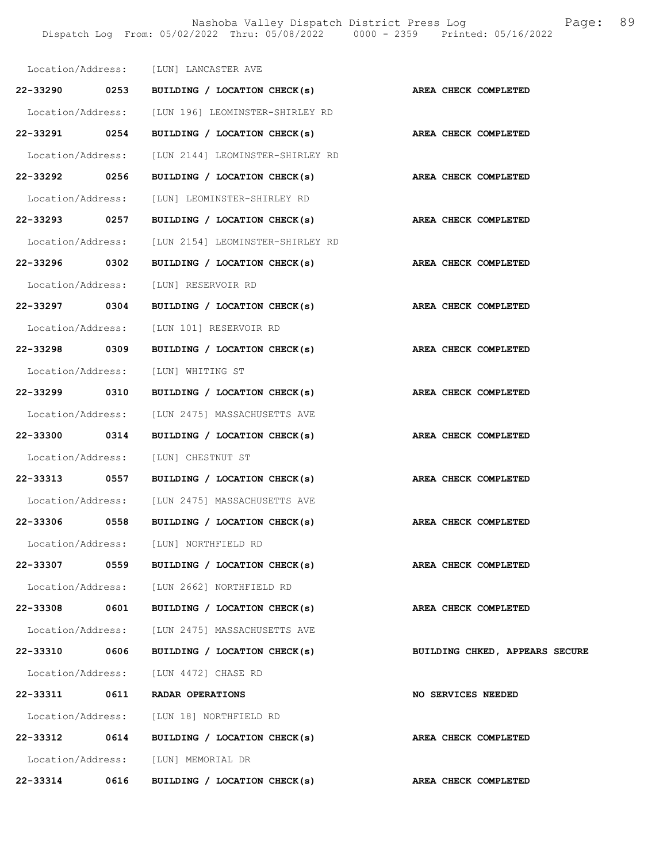|               |      | Location/Address: [LUN] LANCASTER AVE                           |                                |
|---------------|------|-----------------------------------------------------------------|--------------------------------|
|               |      | 22-33290 0253 BUILDING / LOCATION CHECK(s) AREA CHECK COMPLETED |                                |
|               |      | Location/Address: [LUN 196] LEOMINSTER-SHIRLEY RD               |                                |
| 22-33291 0254 |      | BUILDING / LOCATION CHECK(s)                                    | AREA CHECK COMPLETED           |
|               |      | Location/Address: [LUN 2144] LEOMINSTER-SHIRLEY RD              |                                |
| 22-33292 0256 |      | BUILDING / LOCATION CHECK(s) AREA CHECK COMPLETED               |                                |
|               |      | Location/Address: [LUN] LEOMINSTER-SHIRLEY RD                   |                                |
|               |      | 22-33293 0257 BUILDING / LOCATION CHECK(s) AREA CHECK COMPLETED |                                |
|               |      | Location/Address: [LUN 2154] LEOMINSTER-SHIRLEY RD              |                                |
| 22-33296 0302 |      | BUILDING / LOCATION CHECK(s)                                    | AREA CHECK COMPLETED           |
|               |      | Location/Address: [LUN] RESERVOIR RD                            |                                |
|               |      | 22-33297 0304 BUILDING / LOCATION CHECK(s) AREA CHECK COMPLETED |                                |
|               |      | Location/Address: [LUN 101] RESERVOIR RD                        |                                |
| 22-33298 0309 |      | BUILDING / LOCATION CHECK(s)                                    | AREA CHECK COMPLETED           |
|               |      | Location/Address: [LUN] WHITING ST                              |                                |
| 22-33299 0310 |      | BUILDING / LOCATION CHECK(s)                                    | AREA CHECK COMPLETED           |
|               |      | Location/Address: [LUN 2475] MASSACHUSETTS AVE                  |                                |
|               |      | 22-33300 0314 BUILDING / LOCATION CHECK(s) AREA CHECK COMPLETED |                                |
|               |      | Location/Address: [LUN] CHESTNUT ST                             |                                |
| 22-33313 0557 |      | BUILDING / LOCATION CHECK(s)                                    | AREA CHECK COMPLETED           |
|               |      | Location/Address: [LUN 2475] MASSACHUSETTS AVE                  |                                |
|               |      | 22-33306 0558 BUILDING / LOCATION CHECK(s)                      | AREA CHECK COMPLETED           |
|               |      | Location/Address: [LUN] NORTHFIELD RD                           |                                |
|               |      | 22-33307 0559 BUILDING / LOCATION CHECK(s)                      | AREA CHECK COMPLETED           |
|               |      | Location/Address: [LUN 2662] NORTHFIELD RD                      |                                |
|               |      | 22-33308 0601 BUILDING / LOCATION CHECK(s)                      | AREA CHECK COMPLETED           |
|               |      | Location/Address: [LUN 2475] MASSACHUSETTS AVE                  |                                |
| 22-33310 0606 |      | BUILDING / LOCATION CHECK(s)                                    | BUILDING CHKED, APPEARS SECURE |
|               |      | Location/Address: [LUN 4472] CHASE RD                           |                                |
|               |      | 22-33311 0611 RADAR OPERATIONS                                  | <b>NO SERVICES NEEDED</b>      |
|               |      | Location/Address: [LUN 18] NORTHFIELD RD                        |                                |
|               |      | 22-33312 0614 BUILDING / LOCATION CHECK(s)                      | AREA CHECK COMPLETED           |
|               |      | Location/Address: [LUN] MEMORIAL DR                             |                                |
| 22-33314      | 0616 | BUILDING / LOCATION CHECK(s)                                    | AREA CHECK COMPLETED           |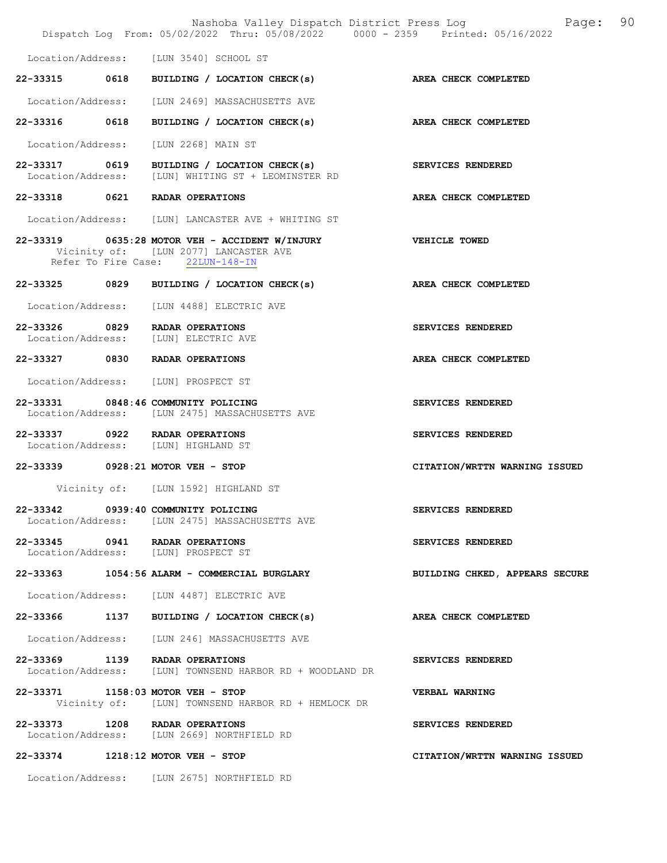|                                    | Nashoba Valley Dispatch District Press Log<br>Dispatch Log From: 05/02/2022 Thru: 05/08/2022 0000 - 2359 Printed: 05/16/2022 | Page:                          | 90 |
|------------------------------------|------------------------------------------------------------------------------------------------------------------------------|--------------------------------|----|
| Location/Address:                  | [LUN 3540] SCHOOL ST                                                                                                         |                                |    |
| 22-33315 0618                      | BUILDING / LOCATION CHECK(s)                                                                                                 | AREA CHECK COMPLETED           |    |
| Location/Address:                  | [LUN 2469] MASSACHUSETTS AVE                                                                                                 |                                |    |
| 22-33316 0618                      | BUILDING / LOCATION CHECK(s)                                                                                                 | AREA CHECK COMPLETED           |    |
| Location/Address:                  | [LUN 2268] MAIN ST                                                                                                           |                                |    |
| 22-33317 0619                      | BUILDING / LOCATION CHECK(s)                                                                                                 | SERVICES RENDERED              |    |
| Location/Address:                  | [LUN] WHITING ST + LEOMINSTER RD                                                                                             |                                |    |
| 22-33318 0621                      | RADAR OPERATIONS                                                                                                             | AREA CHECK COMPLETED           |    |
|                                    | Location/Address: [LUN] LANCASTER AVE + WHITING ST                                                                           |                                |    |
|                                    | 22-33319 0635:28 MOTOR VEH - ACCIDENT W/INJURY<br>Vicinity of: [LUN 2077] LANCASTER AVE<br>Refer To Fire Case: 22LUN-148-IN  | VEHICLE TOWED                  |    |
| 22-33325 0829                      | BUILDING / LOCATION CHECK(s)                                                                                                 | <b>AREA CHECK COMPLETED</b>    |    |
|                                    | Location/Address: [LUN 4488] ELECTRIC AVE                                                                                    |                                |    |
| 22-33326 0829<br>Location/Address: | RADAR OPERATIONS<br>[LUN] ELECTRIC AVE                                                                                       | SERVICES RENDERED              |    |
|                                    | 22-33327 0830 RADAR OPERATIONS                                                                                               | AREA CHECK COMPLETED           |    |
|                                    | Location/Address: [LUN] PROSPECT ST                                                                                          |                                |    |
|                                    | 22-33331 0848:46 COMMUNITY POLICING<br>Location/Address: [LUN 2475] MASSACHUSETTS AVE                                        | SERVICES RENDERED              |    |
|                                    | 22-33337 0922 RADAR OPERATIONS<br>Location/Address: [LUN] HIGHLAND ST                                                        | SERVICES RENDERED              |    |
|                                    | 22-33339 0928:21 MOTOR VEH - STOP                                                                                            | CITATION/WRTTN WARNING ISSUED  |    |
|                                    | Vicinity of: [LUN 1592] HIGHLAND ST                                                                                          |                                |    |
|                                    | 22-33342 0939:40 COMMUNITY POLICING<br>Location/Address: [LUN 2475] MASSACHUSETTS AVE                                        | SERVICES RENDERED              |    |
|                                    | 22-33345 0941 RADAR OPERATIONS<br>Location/Address: [LUN] PROSPECT ST                                                        | SERVICES RENDERED              |    |
|                                    | 22-33363 1054:56 ALARM - COMMERCIAL BURGLARY                                                                                 | BUILDING CHKED, APPEARS SECURE |    |
|                                    | Location/Address: [LUN 4487] ELECTRIC AVE                                                                                    |                                |    |
|                                    | 22-33366 1137 BUILDING / LOCATION CHECK(s)                                                                                   | AREA CHECK COMPLETED           |    |
|                                    | Location/Address: [LUN 246] MASSACHUSETTS AVE                                                                                |                                |    |
| 22-33369 1139                      | RADAR OPERATIONS<br>Location/Address: [LUN] TOWNSEND HARBOR RD + WOODLAND DR                                                 | SERVICES RENDERED              |    |
|                                    | 22-33371 1158:03 MOTOR VEH - STOP<br>Vicinity of: [LUN] TOWNSEND HARBOR RD + HEMLOCK DR                                      | VERBAL WARNING                 |    |
|                                    | 22-33373 1208 RADAR OPERATIONS<br>Location/Address: [LUN 2669] NORTHFIELD RD                                                 | SERVICES RENDERED              |    |
|                                    | 22-33374 1218:12 MOTOR VEH - STOP                                                                                            | CITATION/WRTTN WARNING ISSUED  |    |

Location/Address: [LUN 2675] NORTHFIELD RD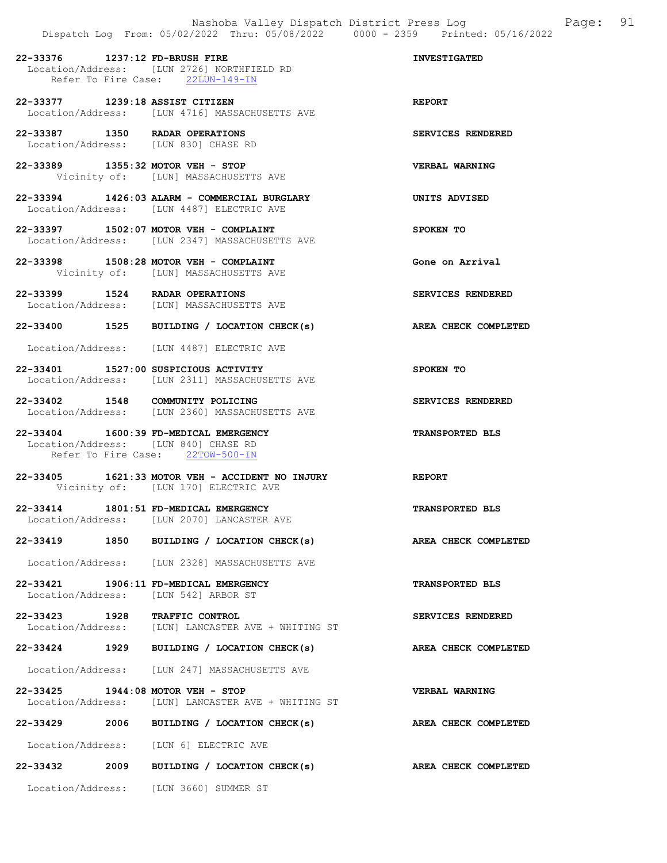22-33376 1237:12 FD-BRUSH FIRE INVESTIGATED Location/Address: [LUN 2726] NORTHFIELD RD Refer To Fire Case: 22LUN-149-IN 22-33377 1239:18 ASSIST CITIZEN REPORT Location/Address: [LUN 4716] MASSACHUSETTS AVE 22-33387 1350 RADAR OPERATIONS SERVICES RENDERED Location/Address: [LUN 830] CHASE RD 22-33389 1355:32 MOTOR VEH - STOP VERBAL WARNING Vicinity of: [LUN] MASSACHUSETTS AVE 22-33394 1426:03 ALARM - COMMERCIAL BURGLARY UNITS ADVISED Location/Address: [LUN 4487] ELECTRIC AVE 22-33397 1502:07 MOTOR VEH - COMPLAINT SPOKEN TO Location/Address: [LUN 2347] MASSACHUSETTS AVE

22-33398 1508:28 MOTOR VEH - COMPLAINT Gone on Arrival Vicinity of: [LUN] MASSACHUSETTS AVE

22-33399 1524 RADAR OPERATIONS SERVICES RENDERED Location/Address: [LUN] MASSACHUSETTS AVE

22-33400 1525 BUILDING / LOCATION CHECK(s) AREA CHECK COMPLETED

Location/Address: [LUN 4487] ELECTRIC AVE

22-33401 1527:00 SUSPICIOUS ACTIVITY SPOKEN TO Location/Address: [LUN 2311] MASSACHUSETTS AVE

22-33402 1548 COMMUNITY POLICING SERVICES RENDERED Location/Address: [LUN 2360] MASSACHUSETTS AVE

22-33404 1600:39 FD-MEDICAL EMERGENCY TRANSPORTED BLS Location/Address: [LUN 840] CHASE RD Refer To Fire Case: 22TOW-500-IN

22-33405 1621:33 MOTOR VEH - ACCIDENT NO INJURY REPORT Vicinity of: [LUN 170] ELECTRIC AVE

22-33414 1801:51 FD-MEDICAL EMERGENCY TRANSPORTED BLS Location/Address: [LUN 2070] LANCASTER AVE

22-33419 1850 BUILDING / LOCATION CHECK(s) AREA CHECK COMPLETED

Location/Address: [LUN 2328] MASSACHUSETTS AVE

22-33421 1906:11 FD-MEDICAL EMERGENCY TRANSPORTED BLS Location/Address: [LUN 542] ARBOR ST

22-33423 1928 TRAFFIC CONTROL SERVICES RENDERED Location/Address: [LUN] LANCASTER AVE + WHITING ST

22-33424 1929 BUILDING / LOCATION CHECK(s) AREA CHECK COMPLETED

Location/Address: [LUN 247] MASSACHUSETTS AVE

22-33425 1944:08 MOTOR VEH - STOP VERBAL WARNING Location/Address: [LUN] LANCASTER AVE + WHITING ST

22-33429 2006 BUILDING / LOCATION CHECK(s) AREA CHECK COMPLETED

Location/Address: [LUN 6] ELECTRIC AVE

22-33432 2009 BUILDING / LOCATION CHECK(s) AREA CHECK COMPLETED

Location/Address: [LUN 3660] SUMMER ST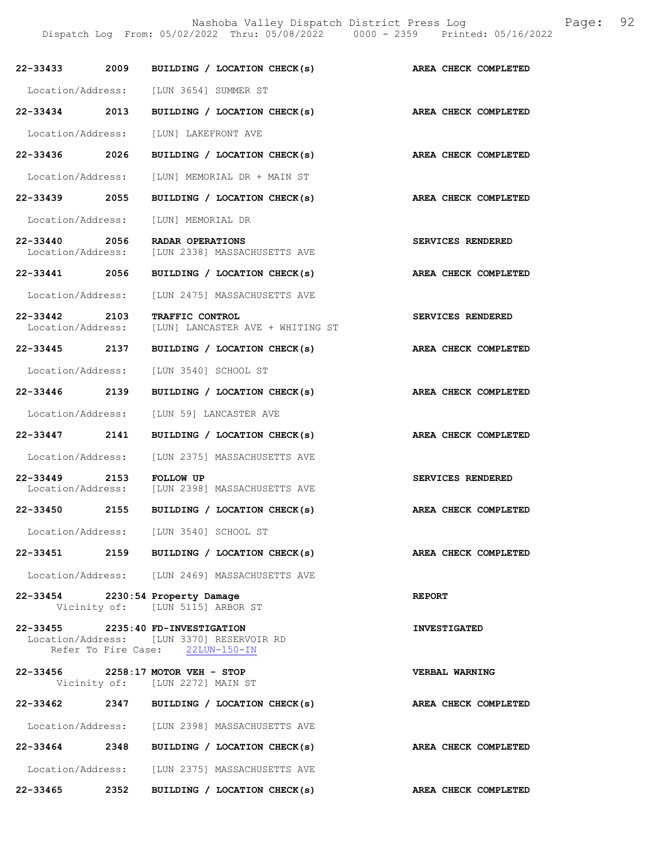Nashoba Valley Dispatch District Press Log Fage: 92

Dispatch Log From: 05/02/2022 Thru: 05/08/2022 0000 - 2359 Printed: 05/16/2022

| 22-33433 2009                      |      | BUILDING / LOCATION CHECK(s)                                                                                       | AREA CHECK COMPLETED |
|------------------------------------|------|--------------------------------------------------------------------------------------------------------------------|----------------------|
|                                    |      | Location/Address: [LUN 3654] SUMMER ST                                                                             |                      |
| $22 - 33434$                       | 2013 | BUILDING / LOCATION CHECK(s)                                                                                       | AREA CHECK COMPLETED |
| Location/Address:                  |      | [LUN] LAKEFRONT AVE                                                                                                |                      |
| 22-33436 2026                      |      | BUILDING / LOCATION CHECK(s)                                                                                       | AREA CHECK COMPLETED |
| Location/Address:                  |      | [LUN] MEMORIAL DR + MAIN ST                                                                                        |                      |
| 22-33439 2055                      |      | BUILDING / LOCATION CHECK(s)                                                                                       | AREA CHECK COMPLETED |
| Location/Address:                  |      | [LUN] MEMORIAL DR                                                                                                  |                      |
| 22-33440 2056                      |      | <b>RADAR OPERATIONS</b>                                                                                            | SERVICES RENDERED    |
| Location/Address:                  |      | [LUN 2338] MASSACHUSETTS AVE                                                                                       |                      |
| 22-33441 2056                      |      | BUILDING / LOCATION CHECK(s)                                                                                       | AREA CHECK COMPLETED |
| Location/Address:                  |      | [LUN 2475] MASSACHUSETTS AVE                                                                                       |                      |
| 22-33442 2103<br>Location/Address: |      | TRAFFIC CONTROL<br>[LUN] LANCASTER AVE + WHITING ST                                                                | SERVICES RENDERED    |
| 22-33445 2137                      |      | BUILDING / LOCATION CHECK(s)                                                                                       | AREA CHECK COMPLETED |
| Location/Address:                  |      | [LUN 3540] SCHOOL ST                                                                                               |                      |
| 22-33446 2139                      |      | BUILDING / LOCATION CHECK(s)                                                                                       | AREA CHECK COMPLETED |
| Location/Address:                  |      | [LUN 59] LANCASTER AVE                                                                                             |                      |
| 22-33447 2141                      |      | BUILDING / LOCATION CHECK(s)                                                                                       | AREA CHECK COMPLETED |
| Location/Address:                  |      | [LUN 2375] MASSACHUSETTS AVE                                                                                       |                      |
| 22-33449 2153<br>Location/Address: |      | <b>FOLLOW UP</b><br>[LUN 2398] MASSACHUSETTS AVE                                                                   | SERVICES RENDERED    |
| 22-33450 2155                      |      | BUILDING / LOCATION CHECK(s)                                                                                       | AREA CHECK COMPLETED |
| Location/Address:                  |      | [LUN 3540] SCHOOL ST                                                                                               |                      |
| 22-33451 2159                      |      | BUILDING / LOCATION CHECK(s)                                                                                       | AREA CHECK COMPLETED |
|                                    |      | Location/Address: [LUN 2469] MASSACHUSETTS AVE                                                                     |                      |
|                                    |      | 22-33454 2230:54 Property Damage<br>Vicinity of: [LUN 5115] ARBOR ST                                               | <b>REPORT</b>        |
|                                    |      | 22-33455 2235:40 FD-INVESTIGATION<br>Location/Address: [LUN 3370] RESERVOIR RD<br>Refer To Fire Case: 22LUN-150-IN | <b>INVESTIGATED</b>  |
|                                    |      | 22-33456 2258:17 MOTOR VEH - STOP<br>Vicinity of: [LUN 2272] MAIN ST                                               | VERBAL WARNING       |
|                                    |      | 22-33462 2347 BUILDING / LOCATION CHECK(s)                                                                         | AREA CHECK COMPLETED |
|                                    |      | Location/Address: [LUN 2398] MASSACHUSETTS AVE                                                                     |                      |
| 22-33464                           | 2348 | BUILDING / LOCATION CHECK(s)                                                                                       | AREA CHECK COMPLETED |
|                                    |      | Location/Address: [LUN 2375] MASSACHUSETTS AVE                                                                     |                      |
| 22-33465 2352                      |      | BUILDING / LOCATION CHECK(s)                                                                                       | AREA CHECK COMPLETED |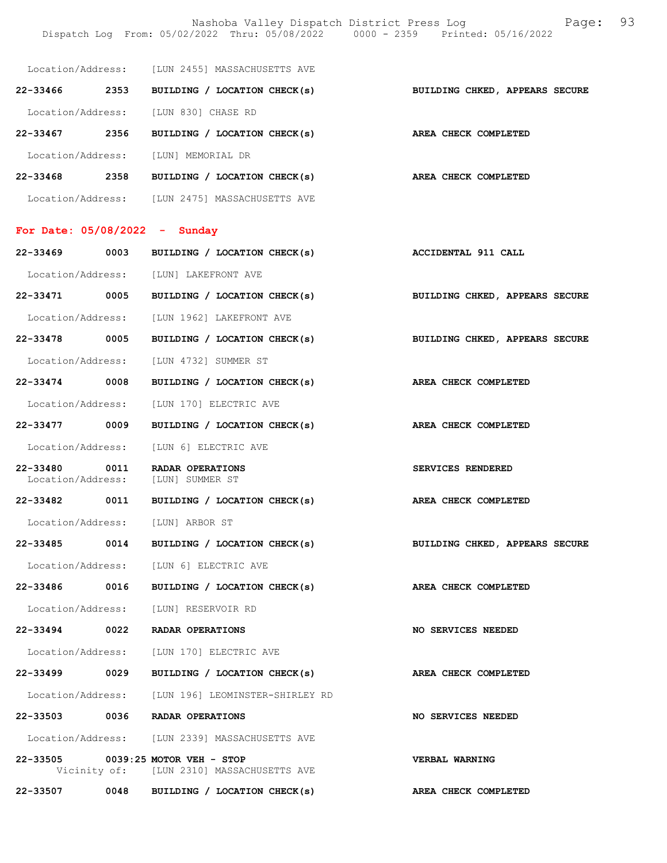Nashoba Valley Dispatch District Press Log Fage: 93 Dispatch Log From: 05/02/2022 Thru: 05/08/2022 0000 - 2359 Printed: 05/16/2022

|               |      | Location/Address: [LUN 2455] MASSACHUSETTS AVE                                 |                                |
|---------------|------|--------------------------------------------------------------------------------|--------------------------------|
| 22-33466 2353 |      | BUILDING / LOCATION CHECK(s)                                                   | BUILDING CHKED, APPEARS SECURE |
|               |      | Location/Address: [LUN 830] CHASE RD                                           |                                |
| 22-33467 2356 |      | BUILDING / LOCATION CHECK(s)                                                   | AREA CHECK COMPLETED           |
|               |      | Location/Address: [LUN] MEMORIAL DR                                            |                                |
|               |      | 22-33468 2358 BUILDING / LOCATION CHECK(s)                                     | AREA CHECK COMPLETED           |
|               |      | Location/Address: [LUN 2475] MASSACHUSETTS AVE                                 |                                |
|               |      | For Date: $05/08/2022 -$ Sunday                                                |                                |
|               |      | 22-33469 0003 BUILDING / LOCATION CHECK(s)                                     | <b>ACCIDENTAL 911 CALL</b>     |
|               |      | Location/Address: [LUN] LAKEFRONT AVE                                          |                                |
|               |      | 22-33471 0005 BUILDING / LOCATION CHECK(s)                                     | BUILDING CHKED, APPEARS SECURE |
|               |      | Location/Address: [LUN 1962] LAKEFRONT AVE                                     |                                |
| 22-33478 0005 |      | BUILDING / LOCATION CHECK(s)                                                   | BUILDING CHKED, APPEARS SECURE |
|               |      | Location/Address: [LUN 4732] SUMMER ST                                         |                                |
| 22-33474 0008 |      | BUILDING / LOCATION CHECK(s)                                                   | AREA CHECK COMPLETED           |
|               |      | Location/Address: [LUN 170] ELECTRIC AVE                                       |                                |
| 22-33477 0009 |      | BUILDING / LOCATION CHECK(s)                                                   | AREA CHECK COMPLETED           |
|               |      | Location/Address: [LUN 6] ELECTRIC AVE                                         |                                |
| 22-33480 0011 |      | RADAR OPERATIONS<br>Location/Address: [LUN] SUMMER ST                          | SERVICES RENDERED              |
| 22-33482      |      | 0011 BUILDING / LOCATION CHECK(s)                                              | AREA CHECK COMPLETED           |
|               |      | Location/Address: [LUN] ARBOR ST                                               |                                |
|               |      | 22-33485 0014 BUILDING / LOCATION CHECK(s)                                     | BUILDING CHKED, APPEARS SECURE |
|               |      | Location/Address: [LUN 6] ELECTRIC AVE                                         |                                |
| 22-33486      | 0016 | BUILDING / LOCATION CHECK(s)                                                   | AREA CHECK COMPLETED           |
|               |      | Location/Address: [LUN] RESERVOIR RD                                           |                                |
| 22-33494 0022 |      | RADAR OPERATIONS                                                               | <b>NO SERVICES NEEDED</b>      |
|               |      | Location/Address: [LUN 170] ELECTRIC AVE                                       |                                |
| 22-33499 0029 |      | BUILDING / LOCATION CHECK(s)                                                   | AREA CHECK COMPLETED           |
|               |      | Location/Address: [LUN 196] LEOMINSTER-SHIRLEY RD                              |                                |
| 22-33503      | 0036 | RADAR OPERATIONS                                                               | <b>NO SERVICES NEEDED</b>      |
|               |      | Location/Address: [LUN 2339] MASSACHUSETTS AVE                                 |                                |
|               |      | 22-33505 0039:25 MOTOR VEH - STOP<br>Vicinity of: [LUN 2310] MASSACHUSETTS AVE | <b>VERBAL WARNING</b>          |
| 22-33507      |      | 0048 BUILDING / LOCATION CHECK(s)                                              | AREA CHECK COMPLETED           |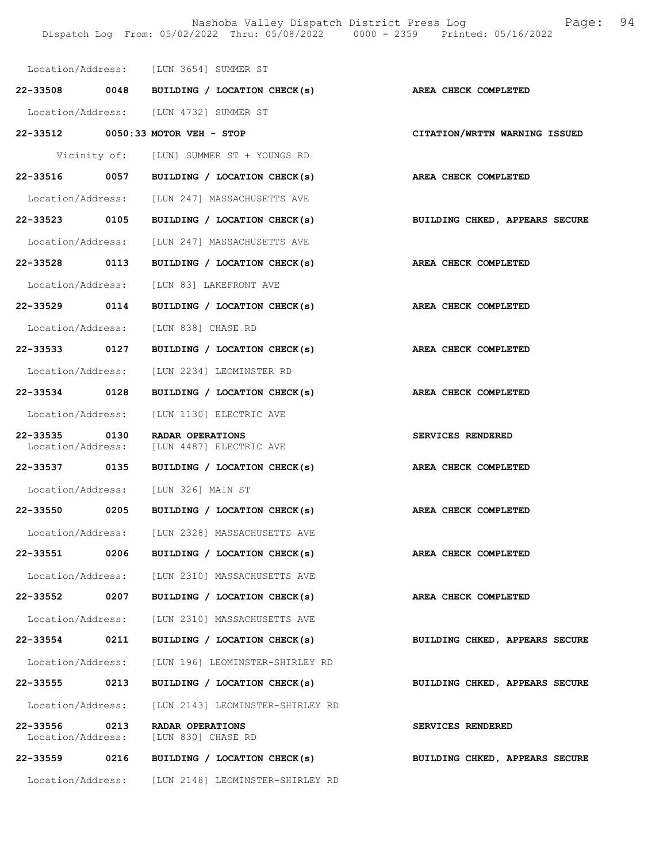Nashoba Valley Dispatch District Press Log Fage: 94 Dispatch Log From: 05/02/2022 Thru: 05/08/2022 0000 - 2359 Printed: 05/16/2022

|                               |      | Location/Address: [LUN 3654] SUMMER ST                        |                                |
|-------------------------------|------|---------------------------------------------------------------|--------------------------------|
|                               |      | 22-33508 0048 BUILDING / LOCATION CHECK(s)                    | AREA CHECK COMPLETED           |
|                               |      | Location/Address: [LUN 4732] SUMMER ST                        |                                |
|                               |      | 22-33512 0050:33 MOTOR VEH - STOP                             | CITATION/WRTTN WARNING ISSUED  |
|                               |      | Vicinity of: [LUN] SUMMER ST + YOUNGS RD                      |                                |
|                               |      | 22-33516 0057 BUILDING / LOCATION CHECK(s)                    | AREA CHECK COMPLETED           |
|                               |      | Location/Address: [LUN 247] MASSACHUSETTS AVE                 |                                |
| 22-33523 0105                 |      | BUILDING / LOCATION CHECK(s)                                  | BUILDING CHKED, APPEARS SECURE |
|                               |      | Location/Address: [LUN 247] MASSACHUSETTS AVE                 |                                |
| 22-33528 0113                 |      | BUILDING / LOCATION CHECK(s)                                  | AREA CHECK COMPLETED           |
|                               |      | Location/Address: [LUN 83] LAKEFRONT AVE                      |                                |
|                               |      | 22-33529 0114 BUILDING / LOCATION CHECK(s)                    | AREA CHECK COMPLETED           |
|                               |      | Location/Address: [LUN 838] CHASE RD                          |                                |
| 22-33533 0127                 |      | BUILDING / LOCATION CHECK(s) AREA CHECK COMPLETED             |                                |
|                               |      | Location/Address: [LUN 2234] LEOMINSTER RD                    |                                |
| 22-33534 0128                 |      | BUILDING / LOCATION CHECK(s)                                  | <b>AREA CHECK COMPLETED</b>    |
|                               |      | Location/Address: [LUN 1130] ELECTRIC AVE                     |                                |
| 22-33535 0130                 |      | RADAR OPERATIONS<br>Location/Address: [LUN 4487] ELECTRIC AVE | SERVICES RENDERED              |
| 22-33537 0135                 |      | BUILDING / LOCATION CHECK(s)                                  | AREA CHECK COMPLETED           |
|                               |      | Location/Address: [LUN 326] MAIN ST                           |                                |
| 22-33550 0205                 |      | BUILDING / LOCATION CHECK(s)                                  | AREA CHECK COMPLETED           |
|                               |      | Location/Address: [LUN 2328] MASSACHUSETTS AVE                |                                |
| 22-33551                      | 0206 | BUILDING / LOCATION CHECK(s)                                  | AREA CHECK COMPLETED           |
|                               |      | Location/Address: [LUN 2310] MASSACHUSETTS AVE                |                                |
| 22-33552                      | 0207 | BUILDING / LOCATION CHECK(s)                                  | AREA CHECK COMPLETED           |
|                               |      | Location/Address: [LUN 2310] MASSACHUSETTS AVE                |                                |
| 22-33554                      | 0211 | BUILDING / LOCATION CHECK(s)                                  | BUILDING CHKED, APPEARS SECURE |
| Location/Address:             |      | [LUN 196] LEOMINSTER-SHIRLEY RD                               |                                |
| 22-33555                      | 0213 | BUILDING / LOCATION CHECK(s)                                  | BUILDING CHKED, APPEARS SECURE |
|                               |      | Location/Address: [LUN 2143] LEOMINSTER-SHIRLEY RD            |                                |
| 22-33556<br>Location/Address: | 0213 | RADAR OPERATIONS<br>[LUN 830] CHASE RD                        | SERVICES RENDERED              |
| 22-33559                      | 0216 | BUILDING / LOCATION CHECK(s)                                  | BUILDING CHKED, APPEARS SECURE |
| Location/Address:             |      | [LUN 2148] LEOMINSTER-SHIRLEY RD                              |                                |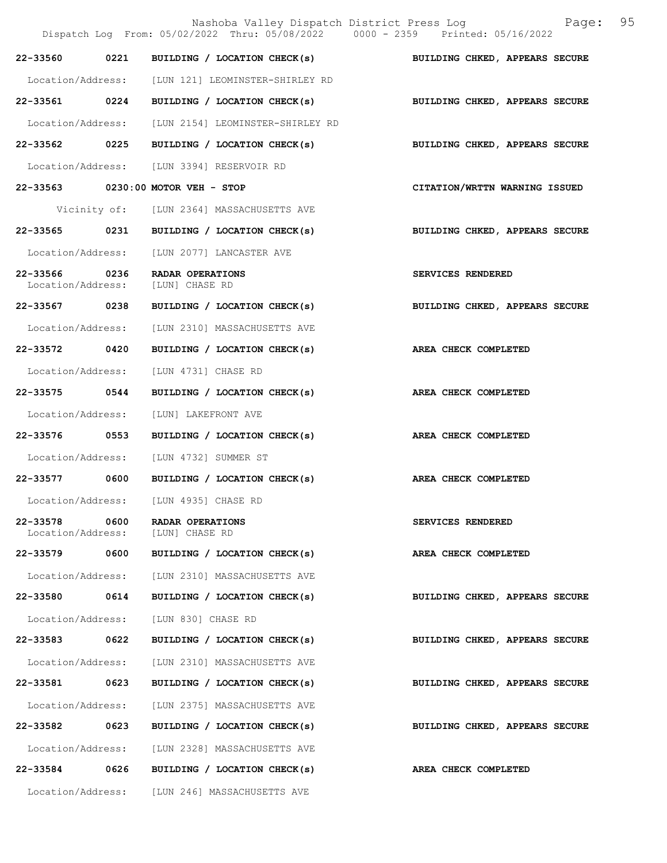|                                    |      | Nashoba Valley Dispatch District Press Log<br>Dispatch Log From: 05/02/2022 Thru: 05/08/2022 0000 - 2359 Printed: 05/16/2022 | 95<br>Page:                    |
|------------------------------------|------|------------------------------------------------------------------------------------------------------------------------------|--------------------------------|
|                                    |      | 22-33560 0221 BUILDING / LOCATION CHECK(s) BUILDING CHKED, APPEARS SECURE                                                    |                                |
|                                    |      | Location/Address: [LUN 121] LEOMINSTER-SHIRLEY RD                                                                            |                                |
|                                    |      | 22-33561 0224 BUILDING / LOCATION CHECK(s)                                                                                   | BUILDING CHKED, APPEARS SECURE |
|                                    |      | Location/Address: [LUN 2154] LEOMINSTER-SHIRLEY RD                                                                           |                                |
|                                    |      | 22-33562 0225 BUILDING / LOCATION CHECK(s)                                                                                   | BUILDING CHKED, APPEARS SECURE |
|                                    |      | Location/Address: [LUN 3394] RESERVOIR RD                                                                                    |                                |
|                                    |      | 22-33563 0230:00 MOTOR VEH - STOP                                                                                            | CITATION/WRTTN WARNING ISSUED  |
|                                    |      | Vicinity of: [LUN 2364] MASSACHUSETTS AVE                                                                                    |                                |
|                                    |      | 22-33565 0231 BUILDING / LOCATION CHECK(s)                                                                                   | BUILDING CHKED, APPEARS SECURE |
|                                    |      | Location/Address: [LUN 2077] LANCASTER AVE                                                                                   |                                |
| 22-33566 0236<br>Location/Address: |      | RADAR OPERATIONS<br>[LUN] CHASE RD                                                                                           | SERVICES RENDERED              |
| 22-33567 0238                      |      | BUILDING / LOCATION CHECK(s)                                                                                                 | BUILDING CHKED, APPEARS SECURE |
|                                    |      | Location/Address: [LUN 2310] MASSACHUSETTS AVE                                                                               |                                |
| 22-33572 0420                      |      | BUILDING / LOCATION CHECK(s)                                                                                                 | AREA CHECK COMPLETED           |
| Location/Address:                  |      | [LUN 4731] CHASE RD                                                                                                          |                                |
| 22-33575 0544                      |      | BUILDING / LOCATION CHECK(s)                                                                                                 | AREA CHECK COMPLETED           |
| Location/Address:                  |      | [LUN] LAKEFRONT AVE                                                                                                          |                                |
| 22-33576 0553                      |      | BUILDING / LOCATION CHECK(s) AREA CHECK COMPLETED                                                                            |                                |
|                                    |      | Location/Address: [LUN 4732] SUMMER ST                                                                                       |                                |
|                                    |      | 22-33577 0600 BUILDING / LOCATION CHECK(s)                                                                                   | AREA CHECK COMPLETED           |
| Location/Address:                  |      | [LUN 4935] CHASE RD                                                                                                          |                                |
| 22-33578<br>Location/Address:      | 0600 | RADAR OPERATIONS<br>[LUN] CHASE RD                                                                                           | <b>SERVICES RENDERED</b>       |
| 22-33579 0600                      |      | BUILDING / LOCATION CHECK(s)                                                                                                 | AREA CHECK COMPLETED           |
| Location/Address:                  |      | [LUN 2310] MASSACHUSETTS AVE                                                                                                 |                                |
| 22-33580                           | 0614 | BUILDING / LOCATION CHECK(s)                                                                                                 | BUILDING CHKED, APPEARS SECURE |
| Location/Address:                  |      | [LUN 830] CHASE RD                                                                                                           |                                |
| 22-33583 0622                      |      | BUILDING / LOCATION CHECK(s)                                                                                                 | BUILDING CHKED, APPEARS SECURE |
| Location/Address:                  |      | [LUN 2310] MASSACHUSETTS AVE                                                                                                 |                                |
| 22-33581 0623                      |      | BUILDING / LOCATION CHECK(s)                                                                                                 | BUILDING CHKED, APPEARS SECURE |
| Location/Address:                  |      | [LUN 2375] MASSACHUSETTS AVE                                                                                                 |                                |
| 22-33582 0623                      |      | BUILDING / LOCATION CHECK(s)                                                                                                 | BUILDING CHKED, APPEARS SECURE |
| Location/Address:                  |      | [LUN 2328] MASSACHUSETTS AVE                                                                                                 |                                |
| 22-33584                           | 0626 | BUILDING / LOCATION CHECK(s)                                                                                                 | AREA CHECK COMPLETED           |
|                                    |      | Location/Address: [LUN 246] MASSACHUSETTS AVE                                                                                |                                |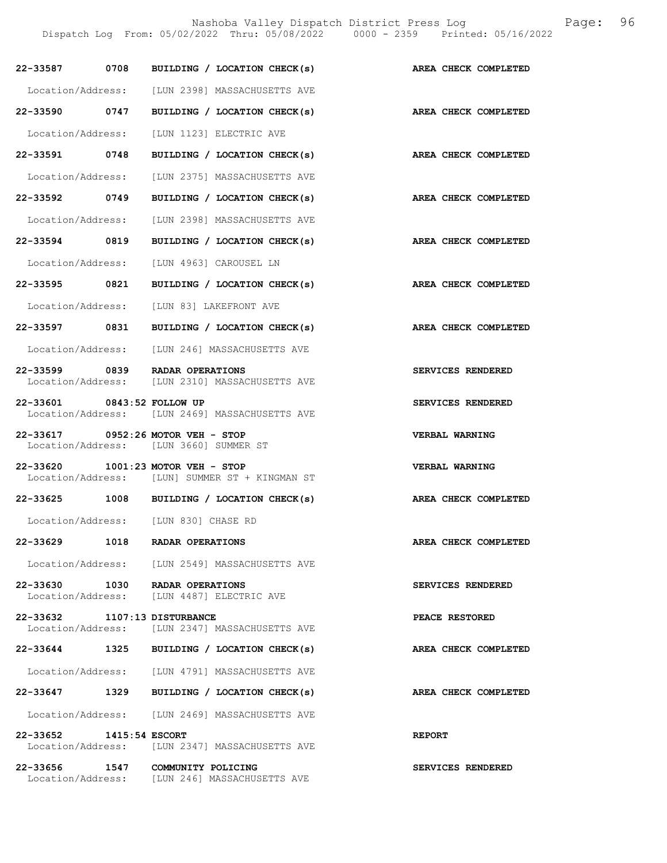Nashoba Valley Dispatch District Press Log Fage: 96

Dispatch Log From: 05/02/2022 Thru: 05/08/2022 0000 - 2359 Printed: 05/16/2022

| 22-33587 0708                      |      | BUILDING / LOCATION CHECK(s)                                                 | AREA CHECK COMPLETED  |
|------------------------------------|------|------------------------------------------------------------------------------|-----------------------|
| Location/Address:                  |      | [LUN 2398] MASSACHUSETTS AVE                                                 |                       |
| 22-33590 0747                      |      | BUILDING / LOCATION CHECK(s)                                                 | AREA CHECK COMPLETED  |
| Location/Address:                  |      | [LUN 1123] ELECTRIC AVE                                                      |                       |
| 22-33591 0748                      |      | BUILDING / LOCATION CHECK(s)                                                 | AREA CHECK COMPLETED  |
| Location/Address:                  |      | <b>ILUN 23751 MASSACHUSETTS AVE</b>                                          |                       |
| 22-33592 0749                      |      | BUILDING / LOCATION CHECK(s)                                                 | AREA CHECK COMPLETED  |
| Location/Address:                  |      | [LUN 2398] MASSACHUSETTS AVE                                                 |                       |
| 22-33594 0819                      |      | BUILDING / LOCATION CHECK(s)                                                 | AREA CHECK COMPLETED  |
| Location/Address:                  |      | [LUN 4963] CAROUSEL LN                                                       |                       |
| 22-33595 0821                      |      | BUILDING / LOCATION CHECK(s)                                                 | AREA CHECK COMPLETED  |
| Location/Address:                  |      | [LUN 83] LAKEFRONT AVE                                                       |                       |
| 22-33597 0831                      |      | BUILDING / LOCATION CHECK(s)                                                 | AREA CHECK COMPLETED  |
| Location/Address:                  |      | [LUN 246] MASSACHUSETTS AVE                                                  |                       |
| 22-33599 0839                      |      | RADAR OPERATIONS<br>Location/Address: [LUN 2310] MASSACHUSETTS AVE           | SERVICES RENDERED     |
| 22-33601 0843:52 FOLLOW UP         |      | Location/Address: [LUN 2469] MASSACHUSETTS AVE                               | SERVICES RENDERED     |
|                                    |      | 22-33617 0952:26 MOTOR VEH - STOP<br>Location/Address: [LUN 3660] SUMMER ST  | <b>VERBAL WARNING</b> |
| 22-33620                           |      | $1001:23$ MOTOR VEH - STOP<br>Location/Address: [LUN] SUMMER ST + KINGMAN ST | VERBAL WARNING        |
|                                    |      | 22-33625 1008 BUILDING / LOCATION CHECK(s)                                   | AREA CHECK COMPLETED  |
|                                    |      | Location/Address: [LUN 830] CHASE RD                                         |                       |
| 22-33629                           |      | 1018 RADAR OPERATIONS                                                        | AREA CHECK COMPLETED  |
|                                    |      | Location/Address: [LUN 2549] MASSACHUSETTS AVE                               |                       |
| 22-33630 1030<br>Location/Address: |      | RADAR OPERATIONS<br>[LUN 4487] ELECTRIC AVE                                  | SERVICES RENDERED     |
| 22-33632 1107:13 DISTURBANCE       |      | Location/Address: [LUN 2347] MASSACHUSETTS AVE                               | PEACE RESTORED        |
| 22-33644                           | 1325 | BUILDING / LOCATION CHECK(s)                                                 | AREA CHECK COMPLETED  |
|                                    |      | Location/Address: [LUN 4791] MASSACHUSETTS AVE                               |                       |
| 22-33647 1329                      |      | BUILDING / LOCATION CHECK(s)                                                 | AREA CHECK COMPLETED  |
| Location/Address:                  |      | [LUN 2469] MASSACHUSETTS AVE                                                 |                       |
| 22-33652<br>1415:54 ESCORT         |      | Location/Address: [LUN 2347] MASSACHUSETTS AVE                               | <b>REPORT</b>         |
| 22-33656 1547                      |      | COMMUNITY POLICING<br>Location/Address: [LUN 246] MASSACHUSETTS AVE          | SERVICES RENDERED     |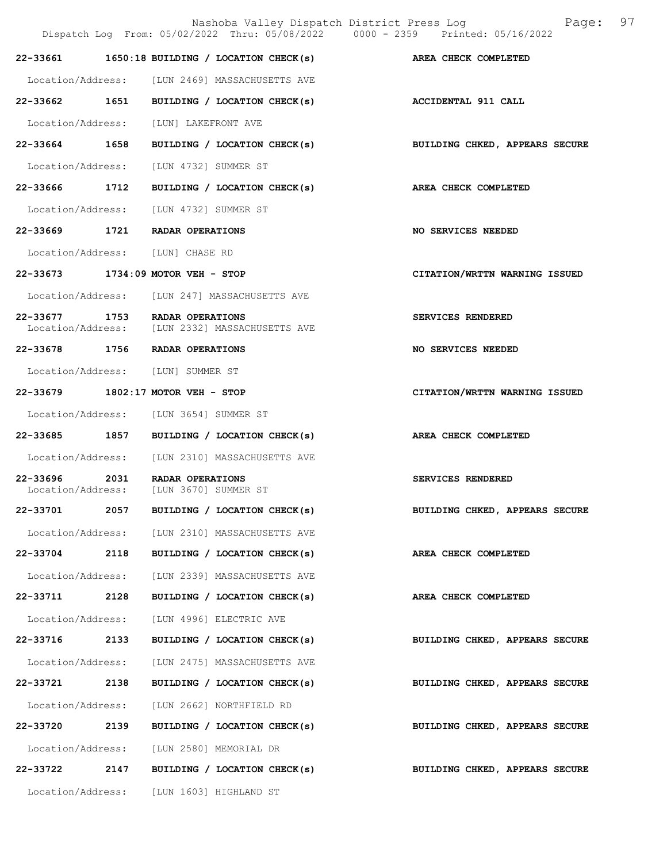|                   |      | Nashoba Valley Dispatch District Press Log<br>Dispatch Log From: 05/02/2022 Thru: 05/08/2022 0000 - 2359 Printed: 05/16/2022 | 97<br>Page:                    |
|-------------------|------|------------------------------------------------------------------------------------------------------------------------------|--------------------------------|
|                   |      | 22-33661 1650:18 BUILDING / LOCATION CHECK(s)                                                                                | AREA CHECK COMPLETED           |
|                   |      | Location/Address: [LUN 2469] MASSACHUSETTS AVE                                                                               |                                |
|                   |      | 22-33662 1651 BUILDING / LOCATION CHECK(s)                                                                                   | <b>ACCIDENTAL 911 CALL</b>     |
| Location/Address: |      | [LUN] LAKEFRONT AVE                                                                                                          |                                |
| 22-33664 1658     |      | BUILDING / LOCATION CHECK(s)                                                                                                 | BUILDING CHKED, APPEARS SECURE |
|                   |      | Location/Address: [LUN 4732] SUMMER ST                                                                                       |                                |
| 22-33666          | 1712 | BUILDING / LOCATION CHECK(s)                                                                                                 | AREA CHECK COMPLETED           |
|                   |      | Location/Address: [LUN 4732] SUMMER ST                                                                                       |                                |
|                   |      | 22-33669 1721 RADAR OPERATIONS                                                                                               | <b>NO SERVICES NEEDED</b>      |
|                   |      | Location/Address: [LUN] CHASE RD                                                                                             |                                |
|                   |      | 22-33673 1734:09 MOTOR VEH - STOP                                                                                            | CITATION/WRTTN WARNING ISSUED  |
|                   |      | Location/Address: [LUN 247] MASSACHUSETTS AVE                                                                                |                                |
|                   |      | 22-33677 1753 RADAR OPERATIONS<br>Location/Address: [LUN 2332] MASSACHUSETTS AVE                                             | SERVICES RENDERED              |
|                   |      | 22-33678 1756 RADAR OPERATIONS                                                                                               | NO SERVICES NEEDED             |
|                   |      | Location/Address: [LUN] SUMMER ST                                                                                            |                                |
|                   |      | 22-33679 1802:17 MOTOR VEH - STOP                                                                                            | CITATION/WRTTN WARNING ISSUED  |
|                   |      | Location/Address: [LUN 3654] SUMMER ST                                                                                       |                                |
| 22-33685          |      | 1857 BUILDING / LOCATION CHECK(s)                                                                                            | AREA CHECK COMPLETED           |
|                   |      | Location/Address: [LUN 2310] MASSACHUSETTS AVE                                                                               |                                |
| 22-33696          |      | 2031 RADAR OPERATIONS<br>Location/Address: [LUN 3670] SUMMER ST                                                              | SERVICES RENDERED              |
| 22-33701          | 2057 | BUILDING / LOCATION CHECK(s)                                                                                                 | BUILDING CHKED, APPEARS SECURE |
|                   |      | Location/Address: [LUN 2310] MASSACHUSETTS AVE                                                                               |                                |
| 22-33704 2118     |      | BUILDING / LOCATION CHECK(s)                                                                                                 | AREA CHECK COMPLETED           |
| Location/Address: |      | [LUN 2339] MASSACHUSETTS AVE                                                                                                 |                                |
| 22-33711 2128     |      | BUILDING / LOCATION CHECK(s)                                                                                                 | AREA CHECK COMPLETED           |
| Location/Address: |      | [LUN 4996] ELECTRIC AVE                                                                                                      |                                |
| 22-33716          | 2133 | BUILDING / LOCATION CHECK(s)                                                                                                 | BUILDING CHKED, APPEARS SECURE |
| Location/Address: |      | [LUN 2475] MASSACHUSETTS AVE                                                                                                 |                                |
| 22-33721 2138     |      | BUILDING / LOCATION CHECK(s)                                                                                                 | BUILDING CHKED, APPEARS SECURE |
| Location/Address: |      | [LUN 2662] NORTHFIELD RD                                                                                                     |                                |
| 22-33720 2139     |      | BUILDING / LOCATION CHECK(s)                                                                                                 | BUILDING CHKED, APPEARS SECURE |
| Location/Address: |      | [LUN 2580] MEMORIAL DR                                                                                                       |                                |
| 22-33722          | 2147 | BUILDING / LOCATION CHECK(s)                                                                                                 | BUILDING CHKED, APPEARS SECURE |
|                   |      | Location/Address: [LUN 1603] HIGHLAND ST                                                                                     |                                |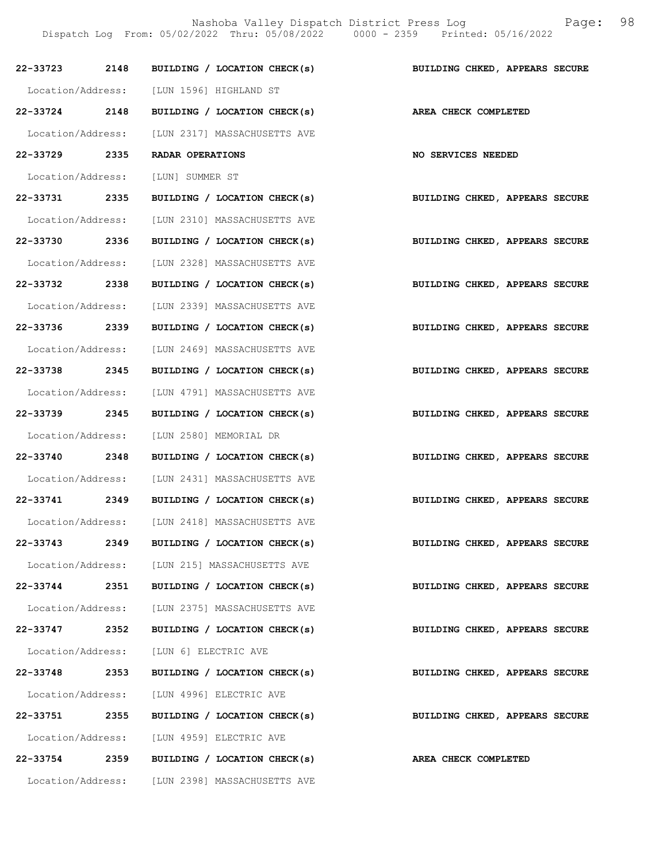Nashoba Valley Dispatch District Press Log Fage: 98 Dispatch Log From: 05/02/2022 Thru: 05/08/2022 0000 - 2359 Printed: 05/16/2022

| 22-33723 2148 |      | BUILDING / LOCATION CHECK(s)                   | BUILDING CHKED, APPEARS SECURE |
|---------------|------|------------------------------------------------|--------------------------------|
|               |      | Location/Address: [LUN 1596] HIGHLAND ST       |                                |
| 22-33724 2148 |      | BUILDING / LOCATION CHECK(s)                   | AREA CHECK COMPLETED           |
|               |      | Location/Address: [LUN 2317] MASSACHUSETTS AVE |                                |
| 22–33729 2335 |      | RADAR OPERATIONS                               | <b>NO SERVICES NEEDED</b>      |
|               |      | Location/Address: [LUN] SUMMER ST              |                                |
|               |      | 22-33731 2335 BUILDING / LOCATION CHECK(s)     | BUILDING CHKED, APPEARS SECURE |
|               |      | Location/Address: [LUN 2310] MASSACHUSETTS AVE |                                |
| 22-33730 2336 |      | BUILDING / LOCATION CHECK(s)                   | BUILDING CHKED, APPEARS SECURE |
|               |      | Location/Address: [LUN 2328] MASSACHUSETTS AVE |                                |
| 22-33732 2338 |      | BUILDING / LOCATION CHECK(s)                   | BUILDING CHKED, APPEARS SECURE |
|               |      | Location/Address: [LUN 2339] MASSACHUSETTS AVE |                                |
| 22-33736 2339 |      | BUILDING / LOCATION CHECK(s)                   | BUILDING CHKED, APPEARS SECURE |
|               |      | Location/Address: [LUN 2469] MASSACHUSETTS AVE |                                |
| 22-33738 2345 |      | BUILDING / LOCATION CHECK(s)                   | BUILDING CHKED, APPEARS SECURE |
|               |      | Location/Address: [LUN 4791] MASSACHUSETTS AVE |                                |
| 22-33739 2345 |      | BUILDING / LOCATION CHECK(s)                   | BUILDING CHKED, APPEARS SECURE |
|               |      | Location/Address: [LUN 2580] MEMORIAL DR       |                                |
| 22-33740 2348 |      | BUILDING / LOCATION CHECK(s)                   | BUILDING CHKED, APPEARS SECURE |
|               |      | Location/Address: [LUN 2431] MASSACHUSETTS AVE |                                |
|               |      | 22-33741 2349 BUILDING / LOCATION CHECK(s)     | BUILDING CHKED, APPEARS SECURE |
|               |      | Location/Address: [LUN 2418] MASSACHUSETTS AVE |                                |
| 22-33743      | 2349 | BUILDING / LOCATION CHECK(s)                   | BUILDING CHKED, APPEARS SECURE |
|               |      | Location/Address: [LUN 215] MASSACHUSETTS AVE  |                                |
|               |      | 22-33744 2351 BUILDING / LOCATION CHECK(s)     | BUILDING CHKED, APPEARS SECURE |
|               |      | Location/Address: [LUN 2375] MASSACHUSETTS AVE |                                |
| 22-33747      | 2352 | BUILDING / LOCATION CHECK(s)                   | BUILDING CHKED, APPEARS SECURE |
|               |      | Location/Address: [LUN 6] ELECTRIC AVE         |                                |
| 22-33748      | 2353 | BUILDING / LOCATION CHECK(s)                   | BUILDING CHKED, APPEARS SECURE |
|               |      | Location/Address: [LUN 4996] ELECTRIC AVE      |                                |
|               |      | 22-33751 2355 BUILDING / LOCATION CHECK(s)     | BUILDING CHKED, APPEARS SECURE |
|               |      | Location/Address: [LUN 4959] ELECTRIC AVE      |                                |
|               |      | 22-33754 2359 BUILDING / LOCATION CHECK(s)     | AREA CHECK COMPLETED           |
|               |      | Location/Address: [LUN 2398] MASSACHUSETTS AVE |                                |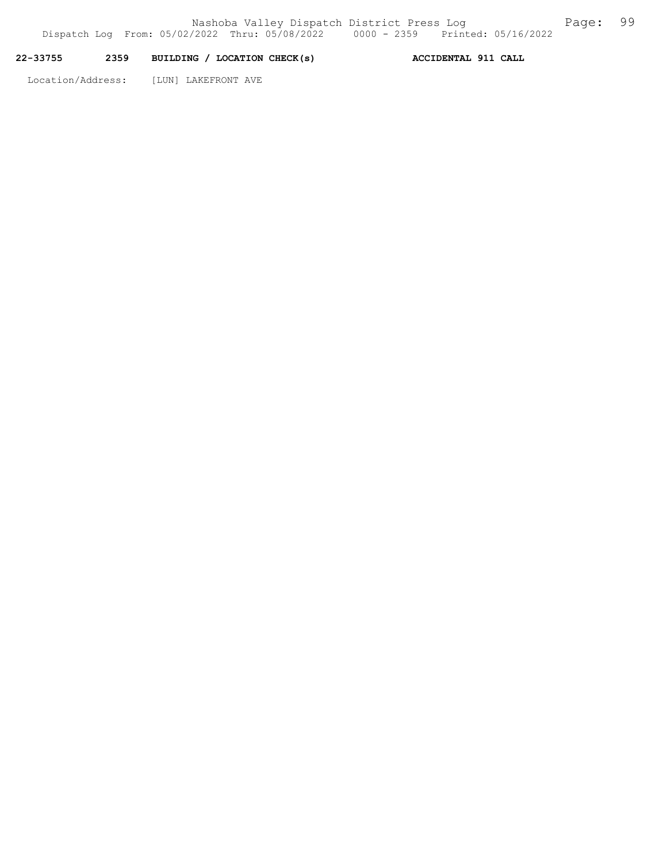## 22-33755 2359 BUILDING / LOCATION CHECK(s) ACCIDENTAL 911 CALL

Location/Address: [LUN] LAKEFRONT AVE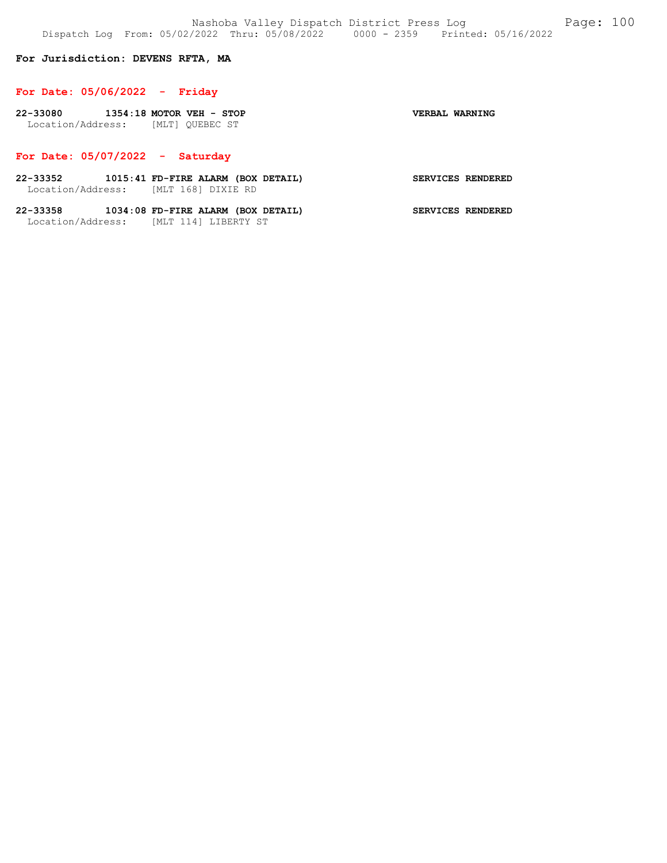## For Jurisdiction: DEVENS RFTA, MA

#### For Date: 05/06/2022 - Friday

| 22-33080          | $1354:18$ MOTOR VEH - STOP |                 | VERBAL WARNING |
|-------------------|----------------------------|-----------------|----------------|
| Location/Address: |                            | [MLT] OUEBEC ST |                |

## For Date: 05/07/2022 - Saturday

- 22-33352 1015:41 FD-FIRE ALARM (BOX DETAIL) SERVICES RENDERED Location/Address: [MLT 168] DIXIE RD
- 22-33358 1034:08 FD-FIRE ALARM (BOX DETAIL) SERVICES RENDERED Location/Address: [MLT 114] LIBERTY ST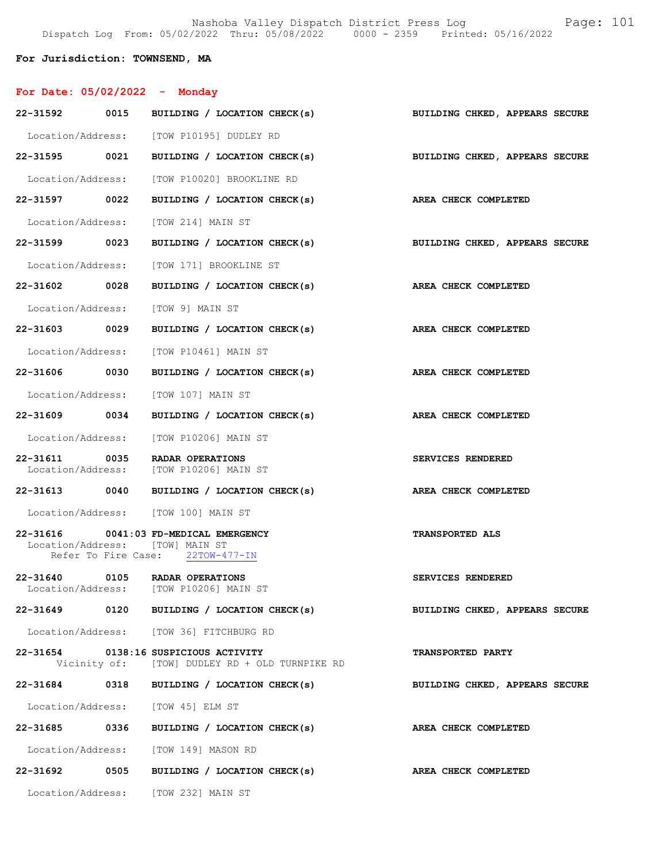Nashoba Valley Dispatch District Press Log Fage: 101 Dispatch Log From: 05/02/2022 Thru: 05/08/2022 0000 - 2359 Printed: 05/16/2022

## For Jurisdiction: TOWNSEND, MA

| For Date: 05/02/2022 - Monday |                                                                                                              |                                |
|-------------------------------|--------------------------------------------------------------------------------------------------------------|--------------------------------|
| 22-31592 0015                 | BUILDING / LOCATION CHECK(s)                                                                                 | BUILDING CHKED, APPEARS SECURE |
|                               | Location/Address: [TOW P10195] DUDLEY RD                                                                     |                                |
|                               | 22-31595 0021 BUILDING / LOCATION CHECK(s) BUILDING CHKED, APPEARS SECURE                                    |                                |
|                               | Location/Address: [TOW P10020] BROOKLINE RD                                                                  |                                |
| 22-31597 0022                 | BUILDING / LOCATION CHECK(s) AREA CHECK COMPLETED                                                            |                                |
|                               | Location/Address: [TOW 214] MAIN ST                                                                          |                                |
| 22-31599 0023                 | BUILDING / LOCATION CHECK(s)                                                                                 | BUILDING CHKED, APPEARS SECURE |
|                               | Location/Address: [TOW 171] BROOKLINE ST                                                                     |                                |
| 22-31602 0028                 | BUILDING / LOCATION CHECK(s) AREA CHECK COMPLETED                                                            |                                |
|                               | Location/Address: [TOW 9] MAIN ST                                                                            |                                |
| 22-31603 0029                 | BUILDING / LOCATION CHECK(s)                                                                                 | AREA CHECK COMPLETED           |
|                               | Location/Address: [TOW P10461] MAIN ST                                                                       |                                |
| 22-31606 0030                 | BUILDING / LOCATION CHECK(s)                                                                                 | AREA CHECK COMPLETED           |
|                               | Location/Address: [TOW 107] MAIN ST                                                                          |                                |
| 22-31609 0034                 | BUILDING / LOCATION CHECK(s)                                                                                 | AREA CHECK COMPLETED           |
|                               | Location/Address: [TOW P10206] MAIN ST                                                                       |                                |
| 22-31611 0035                 | RADAR OPERATIONS<br>Location/Address: [TOW P10206] MAIN ST                                                   | SERVICES RENDERED              |
| 22-31613 0040                 | BUILDING / LOCATION CHECK(s)                                                                                 | AREA CHECK COMPLETED           |
|                               | Location/Address: [TOW 100] MAIN ST                                                                          |                                |
|                               | 22-31616 0041:03 FD-MEDICAL EMERGENCY<br>Location/Address: [TOW] MAIN ST<br>Refer To Fire Case: 22TOW-477-IN | TRANSPORTED ALS                |
| 22-31640                      | 0105 RADAR OPERATIONS<br>Location/Address: [TOW P10206] MAIN ST                                              | SERVICES RENDERED              |
|                               | 22-31649 0120 BUILDING / LOCATION CHECK(s)                                                                   | BUILDING CHKED, APPEARS SECURE |
|                               | Location/Address: [TOW 36] FITCHBURG RD                                                                      |                                |
|                               | 22-31654 0138:16 SUSPICIOUS ACTIVITY<br>Vicinity of: [TOW] DUDLEY RD + OLD TURNPIKE RD                       | <b>TRANSPORTED PARTY</b>       |
|                               | 22-31684 0318 BUILDING / LOCATION CHECK(s)                                                                   | BUILDING CHKED, APPEARS SECURE |
|                               | Location/Address: [TOW 45] ELM ST                                                                            |                                |
|                               | 22-31685 0336 BUILDING / LOCATION CHECK(s)                                                                   | AREA CHECK COMPLETED           |
|                               | Location/Address: [TOW 149] MASON RD                                                                         |                                |
|                               | 22-31692 0505 BUILDING / LOCATION CHECK(s)                                                                   | AREA CHECK COMPLETED           |
|                               | Location/Address: [TOW 232] MAIN ST                                                                          |                                |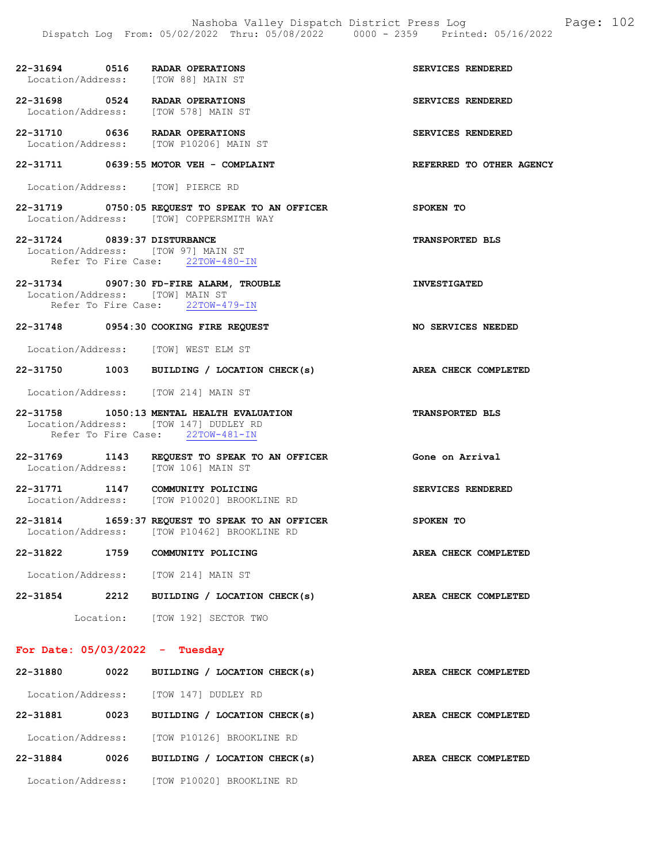|                                  | 22-31694 0516 RADAR OPERATIONS<br>Location/Address: [TOW 88] MAIN ST                                                   | SERVICES RENDERED        |
|----------------------------------|------------------------------------------------------------------------------------------------------------------------|--------------------------|
|                                  | 22-31698 0524 RADAR OPERATIONS<br>Location/Address: [TOW 578] MAIN ST                                                  | <b>SERVICES RENDERED</b> |
|                                  | 22-31710 0636 RADAR OPERATIONS<br>Location/Address: [TOW P10206] MAIN ST                                               | SERVICES RENDERED        |
|                                  | 22-31711 0639:55 MOTOR VEH - COMPLAINT                                                                                 | REFERRED TO OTHER AGENCY |
|                                  | Location/Address: [TOW] PIERCE RD                                                                                      |                          |
|                                  | 22-31719 0750:05 REQUEST TO SPEAK TO AN OFFICER<br>Location/Address: [TOW] COPPERSMITH WAY                             | SPOKEN TO                |
| 22-31724 0839:37 DISTURBANCE     | Location/Address: [TOW 97] MAIN ST<br>Refer To Fire Case: 22TOW-480-IN                                                 | <b>TRANSPORTED BLS</b>   |
|                                  | 22-31734 0907:30 FD-FIRE ALARM, TROUBLE<br>Location/Address: [TOW] MAIN ST<br>Refer To Fire Case: 22TOW-479-IN         | <b>INVESTIGATED</b>      |
|                                  | 22-31748 0954:30 COOKING FIRE REQUEST                                                                                  | NO SERVICES NEEDED       |
|                                  | Location/Address: [TOW] WEST ELM ST                                                                                    |                          |
|                                  | 22-31750 1003 BUILDING / LOCATION CHECK(s) AREA CHECK COMPLETED                                                        |                          |
|                                  | Location/Address: [TOW 214] MAIN ST                                                                                    |                          |
|                                  | 22-31758 1050:13 MENTAL HEALTH EVALUATION<br>Location/Address: [TOW 147] DUDLEY RD<br>Refer To Fire Case: 22TOW-481-IN | <b>TRANSPORTED BLS</b>   |
|                                  | 22-31769 1143 REQUEST TO SPEAK TO AN OFFICER<br>Location/Address: [TOW 106] MAIN ST                                    | Gone on Arrival          |
|                                  | 22-31771 1147 COMMUNITY POLICING<br>Location/Address: [TOW P10020] BROOKLINE RD                                        | SERVICES RENDERED        |
|                                  | 22-31814 1659:37 REQUEST TO SPEAK TO AN OFFICER<br>Location/Address: [TOW P10462] BROOKLINE RD                         | SPOKEN TO                |
|                                  | 22-31822 1759 COMMUNITY POLICING                                                                                       | AREA CHECK COMPLETED     |
|                                  | Location/Address: [TOW 214] MAIN ST                                                                                    |                          |
|                                  | 22-31854 2212 BUILDING / LOCATION CHECK(s)                                                                             | AREA CHECK COMPLETED     |
|                                  | Location: [TOW 192] SECTOR TWO                                                                                         |                          |
| For Date: $05/03/2022 - Tuesday$ |                                                                                                                        |                          |
|                                  | 22-31880 0022 BUILDING / LOCATION CHECK(s)                                                                             | AREA CHECK COMPLETED     |
|                                  | Location/Address: [TOW 147] DUDLEY RD                                                                                  |                          |

22-31881 0023 BUILDING / LOCATION CHECK(s) AREA CHECK COMPLETED Location/Address: [TOW P10126] BROOKLINE RD 22-31884 0026 BUILDING / LOCATION CHECK(s) AREA CHECK COMPLETED Location/Address: [TOW P10020] BROOKLINE RD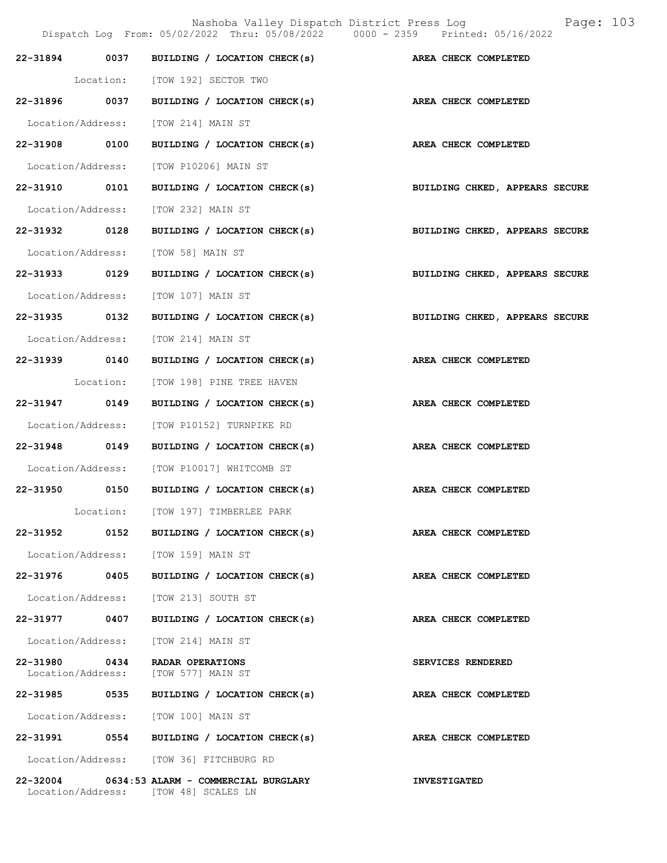Nashoba Valley Dispatch District Press Log Page: 103 Dispatch Log From: 05/02/2022 Thru: 05/08/2022 0000 - 2359 Printed: 05/16/2022 22-31894 0037 BUILDING / LOCATION CHECK(s) AREA CHECK COMPLETED Location: [TOW 192] SECTOR TWO 22-31896 0037 BUILDING / LOCATION CHECK(s) AREA CHECK COMPLETED Location/Address: [TOW 214] MAIN ST 22-31908 0100 BUILDING / LOCATION CHECK(s) AREA CHECK COMPLETED Location/Address: [TOW P10206] MAIN ST 22-31910 0101 BUILDING / LOCATION CHECK(s) BUILDING CHKED, APPEARS SECURE Location/Address: [TOW 232] MAIN ST 22-31932 0128 BUILDING / LOCATION CHECK(s) BUILDING CHKED, APPEARS SECURE Location/Address: [TOW 58] MAIN ST 22-31933 0129 BUILDING / LOCATION CHECK(s) BUILDING CHKED, APPEARS SECURE Location/Address: [TOW 107] MAIN ST 22-31935 0132 BUILDING / LOCATION CHECK(s) BUILDING CHKED, APPEARS SECURE Location/Address: [TOW 214] MAIN ST 22-31939 0140 BUILDING / LOCATION CHECK(s) AREA CHECK COMPLETED Location: [TOW 198] PINE TREE HAVEN 22-31947 0149 BUILDING / LOCATION CHECK(s) AREA CHECK COMPLETED Location/Address: [TOW P10152] TURNPIKE RD 22-31948 0149 BUILDING / LOCATION CHECK(s) AREA CHECK COMPLETED Location/Address: [TOW P10017] WHITCOMB ST 22-31950 0150 BUILDING / LOCATION CHECK(s) AREA CHECK COMPLETED Location: [TOW 197] TIMBERLEE PARK 22-31952 0152 BUILDING / LOCATION CHECK(s) AREA CHECK COMPLETED Location/Address: [TOW 159] MAIN ST 22-31976 0405 BUILDING / LOCATION CHECK(s) AREA CHECK COMPLETED Location/Address: [TOW 213] SOUTH ST 22-31977 0407 BUILDING / LOCATION CHECK(s) AREA CHECK COMPLETED Location/Address: [TOW 214] MAIN ST 22-31980 0434 RADAR OPERATIONS SERVICES RENDERED Location/Address: [TOW 577] MAIN ST 22-31985 0535 BUILDING / LOCATION CHECK(s) AREA CHECK COMPLETED Location/Address: [TOW 100] MAIN ST 22-31991 0554 BUILDING / LOCATION CHECK(s) AREA CHECK COMPLETED Location/Address: [TOW 36] FITCHBURG RD

22-32004 0634:53 ALARM - COMMERCIAL BURGLARY INVESTIGATED<br>Location/Address: [TOW 48] SCALES LN Location/Address: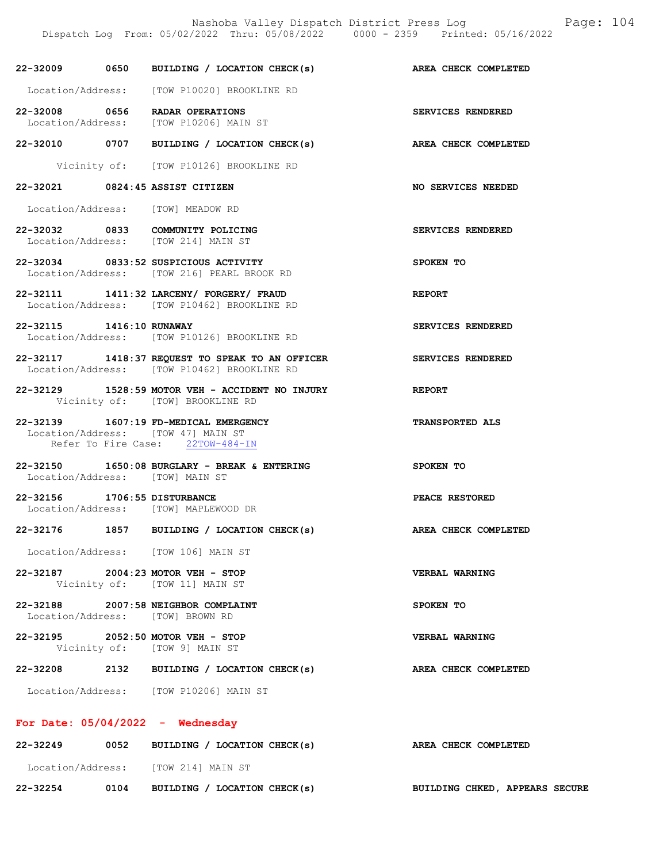# 22-32009 0650 BUILDING / LOCATION CHECK(s) AREA CHECK COMPLETED

Location/Address: [TOW P10020] BROOKLINE RD

22-32008 0656 RADAR OPERATIONS SERVICES RENDERED Location/Address: [TOW P10206] MAIN ST

22-32010 0707 BUILDING / LOCATION CHECK(s) AREA CHECK COMPLETED

Vicinity of: [TOW P10126] BROOKLINE RD

22-32021 0824:45 ASSIST CITIZEN NO SERVICES NEEDED

Location/Address: [TOW] MEADOW RD

22-32032 0833 COMMUNITY POLICING SERVICES RENDERED Location/Address: [TOW 214] MAIN ST

22-32034 0833:52 SUSPICIOUS ACTIVITY SPOKEN TO Location/Address: [TOW 216] PEARL BROOK RD

22-32111 1411:32 LARCENY/ FORGERY/ FRAUD REPORT Location/Address: [TOW P10462] BROOKLINE RD

22-32115 1416:10 RUNAWAY SERVICES RENDERED Location/Address: [TOW P10126] BROOKLINE RD

22-32117 1418:37 REQUEST TO SPEAK TO AN OFFICER SERVICES RENDERED Location/Address: [TOW P10462] BROOKLINE RD

22-32129 1528:59 MOTOR VEH - ACCIDENT NO INJURY REPORT Vicinity of: [TOW] BROOKLINE RD

22-32139 1607:19 FD-MEDICAL EMERGENCY TRANSPORTED ALS Location/Address: [TOW 47] MAIN ST Refer To Fire Case: 22TOW-484-IN

22-32150 1650:08 BURGLARY - BREAK & ENTERING SPOKEN TO Location/Address: [TOW] MAIN ST

22-32156 1706:55 DISTURBANCE <br>
Location/Address: [TOW] MAPLEWOOD DR [TOW] MAPLEWOOD DR

#### 22-32176 1857 BUILDING / LOCATION CHECK(s) AREA CHECK COMPLETED

Location/Address: [TOW 106] MAIN ST

22-32187 2004:23 MOTOR VEH - STOP VERBAL WARNING Vicinity of: [TOW 11] MAIN ST

22-32188 2007:58 NEIGHBOR COMPLAINT SPOKEN TO Location/Address: [TOW] BROWN RD

22-32195 2052:50 MOTOR VEH - STOP VERBAL WARNING Vicinity of: [TOW 9] MAIN ST

22-32208 2132 BUILDING / LOCATION CHECK(s) AREA CHECK COMPLETED

Location/Address: [TOW P10206] MAIN ST

#### For Date: 05/04/2022 - Wednesday

| 22-32249          | 0052 | BUILDING / LOCATION CHECK(s) | AREA CHECK COMPLETED |                                       |  |
|-------------------|------|------------------------------|----------------------|---------------------------------------|--|
| Location/Address: |      | TOW 2141 MAIN ST             |                      |                                       |  |
| 22-32254          | 0104 | BUILDING / LOCATION CHECK(s) |                      | <b>BUILDING CHKED, APPEARS SECURE</b> |  |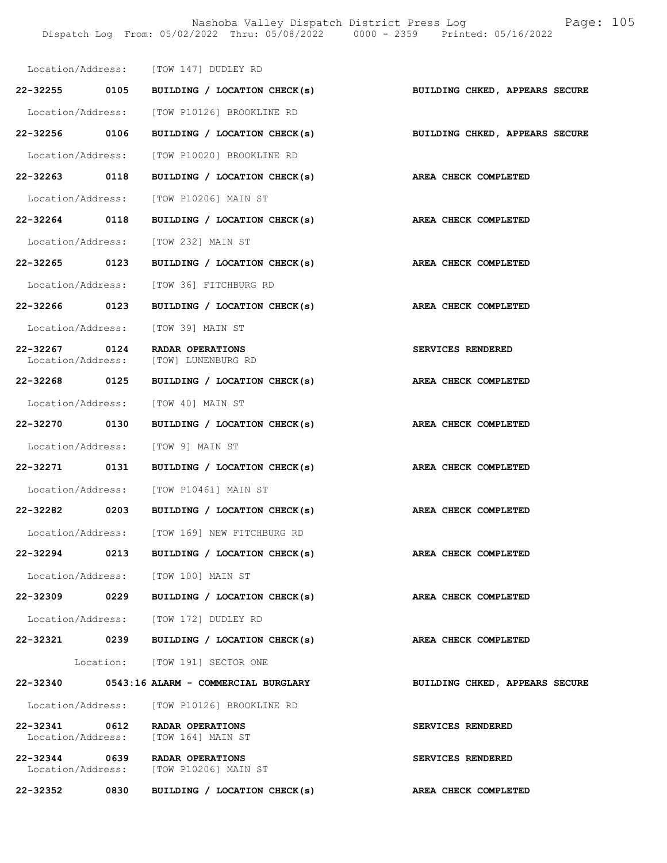|                                    |      | Location/Address: [TOW 147] DUDLEY RD                                    |                                                             |
|------------------------------------|------|--------------------------------------------------------------------------|-------------------------------------------------------------|
|                                    |      | 22-32255 0105 BUILDING / LOCATION CHECK(s)                               | BUILDING CHKED, APPEARS SECURE                              |
|                                    |      | Location/Address: [TOW P10126] BROOKLINE RD                              |                                                             |
| 22-32256 0106                      |      |                                                                          | BUILDING / LOCATION CHECK(s) BUILDING CHKED, APPEARS SECURE |
|                                    |      | Location/Address: [TOW P10020] BROOKLINE RD                              |                                                             |
| 22-32263 0118                      |      | BUILDING / LOCATION CHECK(s) AREA CHECK COMPLETED                        |                                                             |
|                                    |      | Location/Address: [TOW P10206] MAIN ST                                   |                                                             |
| 22-32264 0118                      |      | BUILDING / LOCATION CHECK(s)                                             | <b>AREA CHECK COMPLETED</b>                                 |
|                                    |      | Location/Address: [TOW 232] MAIN ST                                      |                                                             |
| 22-32265 0123                      |      | BUILDING / LOCATION CHECK(s) AREA CHECK COMPLETED                        |                                                             |
|                                    |      | Location/Address: [TOW 36] FITCHBURG RD                                  |                                                             |
| 22-32266 0123                      |      | BUILDING / LOCATION CHECK(s)                                             | AREA CHECK COMPLETED                                        |
|                                    |      | Location/Address: [TOW 39] MAIN ST                                       |                                                             |
| 22-32267 0124<br>Location/Address: |      | RADAR OPERATIONS<br>[TOW] LUNENBURG RD                                   | <b>SERVICES RENDERED</b>                                    |
|                                    |      | 22-32268 0125 BUILDING / LOCATION CHECK(s)                               | AREA CHECK COMPLETED                                        |
|                                    |      | Location/Address: [TOW 40] MAIN ST                                       |                                                             |
| 22-32270 0130                      |      | BUILDING / LOCATION CHECK(s) AREA CHECK COMPLETED                        |                                                             |
|                                    |      | Location/Address: [TOW 9] MAIN ST                                        |                                                             |
| 22-32271 0131                      |      | BUILDING / LOCATION CHECK(s)                                             | AREA CHECK COMPLETED                                        |
|                                    |      | Location/Address: [TOW P10461] MAIN ST                                   |                                                             |
|                                    |      | 22-32282 0203 BUILDING / LOCATION CHECK(s)                               | AREA CHECK COMPLETED                                        |
|                                    |      | Location/Address: [TOW 169] NEW FITCHBURG RD                             |                                                             |
| 22-32294                           | 0213 | BUILDING / LOCATION CHECK(s)                                             | AREA CHECK COMPLETED                                        |
|                                    |      | Location/Address: [TOW 100] MAIN ST                                      |                                                             |
| 22-32309 0229                      |      | BUILDING / LOCATION CHECK(s)                                             | AREA CHECK COMPLETED                                        |
|                                    |      | Location/Address: [TOW 172] DUDLEY RD                                    |                                                             |
|                                    |      | 22-32321 0239 BUILDING / LOCATION CHECK(s)                               | AREA CHECK COMPLETED                                        |
|                                    |      | Location: [TOW 191] SECTOR ONE                                           |                                                             |
|                                    |      | 22-32340 0543:16 ALARM - COMMERCIAL BURGLARY                             | BUILDING CHKED, APPEARS SECURE                              |
|                                    |      | Location/Address: [TOW P10126] BROOKLINE RD                              |                                                             |
| 22-32341                           |      | 0612 RADAR OPERATIONS<br>Location/Address: [TOW 164] MAIN ST             | SERVICES RENDERED                                           |
|                                    |      | 22-32344 0639 RADAR OPERATIONS<br>Location/Address: [TOW P10206] MAIN ST | SERVICES RENDERED                                           |
| 22-32352                           | 0830 | BUILDING / LOCATION CHECK(s)                                             | AREA CHECK COMPLETED                                        |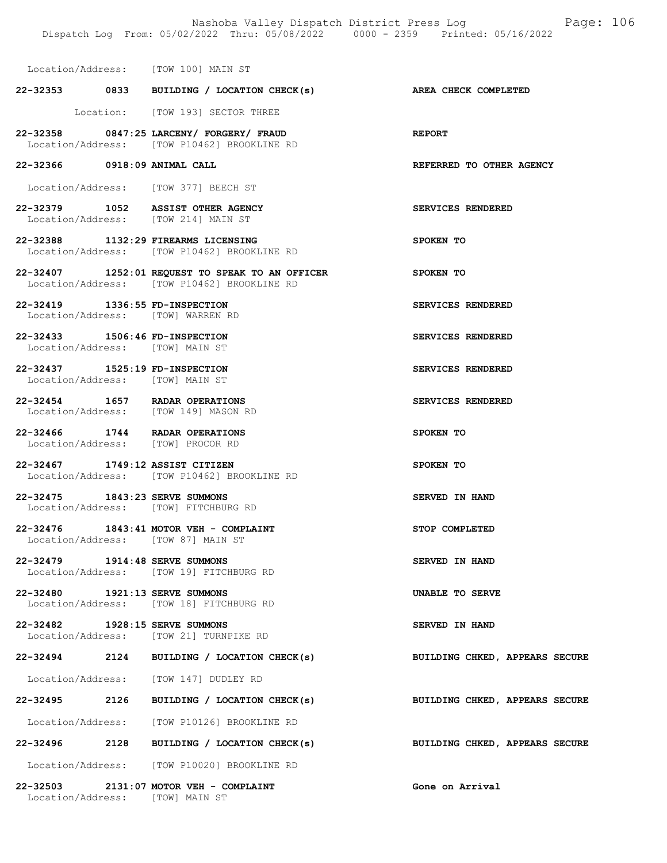| Location/Address: [TOW 100] MAIN ST                                          |                                                                                                |                                |
|------------------------------------------------------------------------------|------------------------------------------------------------------------------------------------|--------------------------------|
|                                                                              | 22-32353 0833 BUILDING / LOCATION CHECK(s) AREA CHECK COMPLETED                                |                                |
|                                                                              | Location: [TOW 193] SECTOR THREE                                                               |                                |
|                                                                              | 22-32358 0847:25 LARCENY/ FORGERY/ FRAUD<br>Location/Address: [TOW P10462] BROOKLINE RD        | <b>REPORT</b>                  |
| 22-32366 0918:09 ANIMAL CALL                                                 |                                                                                                | REFERRED TO OTHER AGENCY       |
| Location/Address: [TOW 377] BEECH ST                                         |                                                                                                |                                |
| 22-32379 1052 ASSIST OTHER AGENCY<br>Location/Address: [TOW 214] MAIN ST     |                                                                                                | SERVICES RENDERED              |
| 22-32388 1132:29 FIREARMS LICENSING                                          | Location/Address: [TOW P10462] BROOKLINE RD                                                    | SPOKEN TO                      |
|                                                                              | 22-32407 1252:01 REQUEST TO SPEAK TO AN OFFICER<br>Location/Address: [TOW P10462] BROOKLINE RD | SPOKEN TO                      |
| 22-32419 1336:55 FD-INSPECTION<br>Location/Address: [TOW] WARREN RD          |                                                                                                | SERVICES RENDERED              |
| 22-32433 1506:46 FD-INSPECTION<br>Location/Address: [TOW] MAIN ST            |                                                                                                | SERVICES RENDERED              |
| 22-32437 1525:19 FD-INSPECTION<br>Location/Address: [TOW] MAIN ST            |                                                                                                | SERVICES RENDERED              |
| 22-32454 1657 RADAR OPERATIONS<br>Location/Address: [TOW 149] MASON RD       |                                                                                                | SERVICES RENDERED              |
| 22-32466 1744 RADAR OPERATIONS<br>Location/Address: [TOW] PROCOR RD          |                                                                                                | SPOKEN TO                      |
| 22-32467 1749:12 ASSIST CITIZEN                                              | Location/Address: [TOW P10462] BROOKLINE RD                                                    | SPOKEN TO                      |
| 22-32475 1843:23 SERVE SUMMONS<br>Location/Address: [TOW] FITCHBURG RD       |                                                                                                | SERVED IN HAND                 |
| 22-32476 1843:41 MOTOR VEH - COMPLAINT<br>Location/Address: [TOW 87] MAIN ST |                                                                                                | STOP COMPLETED                 |
| 22-32479 1914:48 SERVE SUMMONS                                               | Location/Address: [TOW 19] FITCHBURG RD                                                        | SERVED IN HAND                 |
| 22-32480 1921:13 SERVE SUMMONS                                               | Location/Address: [TOW 18] FITCHBURG RD                                                        | UNABLE TO SERVE                |
| 22-32482 1928:15 SERVE SUMMONS                                               | Location/Address: [TOW 21] TURNPIKE RD                                                         | SERVED IN HAND                 |
|                                                                              | 22-32494 2124 BUILDING / LOCATION CHECK(s)                                                     | BUILDING CHKED, APPEARS SECURE |
| Location/Address: [TOW 147] DUDLEY RD                                        |                                                                                                |                                |
|                                                                              | 22-32495 2126 BUILDING / LOCATION CHECK(s)                                                     | BUILDING CHKED, APPEARS SECURE |
|                                                                              | Location/Address: [TOW P10126] BROOKLINE RD                                                    |                                |
|                                                                              | $22-32496$ 2128 BUILDING / LOCATION CHECK(s)                                                   | BUILDING CHKED, APPEARS SECURE |
|                                                                              | Location/Address: [TOW P10020] BROOKLINE RD                                                    |                                |
| 22-32503 2131:07 MOTOR VEH - COMPLAINT<br>Location/Address: [TOW] MAIN ST    |                                                                                                | Gone on Arrival                |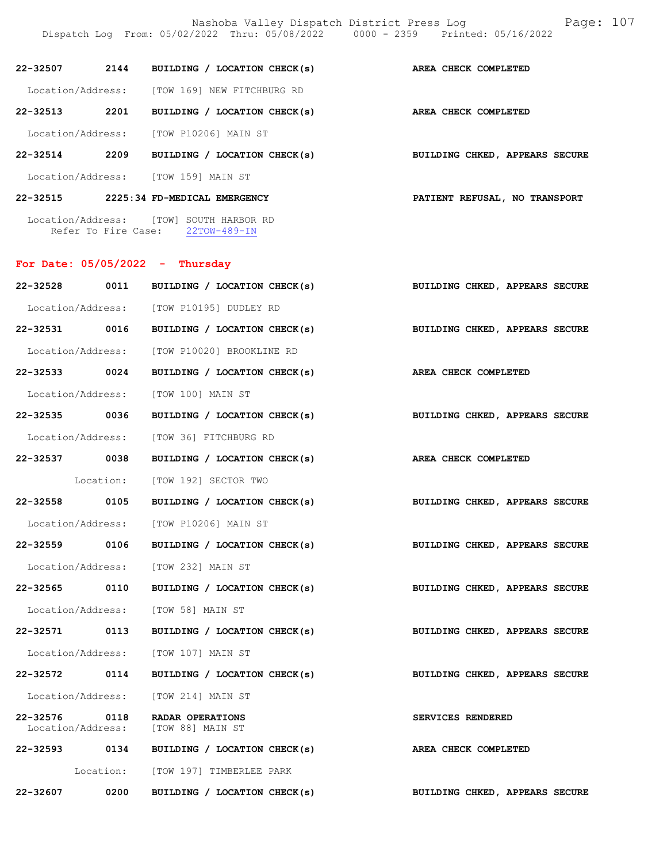| 22-32507 2144                     | BUILDING / LOCATION CHECK(s)                                              | AREA CHECK COMPLETED           |
|-----------------------------------|---------------------------------------------------------------------------|--------------------------------|
|                                   | Location/Address: [TOW 169] NEW FITCHBURG RD                              |                                |
| 22-32513 2201                     | BUILDING / LOCATION CHECK(s)                                              | AREA CHECK COMPLETED           |
|                                   | Location/Address: [TOW P10206] MAIN ST                                    |                                |
| 22-32514 2209                     | BUILDING / LOCATION CHECK(s)                                              | BUILDING CHKED, APPEARS SECURE |
|                                   | Location/Address: [TOW 159] MAIN ST                                       |                                |
|                                   | 22-32515 2225:34 FD-MEDICAL EMERGENCY                                     | PATIENT REFUSAL, NO TRANSPORT  |
|                                   | Location/Address: [TOW] SOUTH HARBOR RD                                   |                                |
|                                   | Refer To Fire Case: 22TOW-489-IN                                          |                                |
| For Date: $05/05/2022 - Thursday$ |                                                                           |                                |
|                                   | 22-32528 0011 BUILDING / LOCATION CHECK(s)                                | BUILDING CHKED, APPEARS SECURE |
|                                   | Location/Address: [TOW P10195] DUDLEY RD                                  |                                |
| 22-32531 0016                     | BUILDING / LOCATION CHECK(s) BUILDING CHKED, APPEARS SECURE               |                                |
|                                   | Location/Address: [TOW P10020] BROOKLINE RD                               |                                |
| 22-32533 0024                     | BUILDING / LOCATION CHECK(s)                                              | AREA CHECK COMPLETED           |
|                                   | Location/Address: [TOW 100] MAIN ST                                       |                                |
|                                   | 22-32535 0036 BUILDING / LOCATION CHECK(s) BUILDING CHKED, APPEARS SECURE |                                |

22-32537 0038 BUILDING / LOCATION CHECK(s) AREA CHECK COMPLETED Location: [TOW 192] SECTOR TWO

22-32558 0105 BUILDING / LOCATION CHECK(s) BUILDING CHKED, APPEARS SECURE

Location/Address: [TOW P10206] MAIN ST

22-32559 0106 BUILDING / LOCATION CHECK(s) BUILDING CHKED, APPEARS SECURE Location/Address: [TOW 232] MAIN ST

22-32565 0110 BUILDING / LOCATION CHECK(s) BUILDING CHKED, APPEARS SECURE

Location/Address: [TOW 58] MAIN ST

22-32571 0113 BUILDING / LOCATION CHECK(s) BUILDING CHKED, APPEARS SECURE Location/Address: [TOW 107] MAIN ST

22-32572 0114 BUILDING / LOCATION CHECK(s) BUILDING CHKED, APPEARS SECURE

Location/Address: [TOW 214] MAIN ST

22-32576 0118 RADAR OPERATIONS SERVICES RENDERED<br>Location/Address: [TOW 88] MAIN ST Location/Address: [TOW 88] MAIN ST

22-32593 0134 BUILDING / LOCATION CHECK(s) AREA CHECK COMPLETED Location: [TOW 197] TIMBERLEE PARK

22-32607 0200 BUILDING / LOCATION CHECK(s) BUILDING CHKED, APPEARS SECURE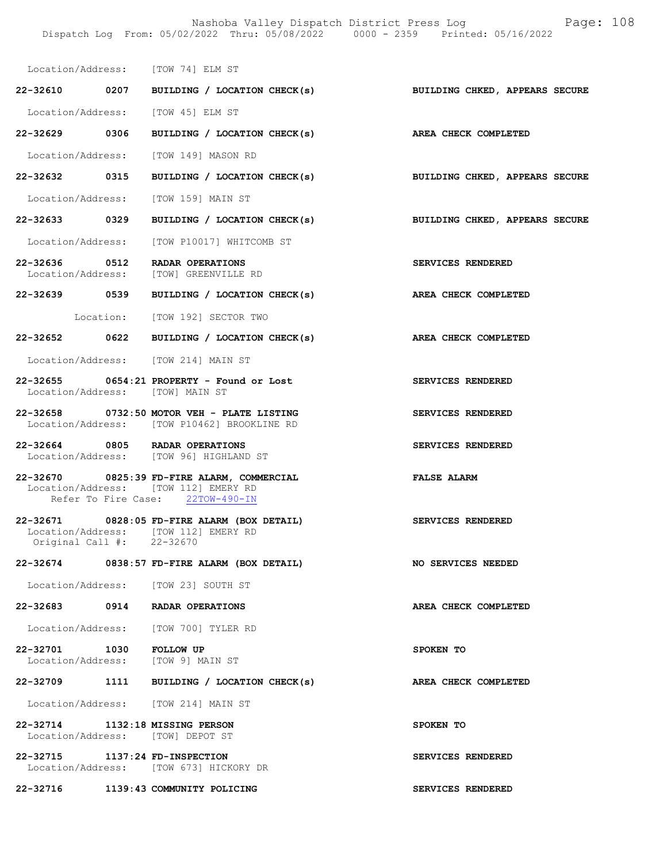Location/Address: [TOW 74] ELM ST

- 22-32610 0207 BUILDING / LOCATION CHECK(s) BUILDING CHKED, APPEARS SECURE Location/Address: [TOW 45] ELM ST 22-32629 0306 BUILDING / LOCATION CHECK(s) AREA CHECK COMPLETED Location/Address: [TOW 149] MASON RD
- 22-32632 0315 BUILDING / LOCATION CHECK(s) BUILDING CHKED, APPEARS SECURE

Location/Address: [TOW 159] MAIN ST

22-32633 0329 BUILDING / LOCATION CHECK(s) BUILDING CHKED, APPEARS SECURE

Location/Address: [TOW P10017] WHITCOMB ST

- 22-32636 0512 RADAR OPERATIONS SERVICES RENDERED Location/Address: [TOW] GREENVILLE RD
- 22-32639 0539 BUILDING / LOCATION CHECK(s) AREA CHECK COMPLETED
- Location: [TOW 192] SECTOR TWO
- 22-32652 0622 BUILDING / LOCATION CHECK(s) AREA CHECK COMPLETED

Location/Address: [TOW 214] MAIN ST

- 22-32655 0654:21 PROPERTY Found or Lost SERVICES RENDERED Location/Address: [TOW] MAIN ST
- 22-32658 0732:50 MOTOR VEH PLATE LISTING SERVICES RENDERED Location/Address: [TOW P10462] BROOKLINE RD
- 22-32664 0805 RADAR OPERATIONS SERVICES RENDERED Location/Address: [TOW 96] HIGHLAND ST
- 22-32670 0825:39 FD-FIRE ALARM, COMMERCIAL FALSE ALARM Location/Address: [TOW 112] EMERY RD Refer To Fire Case: 22TOW-490-IN
- 22-32671 0828:05 FD-FIRE ALARM (BOX DETAIL) SERVICES RENDERED Location/Address: [TOW 112] EMERY RD<br>Original Call #: 22-32670 Original Call #:
- 22-32674 0838:57 FD-FIRE ALARM (BOX DETAIL) NO SERVICES NEEDED
	- Location/Address: [TOW 23] SOUTH ST
- 22-32683 0914 RADAR OPERATIONS AREA CHECK COMPLETED
- Location/Address: [TOW 700] TYLER RD
- 22-32701 1030 FOLLOW UP SPOKEN TO Location/Address: [TOW 9] MAIN ST
- 22-32709 1111 BUILDING / LOCATION CHECK(s) AREA CHECK COMPLETED
- Location/Address: [TOW 214] MAIN ST
- 22-32714 1132:18 MISSING PERSON SPOKEN TO Location/Address: [TOW] DEPOT ST
- 22-32715 1137:24 FD-INSPECTION SERVICES RENDERED Location/Address: [TOW 673] HICKORY DR

22-32716 1139:43 COMMUNITY POLICING SERVICES RENDERED

- 
- 
- 
- 
- 
- 
- 
- 
- 
- 
- 
- 
- 
-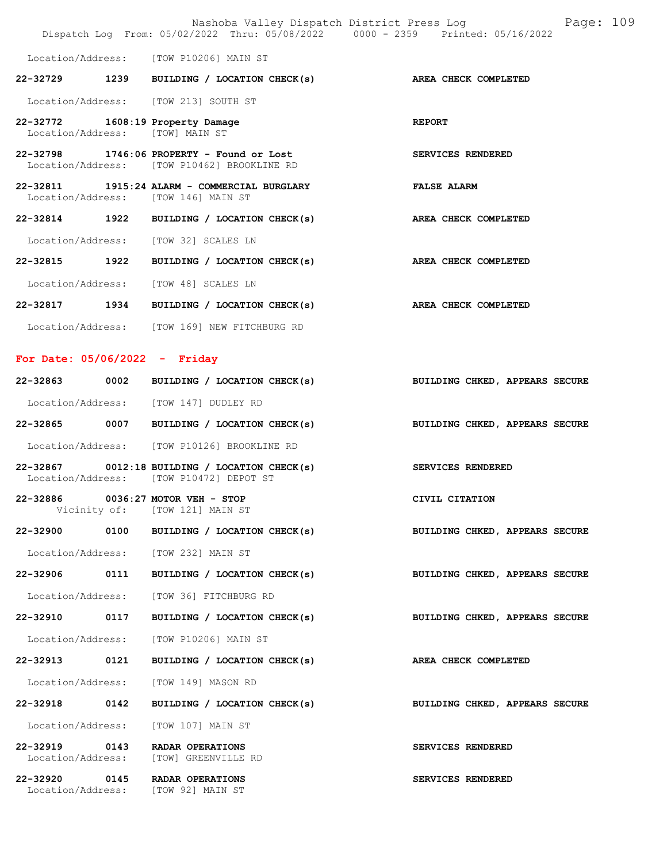|                                 |      | Nashoba Valley Dispatch District Press Log<br>Dispatch Log From: 05/02/2022 Thru: 05/08/2022 0000 - 2359 Printed: 05/16/2022 | Page: 109                      |
|---------------------------------|------|------------------------------------------------------------------------------------------------------------------------------|--------------------------------|
|                                 |      | Location/Address: [TOW P10206] MAIN ST                                                                                       |                                |
|                                 |      | 22-32729 1239 BUILDING / LOCATION CHECK(s)                                                                                   | AREA CHECK COMPLETED           |
|                                 |      | Location/Address: [TOW 213] SOUTH ST                                                                                         |                                |
| Location/Address: [TOW] MAIN ST |      | 22-32772 1608:19 Property Damage                                                                                             | <b>REPORT</b>                  |
|                                 |      | $22-32798$ 1746:06 PROPERTY - Found or Lost<br>Location/Address: [TOW P10462] BROOKLINE RD                                   | SERVICES RENDERED              |
|                                 |      | 22-32811 1915:24 ALARM - COMMERCIAL BURGLARY<br>Location/Address: [TOW 146] MAIN ST                                          | <b>FALSE ALARM</b>             |
|                                 |      | 22-32814 1922 BUILDING / LOCATION CHECK(s)                                                                                   | AREA CHECK COMPLETED           |
|                                 |      | Location/Address: [TOW 32] SCALES LN                                                                                         |                                |
| 22-32815 1922                   |      | BUILDING / LOCATION CHECK(s)                                                                                                 | AREA CHECK COMPLETED           |
|                                 |      | Location/Address: [TOW 48] SCALES LN                                                                                         |                                |
|                                 |      | 22-32817 1934 BUILDING / LOCATION CHECK(s)                                                                                   | AREA CHECK COMPLETED           |
|                                 |      | Location/Address: [TOW 169] NEW FITCHBURG RD                                                                                 |                                |
| For Date: $05/06/2022 -$ Friday |      |                                                                                                                              |                                |
|                                 |      | 22-32863 0002 BUILDING / LOCATION CHECK(s)                                                                                   | BUILDING CHKED, APPEARS SECURE |
|                                 |      | Location/Address: [TOW 147] DUDLEY RD                                                                                        |                                |
|                                 |      | 22-32865 0007 BUILDING / LOCATION CHECK(s)                                                                                   | BUILDING CHKED, APPEARS SECURE |
|                                 |      | Location/Address: [TOW P10126] BROOKLINE RD                                                                                  |                                |
|                                 |      | $22-32867$ 0012:18 BUILDING / LOCATION CHECK(s)<br>Location/Address: [TOW P10472] DEPOT ST                                   | SERVICES RENDERED              |
| Vicinity of:                    |      | 22-32886 0036:27 MOTOR VEH - STOP<br>[TOW 121] MAIN ST                                                                       | CIVIL CITATION                 |
| 22-32900 0100                   |      | BUILDING / LOCATION CHECK(s)                                                                                                 | BUILDING CHKED, APPEARS SECURE |
|                                 |      | Location/Address: [TOW 232] MAIN ST                                                                                          |                                |
| 22-32906                        | 0111 | BUILDING / LOCATION CHECK(s)                                                                                                 | BUILDING CHKED, APPEARS SECURE |
|                                 |      | Location/Address: [TOW 36] FITCHBURG RD                                                                                      |                                |
| 22-32910 0117                   |      | BUILDING / LOCATION CHECK(s)                                                                                                 | BUILDING CHKED, APPEARS SECURE |
| Location/Address:               |      | [TOW P10206] MAIN ST                                                                                                         |                                |
| 22-32913 0121                   |      | BUILDING / LOCATION CHECK(s)                                                                                                 | AREA CHECK COMPLETED           |
| Location/Address:               |      | [TOW 149] MASON RD                                                                                                           |                                |
| 22-32918                        | 0142 | BUILDING / LOCATION CHECK(s)                                                                                                 | BUILDING CHKED, APPEARS SECURE |
| Location/Address:               |      | [TOW 107] MAIN ST                                                                                                            |                                |
| 22-32919<br>Location/Address:   | 0143 | RADAR OPERATIONS<br>[TOW] GREENVILLE RD                                                                                      | SERVICES RENDERED              |
| 22-32920                        | 0145 | RADAR OPERATIONS<br>Location/Address: [TOW 92] MAIN ST                                                                       | SERVICES RENDERED              |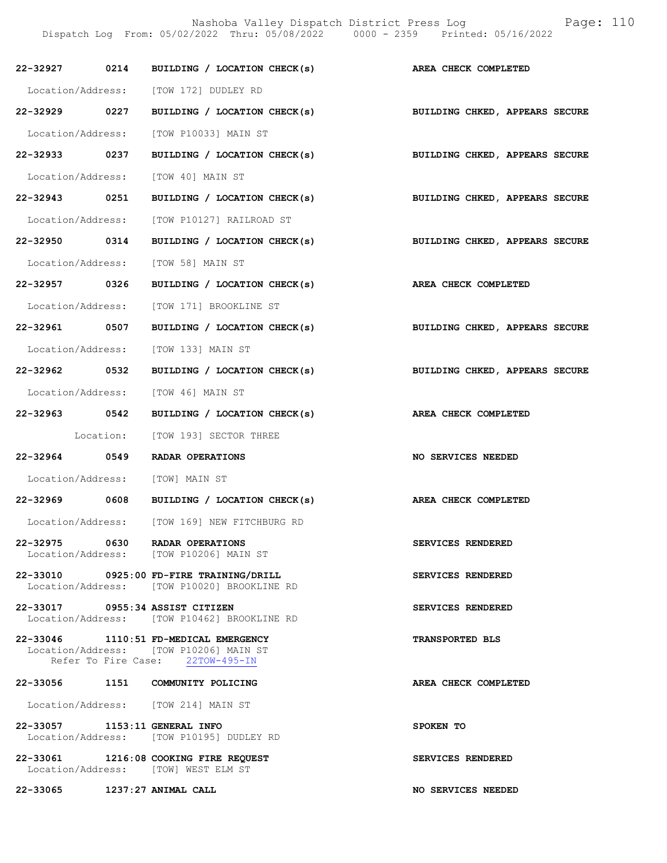Nashoba Valley Dispatch District Press Log Fage: 110 Dispatch Log From: 05/02/2022 Thru: 05/08/2022 0000 - 2359 Printed: 05/16/2022

|                               | 22-32927 0214 BUILDING / LOCATION CHECK(s) AREA CHECK COMPLETED                                                     |                                |
|-------------------------------|---------------------------------------------------------------------------------------------------------------------|--------------------------------|
|                               | Location/Address: [TOW 172] DUDLEY RD                                                                               |                                |
| 22-32929 0227                 | BUILDING / LOCATION CHECK(s)                                                                                        | BUILDING CHKED, APPEARS SECURE |
|                               | Location/Address: [TOW P10033] MAIN ST                                                                              |                                |
| 22-32933 0237                 | BUILDING / LOCATION CHECK(s)                                                                                        | BUILDING CHKED, APPEARS SECURE |
|                               | Location/Address: [TOW 40] MAIN ST                                                                                  |                                |
| 22-32943 0251                 | BUILDING / LOCATION CHECK(s) BUILDING CHKED, APPEARS SECURE                                                         |                                |
|                               | Location/Address: [TOW P10127] RAILROAD ST                                                                          |                                |
| 22-32950 0314                 | BUILDING / LOCATION CHECK(s)                                                                                        | BUILDING CHKED, APPEARS SECURE |
|                               | Location/Address: [TOW 58] MAIN ST                                                                                  |                                |
| 22-32957 0326                 | BUILDING / LOCATION CHECK(s) AREA CHECK COMPLETED                                                                   |                                |
|                               | Location/Address: [TOW 171] BROOKLINE ST                                                                            |                                |
| 22-32961 0507                 | BUILDING / LOCATION CHECK(s) BUILDING CHKED, APPEARS SECURE                                                         |                                |
|                               | Location/Address: [TOW 133] MAIN ST                                                                                 |                                |
| 22-32962 0532                 | BUILDING / LOCATION CHECK(s)                                                                                        | BUILDING CHKED, APPEARS SECURE |
|                               | Location/Address: [TOW 46] MAIN ST                                                                                  |                                |
| 22-32963 0542                 | BUILDING / LOCATION CHECK(s)                                                                                        | AREA CHECK COMPLETED           |
|                               | Location: [TOW 193] SECTOR THREE                                                                                    |                                |
| 22-32964 0549                 | RADAR OPERATIONS                                                                                                    | <b>NO SERVICES NEEDED</b>      |
|                               | Location/Address: [TOW] MAIN ST                                                                                     |                                |
|                               | 22-32969 0608 BUILDING / LOCATION CHECK(s) AREA CHECK COMPLETED                                                     |                                |
|                               | Location/Address: [TOW 169] NEW FITCHBURG RD                                                                        |                                |
|                               | 22-32975 0630 RADAR OPERATIONS<br>Location/Address: [TOW P10206] MAIN ST                                            | SERVICES RENDERED              |
|                               | 22-33010 0925:00 FD-FIRE TRAINING/DRILL<br>Location/Address: [TOW P10020] BROOKLINE RD                              | SERVICES RENDERED              |
|                               | 22-33017 0955:34 ASSIST CITIZEN<br>Location/Address: [TOW P10462] BROOKLINE RD                                      | SERVICES RENDERED              |
|                               | 22-33046 1110:51 FD-MEDICAL EMERGENCY<br>Location/Address: [TOW P10206] MAIN ST<br>Refer To Fire Case: 22TOW-495-IN | <b>TRANSPORTED BLS</b>         |
|                               | 22-33056 1151 COMMUNITY POLICING                                                                                    | AREA CHECK COMPLETED           |
|                               | Location/Address: [TOW 214] MAIN ST                                                                                 |                                |
| 22-33057 1153:11 GENERAL INFO | Location/Address: [TOW P10195] DUDLEY RD                                                                            | SPOKEN TO                      |
|                               | 22-33061 1216:08 COOKING FIRE REQUEST<br>Location/Address: [TOW] WEST ELM ST                                        | SERVICES RENDERED              |
| 22-33065                      | 1237:27 ANIMAL CALL                                                                                                 | <b>NO SERVICES NEEDED</b>      |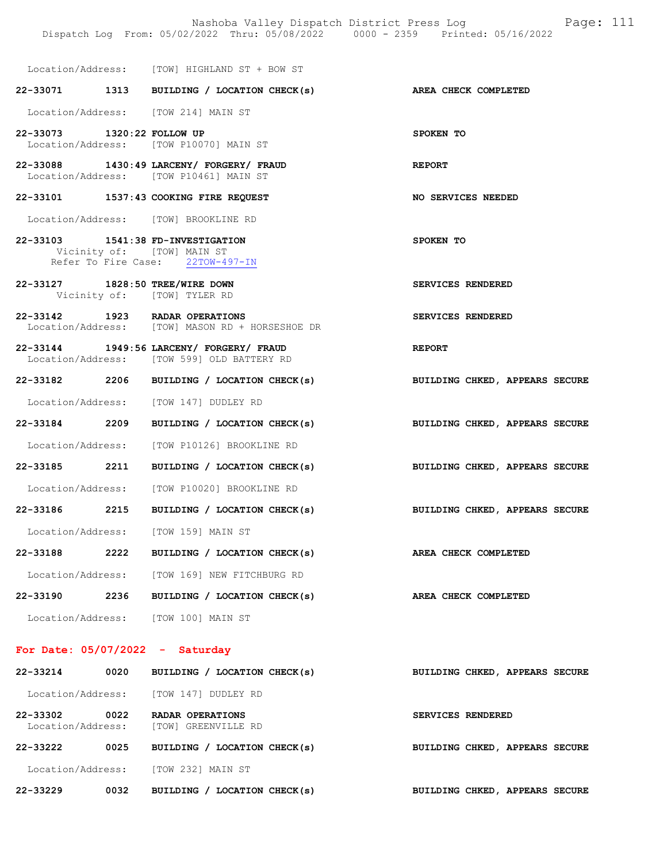Nashoba Valley Dispatch District Press Log Page: 111 Dispatch Log From: 05/02/2022 Thru: 05/08/2022 0000 - 2359 Printed: 05/16/2022 Location/Address: [TOW] HIGHLAND ST + BOW ST 22-33071 1313 BUILDING / LOCATION CHECK(s) AREA CHECK COMPLETED Location/Address: [TOW 214] MAIN ST 22-33073 1320:22 FOLLOW UP SPOKEN TO Location/Address: [TOW P10070] MAIN ST 22-33088 1430:49 LARCENY/ FORGERY/ FRAUD REPORT Location/Address: [TOW P10461] MAIN ST 22-33101 1537:43 COOKING FIRE REQUEST NO SERVICES NEEDED

22-33103 1541:38 FD-INVESTIGATION SPOKEN TO Vicinity of: [TOW] MAIN ST<br>Refer To Fire Case: 22TOW-497-IN Refer To Fire Case:

22-33127 1828:50 TREE/WIRE DOWN SERVICES RENDERED Vicinity of: [TOW] TYLER RD

Location/Address: [TOW] BROOKLINE RD

- 22-33142 1923 RADAR OPERATIONS SERVICES RENDERED Location/Address: [TOW] MASON RD + HORSESHOE DR
- 22-33144 1949:56 LARCENY/ FORGERY/ FRAUD<br>
Location/Address: [TOW 599] OLD BATTERY RD [TOW 599] OLD BATTERY RD
- 22-33182 2206 BUILDING / LOCATION CHECK(s) BUILDING CHKED, APPEARS SECURE Location/Address: [TOW 147] DUDLEY RD
- 22-33184 2209 BUILDING / LOCATION CHECK(s) BUILDING CHKED, APPEARS SECURE
	- Location/Address: [TOW P10126] BROOKLINE RD
- 22-33185 2211 BUILDING / LOCATION CHECK(s) BUILDING CHKED, APPEARS SECURE Location/Address: [TOW P10020] BROOKLINE RD
- 22-33186 2215 BUILDING / LOCATION CHECK(s) BUILDING CHKED, APPEARS SECURE

Location/Address: [TOW 159] MAIN ST

22-33188 2222 BUILDING / LOCATION CHECK(s) AREA CHECK COMPLETED Location/Address: [TOW 169] NEW FITCHBURG RD 22-33190 2236 BUILDING / LOCATION CHECK(s) AREA CHECK COMPLETED Location/Address: [TOW 100] MAIN ST

For Date: 05/07/2022 - Saturday

## 22-33214 0020 BUILDING / LOCATION CHECK(s) BUILDING CHKED, APPEARS SECURE Location/Address: [TOW 147] DUDLEY RD 22-33302 0022 RADAR OPERATIONS SERVICES RENDERED<br>
Location/Address: [TOW] GREENVILLE RD [TOW] GREENVILLE RD 22-33222 0025 BUILDING / LOCATION CHECK(s) BUILDING CHKED, APPEARS SECURE Location/Address: [TOW 232] MAIN ST

22-33229 0032 BUILDING / LOCATION CHECK(s) BUILDING CHKED, APPEARS SECURE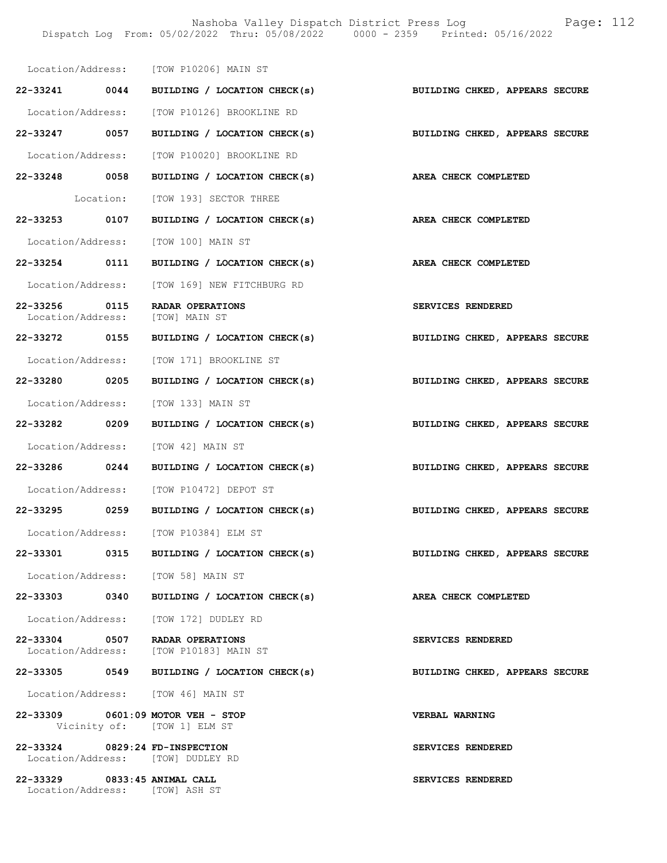Nashoba Valley Dispatch District Press Log Fage: 112 Dispatch Log From: 05/02/2022 Thru: 05/08/2022 0000 - 2359 Printed: 05/16/2022

|                                                                | Location/Address: [TOW P10206] MAIN ST<br>22-33241 0044 BUILDING / LOCATION CHECK(s) BUILDING CHKED, APPEARS SECURE |                                       |
|----------------------------------------------------------------|---------------------------------------------------------------------------------------------------------------------|---------------------------------------|
|                                                                | Location/Address: [TOW P10126] BROOKLINE RD                                                                         |                                       |
| 22-33247 0057                                                  | BUILDING / LOCATION CHECK(s) BUILDING CHKED, APPEARS SECURE                                                         |                                       |
|                                                                | Location/Address: [TOW P10020] BROOKLINE RD                                                                         |                                       |
|                                                                | 22-33248 0058 BUILDING / LOCATION CHECK(s)                                                                          | AREA CHECK COMPLETED                  |
|                                                                | Location: [TOW 193] SECTOR THREE                                                                                    |                                       |
| 22-33253 0107                                                  | BUILDING / LOCATION CHECK(s)                                                                                        | AREA CHECK COMPLETED                  |
|                                                                | Location/Address: [TOW 100] MAIN ST                                                                                 |                                       |
|                                                                | 22-33254 0111 BUILDING / LOCATION CHECK(s)                                                                          | AREA CHECK COMPLETED                  |
|                                                                |                                                                                                                     |                                       |
| 22-33256 0115                                                  | Location/Address: [TOW 169] NEW FITCHBURG RD<br>RADAR OPERATIONS                                                    | SERVICES RENDERED                     |
|                                                                | Location/Address: [TOW] MAIN ST                                                                                     |                                       |
|                                                                | 22-33272 0155 BUILDING / LOCATION CHECK(s)                                                                          | BUILDING CHKED, APPEARS SECURE        |
|                                                                | Location/Address: [TOW 171] BROOKLINE ST                                                                            |                                       |
| 22-33280 0205                                                  | BUILDING / LOCATION CHECK(s)                                                                                        | <b>BUILDING CHKED, APPEARS SECURE</b> |
|                                                                | Location/Address: [TOW 133] MAIN ST                                                                                 |                                       |
| 22-33282 0209                                                  | BUILDING / LOCATION CHECK(s) BUILDING CHKED, APPEARS SECURE                                                         |                                       |
|                                                                | Location/Address: [TOW 42] MAIN ST                                                                                  |                                       |
|                                                                | 22-33286 0244 BUILDING / LOCATION CHECK(s) BUILDING CHKED, APPEARS SECURE                                           |                                       |
|                                                                | Location/Address: [TOW P10472] DEPOT ST                                                                             |                                       |
| 22-33295 0259                                                  | BUILDING / LOCATION CHECK(s)                                                                                        | BUILDING CHKED, APPEARS SECURE        |
| Location/Address:                                              | [TOW P10384] ELM ST                                                                                                 |                                       |
|                                                                | 22-33301 0315 BUILDING / LOCATION CHECK(s)                                                                          | BUILDING CHKED, APPEARS SECURE        |
|                                                                | Location/Address: [TOW 58] MAIN ST                                                                                  |                                       |
|                                                                | 22-33303 0340 BUILDING / LOCATION CHECK(s)                                                                          | AREA CHECK COMPLETED                  |
|                                                                | Location/Address: [TOW 172] DUDLEY RD                                                                               |                                       |
|                                                                | 22-33304 0507 RADAR OPERATIONS<br>Location/Address: [TOW P10183] MAIN ST                                            | SERVICES RENDERED                     |
|                                                                | 22-33305 0549 BUILDING / LOCATION CHECK(s)                                                                          | BUILDING CHKED, APPEARS SECURE        |
|                                                                | Location/Address: [TOW 46] MAIN ST                                                                                  |                                       |
|                                                                | 22-33309 0601:09 MOTOR VEH - STOP<br>Vicinity of: [TOW 1] ELM ST                                                    | VERBAL WARNING                        |
| 22-33324 0829:24 FD-INSPECTION                                 | Location/Address: [TOW] DUDLEY RD                                                                                   | SERVICES RENDERED                     |
| 22-33329 0833:45 ANIMAL CALL<br>Location/Address: [TOW] ASH ST |                                                                                                                     | SERVICES RENDERED                     |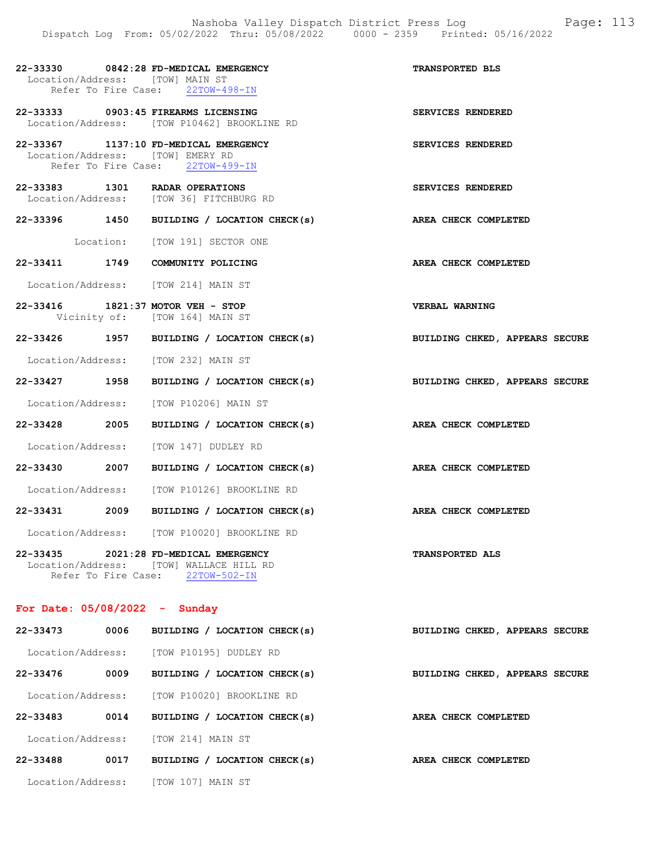| Location/Address: [TOW] MAIN ST  |  | 22-33330 0842:28 FD-MEDICAL EMERGENCY<br>Refer To Fire Case: 22TOW-498-IN                 | TRANSPORTED BLS                |
|----------------------------------|--|-------------------------------------------------------------------------------------------|--------------------------------|
|                                  |  | 22-33333 0903:45 FIREARMS LICENSING<br>Location/Address: [TOW P10462] BROOKLINE RD        | SERVICES RENDERED              |
| Location/Address: [TOW] EMERY RD |  | 22-33367 1137:10 FD-MEDICAL EMERGENCY<br>Refer To Fire Case: 22TOW-499-IN                 | SERVICES RENDERED              |
|                                  |  | 22-33383 1301 RADAR OPERATIONS<br>Location/Address: [TOW 36] FITCHBURG RD                 | SERVICES RENDERED              |
|                                  |  | 22-33396 1450 BUILDING / LOCATION CHECK(s) AREA CHECK COMPLETED                           |                                |
|                                  |  | Location: [TOW 191] SECTOR ONE                                                            |                                |
|                                  |  | 22-33411 1749 COMMUNITY POLICING                                                          | AREA CHECK COMPLETED           |
|                                  |  | Location/Address: [TOW 214] MAIN ST                                                       |                                |
|                                  |  | 22-33416 1821:37 MOTOR VEH - STOP<br>Vicinity of: [TOW 164] MAIN ST                       | <b>VERBAL WARNING</b>          |
|                                  |  | 22-33426 1957 BUILDING / LOCATION CHECK(s) BUILDING CHKED, APPEARS SECURE                 |                                |
|                                  |  | Location/Address: [TOW 232] MAIN ST                                                       |                                |
|                                  |  | 22-33427 1958 BUILDING / LOCATION CHECK(s) BUILDING CHKED, APPEARS SECURE                 |                                |
|                                  |  | Location/Address: [TOW P10206] MAIN ST                                                    |                                |
|                                  |  | 22-33428 2005 BUILDING / LOCATION CHECK(s)                                                | AREA CHECK COMPLETED           |
|                                  |  | Location/Address: [TOW 147] DUDLEY RD                                                     |                                |
|                                  |  | 22-33430 2007 BUILDING / LOCATION CHECK(s) AREA CHECK COMPLETED                           |                                |
|                                  |  | Location/Address: [TOW P10126] BROOKLINE RD                                               |                                |
|                                  |  | 22-33431 2009 BUILDING / LOCATION CHECK(s)                                                | AREA CHECK COMPLETED           |
|                                  |  | Location/Address: [TOW P10020] BROOKLINE RD                                               |                                |
| 22-33435<br>Location/Address:    |  | 2021:28 FD-MEDICAL EMERGENCY<br>[TOW] WALLACE HILL RD<br>Refer To Fire Case: 22TOW-502-IN | <b>TRANSPORTED ALS</b>         |
| For Date: $05/08/2022 -$ Sunday  |  |                                                                                           |                                |
|                                  |  | $22-33473$ 0006 BUTIDING / IOCATION CHECK (s)                                             | RIITINTNC CHKED ADDFADS SECUPE |

| 22-33413          | uuuo | BUILDING / LOCATION CHECK(S) | BUILDING CHAED, APPEARS SECURE |
|-------------------|------|------------------------------|--------------------------------|
| Location/Address: |      | ITOW P101951 DUDLEY RD       |                                |
| 22-33476          | 0009 | BUILDING / LOCATION CHECK(s) | BUILDING CHKED, APPEARS SECURE |
| Location/Address: |      | TOW P100201 BROOKLINE RD     |                                |
| 22-33483          | 0014 | BUILDING / LOCATION CHECK(s) | AREA CHECK COMPLETED           |
| Location/Address: |      | TOW 2141 MAIN ST             |                                |
| 22-33488          | 0017 | BUILDING / LOCATION CHECK(s) | AREA CHECK COMPLETED           |
| Location/Address: |      | TOW 1071 MAIN ST             |                                |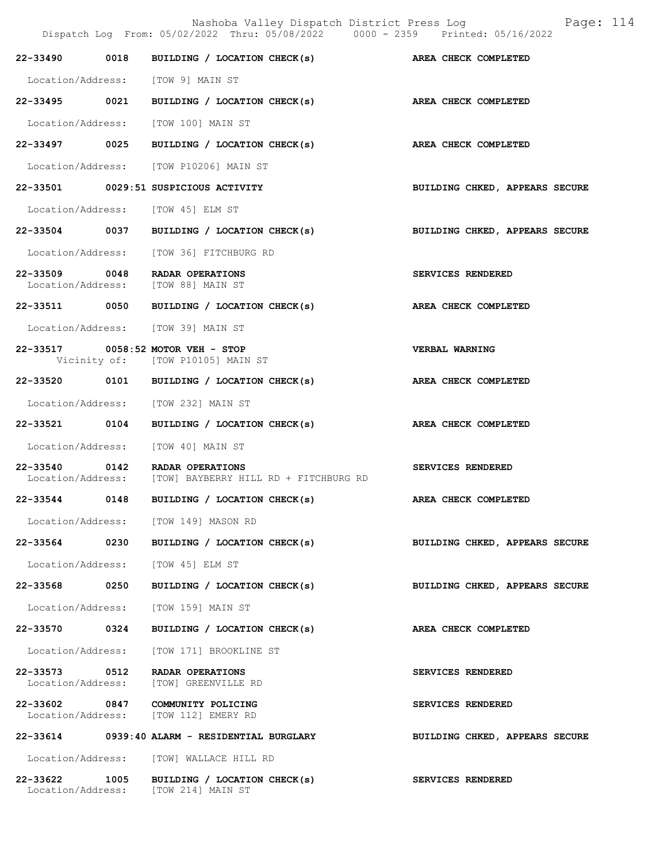|  | Dispatch Log From: 05/02/2022 Thru: 05/08/2022 0000 - 2359 Printed: 05/16/2022            | Nashoba Valley Dispatch District Press Log Fage: 114 |
|--|-------------------------------------------------------------------------------------------|------------------------------------------------------|
|  | 22-33490 0018 BUILDING / LOCATION CHECK(s) AREA CHECK COMPLETED                           |                                                      |
|  | Location/Address: [TOW 9] MAIN ST                                                         |                                                      |
|  | 22-33495 0021 BUILDING / LOCATION CHECK(s) AREA CHECK COMPLETED                           |                                                      |
|  | Location/Address: [TOW 100] MAIN ST                                                       |                                                      |
|  | 22-33497 0025 BUILDING / LOCATION CHECK(s) AREA CHECK COMPLETED                           |                                                      |
|  | Location/Address: [TOW P10206] MAIN ST                                                    |                                                      |
|  | 22-33501 0029:51 SUSPICIOUS ACTIVITY                                                      | BUILDING CHKED, APPEARS SECURE                       |
|  | Location/Address: [TOW 45] ELM ST                                                         |                                                      |
|  | 22-33504 0037 BUILDING / LOCATION CHECK(s)                                                | BUILDING CHKED, APPEARS SECURE                       |
|  | Location/Address: [TOW 36] FITCHBURG RD                                                   |                                                      |
|  | 22-33509 0048 RADAR OPERATIONS<br>Location/Address: [TOW 88] MAIN ST                      | SERVICES RENDERED                                    |
|  | 22-33511 0050 BUILDING / LOCATION CHECK(s)                                                | AREA CHECK COMPLETED                                 |
|  | Location/Address: [TOW 39] MAIN ST                                                        |                                                      |
|  | 22-33517 0058:52 MOTOR VEH - STOP<br>Vicinity of: [TOW P10105] MAIN ST                    | <b>VERBAL WARNING</b>                                |
|  | 22-33520 0101 BUILDING / LOCATION CHECK(s) AREA CHECK COMPLETED                           |                                                      |
|  | Location/Address: [TOW 232] MAIN ST                                                       |                                                      |
|  | 22-33521 0104 BUILDING / LOCATION CHECK(s)                                                | AREA CHECK COMPLETED                                 |
|  | Location/Address: [TOW 40] MAIN ST                                                        |                                                      |
|  | 22-33540 0142 RADAR OPERATIONS<br>Location/Address: [TOW] BAYBERRY HILL RD + FITCHBURG RD | SERVICES RENDERED                                    |
|  | 22-33544 0148 BUILDING / LOCATION CHECK(s) AREA CHECK COMPLETED                           |                                                      |
|  | Location/Address: [TOW 149] MASON RD                                                      |                                                      |
|  | 22-33564 0230 BUILDING / LOCATION CHECK(s)                                                | BUILDING CHKED, APPEARS SECURE                       |
|  | Location/Address: [TOW 45] ELM ST                                                         |                                                      |
|  | 22-33568 0250 BUILDING / LOCATION CHECK(s)                                                | BUILDING CHKED, APPEARS SECURE                       |
|  | Location/Address: [TOW 159] MAIN ST                                                       |                                                      |
|  | 22-33570 0324 BUILDING / LOCATION CHECK(s)                                                | AREA CHECK COMPLETED                                 |
|  | Location/Address: [TOW 171] BROOKLINE ST                                                  |                                                      |
|  | 22-33573 0512 RADAR OPERATIONS<br>Location/Address: [TOW] GREENVILLE RD                   | SERVICES RENDERED                                    |
|  | 22-33602 0847 COMMUNITY POLICING<br>Location/Address: [TOW 112] EMERY RD                  | <b>SERVICES RENDERED</b>                             |
|  | 22-33614 0939:40 ALARM - RESIDENTIAL BURGLARY                                             | BUILDING CHKED, APPEARS SECURE                       |
|  | Location/Address: [TOW] WALLACE HILL RD                                                   |                                                      |

22-33622 1005 BUILDING / LOCATION CHECK(s) SERVICES RENDERED

Location/Address: [TOW 214] MAIN ST